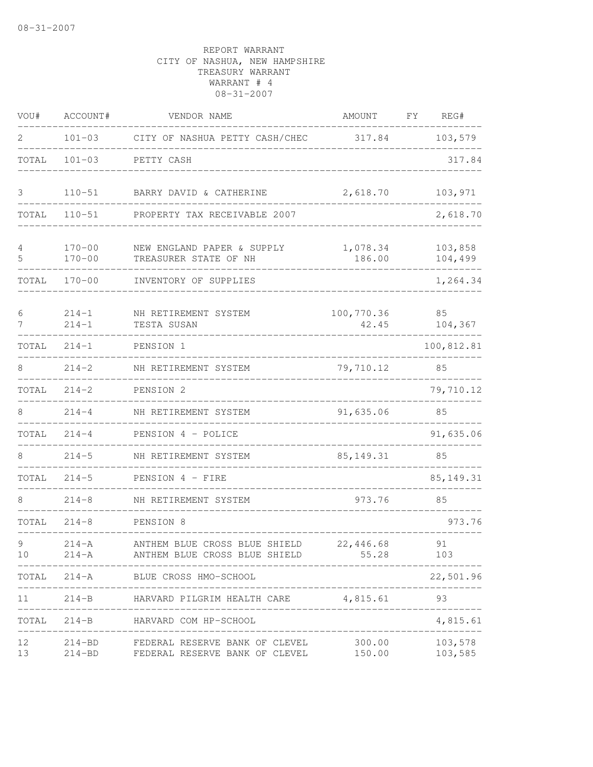| VOU#                                                                                                                                                                                                                                               | ACCOUNT#                                    | VENDOR NAME                                                                                          | AMOUNT                                | FY. | REG#               |
|----------------------------------------------------------------------------------------------------------------------------------------------------------------------------------------------------------------------------------------------------|---------------------------------------------|------------------------------------------------------------------------------------------------------|---------------------------------------|-----|--------------------|
| 2                                                                                                                                                                                                                                                  | $101 - 03$                                  | CITY OF NASHUA PETTY CASH/CHEC 317.84                                                                |                                       |     | 103,579            |
| TOTAL                                                                                                                                                                                                                                              | $101 - 03$                                  | PETTY CASH                                                                                           |                                       |     | 317.84             |
| 3                                                                                                                                                                                                                                                  | $110 - 51$                                  | BARRY DAVID & CATHERINE                                                                              | 2,618.70                              |     | 103,971            |
| TOTAL                                                                                                                                                                                                                                              | $110 - 51$                                  | PROPERTY TAX RECEIVABLE 2007                                                                         |                                       |     | 2,618.70           |
| 4<br>5                                                                                                                                                                                                                                             | $170 - 00$<br>$170 - 00$                    | NEW ENGLAND PAPER & SUPPLY<br>TREASURER STATE OF NH                                                  | 1,078.34<br>186.00                    |     | 103,858<br>104,499 |
| TOTAL                                                                                                                                                                                                                                              | $170 - 00$                                  | INVENTORY OF SUPPLIES                                                                                |                                       |     | 1,264.34           |
| 6<br>7                                                                                                                                                                                                                                             | $214 - 1$<br>$214 - 1$                      | NH RETIREMENT SYSTEM<br>TESTA SUSAN                                                                  | 100,770.36<br>42.45                   |     | 85<br>104,367      |
| TOTAL                                                                                                                                                                                                                                              | $214 - 1$                                   | PENSION 1                                                                                            |                                       |     | 100,812.81         |
| 8                                                                                                                                                                                                                                                  | $214 - 2$                                   | NH RETIREMENT SYSTEM                                                                                 | 79,710.12                             |     | 85                 |
| TOTAL                                                                                                                                                                                                                                              | $214 - 2$                                   | PENSION 2                                                                                            |                                       |     | 79,710.12          |
| 8                                                                                                                                                                                                                                                  | $214 - 4$                                   | NH RETIREMENT SYSTEM                                                                                 | 91,635.06                             |     | 85                 |
| TOTAL                                                                                                                                                                                                                                              | $214 - 4$                                   | PENSION 4 - POLICE                                                                                   |                                       |     | 91,635.06          |
| 8                                                                                                                                                                                                                                                  | $214 - 5$                                   | NH RETIREMENT SYSTEM                                                                                 | 85, 149. 31                           |     | 85                 |
| TOTAL                                                                                                                                                                                                                                              | $214 - 5$                                   | PENSION 4 - FIRE                                                                                     |                                       |     | 85, 149. 31        |
| 8                                                                                                                                                                                                                                                  | $214 - 8$                                   | NH RETIREMENT SYSTEM                                                                                 | 973.76                                |     | 85                 |
| TOTAL                                                                                                                                                                                                                                              | $214 - 8$                                   | PENSION 8                                                                                            |                                       |     | 973.76             |
| 9.<br>10                                                                                                                                                                                                                                           | $214 - A$<br>$214 - A$<br>. _ _ _ _ _ _ _ _ | ANTHEM BLUE CROSS BLUE SHIELD 22,446.68<br>ANTHEM BLUE CROSS BLUE SHIELD                             | 55.28<br>. <u>_ _ _ _ _ _ _ _ _ _</u> |     | 91<br>103          |
|                                                                                                                                                                                                                                                    |                                             | TOTAL 214-A BLUE CROSS HMO-SCHOOL                                                                    | ____________________                  |     | 22,501.96          |
|                                                                                                                                                                                                                                                    |                                             | 11 214-B HARVARD PILGRIM HEALTH CARE 4,815.61 93                                                     |                                       |     | _______________    |
|                                                                                                                                                                                                                                                    |                                             | TOTAL 214-B HARVARD COM HP-SCHOOL                                                                    |                                       |     | 4,815.61           |
| 12 <sub>1</sub><br>13 and 13 and 13 and 13 and 13 and 13 and 13 and 13 and 13 and 13 and 13 and 13 and 13 and 13 and 13 and 13 and 13 and 13 and 13 and 13 and 13 and 13 and 13 and 13 and 13 and 13 and 13 and 13 and 13 and 13 and 13 and 13 and |                                             | 214-BD FEDERAL RESERVE BANK OF CLEVEL 300.00 103,578<br>214-BD FEDERAL RESERVE BANK OF CLEVEL 150.00 |                                       |     | 103,585            |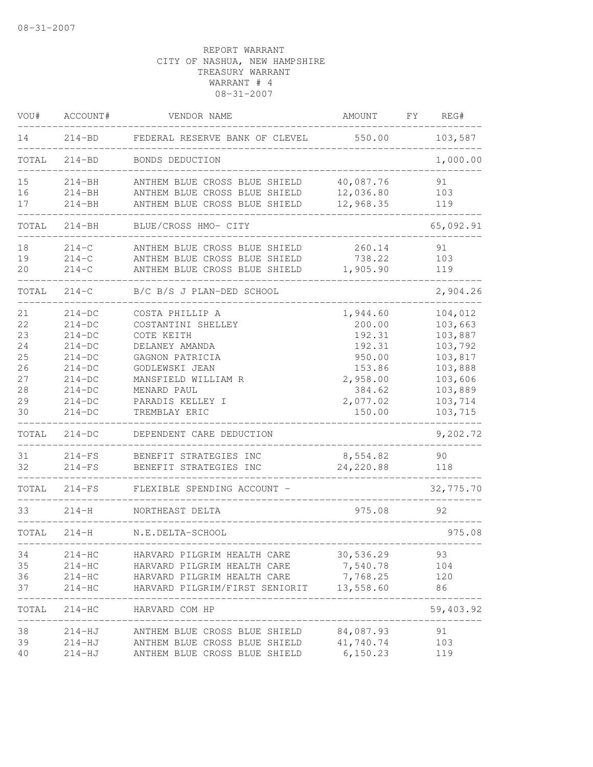| VOU#  | ACCOUNT#   | VENDOR NAME                                        | AMOUNT     | FΥ | REG#      |
|-------|------------|----------------------------------------------------|------------|----|-----------|
| 14    | $214 - BD$ | FEDERAL RESERVE BANK OF CLEVEL                     | 550.00     |    | 103,587   |
| TOTAL | $214 - BD$ | BONDS DEDUCTION                                    |            |    | 1,000.00  |
| 15    | $214 - BH$ | ANTHEM BLUE CROSS BLUE SHIELD                      | 40,087.76  |    | 91        |
| 16    | $214 - BH$ | ANTHEM BLUE CROSS BLUE SHIELD                      | 12,036.80  |    | 103       |
| 17    | $214 - BH$ | ANTHEM BLUE CROSS BLUE SHIELD                      | 12,968.35  |    | 119       |
| TOTAL | $214 - BH$ | BLUE/CROSS HMO- CITY                               |            |    | 65,092.91 |
| 18    | $214 - C$  | ANTHEM BLUE CROSS BLUE SHIELD                      | 260.14     |    | 91        |
| 19    | $214-C$    | ANTHEM BLUE CROSS BLUE SHIELD                      | 738.22     |    | 103       |
| 20    | $214-C$    | ANTHEM BLUE CROSS BLUE SHIELD                      | 1,905.90   |    | 119       |
| TOTAL | $214 - C$  | B/C B/S J PLAN-DED SCHOOL                          |            |    | 2,904.26  |
| 21    | $214-DC$   | COSTA PHILLIP A                                    | 1,944.60   |    | 104,012   |
| 22    | $214-DC$   | COSTANTINI SHELLEY                                 | 200.00     |    | 103,663   |
| 23    | $214-DC$   | COTE KEITH                                         | 192.31     |    | 103,887   |
| 24    | $214-DC$   | DELANEY AMANDA                                     | 192.31     |    | 103,792   |
| 25    | $214-DC$   | GAGNON PATRICIA                                    | 950.00     |    | 103,817   |
| 26    | $214-DC$   | GODLEWSKI JEAN                                     | 153.86     |    | 103,888   |
| 27    | $214-DC$   | MANSFIELD WILLIAM R                                | 2,958.00   |    | 103,606   |
| 28    | $214-DC$   | MENARD PAUL                                        | 384.62     |    | 103,889   |
| 29    | $214-DC$   | PARADIS KELLEY I                                   | 2,077.02   |    | 103,714   |
| 30    | $214-DC$   | TREMBLAY ERIC                                      | 150.00     |    | 103,715   |
| TOTAL | $214-DC$   | DEPENDENT CARE DEDUCTION                           |            |    | 9,202.72  |
| 31    | $214-FS$   | BENEFIT STRATEGIES INC                             | 8,554.82   |    | 90        |
| 32    | $214-FS$   | BENEFIT STRATEGIES INC                             | 24, 220.88 |    | 118       |
| TOTAL | $214-FS$   | FLEXIBLE SPENDING ACCOUNT -                        |            |    | 32,775.70 |
| 33    | $214-H$    | NORTHEAST DELTA                                    | 975.08     |    | 92        |
| TOTAL | $214 - H$  | N.E.DELTA-SCHOOL<br>______________________________ |            |    | 975.08    |
| 34    | 214-HC     | HARVARD PILGRIM HEALTH CARE                        | 30,536.29  |    | 93        |
| 35    | $214-HC$   | HARVARD PILGRIM HEALTH CARE                        | 7,540.78   |    | 104       |
| 36    | $214-HC$   | HARVARD PILGRIM HEALTH CARE                        | 7,768.25   |    | 120       |
| 37    | $214-HC$   | HARVARD PILGRIM/FIRST SENIORIT 13,558.60           |            |    | 86        |
| TOTAL |            | 214-HC HARVARD COM HP                              |            |    | 59,403.92 |
| 38    |            | 214-HJ ANTHEM BLUE CROSS BLUE SHIELD 84,087.93     |            |    | 91        |
| 39    |            | 214-HJ ANTHEM BLUE CROSS BLUE SHIELD 41,740.74     |            |    | 103       |
| 40    |            | 214-HJ ANTHEM BLUE CROSS BLUE SHIELD 6,150.23      |            |    | 119       |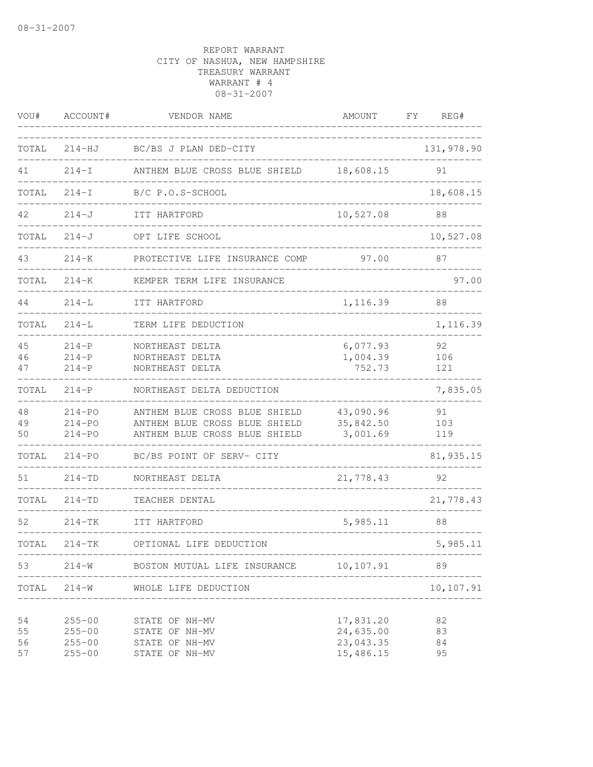| VOU#                 | ACCOUNT#                                             | VENDOR NAME                                                                                     | <b>AMOUNT</b>                                    | FΥ<br>REG#           |
|----------------------|------------------------------------------------------|-------------------------------------------------------------------------------------------------|--------------------------------------------------|----------------------|
| TOTAL                | $214-HJ$                                             | BC/BS J PLAN DED-CITY                                                                           |                                                  | 131,978.90           |
| 41                   | $214-I$                                              | ANTHEM BLUE CROSS BLUE SHIELD                                                                   | 18,608.15                                        | 91                   |
| TOTAL                | $214-I$                                              | B/C P.O.S-SCHOOL                                                                                |                                                  | 18,608.15            |
| 42                   | $214 - J$                                            | ITT HARTFORD                                                                                    | 10,527.08                                        | 88                   |
| TOTAL                | $214 - J$                                            | OPT LIFE SCHOOL                                                                                 |                                                  | 10,527.08            |
| 43                   | $214 - K$                                            | PROTECTIVE LIFE INSURANCE COMP                                                                  | 97.00                                            | 87                   |
| TOTAL                | $214 - K$                                            | KEMPER TERM LIFE INSURANCE                                                                      |                                                  | 97.00                |
| 44                   | $214 - L$                                            | ITT HARTFORD                                                                                    | 1,116.39                                         | 88                   |
| TOTAL                | $214 - L$                                            | TERM LIFE DEDUCTION                                                                             |                                                  | 1,116.39             |
| 45<br>46<br>47       | $214-P$<br>$214-P$<br>$214 - P$                      | NORTHEAST DELTA<br>NORTHEAST DELTA<br>NORTHEAST DELTA                                           | 6,077.93<br>1,004.39<br>752.73                   | 92<br>106<br>121     |
| TOTAL                | $214-P$                                              | NORTHEAST DELTA DEDUCTION                                                                       |                                                  | 7,835.05             |
| 48<br>49<br>50       | $214 - PQ$<br>$214 - PQ$<br>$214 - PQ$               | ANTHEM BLUE CROSS BLUE SHIELD<br>ANTHEM BLUE CROSS BLUE SHIELD<br>ANTHEM BLUE CROSS BLUE SHIELD | 43,090.96<br>35,842.50<br>3,001.69               | 91<br>103<br>119     |
| TOTAL                | $214 - PQ$                                           | BC/BS POINT OF SERV- CITY                                                                       |                                                  | 81,935.15            |
| 51                   | $214 - TD$                                           | NORTHEAST DELTA                                                                                 | 21,778.43                                        | 92                   |
| TOTAL                | $214 - TD$                                           | TEACHER DENTAL                                                                                  |                                                  | 21,778.43            |
| 52                   | $214-TK$                                             | ITT HARTFORD                                                                                    | 5,985.11                                         | 88                   |
| TOTAL                | $214 - TK$                                           | OPTIONAL LIFE DEDUCTION<br>___________________________                                          | ------------                                     | 5,985.11             |
| 53                   | $214 - W$<br>____________                            | BOSTON MUTUAL LIFE INSURANCE 10,107.91                                                          |                                                  | 89                   |
| TOTAL                | $214 - W$                                            | WHOLE LIFE DEDUCTION                                                                            |                                                  | 10,107.91            |
| 54<br>55<br>56<br>57 | $255 - 00$<br>$255 - 00$<br>$255 - 00$<br>$255 - 00$ | STATE OF NH-MV<br>STATE OF NH-MV<br>STATE OF NH-MV<br>STATE OF NH-MV                            | 17,831.20<br>24,635.00<br>23,043.35<br>15,486.15 | 82<br>83<br>84<br>95 |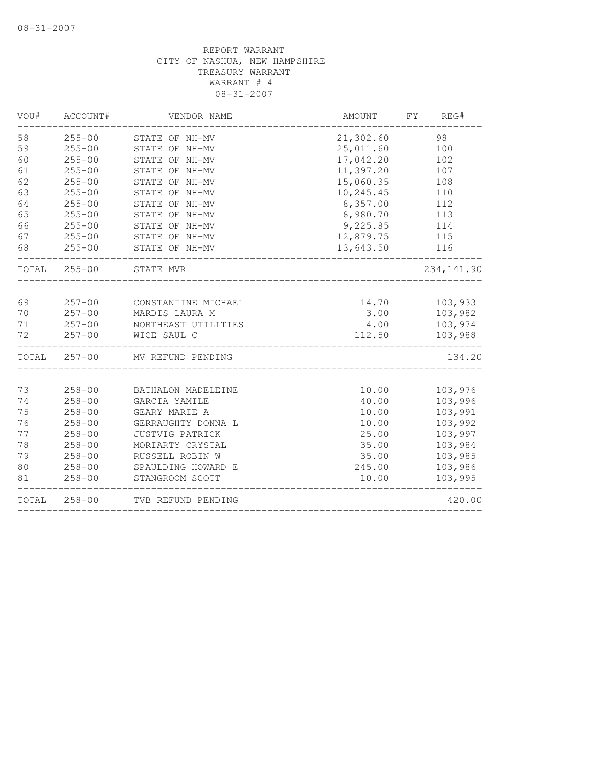| 58<br>$255 - 00$<br>21,302.60<br>STATE OF NH-MV<br>59<br>$255 - 00$<br>25,011.60<br>STATE OF NH-MV<br>17,042.20<br>60<br>$255 - 00$<br>STATE OF NH-MV<br>11,397.20<br>61<br>$255 - 00$<br>STATE OF NH-MV<br>62<br>$255 - 00$<br>15,060.35<br>STATE OF NH-MV<br>63<br>$255 - 00$<br>10,245.45<br>STATE OF NH-MV<br>64<br>$255 - 00$<br>8,357.00<br>STATE OF NH-MV<br>65<br>$255 - 00$<br>STATE OF NH-MV<br>8,980.70<br>66<br>$255 - 00$<br>9,225.85<br>STATE OF NH-MV<br>67<br>$255 - 00$<br>STATE OF NH-MV<br>12,879.75<br>68<br>$255 - 00$<br>13,643.50<br>STATE OF NH-MV | AMOUNT<br>FY<br>REG# |
|----------------------------------------------------------------------------------------------------------------------------------------------------------------------------------------------------------------------------------------------------------------------------------------------------------------------------------------------------------------------------------------------------------------------------------------------------------------------------------------------------------------------------------------------------------------------------|----------------------|
|                                                                                                                                                                                                                                                                                                                                                                                                                                                                                                                                                                            | 98                   |
|                                                                                                                                                                                                                                                                                                                                                                                                                                                                                                                                                                            | 100                  |
|                                                                                                                                                                                                                                                                                                                                                                                                                                                                                                                                                                            | 102                  |
|                                                                                                                                                                                                                                                                                                                                                                                                                                                                                                                                                                            | 107                  |
|                                                                                                                                                                                                                                                                                                                                                                                                                                                                                                                                                                            | 108                  |
|                                                                                                                                                                                                                                                                                                                                                                                                                                                                                                                                                                            | 110                  |
|                                                                                                                                                                                                                                                                                                                                                                                                                                                                                                                                                                            | 112                  |
|                                                                                                                                                                                                                                                                                                                                                                                                                                                                                                                                                                            | 113                  |
|                                                                                                                                                                                                                                                                                                                                                                                                                                                                                                                                                                            | 114                  |
|                                                                                                                                                                                                                                                                                                                                                                                                                                                                                                                                                                            | 115                  |
|                                                                                                                                                                                                                                                                                                                                                                                                                                                                                                                                                                            | 116                  |
| TOTAL<br>$255 - 00$<br>STATE MVR                                                                                                                                                                                                                                                                                                                                                                                                                                                                                                                                           | 234, 141.90          |
|                                                                                                                                                                                                                                                                                                                                                                                                                                                                                                                                                                            |                      |
| $257 - 00$<br>69<br>CONSTANTINE MICHAEL                                                                                                                                                                                                                                                                                                                                                                                                                                                                                                                                    | 14.70<br>103,933     |
| 70<br>$257 - 00$<br>MARDIS LAURA M                                                                                                                                                                                                                                                                                                                                                                                                                                                                                                                                         | 3.00<br>103,982      |
| 71<br>$257 - 00$<br>NORTHEAST UTILITIES<br>72                                                                                                                                                                                                                                                                                                                                                                                                                                                                                                                              | 4.00<br>103,974      |
| $257 - 00$<br>WICE SAUL C                                                                                                                                                                                                                                                                                                                                                                                                                                                                                                                                                  | 112.50<br>103,988    |
| TOTAL 257-00<br>MV REFUND PENDING                                                                                                                                                                                                                                                                                                                                                                                                                                                                                                                                          | 134.20               |
| 73<br>$258 - 00$<br>BATHALON MADELEINE                                                                                                                                                                                                                                                                                                                                                                                                                                                                                                                                     | 10.00<br>103,976     |
| $258 - 00$<br>74<br>GARCIA YAMILE                                                                                                                                                                                                                                                                                                                                                                                                                                                                                                                                          | 103,996<br>40.00     |
| 75<br>$258 - 00$<br>GEARY MARIE A                                                                                                                                                                                                                                                                                                                                                                                                                                                                                                                                          | 103,991<br>10.00     |
| 76<br>$258 - 00$<br>GERRAUGHTY DONNA L                                                                                                                                                                                                                                                                                                                                                                                                                                                                                                                                     | 103,992<br>10.00     |
| 77<br>$258 - 00$<br><b>JUSTVIG PATRICK</b>                                                                                                                                                                                                                                                                                                                                                                                                                                                                                                                                 | 103,997<br>25.00     |
| 78<br>$258 - 00$<br>MORIARTY CRYSTAL                                                                                                                                                                                                                                                                                                                                                                                                                                                                                                                                       | 103,984<br>35.00     |
| 79<br>$258 - 00$<br>RUSSELL ROBIN W                                                                                                                                                                                                                                                                                                                                                                                                                                                                                                                                        | 103,985<br>35.00     |
| 80<br>$258 - 00$<br>SPAULDING HOWARD E                                                                                                                                                                                                                                                                                                                                                                                                                                                                                                                                     | 103,986<br>245.00    |
| $258 - 00$<br>81<br>STANGROOM SCOTT                                                                                                                                                                                                                                                                                                                                                                                                                                                                                                                                        | 103,995<br>10.00     |
| TOTAL<br>$258 - 00$<br>TVB REFUND PENDING                                                                                                                                                                                                                                                                                                                                                                                                                                                                                                                                  | 420.00               |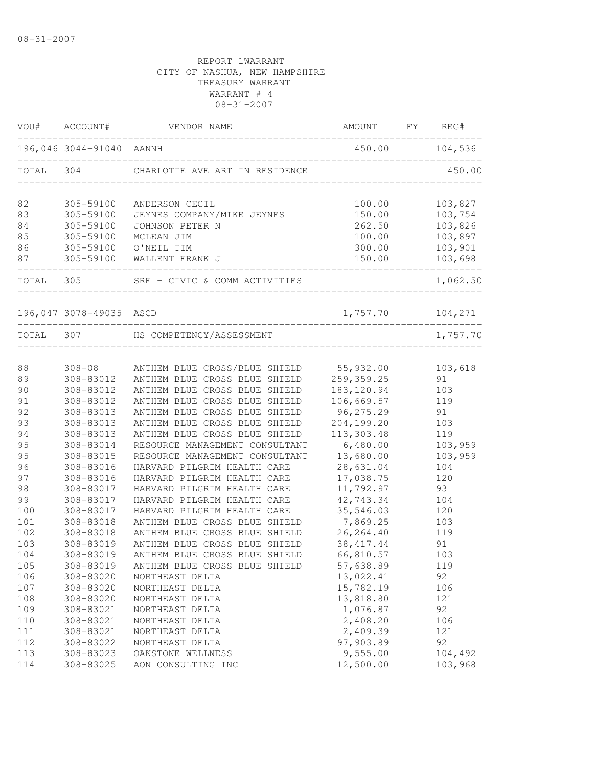|     | VOU# ACCOUNT#            | VENDOR NAME                                             | AMOUNT FY REG#       |          |
|-----|--------------------------|---------------------------------------------------------|----------------------|----------|
|     | 196,046 3044-91040 AANNH | ____________________________________                    | 450.00 104,536       |          |
|     |                          | TOTAL 304 CHARLOTTE AVE ART IN RESIDENCE                |                      | 450.00   |
| 82  | 305-59100                | ANDERSON CECIL                                          | 100.00               | 103,827  |
| 83  | 305-59100                | JEYNES COMPANY/MIKE JEYNES                              | 150.00               | 103,754  |
| 84  | 305-59100                | JOHNSON PETER N                                         | 262.50               | 103,826  |
| 85  | 305-59100                | MCLEAN JIM                                              | 100.00               | 103,897  |
| 86  | 305-59100                | O'NEIL TIM                                              | 300.00               | 103,901  |
| 87  | 305-59100                | WALLENT FRANK J                                         | 150.00               | 103,698  |
|     |                          | TOTAL 305 SRF - CIVIC & COMM ACTIVITIES                 |                      | 1,062.50 |
|     | 196,047 3078-49035 ASCD  |                                                         | $1,757.70$ $104,271$ |          |
|     |                          | TOTAL 307 HS COMPETENCY/ASSESSMENT<br>_________________ |                      | 1,757.70 |
|     |                          |                                                         |                      |          |
| 88  | $308 - 08$               | ANTHEM BLUE CROSS/BLUE SHIELD 55,932.00                 |                      | 103,618  |
| 89  | 308-83012                | ANTHEM BLUE CROSS BLUE SHIELD                           | 259,359.25           | 91       |
| 90  | 308-83012                | ANTHEM BLUE CROSS BLUE SHIELD                           | 183, 120.94          | 103      |
| 91  | 308-83012                | ANTHEM BLUE CROSS BLUE SHIELD                           | 106,669.57           | 119      |
| 92  | 308-83013                | ANTHEM BLUE CROSS BLUE SHIELD                           | 96, 275.29           | 91       |
| 93  | 308-83013                | ANTHEM BLUE CROSS BLUE SHIELD                           | 204,199.20           | 103      |
| 94  | 308-83013                | ANTHEM BLUE CROSS BLUE SHIELD                           | 113,303.48           | 119      |
| 95  | 308-83014                | RESOURCE MANAGEMENT CONSULTANT                          | 6,480.00             | 103,959  |
| 95  | 308-83015                | RESOURCE MANAGEMENT CONSULTANT                          | 13,680.00            | 103,959  |
| 96  | 308-83016                | HARVARD PILGRIM HEALTH CARE                             | 28,631.04            | 104      |
| 97  | 308-83016                | HARVARD PILGRIM HEALTH CARE                             | 17,038.75            | 120      |
| 98  | 308-83017                | HARVARD PILGRIM HEALTH CARE                             | 11,792.97            | 93       |
| 99  | 308-83017                | HARVARD PILGRIM HEALTH CARE                             | 42,743.34            | 104      |
| 100 | 308-83017                | HARVARD PILGRIM HEALTH CARE                             | 35,546.03            | 120      |
| 101 | 308-83018                | ANTHEM BLUE CROSS BLUE SHIELD                           | 7,869.25             | 103      |
| 102 | 308-83018                | ANTHEM BLUE CROSS BLUE SHIELD                           | 26, 264.40           | 119      |
| 103 | 308-83019                | ANTHEM BLUE CROSS BLUE SHIELD                           | 38, 417.44           | 91       |
| 104 | 308-83019                | ANTHEM BLUE CROSS BLUE SHIELD                           | 66,810.57            | 103      |
| 105 | 308-83019                | ANTHEM BLUE CROSS BLUE SHIELD                           | 57,638.89            | 119      |
| 106 | 308-83020                | NORTHEAST DELTA                                         | 13,022.41            | 92       |
| 107 | 308-83020                | NORTHEAST DELTA                                         | 15,782.19            | 106      |
| 108 | 308-83020                | NORTHEAST DELTA                                         | 13,818.80            | 121      |
| 109 | 308-83021                | NORTHEAST DELTA                                         | 1,076.87             | 92       |
| 110 | 308-83021                | NORTHEAST DELTA                                         | 2,408.20             | 106      |
| 111 | 308-83021                | NORTHEAST DELTA                                         | 2,409.39             | 121      |
| 112 | 308-83022                | NORTHEAST DELTA                                         | 97,903.89            | 92       |
| 113 | 308-83023                | OAKSTONE WELLNESS                                       | 9,555.00             | 104,492  |
| 114 | 308-83025                | AON CONSULTING INC                                      | 12,500.00            | 103,968  |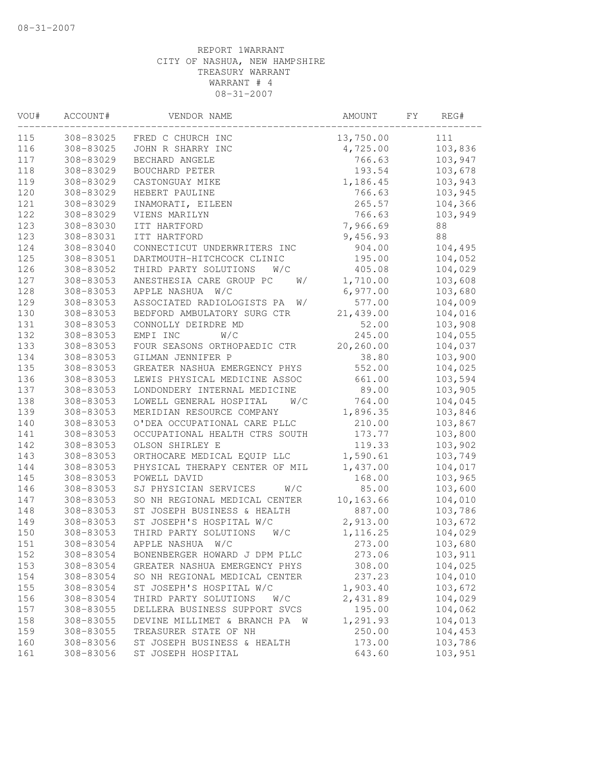| VOU# | ACCOUNT#  | VENDOR NAME                      | AMOUNT     | FΥ | REG#    |  |
|------|-----------|----------------------------------|------------|----|---------|--|
| 115  | 308-83025 | FRED C CHURCH INC                | 13,750.00  |    | 111     |  |
| 116  | 308-83025 | JOHN R SHARRY INC                | 4,725.00   |    | 103,836 |  |
| 117  | 308-83029 | BECHARD ANGELE                   | 766.63     |    | 103,947 |  |
| 118  | 308-83029 | BOUCHARD PETER                   | 193.54     |    | 103,678 |  |
| 119  | 308-83029 | CASTONGUAY MIKE                  | 1,186.45   |    | 103,943 |  |
| 120  | 308-83029 | HEBERT PAULINE                   | 766.63     |    | 103,945 |  |
| 121  | 308-83029 | INAMORATI, EILEEN                | 265.57     |    | 104,366 |  |
| 122  | 308-83029 | VIENS MARILYN                    | 766.63     |    | 103,949 |  |
| 123  | 308-83030 | ITT HARTFORD                     | 7,966.69   |    | 88      |  |
| 123  | 308-83031 | ITT HARTFORD                     | 9,456.93   |    | 88      |  |
| 124  | 308-83040 | CONNECTICUT UNDERWRITERS INC     | 904.00     |    | 104,495 |  |
| 125  | 308-83051 | DARTMOUTH-HITCHCOCK CLINIC       | 195.00     |    | 104,052 |  |
| 126  | 308-83052 | THIRD PARTY SOLUTIONS<br>W/C     | 405.08     |    | 104,029 |  |
| 127  | 308-83053 | ANESTHESIA CARE GROUP PC<br>W/   | 1,710.00   |    | 103,608 |  |
| 128  | 308-83053 | APPLE NASHUA<br>W/C              | 6,977.00   |    | 103,680 |  |
| 129  | 308-83053 | ASSOCIATED RADIOLOGISTS PA<br>W/ | 577.00     |    | 104,009 |  |
| 130  | 308-83053 | BEDFORD AMBULATORY SURG CTR      | 21,439.00  |    | 104,016 |  |
| 131  | 308-83053 | CONNOLLY DEIRDRE MD              | 52.00      |    | 103,908 |  |
| 132  | 308-83053 | EMPI INC<br>W/C                  | 245.00     |    | 104,055 |  |
| 133  | 308-83053 | FOUR SEASONS ORTHOPAEDIC CTR     | 20,260.00  |    | 104,037 |  |
| 134  | 308-83053 | GILMAN JENNIFER P                | 38.80      |    | 103,900 |  |
| 135  | 308-83053 | GREATER NASHUA EMERGENCY PHYS    | 552.00     |    | 104,025 |  |
| 136  | 308-83053 | LEWIS PHYSICAL MEDICINE ASSOC    | 661.00     |    | 103,594 |  |
| 137  | 308-83053 | LONDONDERY INTERNAL MEDICINE     | 89.00      |    | 103,905 |  |
| 138  | 308-83053 | LOWELL GENERAL HOSPITAL<br>W/C   | 764.00     |    | 104,045 |  |
| 139  | 308-83053 | MERIDIAN RESOURCE COMPANY        | 1,896.35   |    | 103,846 |  |
| 140  | 308-83053 | O'DEA OCCUPATIONAL CARE PLLC     | 210.00     |    | 103,867 |  |
| 141  | 308-83053 | OCCUPATIONAL HEALTH CTRS SOUTH   | 173.77     |    | 103,800 |  |
| 142  | 308-83053 | OLSON SHIRLEY E                  | 119.33     |    | 103,902 |  |
| 143  | 308-83053 | ORTHOCARE MEDICAL EQUIP LLC      | 1,590.61   |    | 103,749 |  |
| 144  | 308-83053 | PHYSICAL THERAPY CENTER OF MIL   | 1,437.00   |    | 104,017 |  |
| 145  | 308-83053 | POWELL DAVID                     | 168.00     |    | 103,965 |  |
| 146  | 308-83053 | SJ PHYSICIAN SERVICES<br>W/C     | 85.00      |    | 103,600 |  |
| 147  | 308-83053 | SO NH REGIONAL MEDICAL CENTER    | 10, 163.66 |    | 104,010 |  |
| 148  | 308-83053 | ST JOSEPH BUSINESS & HEALTH      | 887.00     |    | 103,786 |  |
| 149  | 308-83053 | ST JOSEPH'S HOSPITAL W/C         | 2,913.00   |    | 103,672 |  |
| 150  | 308-83053 | THIRD PARTY SOLUTIONS<br>W/C     | 1, 116.25  |    | 104,029 |  |
| 151  | 308-83054 | APPLE NASHUA W/C                 | 273.00     |    | 103,680 |  |
| 152  | 308-83054 | BONENBERGER HOWARD J DPM PLLC    | 273.06     |    | 103,911 |  |
| 153  | 308-83054 | GREATER NASHUA EMERGENCY PHYS    | 308.00     |    | 104,025 |  |
| 154  | 308-83054 | SO NH REGIONAL MEDICAL CENTER    | 237.23     |    | 104,010 |  |
| 155  | 308-83054 | ST JOSEPH'S HOSPITAL W/C         | 1,903.40   |    | 103,672 |  |
| 156  | 308-83054 | THIRD PARTY SOLUTIONS<br>W/C     | 2,431.89   |    | 104,029 |  |
| 157  | 308-83055 | DELLERA BUSINESS SUPPORT SVCS    | 195.00     |    | 104,062 |  |
| 158  | 308-83055 | DEVINE MILLIMET & BRANCH PA<br>W | 1,291.93   |    | 104,013 |  |
| 159  | 308-83055 | TREASURER STATE OF NH            | 250.00     |    | 104,453 |  |
| 160  | 308-83056 | ST JOSEPH BUSINESS & HEALTH      | 173.00     |    | 103,786 |  |
| 161  | 308-83056 | ST JOSEPH HOSPITAL               | 643.60     |    | 103,951 |  |
|      |           |                                  |            |    |         |  |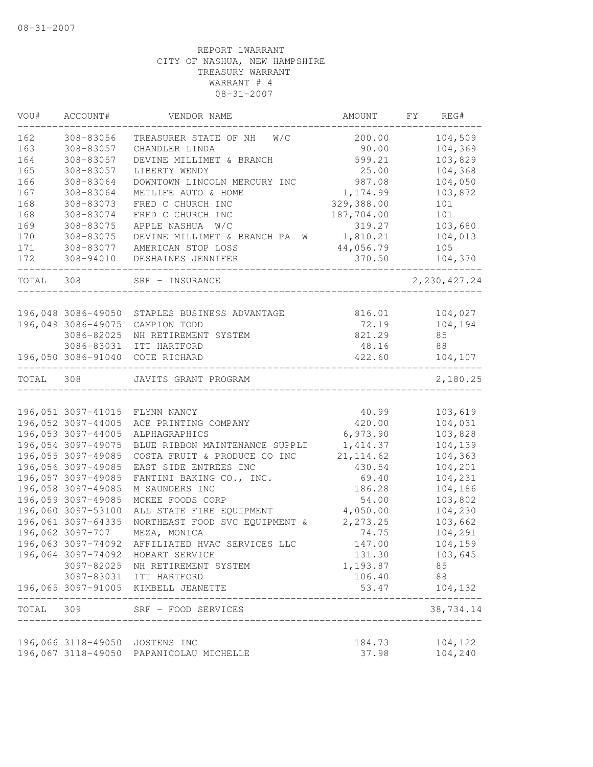| VOU#      | ACCOUNT#                                 | VENDOR NAME                                                    | AMOUNT                 | FY | REG#               |
|-----------|------------------------------------------|----------------------------------------------------------------|------------------------|----|--------------------|
| 162       | 308-83056                                | W/C<br>TREASURER STATE OF NH                                   | 200.00                 |    | 104,509            |
| 163       | 308-83057                                | CHANDLER LINDA                                                 | 90.00                  |    | 104,369            |
| 164       | 308-83057                                | DEVINE MILLIMET & BRANCH                                       | 599.21                 |    | 103,829            |
| 165       | 308-83057                                | LIBERTY WENDY                                                  | 25.00                  |    | 104,368            |
| 166       | 308-83064                                | DOWNTOWN LINCOLN MERCURY INC                                   | 987.08                 |    | 104,050            |
| 167       | 308-83064                                | METLIFE AUTO & HOME                                            | 1,174.99               |    | 103,872            |
| 168       | 308-83073                                | FRED C CHURCH INC                                              | 329,388.00             |    | 101                |
| 168       | 308-83074                                | FRED C CHURCH INC                                              | 187,704.00             |    | 101                |
| 169       | 308-83075                                | APPLE NASHUA<br>W/C                                            | 319.27                 |    | 103,680            |
| 170       | 308-83075                                | DEVINE MILLIMET & BRANCH PA<br>W                               | 1,810.21               |    | 104,013            |
| 171       | 308-83077                                | AMERICAN STOP LOSS                                             | 44,056.79              |    | 105                |
| 172       | 308-94010                                | DESHAINES JENNIFER                                             | 370.50                 |    | 104,370            |
| TOTAL     | 308                                      | SRF - INSURANCE                                                |                        |    | 2, 230, 427.24     |
|           |                                          |                                                                |                        |    |                    |
|           | 196,048 3086-49050                       | STAPLES BUSINESS ADVANTAGE                                     | 816.01                 |    | 104,027            |
|           | 196,049 3086-49075                       | CAMPION TODD                                                   | 72.19                  |    | 104,194            |
|           | 3086-82025                               | NH RETIREMENT SYSTEM                                           | 821.29                 |    | 85                 |
|           | 3086-83031                               | ITT HARTFORD                                                   | 48.16                  |    | 88                 |
|           | 196,050 3086-91040                       | COTE RICHARD                                                   | 422.60                 |    | 104,107            |
| TOTAL     | 308                                      | JAVITS GRANT PROGRAM                                           |                        |    | 2,180.25           |
|           |                                          |                                                                |                        |    |                    |
|           | 196,051 3097-41015                       | FLYNN NANCY                                                    | 40.99                  |    | 103,619            |
|           | 196,052 3097-44005<br>196,053 3097-44005 | ACE PRINTING COMPANY                                           | 420.00<br>6,973.90     |    | 104,031            |
|           | 196,054 3097-49075                       | ALPHAGRAPHICS                                                  |                        |    | 103,828            |
|           | 196,055 3097-49085                       | BLUE RIBBON MAINTENANCE SUPPLI<br>COSTA FRUIT & PRODUCE CO INC | 1,414.37<br>21, 114.62 |    | 104,139<br>104,363 |
|           | 196,056 3097-49085                       | EAST SIDE ENTREES INC                                          | 430.54                 |    | 104,201            |
|           | 196,057 3097-49085                       | FANTINI BAKING CO., INC.                                       | 69.40                  |    | 104,231            |
|           | 196,058 3097-49085                       | M SAUNDERS INC                                                 | 186.28                 |    | 104,186            |
|           | 196,059 3097-49085                       | MCKEE FOODS CORP                                               | 54.00                  |    | 103,802            |
|           | 196,060 3097-53100                       | ALL STATE FIRE EQUIPMENT                                       | 4,050.00               |    | 104,230            |
|           | 196,061 3097-64335                       | NORTHEAST FOOD SVC EQUIPMENT &                                 | 2,273.25               |    | 103,662            |
|           | 196,062 3097-707                         | MEZA, MONICA                                                   | 74.75                  |    | 104,291            |
|           | 196,063 3097-74092                       | AFFILIATED HVAC SERVICES LLC                                   | 147.00                 |    | 104,159            |
|           | 196,064 3097-74092                       | HOBART SERVICE                                                 | 131.30                 |    | 103,645            |
|           | 3097-82025                               | NH RETIREMENT SYSTEM                                           | 1,193.87               |    | 85                 |
|           |                                          | 3097-83031 ITT HARTFORD                                        | 106.40                 |    | 88                 |
|           |                                          | 196,065 3097-91005 KIMBELL JEANETTE                            | 53.47                  |    | 104,132            |
| TOTAL 309 |                                          | SRF - FOOD SERVICES                                            |                        |    | 38,734.14          |
|           |                                          |                                                                |                        |    |                    |
|           |                                          | 196,066 3118-49050 JOSTENS INC                                 | 184.73                 |    | 104,122            |
|           |                                          | 196,067 3118-49050 PAPANICOLAU MICHELLE                        | 37.98                  |    | 104,240            |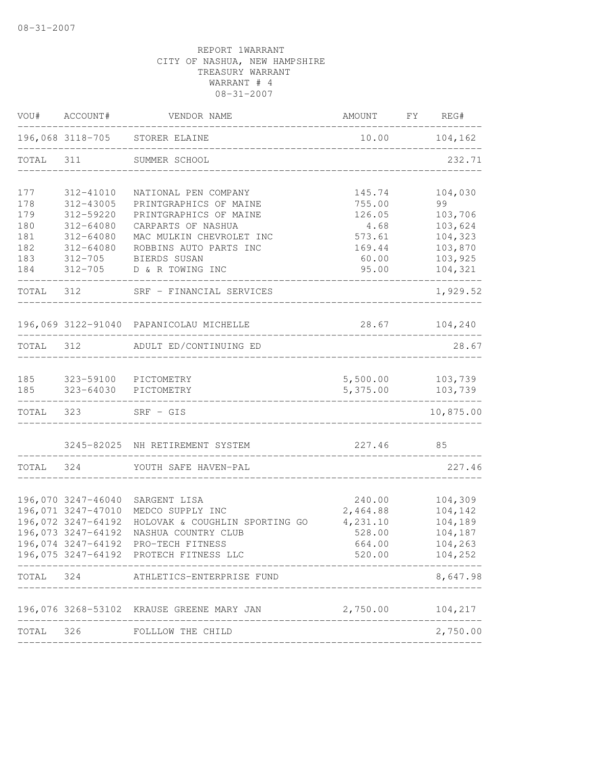| VOU#       | ACCOUNT#                                 | VENDOR NAME                                  | AMOUNT               | FY | REG#               |
|------------|------------------------------------------|----------------------------------------------|----------------------|----|--------------------|
|            |                                          | 196,068 3118-705 STORER ELAINE               | 10.00                |    | 104,162            |
| TOTAL      | 311                                      | SUMMER SCHOOL                                |                      |    | 232.71             |
| 177        | 312-41010                                | NATIONAL PEN COMPANY                         | 145.74               |    | 104,030            |
| 178        | 312-43005                                | PRINTGRAPHICS OF MAINE                       | 755.00               |    | 99                 |
| 179<br>180 | 312-59220<br>312-64080                   | PRINTGRAPHICS OF MAINE<br>CARPARTS OF NASHUA | 126.05<br>4.68       |    | 103,706<br>103,624 |
| 181        | 312-64080                                | MAC MULKIN CHEVROLET INC                     | 573.61               |    | 104,323            |
| 182        | 312-64080                                | ROBBINS AUTO PARTS INC                       | 169.44               |    | 103,870            |
| 183        | $312 - 705$                              | BIERDS SUSAN                                 | 60.00                |    | 103,925            |
| 184        | 312-705                                  | D & R TOWING INC                             | 95.00                |    | 104,321            |
| TOTAL      | 312                                      | SRF - FINANCIAL SERVICES                     |                      |    | 1,929.52           |
|            |                                          | 196,069 3122-91040 PAPANICOLAU MICHELLE      | 28.67                |    | 104,240            |
| TOTAL      | 312                                      | ADULT ED/CONTINUING ED                       |                      |    | 28.67              |
|            |                                          |                                              |                      |    |                    |
| 185<br>185 | 323-64030                                | 323-59100 PICTOMETRY<br>PICTOMETRY           | 5,500.00<br>5,375.00 |    | 103,739<br>103,739 |
| TOTAL      | 323                                      | $SRF - GIS$                                  |                      |    | 10,875.00          |
|            | 3245-82025                               | NH RETIREMENT SYSTEM                         | 227.46               |    | 85                 |
| TOTAL      | 324                                      | YOUTH SAFE HAVEN-PAL                         |                      |    | 227.46             |
|            |                                          |                                              |                      |    |                    |
|            | 196,070 3247-46040<br>196,071 3247-47010 | SARGENT LISA<br>MEDCO SUPPLY INC             | 240.00<br>2,464.88   |    | 104,309<br>104,142 |
|            | 196,072 3247-64192                       | HOLOVAK & COUGHLIN SPORTING GO               | 4,231.10             |    | 104,189            |
|            | 196,073 3247-64192                       | NASHUA COUNTRY CLUB                          | 528.00               |    | 104,187            |
|            | 196,074 3247-64192                       | PRO-TECH FITNESS                             | 664.00               |    | 104,263            |
|            |                                          | 196,075 3247-64192 PROTECH FITNESS LLC       | 520.00               |    | 104,252            |
| TOTAL      | 324                                      | ATHLETICS-ENTERPRISE FUND                    |                      |    | 8,647.98           |
|            |                                          | 196,076 3268-53102 KRAUSE GREENE MARY JAN    | 2,750.00             |    | 104,217            |
| TOTAL      | 326                                      | FOLLLOW THE CHILD                            |                      |    | 2,750.00           |
|            |                                          |                                              |                      |    |                    |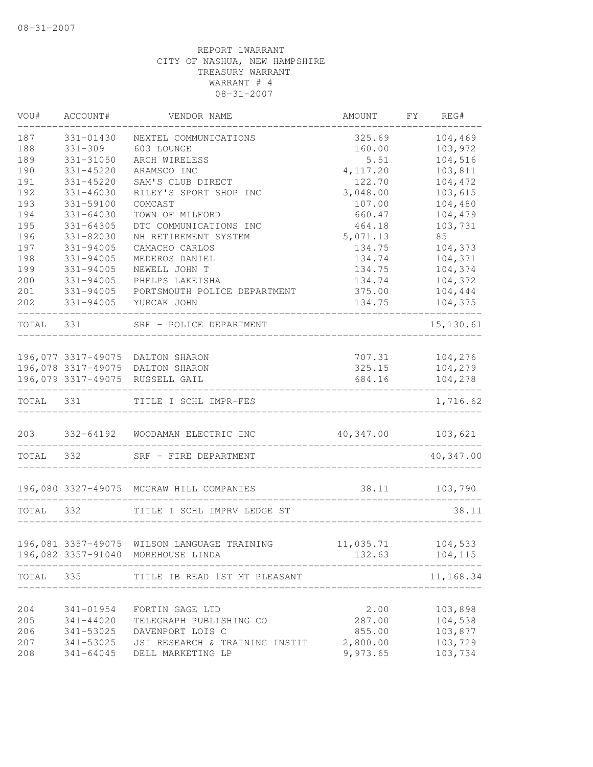| VOU#       | ACCOUNT#               | VENDOR NAME                                                                       | AMOUNT                      | FY | REG#               |
|------------|------------------------|-----------------------------------------------------------------------------------|-----------------------------|----|--------------------|
| 187        | 331-01430              | NEXTEL COMMUNICATIONS                                                             | 325.69                      |    | 104,469            |
| 188        | $331 - 309$            | 603 LOUNGE                                                                        | 160.00                      |    | 103,972            |
| 189        | 331-31050              | ARCH WIRELESS                                                                     | 5.51                        |    | 104,516            |
| 190        | 331-45220              | ARAMSCO INC                                                                       | 4, 117.20                   |    | 103,811            |
| 191        | 331-45220              | SAM'S CLUB DIRECT                                                                 | 122.70                      |    | 104,472            |
| 192        | $331 - 46030$          | RILEY'S SPORT SHOP INC                                                            | 3,048.00                    |    | 103,615            |
| 193        | 331-59100              | COMCAST                                                                           | 107.00                      |    | 104,480            |
| 194        | $331 - 64030$          | TOWN OF MILFORD                                                                   | 660.47                      |    | 104,479            |
| 195        | $331 - 64305$          | DTC COMMUNICATIONS INC                                                            | 464.18                      |    | 103,731            |
| 196        | $331 - 82030$          | NH RETIREMENT SYSTEM                                                              | 5,071.13                    |    | 85                 |
| 197        | $331 - 94005$          | CAMACHO CARLOS                                                                    | 134.75                      |    | 104,373            |
| 198        | 331-94005              | MEDEROS DANIEL                                                                    | 134.74                      |    | 104,371            |
| 199        | 331-94005              | NEWELL JOHN T                                                                     | 134.75                      |    | 104,374            |
| 200        | 331-94005              | PHELPS LAKEISHA                                                                   | 134.74                      |    | 104,372            |
| 201        | 331-94005              | PORTSMOUTH POLICE DEPARTMENT                                                      | 375.00                      |    | 104,444            |
| 202        | 331-94005              | YURCAK JOHN                                                                       | 134.75                      |    | 104,375            |
| TOTAL      | 331                    | SRF - POLICE DEPARTMENT                                                           |                             |    | 15,130.61          |
|            |                        |                                                                                   |                             |    |                    |
|            |                        | 196,077 3317-49075 DALTON SHARON<br>196,078 3317-49075 DALTON SHARON              |                             |    | 707.31 104,276     |
|            |                        | 196,079 3317-49075 RUSSELL GAIL                                                   | 325.15<br>684.16            |    | 104,279<br>104,278 |
| TOTAL 331  |                        | TITLE I SCHL IMPR-FES                                                             | ___________________         |    | 1,716.62           |
|            |                        |                                                                                   |                             |    |                    |
|            |                        | 203 332-64192 WOODAMAN ELECTRIC INC                                               | 40,347.00 103,621           |    |                    |
| TOTAL 332  |                        | SRF - FIRE DEPARTMENT                                                             |                             |    | 40,347.00          |
|            |                        | 196,080 3327-49075 MCGRAW HILL COMPANIES                                          | 38.11 103,790               |    |                    |
| TOTAL 332  |                        | TITLE I SCHL IMPRV LEDGE ST                                                       |                             |    | 38.11              |
|            |                        |                                                                                   |                             |    |                    |
|            |                        | 196,081 3357-49075 WILSON LANGUAGE TRAINING<br>196,082 3357-91040 MOREHOUSE LINDA | 11,035.71 104,533<br>132.63 |    | 104,115            |
| TOTAL      | 335                    | TITLE IB READ 1ST MT PLEASANT                                                     |                             |    | 11,168.34          |
|            |                        |                                                                                   |                             |    |                    |
| 204        | 341-01954              | FORTIN GAGE LTD                                                                   | 2.00                        |    | 103,898            |
| 205        | 341-44020              | TELEGRAPH PUBLISHING CO                                                           | 287.00                      |    | 104,538            |
| 206        | 341-53025              | DAVENPORT LOIS C                                                                  | 855.00                      |    | 103,877            |
| 207<br>208 | 341-53025<br>341-64045 | JSI RESEARCH & TRAINING INSTIT<br>DELL MARKETING LP                               | 2,800.00<br>9,973.65        |    | 103,729<br>103,734 |
|            |                        |                                                                                   |                             |    |                    |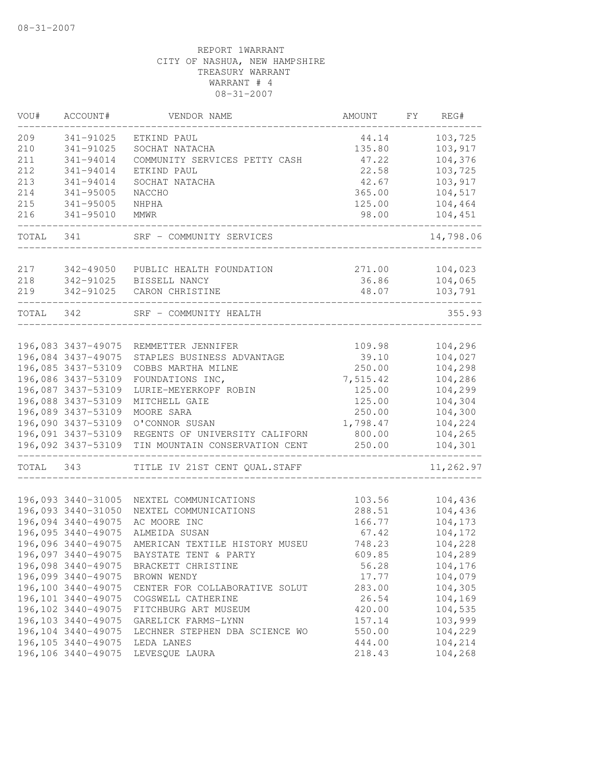| 209<br>103,725<br>341-91025<br>ETKIND PAUL<br>44.14<br>210<br>135.80<br>103,917<br>341-91025<br>SOCHAT NATACHA<br>211<br>104,376<br>341-94014<br>COMMUNITY SERVICES PETTY CASH<br>47.22<br>212<br>22.58<br>341-94014<br>ETKIND PAUL<br>103,725<br>213<br>103,917<br>341-94014<br>SOCHAT NATACHA<br>42.67<br>214<br>$341 - 95005$<br>365.00<br>104,517<br>NACCHO<br>215<br>$341 - 95005$<br>125.00<br>104,464<br>NHPHA<br>104,451<br>216<br>$341 - 95010$<br>98.00<br>MMWR<br>TOTAL<br>SRF - COMMUNITY SERVICES<br>341<br>14,798.06<br>217<br>342-49050<br>PUBLIC HEALTH FOUNDATION<br>271.00<br>104,023<br>36.86<br>104,065<br>218<br>342-91025<br>BISSELL NANCY<br>48.07<br>103,791<br>219<br>342-91025<br>CARON CHRISTINE<br>355.93<br>342<br>TOTAL<br>SRF - COMMUNITY HEALTH<br>104,296<br>196,083 3437-49075<br>109.98<br>REMMETTER JENNIFER<br>196,084 3437-49075<br>104,027<br>STAPLES BUSINESS ADVANTAGE<br>39.10<br>196,085 3437-53109<br>250.00<br>COBBS MARTHA MILNE<br>104,298<br>196,086 3437-53109<br>104,286<br>FOUNDATIONS INC,<br>7,515.42<br>104,299<br>196,087 3437-53109<br>125.00<br>LURIE-MEYERKOPF ROBIN<br>196,088 3437-53109<br>125.00<br>104,304<br>MITCHELL GAIE<br>196,089 3437-53109<br>250.00<br>104,300<br>MOORE SARA<br>196,090 3437-53109<br>1,798.47<br>O'CONNOR SUSAN<br>104,224<br>196,091 3437-53109<br>REGENTS OF UNIVERSITY CALIFORN<br>800.00<br>104,265<br>196,092 3437-53109<br>TIN MOUNTAIN CONSERVATION CENT<br>250.00<br>104,301<br>11,262.97<br>TOTAL<br>343<br>TITLE IV 21ST CENT QUAL. STAFF<br>196,093 3440-31005<br>NEXTEL COMMUNICATIONS<br>103.56<br>104,436<br>196,093 3440-31050<br>288.51<br>104,436<br>NEXTEL COMMUNICATIONS<br>196,094 3440-49075<br>AC MOORE INC<br>166.77<br>104,173<br>196,095 3440-49075<br>ALMEIDA SUSAN<br>67.42<br>104,172<br>196,096 3440-49075<br>748.23<br>AMERICAN TEXTILE HISTORY MUSEU<br>104,228<br>196,097 3440-49075<br>609.85<br>104,289<br>BAYSTATE TENT & PARTY<br>196,098 3440-49075<br>56.28<br>104,176<br>BRACKETT CHRISTINE<br>104,079<br>196,099 3440-49075<br>BROWN WENDY<br>17.77<br>196,100 3440-49075<br>283.00<br>104,305<br>CENTER FOR COLLABORATIVE SOLUT<br>196,101 3440-49075<br>26.54<br>104,169<br>COGSWELL CATHERINE<br>196,102 3440-49075<br>104,535<br>420.00<br>FITCHBURG ART MUSEUM<br>196,103 3440-49075<br>103,999<br>GARELICK FARMS-LYNN<br>157.14<br>196,104 3440-49075<br>550.00<br>104,229<br>LECHNER STEPHEN DBA SCIENCE WO<br>196, 105 3440-49075<br>444.00<br>104,214<br>LEDA LANES<br>196,106 3440-49075<br>LEVESQUE LAURA<br>218.43<br>104,268 | VOU# | ACCOUNT# | VENDOR NAME | AMOUNT | FΥ | REG# |
|---------------------------------------------------------------------------------------------------------------------------------------------------------------------------------------------------------------------------------------------------------------------------------------------------------------------------------------------------------------------------------------------------------------------------------------------------------------------------------------------------------------------------------------------------------------------------------------------------------------------------------------------------------------------------------------------------------------------------------------------------------------------------------------------------------------------------------------------------------------------------------------------------------------------------------------------------------------------------------------------------------------------------------------------------------------------------------------------------------------------------------------------------------------------------------------------------------------------------------------------------------------------------------------------------------------------------------------------------------------------------------------------------------------------------------------------------------------------------------------------------------------------------------------------------------------------------------------------------------------------------------------------------------------------------------------------------------------------------------------------------------------------------------------------------------------------------------------------------------------------------------------------------------------------------------------------------------------------------------------------------------------------------------------------------------------------------------------------------------------------------------------------------------------------------------------------------------------------------------------------------------------------------------------------------------------------------------------------------------------------------------------------------------------------------------------------------------------------------------------------------------------------------------------------------------------------------|------|----------|-------------|--------|----|------|
|                                                                                                                                                                                                                                                                                                                                                                                                                                                                                                                                                                                                                                                                                                                                                                                                                                                                                                                                                                                                                                                                                                                                                                                                                                                                                                                                                                                                                                                                                                                                                                                                                                                                                                                                                                                                                                                                                                                                                                                                                                                                                                                                                                                                                                                                                                                                                                                                                                                                                                                                                                           |      |          |             |        |    |      |
|                                                                                                                                                                                                                                                                                                                                                                                                                                                                                                                                                                                                                                                                                                                                                                                                                                                                                                                                                                                                                                                                                                                                                                                                                                                                                                                                                                                                                                                                                                                                                                                                                                                                                                                                                                                                                                                                                                                                                                                                                                                                                                                                                                                                                                                                                                                                                                                                                                                                                                                                                                           |      |          |             |        |    |      |
|                                                                                                                                                                                                                                                                                                                                                                                                                                                                                                                                                                                                                                                                                                                                                                                                                                                                                                                                                                                                                                                                                                                                                                                                                                                                                                                                                                                                                                                                                                                                                                                                                                                                                                                                                                                                                                                                                                                                                                                                                                                                                                                                                                                                                                                                                                                                                                                                                                                                                                                                                                           |      |          |             |        |    |      |
|                                                                                                                                                                                                                                                                                                                                                                                                                                                                                                                                                                                                                                                                                                                                                                                                                                                                                                                                                                                                                                                                                                                                                                                                                                                                                                                                                                                                                                                                                                                                                                                                                                                                                                                                                                                                                                                                                                                                                                                                                                                                                                                                                                                                                                                                                                                                                                                                                                                                                                                                                                           |      |          |             |        |    |      |
|                                                                                                                                                                                                                                                                                                                                                                                                                                                                                                                                                                                                                                                                                                                                                                                                                                                                                                                                                                                                                                                                                                                                                                                                                                                                                                                                                                                                                                                                                                                                                                                                                                                                                                                                                                                                                                                                                                                                                                                                                                                                                                                                                                                                                                                                                                                                                                                                                                                                                                                                                                           |      |          |             |        |    |      |
|                                                                                                                                                                                                                                                                                                                                                                                                                                                                                                                                                                                                                                                                                                                                                                                                                                                                                                                                                                                                                                                                                                                                                                                                                                                                                                                                                                                                                                                                                                                                                                                                                                                                                                                                                                                                                                                                                                                                                                                                                                                                                                                                                                                                                                                                                                                                                                                                                                                                                                                                                                           |      |          |             |        |    |      |
|                                                                                                                                                                                                                                                                                                                                                                                                                                                                                                                                                                                                                                                                                                                                                                                                                                                                                                                                                                                                                                                                                                                                                                                                                                                                                                                                                                                                                                                                                                                                                                                                                                                                                                                                                                                                                                                                                                                                                                                                                                                                                                                                                                                                                                                                                                                                                                                                                                                                                                                                                                           |      |          |             |        |    |      |
|                                                                                                                                                                                                                                                                                                                                                                                                                                                                                                                                                                                                                                                                                                                                                                                                                                                                                                                                                                                                                                                                                                                                                                                                                                                                                                                                                                                                                                                                                                                                                                                                                                                                                                                                                                                                                                                                                                                                                                                                                                                                                                                                                                                                                                                                                                                                                                                                                                                                                                                                                                           |      |          |             |        |    |      |
|                                                                                                                                                                                                                                                                                                                                                                                                                                                                                                                                                                                                                                                                                                                                                                                                                                                                                                                                                                                                                                                                                                                                                                                                                                                                                                                                                                                                                                                                                                                                                                                                                                                                                                                                                                                                                                                                                                                                                                                                                                                                                                                                                                                                                                                                                                                                                                                                                                                                                                                                                                           |      |          |             |        |    |      |
|                                                                                                                                                                                                                                                                                                                                                                                                                                                                                                                                                                                                                                                                                                                                                                                                                                                                                                                                                                                                                                                                                                                                                                                                                                                                                                                                                                                                                                                                                                                                                                                                                                                                                                                                                                                                                                                                                                                                                                                                                                                                                                                                                                                                                                                                                                                                                                                                                                                                                                                                                                           |      |          |             |        |    |      |
|                                                                                                                                                                                                                                                                                                                                                                                                                                                                                                                                                                                                                                                                                                                                                                                                                                                                                                                                                                                                                                                                                                                                                                                                                                                                                                                                                                                                                                                                                                                                                                                                                                                                                                                                                                                                                                                                                                                                                                                                                                                                                                                                                                                                                                                                                                                                                                                                                                                                                                                                                                           |      |          |             |        |    |      |
|                                                                                                                                                                                                                                                                                                                                                                                                                                                                                                                                                                                                                                                                                                                                                                                                                                                                                                                                                                                                                                                                                                                                                                                                                                                                                                                                                                                                                                                                                                                                                                                                                                                                                                                                                                                                                                                                                                                                                                                                                                                                                                                                                                                                                                                                                                                                                                                                                                                                                                                                                                           |      |          |             |        |    |      |
|                                                                                                                                                                                                                                                                                                                                                                                                                                                                                                                                                                                                                                                                                                                                                                                                                                                                                                                                                                                                                                                                                                                                                                                                                                                                                                                                                                                                                                                                                                                                                                                                                                                                                                                                                                                                                                                                                                                                                                                                                                                                                                                                                                                                                                                                                                                                                                                                                                                                                                                                                                           |      |          |             |        |    |      |
|                                                                                                                                                                                                                                                                                                                                                                                                                                                                                                                                                                                                                                                                                                                                                                                                                                                                                                                                                                                                                                                                                                                                                                                                                                                                                                                                                                                                                                                                                                                                                                                                                                                                                                                                                                                                                                                                                                                                                                                                                                                                                                                                                                                                                                                                                                                                                                                                                                                                                                                                                                           |      |          |             |        |    |      |
|                                                                                                                                                                                                                                                                                                                                                                                                                                                                                                                                                                                                                                                                                                                                                                                                                                                                                                                                                                                                                                                                                                                                                                                                                                                                                                                                                                                                                                                                                                                                                                                                                                                                                                                                                                                                                                                                                                                                                                                                                                                                                                                                                                                                                                                                                                                                                                                                                                                                                                                                                                           |      |          |             |        |    |      |
|                                                                                                                                                                                                                                                                                                                                                                                                                                                                                                                                                                                                                                                                                                                                                                                                                                                                                                                                                                                                                                                                                                                                                                                                                                                                                                                                                                                                                                                                                                                                                                                                                                                                                                                                                                                                                                                                                                                                                                                                                                                                                                                                                                                                                                                                                                                                                                                                                                                                                                                                                                           |      |          |             |        |    |      |
|                                                                                                                                                                                                                                                                                                                                                                                                                                                                                                                                                                                                                                                                                                                                                                                                                                                                                                                                                                                                                                                                                                                                                                                                                                                                                                                                                                                                                                                                                                                                                                                                                                                                                                                                                                                                                                                                                                                                                                                                                                                                                                                                                                                                                                                                                                                                                                                                                                                                                                                                                                           |      |          |             |        |    |      |
|                                                                                                                                                                                                                                                                                                                                                                                                                                                                                                                                                                                                                                                                                                                                                                                                                                                                                                                                                                                                                                                                                                                                                                                                                                                                                                                                                                                                                                                                                                                                                                                                                                                                                                                                                                                                                                                                                                                                                                                                                                                                                                                                                                                                                                                                                                                                                                                                                                                                                                                                                                           |      |          |             |        |    |      |
|                                                                                                                                                                                                                                                                                                                                                                                                                                                                                                                                                                                                                                                                                                                                                                                                                                                                                                                                                                                                                                                                                                                                                                                                                                                                                                                                                                                                                                                                                                                                                                                                                                                                                                                                                                                                                                                                                                                                                                                                                                                                                                                                                                                                                                                                                                                                                                                                                                                                                                                                                                           |      |          |             |        |    |      |
|                                                                                                                                                                                                                                                                                                                                                                                                                                                                                                                                                                                                                                                                                                                                                                                                                                                                                                                                                                                                                                                                                                                                                                                                                                                                                                                                                                                                                                                                                                                                                                                                                                                                                                                                                                                                                                                                                                                                                                                                                                                                                                                                                                                                                                                                                                                                                                                                                                                                                                                                                                           |      |          |             |        |    |      |
|                                                                                                                                                                                                                                                                                                                                                                                                                                                                                                                                                                                                                                                                                                                                                                                                                                                                                                                                                                                                                                                                                                                                                                                                                                                                                                                                                                                                                                                                                                                                                                                                                                                                                                                                                                                                                                                                                                                                                                                                                                                                                                                                                                                                                                                                                                                                                                                                                                                                                                                                                                           |      |          |             |        |    |      |
|                                                                                                                                                                                                                                                                                                                                                                                                                                                                                                                                                                                                                                                                                                                                                                                                                                                                                                                                                                                                                                                                                                                                                                                                                                                                                                                                                                                                                                                                                                                                                                                                                                                                                                                                                                                                                                                                                                                                                                                                                                                                                                                                                                                                                                                                                                                                                                                                                                                                                                                                                                           |      |          |             |        |    |      |
|                                                                                                                                                                                                                                                                                                                                                                                                                                                                                                                                                                                                                                                                                                                                                                                                                                                                                                                                                                                                                                                                                                                                                                                                                                                                                                                                                                                                                                                                                                                                                                                                                                                                                                                                                                                                                                                                                                                                                                                                                                                                                                                                                                                                                                                                                                                                                                                                                                                                                                                                                                           |      |          |             |        |    |      |
|                                                                                                                                                                                                                                                                                                                                                                                                                                                                                                                                                                                                                                                                                                                                                                                                                                                                                                                                                                                                                                                                                                                                                                                                                                                                                                                                                                                                                                                                                                                                                                                                                                                                                                                                                                                                                                                                                                                                                                                                                                                                                                                                                                                                                                                                                                                                                                                                                                                                                                                                                                           |      |          |             |        |    |      |
|                                                                                                                                                                                                                                                                                                                                                                                                                                                                                                                                                                                                                                                                                                                                                                                                                                                                                                                                                                                                                                                                                                                                                                                                                                                                                                                                                                                                                                                                                                                                                                                                                                                                                                                                                                                                                                                                                                                                                                                                                                                                                                                                                                                                                                                                                                                                                                                                                                                                                                                                                                           |      |          |             |        |    |      |
|                                                                                                                                                                                                                                                                                                                                                                                                                                                                                                                                                                                                                                                                                                                                                                                                                                                                                                                                                                                                                                                                                                                                                                                                                                                                                                                                                                                                                                                                                                                                                                                                                                                                                                                                                                                                                                                                                                                                                                                                                                                                                                                                                                                                                                                                                                                                                                                                                                                                                                                                                                           |      |          |             |        |    |      |
|                                                                                                                                                                                                                                                                                                                                                                                                                                                                                                                                                                                                                                                                                                                                                                                                                                                                                                                                                                                                                                                                                                                                                                                                                                                                                                                                                                                                                                                                                                                                                                                                                                                                                                                                                                                                                                                                                                                                                                                                                                                                                                                                                                                                                                                                                                                                                                                                                                                                                                                                                                           |      |          |             |        |    |      |
|                                                                                                                                                                                                                                                                                                                                                                                                                                                                                                                                                                                                                                                                                                                                                                                                                                                                                                                                                                                                                                                                                                                                                                                                                                                                                                                                                                                                                                                                                                                                                                                                                                                                                                                                                                                                                                                                                                                                                                                                                                                                                                                                                                                                                                                                                                                                                                                                                                                                                                                                                                           |      |          |             |        |    |      |
|                                                                                                                                                                                                                                                                                                                                                                                                                                                                                                                                                                                                                                                                                                                                                                                                                                                                                                                                                                                                                                                                                                                                                                                                                                                                                                                                                                                                                                                                                                                                                                                                                                                                                                                                                                                                                                                                                                                                                                                                                                                                                                                                                                                                                                                                                                                                                                                                                                                                                                                                                                           |      |          |             |        |    |      |
|                                                                                                                                                                                                                                                                                                                                                                                                                                                                                                                                                                                                                                                                                                                                                                                                                                                                                                                                                                                                                                                                                                                                                                                                                                                                                                                                                                                                                                                                                                                                                                                                                                                                                                                                                                                                                                                                                                                                                                                                                                                                                                                                                                                                                                                                                                                                                                                                                                                                                                                                                                           |      |          |             |        |    |      |
|                                                                                                                                                                                                                                                                                                                                                                                                                                                                                                                                                                                                                                                                                                                                                                                                                                                                                                                                                                                                                                                                                                                                                                                                                                                                                                                                                                                                                                                                                                                                                                                                                                                                                                                                                                                                                                                                                                                                                                                                                                                                                                                                                                                                                                                                                                                                                                                                                                                                                                                                                                           |      |          |             |        |    |      |
|                                                                                                                                                                                                                                                                                                                                                                                                                                                                                                                                                                                                                                                                                                                                                                                                                                                                                                                                                                                                                                                                                                                                                                                                                                                                                                                                                                                                                                                                                                                                                                                                                                                                                                                                                                                                                                                                                                                                                                                                                                                                                                                                                                                                                                                                                                                                                                                                                                                                                                                                                                           |      |          |             |        |    |      |
|                                                                                                                                                                                                                                                                                                                                                                                                                                                                                                                                                                                                                                                                                                                                                                                                                                                                                                                                                                                                                                                                                                                                                                                                                                                                                                                                                                                                                                                                                                                                                                                                                                                                                                                                                                                                                                                                                                                                                                                                                                                                                                                                                                                                                                                                                                                                                                                                                                                                                                                                                                           |      |          |             |        |    |      |
|                                                                                                                                                                                                                                                                                                                                                                                                                                                                                                                                                                                                                                                                                                                                                                                                                                                                                                                                                                                                                                                                                                                                                                                                                                                                                                                                                                                                                                                                                                                                                                                                                                                                                                                                                                                                                                                                                                                                                                                                                                                                                                                                                                                                                                                                                                                                                                                                                                                                                                                                                                           |      |          |             |        |    |      |
|                                                                                                                                                                                                                                                                                                                                                                                                                                                                                                                                                                                                                                                                                                                                                                                                                                                                                                                                                                                                                                                                                                                                                                                                                                                                                                                                                                                                                                                                                                                                                                                                                                                                                                                                                                                                                                                                                                                                                                                                                                                                                                                                                                                                                                                                                                                                                                                                                                                                                                                                                                           |      |          |             |        |    |      |
|                                                                                                                                                                                                                                                                                                                                                                                                                                                                                                                                                                                                                                                                                                                                                                                                                                                                                                                                                                                                                                                                                                                                                                                                                                                                                                                                                                                                                                                                                                                                                                                                                                                                                                                                                                                                                                                                                                                                                                                                                                                                                                                                                                                                                                                                                                                                                                                                                                                                                                                                                                           |      |          |             |        |    |      |
|                                                                                                                                                                                                                                                                                                                                                                                                                                                                                                                                                                                                                                                                                                                                                                                                                                                                                                                                                                                                                                                                                                                                                                                                                                                                                                                                                                                                                                                                                                                                                                                                                                                                                                                                                                                                                                                                                                                                                                                                                                                                                                                                                                                                                                                                                                                                                                                                                                                                                                                                                                           |      |          |             |        |    |      |
|                                                                                                                                                                                                                                                                                                                                                                                                                                                                                                                                                                                                                                                                                                                                                                                                                                                                                                                                                                                                                                                                                                                                                                                                                                                                                                                                                                                                                                                                                                                                                                                                                                                                                                                                                                                                                                                                                                                                                                                                                                                                                                                                                                                                                                                                                                                                                                                                                                                                                                                                                                           |      |          |             |        |    |      |
|                                                                                                                                                                                                                                                                                                                                                                                                                                                                                                                                                                                                                                                                                                                                                                                                                                                                                                                                                                                                                                                                                                                                                                                                                                                                                                                                                                                                                                                                                                                                                                                                                                                                                                                                                                                                                                                                                                                                                                                                                                                                                                                                                                                                                                                                                                                                                                                                                                                                                                                                                                           |      |          |             |        |    |      |
|                                                                                                                                                                                                                                                                                                                                                                                                                                                                                                                                                                                                                                                                                                                                                                                                                                                                                                                                                                                                                                                                                                                                                                                                                                                                                                                                                                                                                                                                                                                                                                                                                                                                                                                                                                                                                                                                                                                                                                                                                                                                                                                                                                                                                                                                                                                                                                                                                                                                                                                                                                           |      |          |             |        |    |      |
|                                                                                                                                                                                                                                                                                                                                                                                                                                                                                                                                                                                                                                                                                                                                                                                                                                                                                                                                                                                                                                                                                                                                                                                                                                                                                                                                                                                                                                                                                                                                                                                                                                                                                                                                                                                                                                                                                                                                                                                                                                                                                                                                                                                                                                                                                                                                                                                                                                                                                                                                                                           |      |          |             |        |    |      |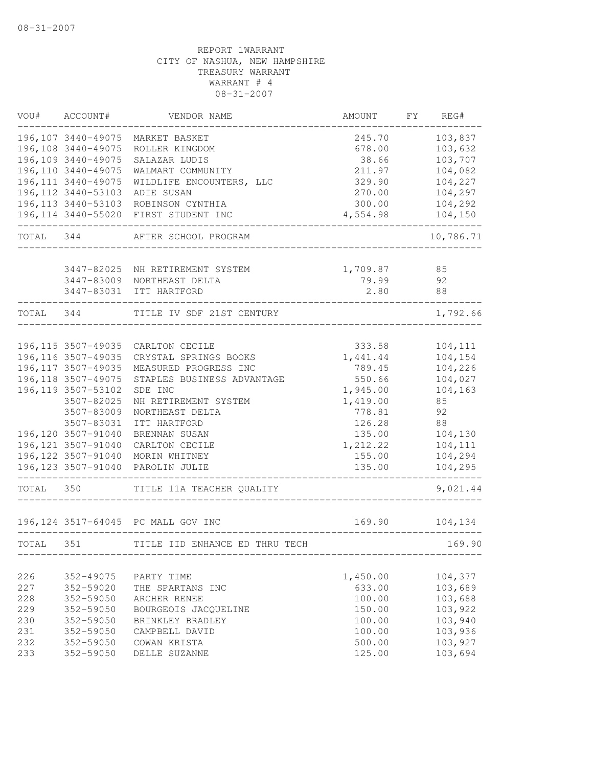| VOU#      | ACCOUNT#                                   | VENDOR NAME                           | AMOUNT             | FΥ | REG#               |
|-----------|--------------------------------------------|---------------------------------------|--------------------|----|--------------------|
|           | 196, 107 3440-49075                        | MARKET BASKET                         | 245.70             |    | 103,837            |
|           | 196,108 3440-49075                         | ROLLER KINGDOM                        | 678.00             |    | 103,632            |
|           | 196,109 3440-49075                         | SALAZAR LUDIS                         | 38.66              |    | 103,707            |
|           | 196,110 3440-49075                         | WALMART COMMUNITY                     | 211.97             |    | 104,082            |
|           | 196, 111 3440-49075                        | WILDLIFE ENCOUNTERS, LLC              | 329.90             |    | 104,227            |
|           | 196, 112 3440-53103<br>196, 113 3440-53103 | ADIE SUSAN                            | 270.00             |    | 104,297            |
|           | 196, 114 3440-55020                        | ROBINSON CYNTHIA<br>FIRST STUDENT INC | 300.00<br>4,554.98 |    | 104,292<br>104,150 |
|           |                                            |                                       |                    |    |                    |
| TOTAL     | 344                                        | AFTER SCHOOL PROGRAM                  |                    |    | 10,786.71          |
|           | 3447-82025                                 | NH RETIREMENT SYSTEM                  | 1,709.87           |    | 85                 |
|           |                                            | 3447-83009 NORTHEAST DELTA            | 79.99              |    | 92                 |
|           |                                            | 3447-83031 ITT HARTFORD               | 2.80               |    | 88                 |
| TOTAL 344 |                                            | TITLE IV SDF 21ST CENTURY             |                    |    | 1,792.66           |
|           |                                            | _____________                         |                    |    |                    |
|           | 196,115 3507-49035                         | CARLTON CECILE                        | 333.58             |    | 104,111            |
|           | 196, 116 3507-49035                        | CRYSTAL SPRINGS BOOKS                 | 1,441.44           |    | 104,154            |
|           | 196, 117 3507-49035                        | MEASURED PROGRESS INC                 | 789.45             |    | 104,226            |
|           | 196, 118 3507-49075                        | STAPLES BUSINESS ADVANTAGE            | 550.66             |    | 104,027            |
|           | 196, 119 3507-53102                        | SDE INC                               | 1,945.00           |    | 104,163            |
|           | 3507-82025                                 | NH RETIREMENT SYSTEM                  | 1,419.00           |    | 85                 |
|           | 3507-83009                                 | NORTHEAST DELTA                       | 778.81             |    | 92                 |
|           | 3507-83031                                 | ITT HARTFORD                          | 126.28             |    | 88                 |
|           | 196,120 3507-91040                         | BRENNAN SUSAN                         | 135.00             |    | 104,130            |
|           | 196, 121 3507-91040                        | CARLTON CECILE                        | 1,212.22           |    | 104,111            |
|           | 196, 122 3507-91040                        | MORIN WHITNEY                         | 155.00             |    | 104,294            |
|           | 196, 123 3507-91040                        | PAROLIN JULIE                         | 135.00             |    | 104,295            |
| TOTAL 350 |                                            | TITLE 11A TEACHER QUALITY             |                    |    | 9,021.44           |
|           |                                            | 196,124 3517-64045 PC MALL GOV INC    | 169.90             |    | 104,134            |
| TOTAL     | 351                                        | TITLE IID ENHANCE ED THRU TECH        |                    |    | 169.90             |
|           |                                            |                                       |                    |    |                    |
| 226       | 352-49075                                  | PARTY TIME                            | 1,450.00           |    | 104,377            |
| 227       | 352-59020                                  | THE SPARTANS INC                      | 633.00             |    | 103,689            |
| 228       | 352-59050                                  | ARCHER RENEE                          | 100.00             |    | 103,688            |
| 229       | 352-59050                                  | BOURGEOIS JACQUELINE                  | 150.00             |    | 103,922            |
| 230       | 352-59050                                  | BRINKLEY BRADLEY                      | 100.00             |    | 103,940            |
| 231       | 352-59050                                  | CAMPBELL DAVID                        | 100.00             |    | 103,936            |
| 232       | 352-59050                                  | COWAN KRISTA                          | 500.00             |    | 103,927            |
| 233       | 352-59050                                  | DELLE SUZANNE                         | 125.00             |    | 103,694            |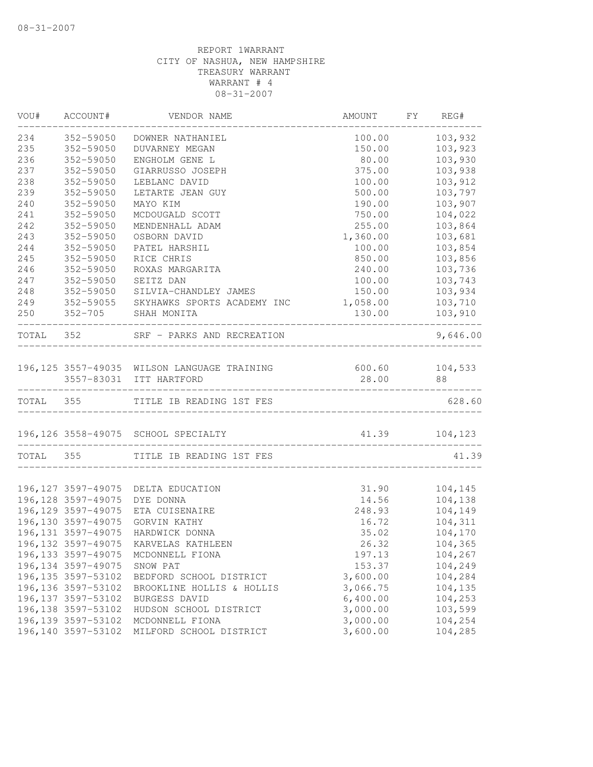|           | VOU# ACCOUNT#                | VENDOR NAME                                                            | AMOUNT                                               | FY | REG#                                   |
|-----------|------------------------------|------------------------------------------------------------------------|------------------------------------------------------|----|----------------------------------------|
| 234       | 352-59050                    | DOWNER NATHANIEL                                                       | 100.00                                               |    | 103,932                                |
| 235       | 352-59050                    | <b>DUVARNEY MEGAN</b>                                                  | 150.00                                               |    | 103,923                                |
| 236       | 352-59050                    | ENGHOLM GENE L                                                         | 80.00                                                |    | 103,930                                |
| 237       | 352-59050                    | GIARRUSSO JOSEPH                                                       | 375.00                                               |    | 103,938                                |
| 238       | 352-59050                    | LEBLANC DAVID                                                          | 100.00                                               |    | 103,912                                |
| 239       | 352-59050                    | LETARTE JEAN GUY                                                       | 500.00                                               |    | 103,797                                |
| 240       | 352-59050                    | MAYO KIM                                                               | 190.00                                               |    | 103,907                                |
| 241       | 352-59050                    | MCDOUGALD SCOTT                                                        | 750.00                                               |    | 104,022                                |
| 242       | 352-59050                    | MENDENHALL ADAM                                                        | 255.00                                               |    | 103,864                                |
| 243       | 352-59050                    | OSBORN DAVID                                                           | 1,360.00                                             |    | 103,681                                |
| 244       | 352-59050                    | PATEL HARSHIL                                                          | 100.00                                               |    | 103,854                                |
| 245       | 352-59050                    | RICE CHRIS                                                             | 850.00                                               |    | 103,856                                |
| 246       | 352-59050                    | ROXAS MARGARITA                                                        | 240.00                                               |    | 103,736                                |
| 247       | 352-59050                    | SEITZ DAN                                                              | 100.00                                               |    | 103,743                                |
| 248       | 352-59050                    | SILVIA-CHANDLEY JAMES                                                  | 150.00                                               |    | 103,934                                |
| 249       |                              | 352-59055 SKYHAWKS SPORTS ACADEMY INC                                  | 1,058.00                                             |    | 103,710                                |
| 250       |                              | 352-705 SHAH MONITA                                                    | 130.00                                               |    | 103,910<br>. _ _ _ _ _ _ _ _ _ _ _ _ _ |
|           |                              | TOTAL 352 SRF - PARKS AND RECREATION                                   |                                                      |    | 9,646.00                               |
|           |                              |                                                                        | 600.60 104,533                                       |    |                                        |
|           |                              | 196,125 3557-49035 WILSON LANGUAGE TRAINING<br>3557-83031 ITT HARTFORD | 28.00                                                |    | 88                                     |
|           |                              | TOTAL 355 TITLE IB READING 1ST FES                                     | ___________________________________                  |    | 628.60                                 |
|           |                              |                                                                        |                                                      |    |                                        |
|           |                              | 196,126 3558-49075 SCHOOL SPECIALTY                                    | 41.39 104,123<br>----------------------------------- |    |                                        |
| TOTAL 355 |                              | TITLE IB READING 1ST FES                                               |                                                      |    | 41.39                                  |
|           |                              | 196,127 3597-49075 DELTA EDUCATION                                     | 31.90                                                |    | 104,145                                |
|           | 196,128 3597-49075 DYE DONNA |                                                                        | 14.56                                                |    | 104,138                                |
|           | 196, 129 3597-49075          | ETA CUISENAIRE                                                         | 248.93                                               |    | 104,149                                |
|           | 196, 130 3597-49075          | GORVIN KATHY                                                           | 16.72                                                |    | 104,311                                |
|           | 196, 131 3597-49075          | HARDWICK DONNA                                                         | 35.02                                                |    | 104,170                                |
|           |                              | 196,132 3597-49075 KARVELAS KATHLEEN                                   | 26.32                                                |    | 104,365                                |
|           | 196, 133 3597-49075          | MCDONNELL FIONA                                                        | 197.13                                               |    | 104,267                                |
|           | 196, 134 3597-49075          | SNOW PAT                                                               | 153.37                                               |    | 104,249                                |
|           | 196, 135 3597-53102          | BEDFORD SCHOOL DISTRICT                                                | 3,600.00                                             |    | 104,284                                |
|           | 196, 136 3597-53102          | BROOKLINE HOLLIS & HOLLIS                                              | 3,066.75                                             |    | 104,135                                |
|           | 196, 137 3597-53102          | BURGESS DAVID                                                          | 6,400.00                                             |    | 104,253                                |
|           | 196, 138 3597-53102          |                                                                        | 3,000.00                                             |    | 103,599                                |
|           | 196, 139 3597-53102          | HUDSON SCHOOL DISTRICT                                                 | 3,000.00                                             |    |                                        |
|           | 196,140 3597-53102           | MCDONNELL FIONA                                                        | 3,600.00                                             |    | 104,254<br>104,285                     |
|           |                              | MILFORD SCHOOL DISTRICT                                                |                                                      |    |                                        |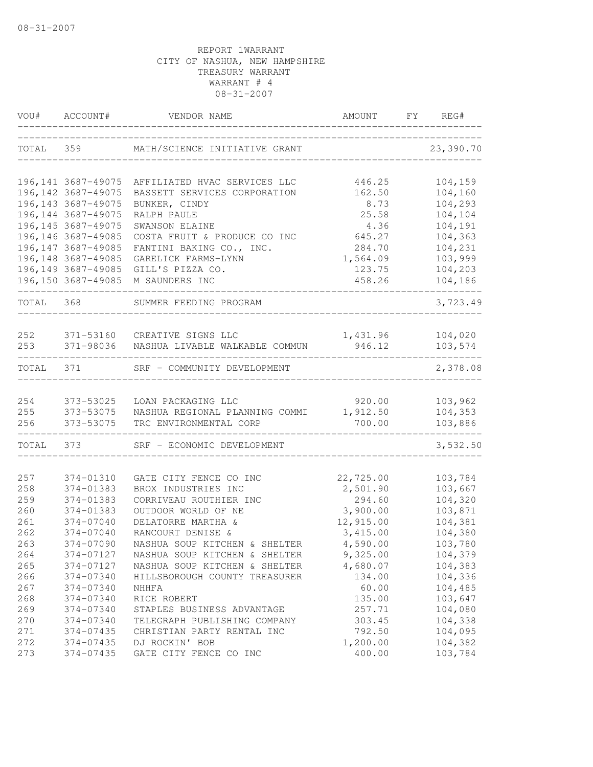| VOU#      | ACCOUNT#            | VENDOR NAME                       | AMOUNT    | FY | REG#      |
|-----------|---------------------|-----------------------------------|-----------|----|-----------|
| TOTAL     | 359                 | MATH/SCIENCE INITIATIVE GRANT     |           |    | 23,390.70 |
|           | 196, 141 3687-49075 | AFFILIATED HVAC SERVICES LLC      | 446.25    |    | 104,159   |
|           | 196, 142 3687-49075 | BASSETT SERVICES CORPORATION      | 162.50    |    | 104,160   |
|           | 196, 143 3687-49075 | BUNKER, CINDY                     | 8.73      |    | 104,293   |
|           | 196, 144 3687-49075 | RALPH PAULE                       | 25.58     |    | 104,104   |
|           | 196, 145 3687-49075 | SWANSON ELAINE                    | 4.36      |    | 104,191   |
|           | 196, 146 3687-49085 | COSTA FRUIT & PRODUCE CO INC      | 645.27    |    | 104,363   |
|           | 196, 147 3687-49085 | FANTINI BAKING CO., INC.          | 284.70    |    | 104,231   |
|           | 196, 148 3687-49085 | GARELICK FARMS-LYNN               | 1,564.09  |    | 103,999   |
|           | 196,149 3687-49085  | GILL'S PIZZA CO.                  | 123.75    |    | 104,203   |
|           |                     | 196,150 3687-49085 M SAUNDERS INC | 458.26    |    | 104,186   |
| TOTAL 368 |                     | SUMMER FEEDING PROGRAM            |           |    | 3,723.49  |
| 252       | 371-53160           | CREATIVE SIGNS LLC                | 1,431.96  |    | 104,020   |
| 253       | 371-98036           | NASHUA LIVABLE WALKABLE COMMUN    | 946.12    |    | 103,574   |
| TOTAL 371 |                     | SRF - COMMUNITY DEVELOPMENT       |           |    | 2,378.08  |
|           |                     |                                   |           |    |           |
| 254       | 373-53025           | LOAN PACKAGING LLC                | 920.00    |    | 103,962   |
| 255       | 373-53075           | NASHUA REGIONAL PLANNING COMMI    | 1,912.50  |    | 104,353   |
| 256       | 373-53075           | TRC ENVIRONMENTAL CORP            | 700.00    |    | 103,886   |
| TOTAL     | 373                 | SRF - ECONOMIC DEVELOPMENT        |           |    | 3,532.50  |
| 257       | 374-01310           | GATE CITY FENCE CO INC            | 22,725.00 |    | 103,784   |
| 258       | 374-01383           | BROX INDUSTRIES INC               | 2,501.90  |    | 103,667   |
| 259       | 374-01383           | CORRIVEAU ROUTHIER INC            | 294.60    |    | 104,320   |
| 260       | 374-01383           | OUTDOOR WORLD OF NE               | 3,900.00  |    | 103,871   |
| 261       | 374-07040           | DELATORRE MARTHA &                | 12,915.00 |    | 104,381   |
| 262       | 374-07040           | RANCOURT DENISE &                 | 3,415.00  |    | 104,380   |
| 263       | 374-07090           | NASHUA SOUP KITCHEN & SHELTER     | 4,590.00  |    | 103,780   |
| 264       | 374-07127           | NASHUA SOUP KITCHEN & SHELTER     | 9,325.00  |    | 104,379   |
| 265       | 374-07127           | NASHUA SOUP KITCHEN & SHELTER     | 4,680.07  |    | 104,383   |
| 266       | 374-07340           | HILLSBOROUGH COUNTY TREASURER     | 134.00    |    | 104,336   |
| 267       | 374-07340           | NHHFA                             | 60.00     |    | 104,485   |
| 268       | 374-07340           | RICE ROBERT                       | 135.00    |    | 103,647   |
| 269       | 374-07340           | STAPLES BUSINESS ADVANTAGE        | 257.71    |    | 104,080   |
| 270       | 374-07340           | TELEGRAPH PUBLISHING COMPANY      | 303.45    |    | 104,338   |
| 271       | 374-07435           | CHRISTIAN PARTY RENTAL INC        | 792.50    |    | 104,095   |
| 272       | 374-07435           | DJ ROCKIN' BOB                    | 1,200.00  |    | 104,382   |
| 273       | 374-07435           | GATE CITY FENCE CO INC            | 400.00    |    | 103,784   |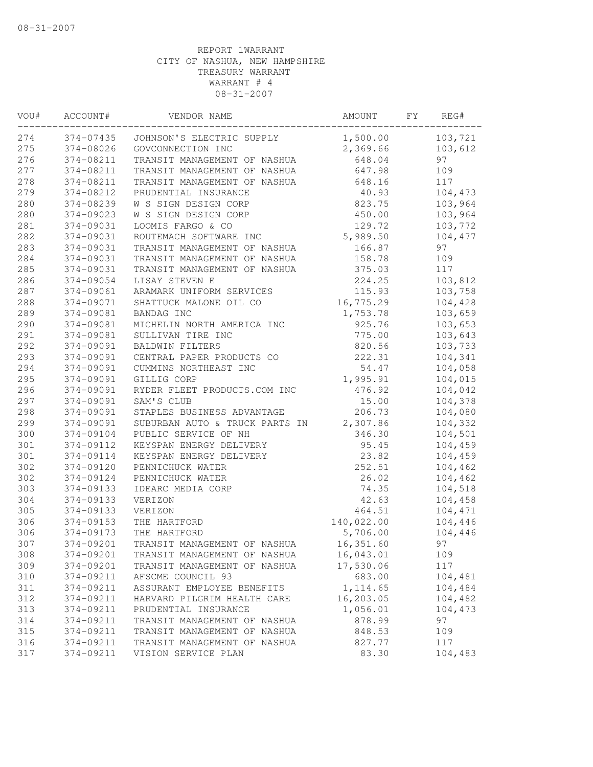| VOU# | ACCOUNT#  | VENDOR NAME                    | AMOUNT     | FΥ | REG#    |
|------|-----------|--------------------------------|------------|----|---------|
| 274  | 374-07435 | JOHNSON'S ELECTRIC SUPPLY      | 1,500.00   |    | 103,721 |
| 275  | 374-08026 | GOVCONNECTION INC              | 2,369.66   |    | 103,612 |
| 276  | 374-08211 | TRANSIT MANAGEMENT OF NASHUA   | 648.04     |    | 97      |
| 277  | 374-08211 | TRANSIT MANAGEMENT OF NASHUA   | 647.98     |    | 109     |
| 278  | 374-08211 | TRANSIT MANAGEMENT OF NASHUA   | 648.16     |    | 117     |
| 279  | 374-08212 | PRUDENTIAL INSURANCE           | 40.93      |    | 104,473 |
| 280  | 374-08239 | W S SIGN DESIGN CORP           | 823.75     |    | 103,964 |
| 280  | 374-09023 | W S SIGN DESIGN CORP           | 450.00     |    | 103,964 |
| 281  | 374-09031 | LOOMIS FARGO & CO              | 129.72     |    | 103,772 |
| 282  | 374-09031 | ROUTEMACH SOFTWARE INC         | 5,989.50   |    | 104,477 |
| 283  | 374-09031 | TRANSIT MANAGEMENT OF NASHUA   | 166.87     |    | 97      |
| 284  | 374-09031 | TRANSIT MANAGEMENT OF NASHUA   | 158.78     |    | 109     |
| 285  | 374-09031 | TRANSIT MANAGEMENT OF NASHUA   | 375.03     |    | 117     |
| 286  | 374-09054 | LISAY STEVEN E                 | 224.25     |    | 103,812 |
| 287  | 374-09061 | ARAMARK UNIFORM SERVICES       | 115.93     |    | 103,758 |
| 288  | 374-09071 | SHATTUCK MALONE OIL CO         | 16,775.29  |    | 104,428 |
| 289  | 374-09081 | BANDAG INC                     | 1,753.78   |    | 103,659 |
| 290  | 374-09081 | MICHELIN NORTH AMERICA INC     | 925.76     |    | 103,653 |
| 291  | 374-09081 | SULLIVAN TIRE INC              | 775.00     |    | 103,643 |
| 292  | 374-09091 | <b>BALDWIN FILTERS</b>         | 820.56     |    | 103,733 |
| 293  | 374-09091 | CENTRAL PAPER PRODUCTS CO      | 222.31     |    | 104,341 |
| 294  | 374-09091 | CUMMINS NORTHEAST INC          | 54.47      |    | 104,058 |
| 295  | 374-09091 | GILLIG CORP                    | 1,995.91   |    | 104,015 |
| 296  | 374-09091 | RYDER FLEET PRODUCTS.COM INC   | 476.92     |    | 104,042 |
| 297  | 374-09091 | SAM'S CLUB                     | 15.00      |    | 104,378 |
| 298  | 374-09091 | STAPLES BUSINESS ADVANTAGE     | 206.73     |    | 104,080 |
| 299  | 374-09091 | SUBURBAN AUTO & TRUCK PARTS IN | 2,307.86   |    | 104,332 |
| 300  | 374-09104 | PUBLIC SERVICE OF NH           | 346.30     |    | 104,501 |
| 301  | 374-09112 | KEYSPAN ENERGY DELIVERY        | 95.45      |    | 104,459 |
| 301  | 374-09114 | KEYSPAN ENERGY DELIVERY        | 23.82      |    | 104,459 |
| 302  | 374-09120 | PENNICHUCK WATER               | 252.51     |    | 104,462 |
| 302  | 374-09124 | PENNICHUCK WATER               | 26.02      |    | 104,462 |
| 303  | 374-09133 | IDEARC MEDIA CORP              | 74.35      |    | 104,518 |
| 304  | 374-09133 | VERIZON                        | 42.63      |    | 104,458 |
| 305  | 374-09133 | VERIZON                        | 464.51     |    | 104,471 |
| 306  | 374-09153 | THE HARTFORD                   | 140,022.00 |    | 104,446 |
| 306  | 374-09173 | THE HARTFORD                   | 5,706.00   |    | 104,446 |
| 307  | 374-09201 | TRANSIT MANAGEMENT OF NASHUA   | 16,351.60  |    | 97      |
| 308  | 374-09201 | TRANSIT MANAGEMENT OF NASHUA   | 16,043.01  |    | 109     |
| 309  | 374-09201 | TRANSIT MANAGEMENT OF NASHUA   | 17,530.06  |    | 117     |
| 310  | 374-09211 | AFSCME COUNCIL 93              | 683.00     |    | 104,481 |
| 311  | 374-09211 | ASSURANT EMPLOYEE BENEFITS     | 1, 114.65  |    | 104,484 |
| 312  | 374-09211 | HARVARD PILGRIM HEALTH CARE    | 16,203.05  |    | 104,482 |
| 313  | 374-09211 | PRUDENTIAL INSURANCE           | 1,056.01   |    | 104,473 |
| 314  | 374-09211 | TRANSIT MANAGEMENT OF NASHUA   | 878.99     |    | 97      |
| 315  | 374-09211 | TRANSIT MANAGEMENT OF NASHUA   | 848.53     |    | 109     |
| 316  | 374-09211 | TRANSIT MANAGEMENT OF NASHUA   | 827.77     |    | 117     |
| 317  | 374-09211 | VISION SERVICE PLAN            | 83.30      |    | 104,483 |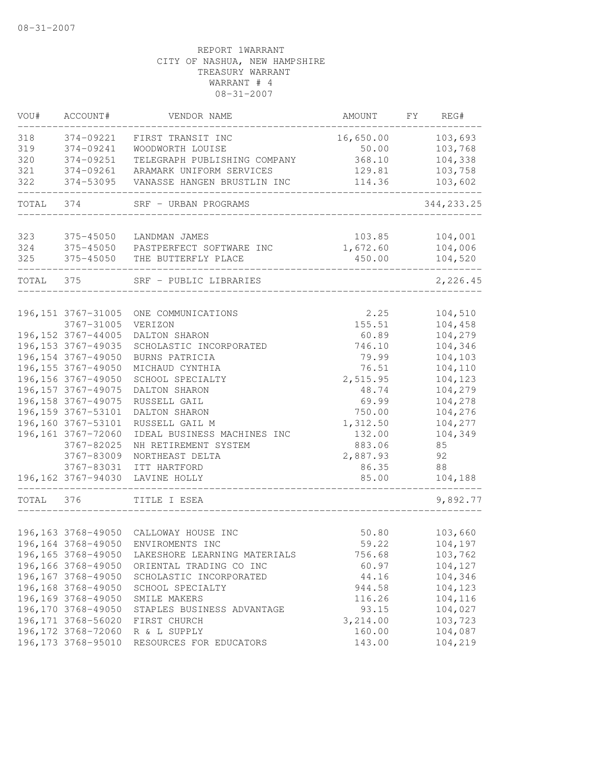| VOU#  | ACCOUNT#                                   | VENDOR NAME                         | AMOUNT         | FY | REG#               |
|-------|--------------------------------------------|-------------------------------------|----------------|----|--------------------|
| 318   | 374-09221                                  | FIRST TRANSIT INC                   | 16,650.00      |    | 103,693            |
| 319   | 374-09241                                  | WOODWORTH LOUISE                    | 50.00          |    | 103,768            |
| 320   | 374-09251                                  | TELEGRAPH PUBLISHING COMPANY        | 368.10         |    | 104,338            |
| 321   | 374-09261                                  | ARAMARK UNIFORM SERVICES            | 129.81         |    | 103,758            |
| 322   | 374-53095                                  | VANASSE HANGEN BRUSTLIN INC         | 114.36         |    | 103,602            |
| TOTAL | 374                                        | SRF - URBAN PROGRAMS                |                |    | 344, 233.25        |
| 323   | 375-45050                                  | LANDMAN JAMES                       | 103.85         |    | 104,001            |
| 324   | 375-45050                                  | PASTPERFECT SOFTWARE INC            | 1,672.60       |    | 104,006            |
| 325   | 375-45050                                  | THE BUTTERFLY PLACE                 | 450.00         |    | 104,520            |
| TOTAL | 375                                        | SRF - PUBLIC LIBRARIES              |                |    | 2,226.45           |
|       |                                            |                                     |                |    |                    |
|       | 196, 151 3767-31005                        | ONE COMMUNICATIONS                  | 2.25           |    | 104,510            |
|       | 3767-31005                                 | VERIZON                             | 155.51         |    | 104,458            |
|       | 196, 152 3767-44005                        | DALTON SHARON                       | 60.89          |    | 104,279            |
|       | 196, 153 3767-49035                        | SCHOLASTIC INCORPORATED             | 746.10         |    | 104,346            |
|       | 196, 154 3767-49050                        | BURNS PATRICIA                      | 79.99          |    | 104,103            |
|       | 196, 155 3767-49050                        | MICHAUD CYNTHIA<br>SCHOOL SPECIALTY | 76.51          |    | 104,110            |
|       | 196, 156 3767-49050<br>196, 157 3767-49075 | DALTON SHARON                       | 2,515.95       |    | 104,123            |
|       | 196, 158 3767-49075                        | RUSSELL GAIL                        | 48.74<br>69.99 |    | 104,279<br>104,278 |
|       | 196, 159 3767-53101                        | DALTON SHARON                       | 750.00         |    | 104,276            |
|       | 196,160 3767-53101                         | RUSSELL GAIL M                      | 1,312.50       |    | 104,277            |
|       | 196, 161 3767-72060                        | IDEAL BUSINESS MACHINES INC         | 132.00         |    | 104,349            |
|       | 3767-82025                                 | NH RETIREMENT SYSTEM                | 883.06         |    | 85                 |
|       | 3767-83009                                 | NORTHEAST DELTA                     | 2,887.93       |    | 92                 |
|       | 3767-83031                                 | ITT HARTFORD                        | 86.35          |    | 88                 |
|       | 196,162 3767-94030                         | LAVINE HOLLY                        | 85.00          |    | 104,188            |
| TOTAL | 376                                        | TITLE I ESEA                        |                |    | 9,892.77           |
|       |                                            |                                     |                |    |                    |
|       | 196, 163 3768-49050                        | CALLOWAY HOUSE INC                  | 50.80          |    | 103,660            |
|       |                                            | 196,164 3768-49050 ENVIROMENTS INC  | 59.22          |    | 104,197            |
|       | 196, 165 3768-49050                        | LAKESHORE LEARNING MATERIALS        | 756.68         |    | 103,762            |
|       | 196,166 3768-49050                         | ORIENTAL TRADING CO INC             | 60.97          |    | 104,127            |
|       | 196, 167 3768-49050                        | SCHOLASTIC INCORPORATED             | 44.16          |    | 104,346            |
|       | 196,168 3768-49050                         | SCHOOL SPECIALTY                    | 944.58         |    | 104,123            |
|       | 196,169 3768-49050                         | SMILE MAKERS                        | 116.26         |    | 104,116            |
|       | 196,170 3768-49050                         | STAPLES BUSINESS ADVANTAGE          | 93.15          |    | 104,027            |
|       | 196, 171 3768-56020                        | FIRST CHURCH                        | 3,214.00       |    | 103,723            |
|       | 196, 172 3768-72060                        | R & L SUPPLY                        | 160.00         |    | 104,087            |
|       | 196, 173 3768-95010                        | RESOURCES FOR EDUCATORS             | 143.00         |    | 104,219            |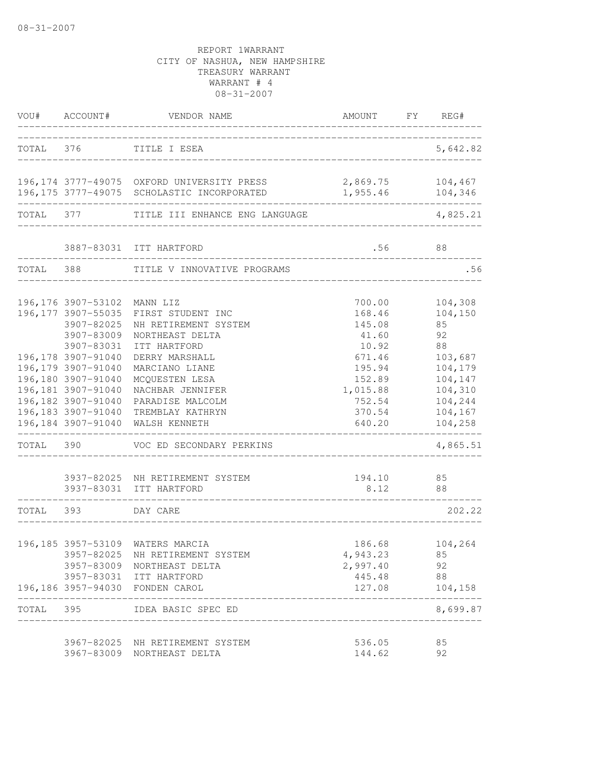|           | VOU# ACCOUNT#                                                                                                | VENDOR NAME                                                                                                                                                     | AMOUNT                                                    | FY REG#                                                   |
|-----------|--------------------------------------------------------------------------------------------------------------|-----------------------------------------------------------------------------------------------------------------------------------------------------------------|-----------------------------------------------------------|-----------------------------------------------------------|
| TOTAL 376 |                                                                                                              | TITLE I ESEA                                                                                                                                                    |                                                           | 5,642.82                                                  |
|           |                                                                                                              | 196,174 3777-49075 OXFORD UNIVERSITY PRESS<br>196,175 3777-49075 SCHOLASTIC INCORPORATED                                                                        | 2,869.75<br>1,955.46                                      | 104,467<br>104,346                                        |
| TOTAL     | 377                                                                                                          | TITLE III ENHANCE ENG LANGUAGE                                                                                                                                  |                                                           | 4,825.21                                                  |
|           |                                                                                                              | 3887-83031 ITT HARTFORD                                                                                                                                         | .56                                                       | 88                                                        |
| TOTAL 388 |                                                                                                              | TITLE V INNOVATIVE PROGRAMS                                                                                                                                     |                                                           | .56                                                       |
|           | 196, 176 3907-53102<br>196, 177 3907-55035<br>3907-82025<br>3907-83009<br>3907-83031                         | MANN LIZ<br>FIRST STUDENT INC<br>NH RETIREMENT SYSTEM<br>NORTHEAST DELTA                                                                                        | 700.00<br>168.46<br>145.08<br>41.60                       | 104,308<br>104,150<br>85<br>92                            |
|           | 196, 178 3907-91040<br>196, 179 3907-91040<br>196,180 3907-91040<br>196,181 3907-91040<br>196,182 3907-91040 | ITT HARTFORD<br>DERRY MARSHALL<br>MARCIANO LIANE<br>MCQUESTEN LESA<br>NACHBAR JENNIFER<br>PARADISE MALCOLM                                                      | 10.92<br>671.46<br>195.94<br>152.89<br>1,015.88<br>752.54 | 88<br>103,687<br>104,179<br>104,147<br>104,310<br>104,244 |
|           | 196, 183 3907-91040<br>196,184 3907-91040                                                                    | TREMBLAY KATHRYN<br>WALSH KENNETH                                                                                                                               | 370.54<br>640.20                                          | 104,167<br>104,258                                        |
| TOTAL 390 |                                                                                                              | VOC ED SECONDARY PERKINS                                                                                                                                        |                                                           | 4,865.51                                                  |
|           |                                                                                                              | 3937-82025 NH RETIREMENT SYSTEM<br>3937-83031 ITT HARTFORD                                                                                                      | 194.10<br>8.12                                            | 85<br>88                                                  |
| TOTAL 393 |                                                                                                              | DAY CARE                                                                                                                                                        |                                                           | 202.22                                                    |
|           |                                                                                                              | 196,185 3957-53109 WATERS MARCIA<br>3957-82025 NH RETIREMENT SYSTEM<br>3957-83009 NORTHEAST DELTA<br>3957-83031 ITT HARTFORD<br>196,186 3957-94030 FONDEN CAROL | 186.68<br>4,943.23<br>2,997.40<br>445.48<br>127.08        | 104,264<br>85<br>92<br>88<br>104, 158                     |
| TOTAL 395 |                                                                                                              | IDEA BASIC SPEC ED                                                                                                                                              |                                                           | 8,699.87                                                  |
|           |                                                                                                              | 3967-82025 NH RETIREMENT SYSTEM<br>3967-83009 NORTHEAST DELTA                                                                                                   | 536.05<br>144.62                                          | 85<br>92                                                  |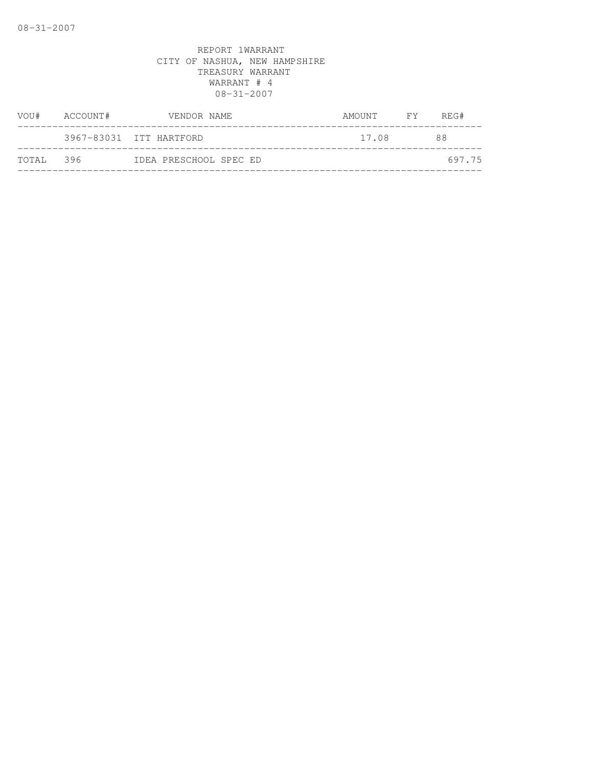| VOU#      | ACCOUNT# | VENDOR NAME             | AMOUNT FY | REG#   |
|-----------|----------|-------------------------|-----------|--------|
|           |          | 3967-83031 ITT HARTFORD | 17.08     | 88     |
| TOTAL 396 |          | IDEA PRESCHOOL SPEC ED  |           | 697.75 |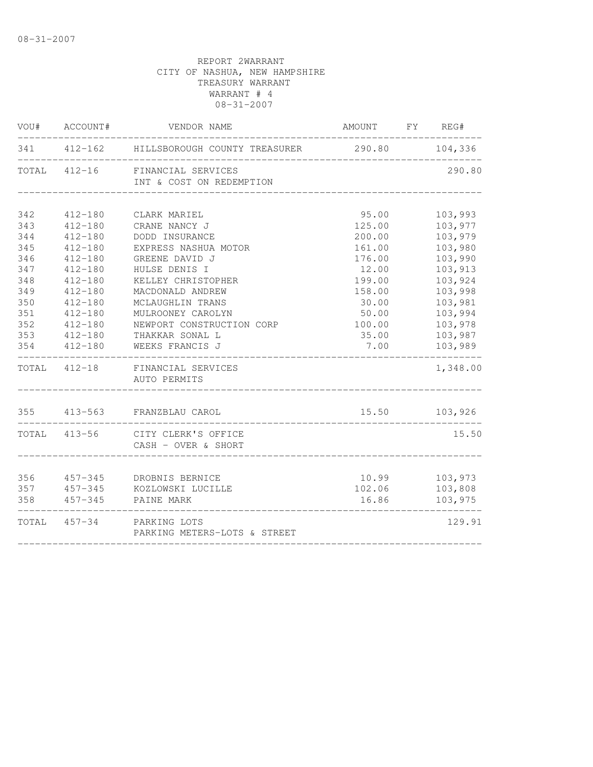| VOU#  | ACCOUNT#     | VENDOR NAME                                         | AMOUNT FY REG#  |                    |
|-------|--------------|-----------------------------------------------------|-----------------|--------------------|
| 341   | $412 - 162$  | HILLSBOROUGH COUNTY TREASURER                       | 290.80          | 104,336            |
|       | TOTAL 412-16 | FINANCIAL SERVICES<br>INT & COST ON REDEMPTION      |                 | 290.80             |
| 342   | $412 - 180$  | CLARK MARIEL                                        | 95.00           | 103,993            |
| 343   | $412 - 180$  | CRANE NANCY J                                       | 125.00          | 103,977            |
| 344   | $412 - 180$  | DODD INSURANCE                                      | 200.00          | 103,979            |
| 345   | $412 - 180$  | EXPRESS NASHUA MOTOR                                | 161.00          | 103,980            |
| 346   | $412 - 180$  | GREENE DAVID J                                      | 176.00          | 103,990            |
| 347   | $412 - 180$  | HULSE DENIS I                                       | 12.00           | 103,913            |
| 348   | $412 - 180$  | KELLEY CHRISTOPHER                                  | 199.00          | 103,924            |
| 349   | $412 - 180$  | MACDONALD ANDREW                                    | 158.00          | 103,998            |
| 350   | $412 - 180$  | MCLAUGHLIN TRANS                                    | 30.00           | 103,981            |
| 351   | $412 - 180$  | MULROONEY CAROLYN                                   | 50.00           | 103,994            |
| 352   | $412 - 180$  | NEWPORT CONSTRUCTION CORP                           | 100.00          | 103,978            |
| 353   | $412 - 180$  | THAKKAR SONAL L                                     | 35.00           | 103,987            |
| 354   | $412 - 180$  | WEEKS FRANCIS J                                     | 7.00            | 103,989            |
| TOTAL | $412 - 18$   | FINANCIAL SERVICES<br>AUTO PERMITS                  |                 | 1,348.00           |
|       |              | 355 413-563 FRANZBLAU CAROL                         | 15.50           | 103,926            |
|       | TOTAL 413-56 | CITY CLERK'S OFFICE<br>CASH - OVER & SHORT          |                 | 15.50              |
| 356   | 457-345      |                                                     |                 |                    |
| 357   | $457 - 345$  | DROBNIS BERNICE<br>KOZLOWSKI LUCILLE                | 10.99<br>102.06 | 103,973<br>103,808 |
| 358   | $457 - 345$  | PAINE MARK                                          | 16.86           | 103,975            |
| TOTAL |              | 457-34 PARKING LOTS<br>PARKING METERS-LOTS & STREET |                 | 129.91             |
|       |              |                                                     |                 |                    |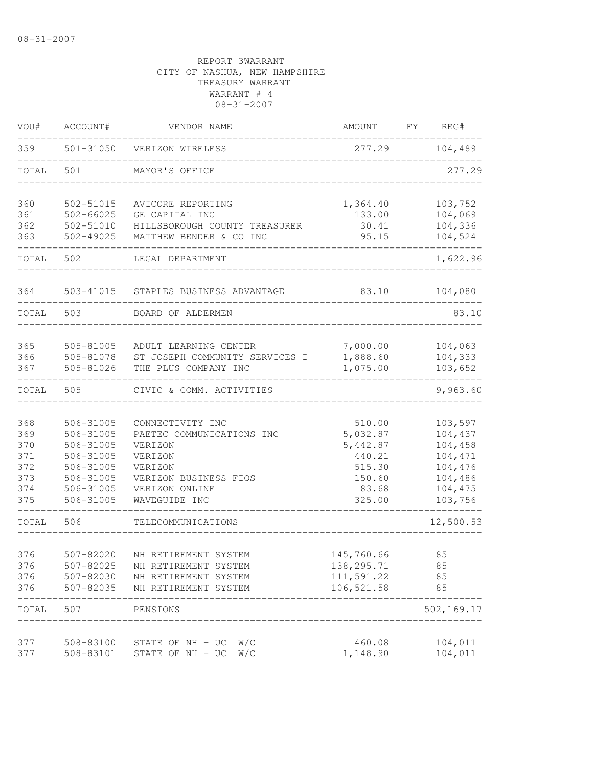| VOU#  | ACCOUNT#      | VENDOR NAME                    | <b>AMOUNT</b> | FY | REG#       |
|-------|---------------|--------------------------------|---------------|----|------------|
| 359   |               | 501-31050 VERIZON WIRELESS     | 277.29        |    | 104,489    |
| TOTAL | 501           | MAYOR'S OFFICE                 |               |    | 277.29     |
| 360   | 502-51015     | AVICORE REPORTING              | 1,364.40      |    | 103,752    |
| 361   | $502 - 66025$ | GE CAPITAL INC                 | 133.00        |    | 104,069    |
| 362   | 502-51010     | HILLSBOROUGH COUNTY TREASURER  | 30.41         |    | 104,336    |
| 363   | 502-49025     | MATTHEW BENDER & CO INC        | 95.15         |    | 104,524    |
| TOTAL | 502           | LEGAL DEPARTMENT               |               |    | 1,622.96   |
| 364   | 503-41015     | STAPLES BUSINESS ADVANTAGE     | 83.10         |    | 104,080    |
| TOTAL | 503           | BOARD OF ALDERMEN              |               |    | 83.10      |
|       |               |                                |               |    |            |
| 365   | 505-81005     | ADULT LEARNING CENTER          | 7,000.00      |    | 104,063    |
| 366   | 505-81078     | ST JOSEPH COMMUNITY SERVICES I | 1,888.60      |    | 104,333    |
| 367   | 505-81026     | THE PLUS COMPANY INC           | 1,075.00      |    | 103,652    |
| TOTAL | 505           | CIVIC & COMM. ACTIVITIES       |               |    | 9,963.60   |
| 368   | 506-31005     | CONNECTIVITY INC               | 510.00        |    | 103,597    |
| 369   | 506-31005     | PAETEC COMMUNICATIONS INC      | 5,032.87      |    | 104,437    |
| 370   | 506-31005     | VERIZON                        | 5,442.87      |    | 104,458    |
| 371   | 506-31005     | VERIZON                        | 440.21        |    | 104,471    |
| 372   | 506-31005     | VERIZON                        | 515.30        |    | 104,476    |
| 373   | 506-31005     | VERIZON BUSINESS FIOS          | 150.60        |    | 104,486    |
| 374   | 506-31005     | VERIZON ONLINE                 | 83.68         |    | 104,475    |
| 375   | 506-31005     | WAVEGUIDE INC                  | 325.00        |    | 103,756    |
| TOTAL | 506           | TELECOMMUNICATIONS             |               |    | 12,500.53  |
| 376   | 507-82020     | NH RETIREMENT SYSTEM           | 145,760.66    |    | 85         |
| 376   | 507-82025     | NH RETIREMENT SYSTEM           | 138, 295. 71  |    | 85         |
| 376   | 507-82030     | NH RETIREMENT SYSTEM           | 111,591.22    |    | 85         |
| 376   | 507-82035     | NH RETIREMENT SYSTEM           | 106,521.58    |    | 85         |
| TOTAL | 507           | PENSIONS                       |               |    | 502,169.17 |
| 377   | 508-83100     | STATE OF NH - UC<br>W/C        | 460.08        |    | 104,011    |
| 377   | 508-83101     | STATE OF NH - UC<br>W/C        | 1,148.90      |    | 104,011    |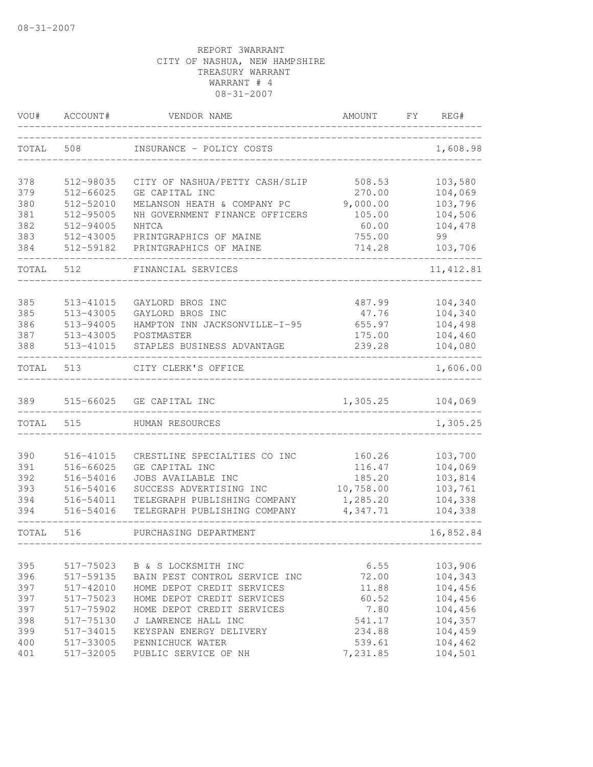| VOU#  | ACCOUNT#      | VENDOR NAME                    | AMOUNT    | FΥ | REG#       |
|-------|---------------|--------------------------------|-----------|----|------------|
| TOTAL | 508           | INSURANCE - POLICY COSTS       |           |    | 1,608.98   |
| 378   | 512-98035     | CITY OF NASHUA/PETTY CASH/SLIP | 508.53    |    | 103,580    |
| 379   | $512 - 66025$ | GE CAPITAL INC                 | 270.00    |    | 104,069    |
| 380   | 512-52010     | MELANSON HEATH & COMPANY PC    | 9,000.00  |    | 103,796    |
| 381   | 512-95005     | NH GOVERNMENT FINANCE OFFICERS | 105.00    |    | 104,506    |
| 382   | 512-94005     | NHTCA                          | 60.00     |    | 104,478    |
| 383   | 512-43005     | PRINTGRAPHICS OF MAINE         | 755.00    |    | 99         |
| 384   | 512-59182     | PRINTGRAPHICS OF MAINE         | 714.28    |    | 103,706    |
| TOTAL | 512           | FINANCIAL SERVICES             |           |    | 11, 412.81 |
| 385   | 513-41015     | GAYLORD BROS INC               | 487.99    |    | 104,340    |
| 385   | 513-43005     | GAYLORD BROS INC               | 47.76     |    | 104,340    |
| 386   | 513-94005     | HAMPTON INN JACKSONVILLE-I-95  | 655.97    |    | 104,498    |
| 387   | 513-43005     | POSTMASTER                     | 175.00    |    | 104,460    |
| 388   | 513-41015     | STAPLES BUSINESS ADVANTAGE     | 239.28    |    | 104,080    |
| TOTAL | 513           | CITY CLERK'S OFFICE            |           |    | 1,606.00   |
| 389   | 515-66025     | GE CAPITAL INC                 | 1,305.25  |    | 104,069    |
| TOTAL | 515           | HUMAN RESOURCES                |           |    | 1,305.25   |
|       |               |                                |           |    |            |
| 390   | 516-41015     | CRESTLINE SPECIALTIES CO INC   | 160.26    |    | 103,700    |
| 391   | 516-66025     | GE CAPITAL INC                 | 116.47    |    | 104,069    |
| 392   | 516-54016     | JOBS AVAILABLE INC             | 185.20    |    | 103,814    |
| 393   | 516-54016     | SUCCESS ADVERTISING INC        | 10,758.00 |    | 103,761    |
| 394   | 516-54011     | TELEGRAPH PUBLISHING COMPANY   | 1,285.20  |    | 104,338    |
| 394   | 516-54016     | TELEGRAPH PUBLISHING COMPANY   | 4,347.71  |    | 104,338    |
| TOTAL | 516           | PURCHASING DEPARTMENT          |           |    | 16,852.84  |
|       |               |                                |           |    |            |
| 395   | 517-75023     | B & S LOCKSMITH INC            | 6.55      |    | 103,906    |
| 396   | 517-59135     | BAIN PEST CONTROL SERVICE INC  | 72.00     |    | 104,343    |
| 397   | 517-42010     | HOME DEPOT CREDIT SERVICES     | 11.88     |    | 104,456    |
| 397   | 517-75023     | HOME DEPOT CREDIT SERVICES     | 60.52     |    | 104,456    |
| 397   | 517-75902     | HOME DEPOT CREDIT SERVICES     | 7.80      |    | 104,456    |
| 398   | 517-75130     | J LAWRENCE HALL INC            | 541.17    |    | 104,357    |
| 399   | 517-34015     | KEYSPAN ENERGY DELIVERY        | 234.88    |    | 104,459    |
| 400   | 517-33005     | PENNICHUCK WATER               | 539.61    |    | 104,462    |
| 401   | 517-32005     | PUBLIC SERVICE OF NH           | 7,231.85  |    | 104,501    |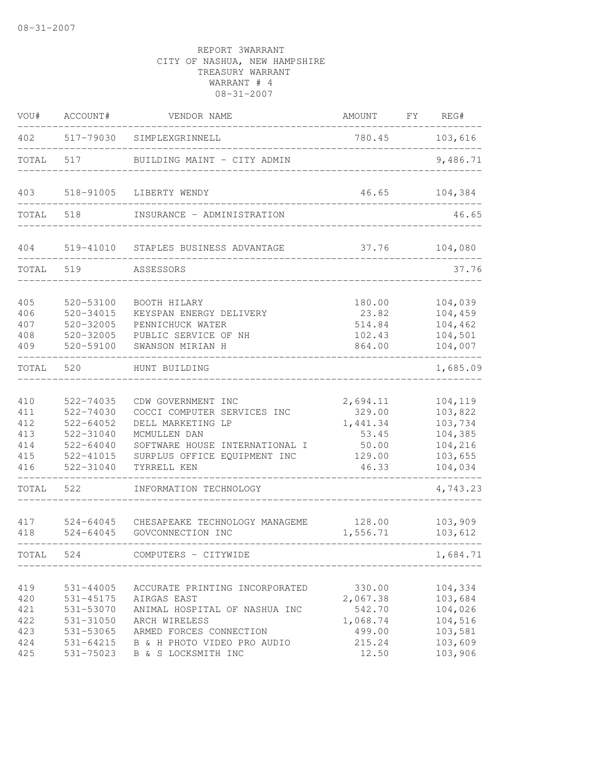| VOU#                                          | ACCOUNT#                                                                                        | VENDOR NAME                                                                                                                                                                      | AMOUNT                                                                | FY | REG#                                                                      |
|-----------------------------------------------|-------------------------------------------------------------------------------------------------|----------------------------------------------------------------------------------------------------------------------------------------------------------------------------------|-----------------------------------------------------------------------|----|---------------------------------------------------------------------------|
| 402                                           | 517-79030                                                                                       | SIMPLEXGRINNELL                                                                                                                                                                  | 780.45                                                                |    | 103,616                                                                   |
| TOTAL                                         | 517                                                                                             | BUILDING MAINT - CITY ADMIN                                                                                                                                                      |                                                                       |    | 9,486.71                                                                  |
| 403                                           | 518-91005                                                                                       | LIBERTY WENDY                                                                                                                                                                    | 46.65                                                                 |    | 104,384                                                                   |
| TOTAL                                         | 518                                                                                             | INSURANCE - ADMINISTRATION                                                                                                                                                       |                                                                       |    | 46.65                                                                     |
| 404                                           | 519-41010                                                                                       | STAPLES BUSINESS ADVANTAGE                                                                                                                                                       | 37.76                                                                 |    | 104,080                                                                   |
| TOTAL                                         | 519                                                                                             | ASSESSORS                                                                                                                                                                        |                                                                       |    | 37.76                                                                     |
| 405<br>406<br>407<br>408<br>409               | $520 - 53100$<br>$520 - 34015$<br>520-32005<br>520-32005<br>520-59100                           | BOOTH HILARY<br>KEYSPAN ENERGY DELIVERY<br>PENNICHUCK WATER<br>PUBLIC SERVICE OF NH<br>SWANSON MIRIAN H                                                                          | 180.00<br>23.82<br>514.84<br>102.43<br>864.00                         |    | 104,039<br>104,459<br>104,462<br>104,501<br>104,007                       |
| TOTAL                                         | 520                                                                                             | HUNT BUILDING                                                                                                                                                                    |                                                                       |    | 1,685.09                                                                  |
| 410<br>411<br>412<br>413<br>414<br>415<br>416 | 522-74035<br>522-74030<br>$522 - 64052$<br>522-31040<br>$522 - 64040$<br>522-41015<br>522-31040 | CDW GOVERNMENT INC<br>COCCI COMPUTER SERVICES INC<br>DELL MARKETING LP<br>MCMULLEN DAN<br>SOFTWARE HOUSE INTERNATIONAL I<br>SURPLUS OFFICE EQUIPMENT INC<br>TYRRELL KEN          | 2,694.11<br>329.00<br>1,441.34<br>53.45<br>50.00<br>129.00<br>46.33   |    | 104,119<br>103,822<br>103,734<br>104,385<br>104,216<br>103,655<br>104,034 |
| TOTAL                                         | 522                                                                                             | INFORMATION TECHNOLOGY                                                                                                                                                           |                                                                       |    | 4,743.23                                                                  |
| 417<br>418                                    | $524 - 64045$<br>$524 - 64045$                                                                  | CHESAPEAKE TECHNOLOGY MANAGEME<br>GOVCONNECTION INC                                                                                                                              | 128.00<br>1,556.71                                                    |    | 103,909<br>103,612                                                        |
| TOTAL                                         | 524                                                                                             | COMPUTERS - CITYWIDE                                                                                                                                                             |                                                                       |    | 1,684.71                                                                  |
| 419<br>420<br>421<br>422<br>423<br>424<br>425 | 531-44005<br>531-45175<br>531-53070<br>531-31050<br>531-53065<br>531-64215<br>531-75023         | ACCURATE PRINTING INCORPORATED<br>AIRGAS EAST<br>ANIMAL HOSPITAL OF NASHUA INC<br>ARCH WIRELESS<br>ARMED FORCES CONNECTION<br>B & H PHOTO VIDEO PRO AUDIO<br>B & S LOCKSMITH INC | 330.00<br>2,067.38<br>542.70<br>1,068.74<br>499.00<br>215.24<br>12.50 |    | 104,334<br>103,684<br>104,026<br>104,516<br>103,581<br>103,609<br>103,906 |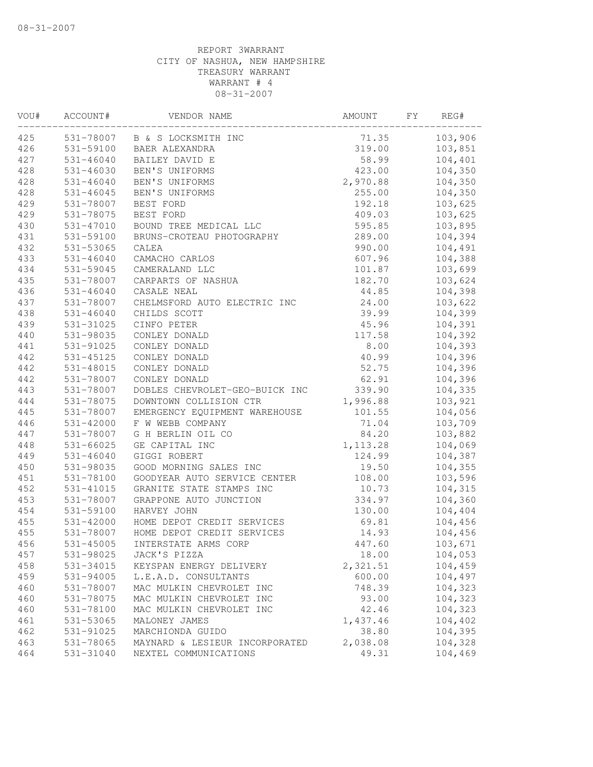| VOU# | ACCOUNT#      | VENDOR NAME                    | AMOUNT    | FY | REG#    |
|------|---------------|--------------------------------|-----------|----|---------|
| 425  | 531-78007     | B & S LOCKSMITH INC            | 71.35     |    | 103,906 |
| 426  | 531-59100     | BAER ALEXANDRA                 | 319.00    |    | 103,851 |
| 427  | $531 - 46040$ | BAILEY DAVID E                 | 58.99     |    | 104,401 |
| 428  | 531-46030     | BEN'S UNIFORMS                 | 423.00    |    | 104,350 |
| 428  | $531 - 46040$ | BEN'S UNIFORMS                 | 2,970.88  |    | 104,350 |
| 428  | 531-46045     | BEN'S UNIFORMS                 | 255.00    |    | 104,350 |
| 429  | 531-78007     | BEST FORD                      | 192.18    |    | 103,625 |
| 429  | 531-78075     | BEST FORD                      | 409.03    |    | 103,625 |
| 430  | 531-47010     | BOUND TREE MEDICAL LLC         | 595.85    |    | 103,895 |
| 431  | 531-59100     | BRUNS-CROTEAU PHOTOGRAPHY      | 289.00    |    | 104,394 |
| 432  | 531-53065     | CALEA                          | 990.00    |    | 104,491 |
| 433  | $531 - 46040$ | CAMACHO CARLOS                 | 607.96    |    | 104,388 |
| 434  | 531-59045     | CAMERALAND LLC                 | 101.87    |    | 103,699 |
| 435  | 531-78007     | CARPARTS OF NASHUA             | 182.70    |    | 103,624 |
| 436  | $531 - 46040$ | CASALE NEAL                    | 44.85     |    | 104,398 |
| 437  | 531-78007     | CHELMSFORD AUTO ELECTRIC INC   | 24.00     |    | 103,622 |
| 438  | $531 - 46040$ | CHILDS SCOTT                   | 39.99     |    | 104,399 |
| 439  | 531-31025     | CINFO PETER                    | 45.96     |    | 104,391 |
| 440  | 531-98035     | CONLEY DONALD                  | 117.58    |    | 104,392 |
| 441  | 531-91025     | CONLEY DONALD                  | 8.00      |    | 104,393 |
| 442  | 531-45125     | CONLEY DONALD                  | 40.99     |    | 104,396 |
| 442  | 531-48015     | CONLEY DONALD                  | 52.75     |    | 104,396 |
| 442  | 531-78007     | CONLEY DONALD                  | 62.91     |    | 104,396 |
| 443  | 531-78007     | DOBLES CHEVROLET-GEO-BUICK INC | 339.90    |    | 104,335 |
| 444  | 531-78075     | DOWNTOWN COLLISION CTR         | 1,996.88  |    | 103,921 |
| 445  | 531-78007     | EMERGENCY EQUIPMENT WAREHOUSE  | 101.55    |    | 104,056 |
| 446  | 531-42000     | F W WEBB COMPANY               | 71.04     |    | 103,709 |
| 447  | 531-78007     | G H BERLIN OIL CO              | 84.20     |    | 103,882 |
| 448  | $531 - 66025$ | GE CAPITAL INC                 | 1, 113.28 |    | 104,069 |
| 449  | $531 - 46040$ | GIGGI ROBERT                   | 124.99    |    | 104,387 |
| 450  | 531-98035     | GOOD MORNING SALES INC         | 19.50     |    | 104,355 |
| 451  | 531-78100     | GOODYEAR AUTO SERVICE CENTER   | 108.00    |    | 103,596 |
| 452  | 531-41015     | GRANITE STATE STAMPS INC       | 10.73     |    | 104,315 |
| 453  | 531-78007     | GRAPPONE AUTO JUNCTION         | 334.97    |    | 104,360 |
| 454  | 531-59100     | HARVEY JOHN                    | 130.00    |    | 104,404 |
| 455  | 531-42000     | HOME DEPOT CREDIT SERVICES     | 69.81     |    | 104,456 |
| 455  | 531-78007     | HOME DEPOT CREDIT SERVICES     | 14.93     |    | 104,456 |
| 456  | $531 - 45005$ | INTERSTATE ARMS CORP           | 447.60    |    | 103,671 |
| 457  | 531-98025     | JACK'S PIZZA                   | 18.00     |    | 104,053 |
| 458  | 531-34015     | KEYSPAN ENERGY DELIVERY        | 2,321.51  |    | 104,459 |
| 459  | 531-94005     | L.E.A.D. CONSULTANTS           | 600.00    |    | 104,497 |
| 460  | 531-78007     | MAC MULKIN CHEVROLET INC       | 748.39    |    | 104,323 |
| 460  | 531-78075     | MAC MULKIN CHEVROLET INC       | 93.00     |    | 104,323 |
| 460  | 531-78100     | MAC MULKIN CHEVROLET INC       | 42.46     |    | 104,323 |
| 461  | 531-53065     | MALONEY JAMES                  | 1,437.46  |    | 104,402 |
| 462  | 531-91025     | MARCHIONDA GUIDO               | 38.80     |    | 104,395 |
| 463  | 531-78065     | MAYNARD & LESIEUR INCORPORATED | 2,038.08  |    | 104,328 |
| 464  | 531-31040     | NEXTEL COMMUNICATIONS          | 49.31     |    | 104,469 |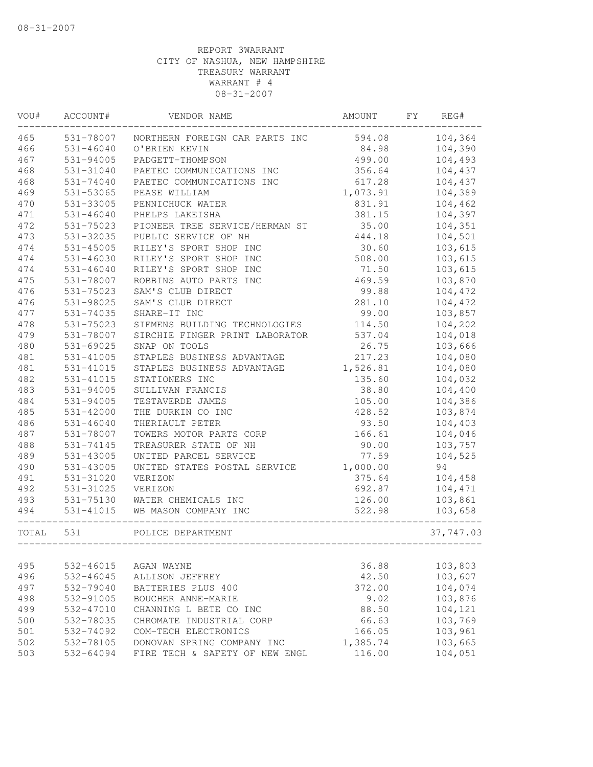| VOU#  | ACCOUNT#      | VENDOR NAME                    | AMOUNT   | FY | REG#      |
|-------|---------------|--------------------------------|----------|----|-----------|
| 465   | 531-78007     | NORTHERN FOREIGN CAR PARTS INC | 594.08   |    | 104,364   |
| 466   | $531 - 46040$ | O'BRIEN KEVIN                  | 84.98    |    | 104,390   |
| 467   | $531 - 94005$ | PADGETT-THOMPSON               | 499.00   |    | 104,493   |
| 468   | 531-31040     | PAETEC COMMUNICATIONS INC      | 356.64   |    | 104,437   |
| 468   | 531-74040     | PAETEC COMMUNICATIONS INC      | 617.28   |    | 104,437   |
| 469   | 531-53065     | PEASE WILLIAM                  | 1,073.91 |    | 104,389   |
| 470   | 531-33005     | PENNICHUCK WATER               | 831.91   |    | 104,462   |
| 471   | 531-46040     | PHELPS LAKEISHA                | 381.15   |    | 104,397   |
| 472   | 531-75023     | PIONEER TREE SERVICE/HERMAN ST | 35.00    |    | 104,351   |
| 473   | 531-32035     | PUBLIC SERVICE OF NH           | 444.18   |    | 104,501   |
| 474   | $531 - 45005$ | RILEY'S SPORT SHOP INC         | 30.60    |    | 103,615   |
| 474   | $531 - 46030$ | RILEY'S SPORT SHOP INC         | 508.00   |    | 103,615   |
| 474   | 531-46040     | RILEY'S SPORT SHOP INC         | 71.50    |    | 103,615   |
| 475   | 531-78007     | ROBBINS AUTO PARTS INC         | 469.59   |    | 103,870   |
| 476   | 531-75023     | SAM'S CLUB DIRECT              | 99.88    |    | 104,472   |
| 476   | 531-98025     | SAM'S CLUB DIRECT              | 281.10   |    | 104,472   |
| 477   | 531-74035     | SHARE-IT INC                   | 99.00    |    | 103,857   |
| 478   | 531-75023     | SIEMENS BUILDING TECHNOLOGIES  | 114.50   |    | 104,202   |
| 479   | 531-78007     | SIRCHIE FINGER PRINT LABORATOR | 537.04   |    | 104,018   |
| 480   | 531-69025     | SNAP ON TOOLS                  | 26.75    |    | 103,666   |
| 481   | 531-41005     | STAPLES BUSINESS ADVANTAGE     | 217.23   |    | 104,080   |
| 481   | 531-41015     | STAPLES BUSINESS ADVANTAGE     | 1,526.81 |    | 104,080   |
| 482   | 531-41015     | STATIONERS INC                 | 135.60   |    | 104,032   |
| 483   | 531-94005     | SULLIVAN FRANCIS               | 38.80    |    | 104,400   |
| 484   | 531-94005     | TESTAVERDE JAMES               | 105.00   |    | 104,386   |
| 485   | 531-42000     | THE DURKIN CO INC              | 428.52   |    | 103,874   |
| 486   | 531-46040     | THERIAULT PETER                | 93.50    |    | 104,403   |
| 487   | 531-78007     | TOWERS MOTOR PARTS CORP        | 166.61   |    | 104,046   |
| 488   | $531 - 74145$ | TREASURER STATE OF NH          | 90.00    |    | 103,757   |
| 489   | 531-43005     | UNITED PARCEL SERVICE          | 77.59    |    | 104,525   |
| 490   | 531-43005     | UNITED STATES POSTAL SERVICE   | 1,000.00 |    | 94        |
| 491   | 531-31020     | VERIZON                        | 375.64   |    | 104,458   |
| 492   | 531-31025     | VERIZON                        | 692.87   |    | 104,471   |
| 493   | 531-75130     | WATER CHEMICALS INC            | 126.00   |    | 103,861   |
| 494   | 531-41015     | WB MASON COMPANY INC           | 522.98   |    | 103,658   |
| TOTAL | 531           | POLICE DEPARTMENT              |          |    | 37,747.03 |
|       |               |                                |          |    |           |
| 495   | 532-46015     | AGAN WAYNE                     | 36.88    |    | 103,803   |
| 496   | 532-46045     | ALLISON JEFFREY                | 42.50    |    | 103,607   |
| 497   | 532-79040     | BATTERIES PLUS 400             | 372.00   |    | 104,074   |
| 498   | 532-91005     | BOUCHER ANNE-MARIE             | 9.02     |    | 103,876   |
| 499   | 532-47010     | CHANNING L BETE CO INC         | 88.50    |    | 104,121   |
| 500   | 532-78035     | CHROMATE INDUSTRIAL CORP       | 66.63    |    | 103,769   |
| 501   | 532-74092     | COM-TECH ELECTRONICS           | 166.05   |    | 103,961   |
| 502   | 532-78105     | DONOVAN SPRING COMPANY INC     | 1,385.74 |    | 103,665   |
| 503   | 532-64094     | FIRE TECH & SAFETY OF NEW ENGL | 116.00   |    | 104,051   |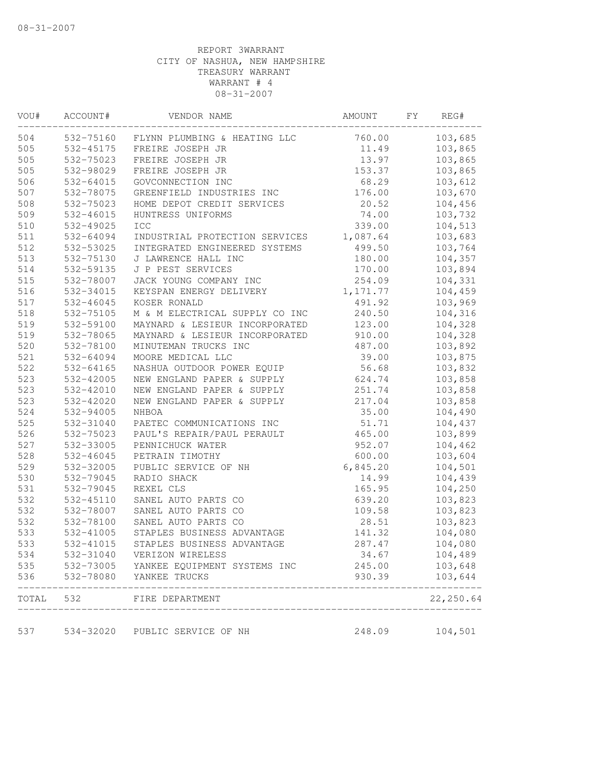| ACCOUNT#  | VENDOR NAME                                                                                                                                                                                                                                                                                                                                                                                                                                                                          | AMOUNT                                                                                                                                                                                                                                                                                                                                                                                                                                                                                                                                                                                                                                                                                                                                                                                                                                                                                                                                                                                                                             | FΥ                                                                                                                                                                                                                                                                                                                                            | REG#       |
|-----------|--------------------------------------------------------------------------------------------------------------------------------------------------------------------------------------------------------------------------------------------------------------------------------------------------------------------------------------------------------------------------------------------------------------------------------------------------------------------------------------|------------------------------------------------------------------------------------------------------------------------------------------------------------------------------------------------------------------------------------------------------------------------------------------------------------------------------------------------------------------------------------------------------------------------------------------------------------------------------------------------------------------------------------------------------------------------------------------------------------------------------------------------------------------------------------------------------------------------------------------------------------------------------------------------------------------------------------------------------------------------------------------------------------------------------------------------------------------------------------------------------------------------------------|-----------------------------------------------------------------------------------------------------------------------------------------------------------------------------------------------------------------------------------------------------------------------------------------------------------------------------------------------|------------|
|           | FLYNN PLUMBING & HEATING LLC                                                                                                                                                                                                                                                                                                                                                                                                                                                         | 760.00                                                                                                                                                                                                                                                                                                                                                                                                                                                                                                                                                                                                                                                                                                                                                                                                                                                                                                                                                                                                                             |                                                                                                                                                                                                                                                                                                                                               | 103,685    |
| 532-45175 | FREIRE JOSEPH JR                                                                                                                                                                                                                                                                                                                                                                                                                                                                     | 11.49                                                                                                                                                                                                                                                                                                                                                                                                                                                                                                                                                                                                                                                                                                                                                                                                                                                                                                                                                                                                                              |                                                                                                                                                                                                                                                                                                                                               | 103,865    |
|           |                                                                                                                                                                                                                                                                                                                                                                                                                                                                                      |                                                                                                                                                                                                                                                                                                                                                                                                                                                                                                                                                                                                                                                                                                                                                                                                                                                                                                                                                                                                                                    |                                                                                                                                                                                                                                                                                                                                               | 103,865    |
|           |                                                                                                                                                                                                                                                                                                                                                                                                                                                                                      |                                                                                                                                                                                                                                                                                                                                                                                                                                                                                                                                                                                                                                                                                                                                                                                                                                                                                                                                                                                                                                    |                                                                                                                                                                                                                                                                                                                                               | 103,865    |
|           |                                                                                                                                                                                                                                                                                                                                                                                                                                                                                      |                                                                                                                                                                                                                                                                                                                                                                                                                                                                                                                                                                                                                                                                                                                                                                                                                                                                                                                                                                                                                                    |                                                                                                                                                                                                                                                                                                                                               | 103,612    |
|           |                                                                                                                                                                                                                                                                                                                                                                                                                                                                                      |                                                                                                                                                                                                                                                                                                                                                                                                                                                                                                                                                                                                                                                                                                                                                                                                                                                                                                                                                                                                                                    |                                                                                                                                                                                                                                                                                                                                               | 103,670    |
|           |                                                                                                                                                                                                                                                                                                                                                                                                                                                                                      |                                                                                                                                                                                                                                                                                                                                                                                                                                                                                                                                                                                                                                                                                                                                                                                                                                                                                                                                                                                                                                    |                                                                                                                                                                                                                                                                                                                                               | 104,456    |
|           |                                                                                                                                                                                                                                                                                                                                                                                                                                                                                      |                                                                                                                                                                                                                                                                                                                                                                                                                                                                                                                                                                                                                                                                                                                                                                                                                                                                                                                                                                                                                                    |                                                                                                                                                                                                                                                                                                                                               | 103,732    |
|           |                                                                                                                                                                                                                                                                                                                                                                                                                                                                                      |                                                                                                                                                                                                                                                                                                                                                                                                                                                                                                                                                                                                                                                                                                                                                                                                                                                                                                                                                                                                                                    |                                                                                                                                                                                                                                                                                                                                               | 104,513    |
|           |                                                                                                                                                                                                                                                                                                                                                                                                                                                                                      |                                                                                                                                                                                                                                                                                                                                                                                                                                                                                                                                                                                                                                                                                                                                                                                                                                                                                                                                                                                                                                    |                                                                                                                                                                                                                                                                                                                                               | 103,683    |
|           |                                                                                                                                                                                                                                                                                                                                                                                                                                                                                      |                                                                                                                                                                                                                                                                                                                                                                                                                                                                                                                                                                                                                                                                                                                                                                                                                                                                                                                                                                                                                                    |                                                                                                                                                                                                                                                                                                                                               | 103,764    |
|           |                                                                                                                                                                                                                                                                                                                                                                                                                                                                                      |                                                                                                                                                                                                                                                                                                                                                                                                                                                                                                                                                                                                                                                                                                                                                                                                                                                                                                                                                                                                                                    |                                                                                                                                                                                                                                                                                                                                               | 104,357    |
|           |                                                                                                                                                                                                                                                                                                                                                                                                                                                                                      |                                                                                                                                                                                                                                                                                                                                                                                                                                                                                                                                                                                                                                                                                                                                                                                                                                                                                                                                                                                                                                    |                                                                                                                                                                                                                                                                                                                                               | 103,894    |
|           |                                                                                                                                                                                                                                                                                                                                                                                                                                                                                      |                                                                                                                                                                                                                                                                                                                                                                                                                                                                                                                                                                                                                                                                                                                                                                                                                                                                                                                                                                                                                                    |                                                                                                                                                                                                                                                                                                                                               | 104,331    |
|           |                                                                                                                                                                                                                                                                                                                                                                                                                                                                                      |                                                                                                                                                                                                                                                                                                                                                                                                                                                                                                                                                                                                                                                                                                                                                                                                                                                                                                                                                                                                                                    |                                                                                                                                                                                                                                                                                                                                               | 104,459    |
|           |                                                                                                                                                                                                                                                                                                                                                                                                                                                                                      |                                                                                                                                                                                                                                                                                                                                                                                                                                                                                                                                                                                                                                                                                                                                                                                                                                                                                                                                                                                                                                    |                                                                                                                                                                                                                                                                                                                                               | 103,969    |
|           |                                                                                                                                                                                                                                                                                                                                                                                                                                                                                      |                                                                                                                                                                                                                                                                                                                                                                                                                                                                                                                                                                                                                                                                                                                                                                                                                                                                                                                                                                                                                                    |                                                                                                                                                                                                                                                                                                                                               | 104,316    |
|           |                                                                                                                                                                                                                                                                                                                                                                                                                                                                                      |                                                                                                                                                                                                                                                                                                                                                                                                                                                                                                                                                                                                                                                                                                                                                                                                                                                                                                                                                                                                                                    |                                                                                                                                                                                                                                                                                                                                               | 104,328    |
|           |                                                                                                                                                                                                                                                                                                                                                                                                                                                                                      |                                                                                                                                                                                                                                                                                                                                                                                                                                                                                                                                                                                                                                                                                                                                                                                                                                                                                                                                                                                                                                    |                                                                                                                                                                                                                                                                                                                                               | 104,328    |
|           |                                                                                                                                                                                                                                                                                                                                                                                                                                                                                      | 487.00                                                                                                                                                                                                                                                                                                                                                                                                                                                                                                                                                                                                                                                                                                                                                                                                                                                                                                                                                                                                                             |                                                                                                                                                                                                                                                                                                                                               | 103,892    |
|           |                                                                                                                                                                                                                                                                                                                                                                                                                                                                                      |                                                                                                                                                                                                                                                                                                                                                                                                                                                                                                                                                                                                                                                                                                                                                                                                                                                                                                                                                                                                                                    |                                                                                                                                                                                                                                                                                                                                               | 103,875    |
|           |                                                                                                                                                                                                                                                                                                                                                                                                                                                                                      |                                                                                                                                                                                                                                                                                                                                                                                                                                                                                                                                                                                                                                                                                                                                                                                                                                                                                                                                                                                                                                    |                                                                                                                                                                                                                                                                                                                                               | 103,832    |
|           |                                                                                                                                                                                                                                                                                                                                                                                                                                                                                      |                                                                                                                                                                                                                                                                                                                                                                                                                                                                                                                                                                                                                                                                                                                                                                                                                                                                                                                                                                                                                                    |                                                                                                                                                                                                                                                                                                                                               | 103,858    |
|           |                                                                                                                                                                                                                                                                                                                                                                                                                                                                                      | 251.74                                                                                                                                                                                                                                                                                                                                                                                                                                                                                                                                                                                                                                                                                                                                                                                                                                                                                                                                                                                                                             |                                                                                                                                                                                                                                                                                                                                               | 103,858    |
|           |                                                                                                                                                                                                                                                                                                                                                                                                                                                                                      |                                                                                                                                                                                                                                                                                                                                                                                                                                                                                                                                                                                                                                                                                                                                                                                                                                                                                                                                                                                                                                    |                                                                                                                                                                                                                                                                                                                                               | 103,858    |
|           |                                                                                                                                                                                                                                                                                                                                                                                                                                                                                      |                                                                                                                                                                                                                                                                                                                                                                                                                                                                                                                                                                                                                                                                                                                                                                                                                                                                                                                                                                                                                                    |                                                                                                                                                                                                                                                                                                                                               | 104,490    |
|           |                                                                                                                                                                                                                                                                                                                                                                                                                                                                                      |                                                                                                                                                                                                                                                                                                                                                                                                                                                                                                                                                                                                                                                                                                                                                                                                                                                                                                                                                                                                                                    |                                                                                                                                                                                                                                                                                                                                               | 104,437    |
|           |                                                                                                                                                                                                                                                                                                                                                                                                                                                                                      |                                                                                                                                                                                                                                                                                                                                                                                                                                                                                                                                                                                                                                                                                                                                                                                                                                                                                                                                                                                                                                    |                                                                                                                                                                                                                                                                                                                                               | 103,899    |
|           |                                                                                                                                                                                                                                                                                                                                                                                                                                                                                      |                                                                                                                                                                                                                                                                                                                                                                                                                                                                                                                                                                                                                                                                                                                                                                                                                                                                                                                                                                                                                                    |                                                                                                                                                                                                                                                                                                                                               | 104,462    |
|           |                                                                                                                                                                                                                                                                                                                                                                                                                                                                                      |                                                                                                                                                                                                                                                                                                                                                                                                                                                                                                                                                                                                                                                                                                                                                                                                                                                                                                                                                                                                                                    |                                                                                                                                                                                                                                                                                                                                               | 103,604    |
|           |                                                                                                                                                                                                                                                                                                                                                                                                                                                                                      |                                                                                                                                                                                                                                                                                                                                                                                                                                                                                                                                                                                                                                                                                                                                                                                                                                                                                                                                                                                                                                    |                                                                                                                                                                                                                                                                                                                                               | 104,501    |
|           |                                                                                                                                                                                                                                                                                                                                                                                                                                                                                      |                                                                                                                                                                                                                                                                                                                                                                                                                                                                                                                                                                                                                                                                                                                                                                                                                                                                                                                                                                                                                                    |                                                                                                                                                                                                                                                                                                                                               | 104,439    |
|           |                                                                                                                                                                                                                                                                                                                                                                                                                                                                                      |                                                                                                                                                                                                                                                                                                                                                                                                                                                                                                                                                                                                                                                                                                                                                                                                                                                                                                                                                                                                                                    |                                                                                                                                                                                                                                                                                                                                               | 104,250    |
|           |                                                                                                                                                                                                                                                                                                                                                                                                                                                                                      |                                                                                                                                                                                                                                                                                                                                                                                                                                                                                                                                                                                                                                                                                                                                                                                                                                                                                                                                                                                                                                    |                                                                                                                                                                                                                                                                                                                                               | 103,823    |
|           |                                                                                                                                                                                                                                                                                                                                                                                                                                                                                      |                                                                                                                                                                                                                                                                                                                                                                                                                                                                                                                                                                                                                                                                                                                                                                                                                                                                                                                                                                                                                                    |                                                                                                                                                                                                                                                                                                                                               | 103,823    |
|           |                                                                                                                                                                                                                                                                                                                                                                                                                                                                                      |                                                                                                                                                                                                                                                                                                                                                                                                                                                                                                                                                                                                                                                                                                                                                                                                                                                                                                                                                                                                                                    |                                                                                                                                                                                                                                                                                                                                               | 103,823    |
|           |                                                                                                                                                                                                                                                                                                                                                                                                                                                                                      |                                                                                                                                                                                                                                                                                                                                                                                                                                                                                                                                                                                                                                                                                                                                                                                                                                                                                                                                                                                                                                    |                                                                                                                                                                                                                                                                                                                                               | 104,080    |
|           |                                                                                                                                                                                                                                                                                                                                                                                                                                                                                      |                                                                                                                                                                                                                                                                                                                                                                                                                                                                                                                                                                                                                                                                                                                                                                                                                                                                                                                                                                                                                                    |                                                                                                                                                                                                                                                                                                                                               | 104,080    |
| 532-31040 | VERIZON WIRELESS                                                                                                                                                                                                                                                                                                                                                                                                                                                                     | 34.67                                                                                                                                                                                                                                                                                                                                                                                                                                                                                                                                                                                                                                                                                                                                                                                                                                                                                                                                                                                                                              |                                                                                                                                                                                                                                                                                                                                               | 104,489    |
| 532-73005 |                                                                                                                                                                                                                                                                                                                                                                                                                                                                                      | 245.00                                                                                                                                                                                                                                                                                                                                                                                                                                                                                                                                                                                                                                                                                                                                                                                                                                                                                                                                                                                                                             |                                                                                                                                                                                                                                                                                                                                               | 103,648    |
| 532-78080 |                                                                                                                                                                                                                                                                                                                                                                                                                                                                                      | 930.39                                                                                                                                                                                                                                                                                                                                                                                                                                                                                                                                                                                                                                                                                                                                                                                                                                                                                                                                                                                                                             |                                                                                                                                                                                                                                                                                                                                               | 103,644    |
| 532       |                                                                                                                                                                                                                                                                                                                                                                                                                                                                                      |                                                                                                                                                                                                                                                                                                                                                                                                                                                                                                                                                                                                                                                                                                                                                                                                                                                                                                                                                                                                                                    |                                                                                                                                                                                                                                                                                                                                               | 22, 250.64 |
|           |                                                                                                                                                                                                                                                                                                                                                                                                                                                                                      | 248.09                                                                                                                                                                                                                                                                                                                                                                                                                                                                                                                                                                                                                                                                                                                                                                                                                                                                                                                                                                                                                             |                                                                                                                                                                                                                                                                                                                                               | 104,501    |
|           | 532-75023<br>532-98029<br>532-64015<br>532-78075<br>532-75023<br>532-46015<br>532-49025<br>532-64094<br>532-53025<br>532-75130<br>532-59135<br>532-78007<br>532-34015<br>532-46045<br>532-75105<br>532-59100<br>532-78065<br>532-78100<br>532-64094<br>532-64165<br>532-42005<br>532-42010<br>532-42020<br>532-94005<br>532-31040<br>532-75023<br>532-33005<br>532-46045<br>532-32005<br>532-79045<br>532-79045<br>$532 - 45110$<br>532-78007<br>532-78100<br>532-41005<br>532-41015 | 532-75160<br>FREIRE JOSEPH JR<br>FREIRE JOSEPH JR<br>GOVCONNECTION INC<br>GREENFIELD INDUSTRIES INC<br>HOME DEPOT CREDIT SERVICES<br>HUNTRESS UNIFORMS<br>ICC<br>INDUSTRIAL PROTECTION SERVICES<br>INTEGRATED ENGINEERED SYSTEMS<br>J LAWRENCE HALL INC<br>J P PEST SERVICES<br>JACK YOUNG COMPANY INC<br>KEYSPAN ENERGY DELIVERY<br>KOSER RONALD<br>M & M ELECTRICAL SUPPLY CO INC<br>MAYNARD & LESIEUR INCORPORATED<br>MAYNARD & LESIEUR INCORPORATED<br>MINUTEMAN TRUCKS INC<br>MOORE MEDICAL LLC<br>NASHUA OUTDOOR POWER EQUIP<br>NEW ENGLAND PAPER & SUPPLY<br>NEW ENGLAND PAPER & SUPPLY<br>NEW ENGLAND PAPER & SUPPLY<br>NHBOA<br>PAETEC COMMUNICATIONS INC<br>PAUL'S REPAIR/PAUL PERAULT<br>PENNICHUCK WATER<br>PETRAIN TIMOTHY<br>PUBLIC SERVICE OF NH<br>RADIO SHACK<br>REXEL CLS<br>SANEL AUTO PARTS CO<br>SANEL AUTO PARTS CO<br>SANEL AUTO PARTS CO<br>STAPLES BUSINESS ADVANTAGE<br>STAPLES BUSINESS ADVANTAGE<br>YANKEE EQUIPMENT SYSTEMS INC<br>YANKEE TRUCKS<br>FIRE DEPARTMENT<br>534-32020 PUBLIC SERVICE OF NH | 13.97<br>153.37<br>68.29<br>176.00<br>20.52<br>74.00<br>339.00<br>1,087.64<br>499.50<br>180.00<br>170.00<br>254.09<br>1, 171.77<br>491.92<br>240.50<br>123.00<br>910.00<br>39.00<br>56.68<br>624.74<br>217.04<br>35.00<br>51.71<br>465.00<br>952.07<br>600.00<br>6,845.20<br>14.99<br>165.95<br>639.20<br>109.58<br>28.51<br>141.32<br>287.47 |            |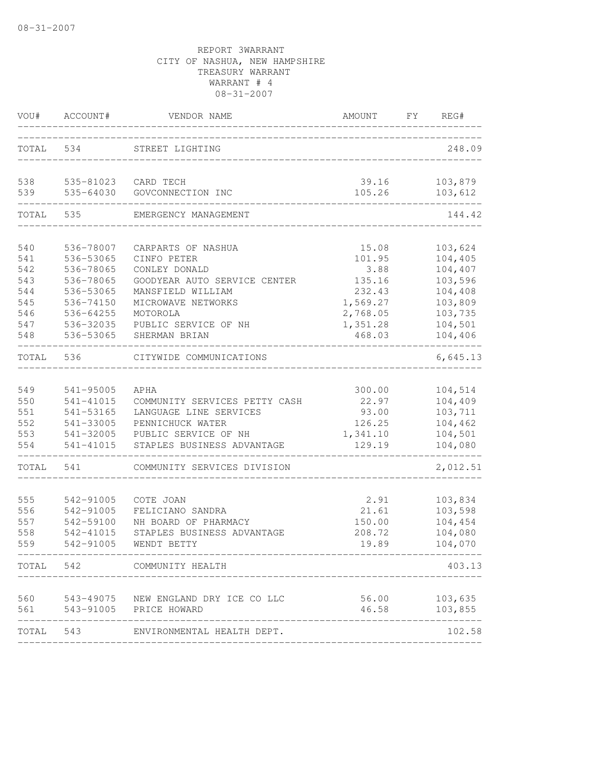| VOU#       | ACCOUNT#               | VENDOR NAME                          | AMOUNT             | FY | REG#                          |
|------------|------------------------|--------------------------------------|--------------------|----|-------------------------------|
| TOTAL      | 534                    | STREET LIGHTING                      |                    |    | 248.09                        |
| 538<br>539 | 535-81023<br>535-64030 | CARD TECH<br>GOVCONNECTION INC       | 39.16<br>105.26    |    | 103,879<br>103,612            |
| TOTAL      | 535                    | EMERGENCY MANAGEMENT                 |                    |    | 144.42                        |
| 540        | 536-78007              | CARPARTS OF NASHUA                   | 15.08              |    | 103,624                       |
| 541        | 536-53065              | CINFO PETER                          | 101.95             |    | 104,405                       |
| 542        | 536-78065              | CONLEY DONALD                        | 3.88               |    | 104,407                       |
| 543        | 536-78065              | GOODYEAR AUTO SERVICE CENTER         | 135.16             |    | 103,596                       |
| 544        | 536-53065              | MANSFIELD WILLIAM                    | 232.43             |    | 104,408                       |
| 545        | 536-74150              | MICROWAVE NETWORKS                   | 1,569.27           |    | 103,809                       |
| 546        | 536-64255              | MOTOROLA                             | 2,768.05           |    | 103,735                       |
| 547        | 536-32035              | PUBLIC SERVICE OF NH                 | 1,351.28<br>468.03 |    | 104,501                       |
| 548        | 536-53065              | SHERMAN BRIAN                        |                    |    | 104,406                       |
| TOTAL      | 536                    | CITYWIDE COMMUNICATIONS              |                    |    | 6,645.13                      |
| 549        | 541-95005              | APHA                                 | 300.00             |    | 104,514                       |
| 550        | 541-41015              | COMMUNITY SERVICES PETTY CASH        | 22.97              |    | 104,409                       |
| 551        | 541-53165              | LANGUAGE LINE SERVICES               | 93.00              |    | 103,711                       |
| 552        | 541-33005              | PENNICHUCK WATER                     | 126.25             |    | 104,462                       |
| 553        | 541-32005              | PUBLIC SERVICE OF NH                 | 1,341.10           |    | 104,501                       |
| 554        | 541-41015              | STAPLES BUSINESS ADVANTAGE           | 129.19             |    | 104,080                       |
| TOTAL      | 541                    | COMMUNITY SERVICES DIVISION          |                    |    | 2,012.51                      |
| 555        | 542-91005              | COTE JOAN                            | 2.91               |    | 103,834                       |
| 556        | 542-91005              | FELICIANO SANDRA                     | 21.61              |    | 103,598                       |
| 557        | 542-59100              | NH BOARD OF PHARMACY                 | 150.00             |    | 104,454                       |
| 558        | 542-41015              | STAPLES BUSINESS ADVANTAGE           | 208.72             |    | 104,080                       |
| 559        | 542-91005              | WENDT BETTY                          | 19.89              |    | 104,070                       |
|            |                        | TOTAL 542 COMMUNITY HEALTH           |                    |    | 403.13                        |
| 560        |                        | 543-49075 NEW ENGLAND DRY ICE CO LLC |                    |    | 56.00 103,635                 |
| 561        |                        | 543-91005    PRICE HOWARD            |                    |    | 46.58 103,855<br>------------ |
|            |                        | TOTAL 543 ENVIRONMENTAL HEALTH DEPT. |                    |    | 102.58                        |
|            |                        |                                      |                    |    |                               |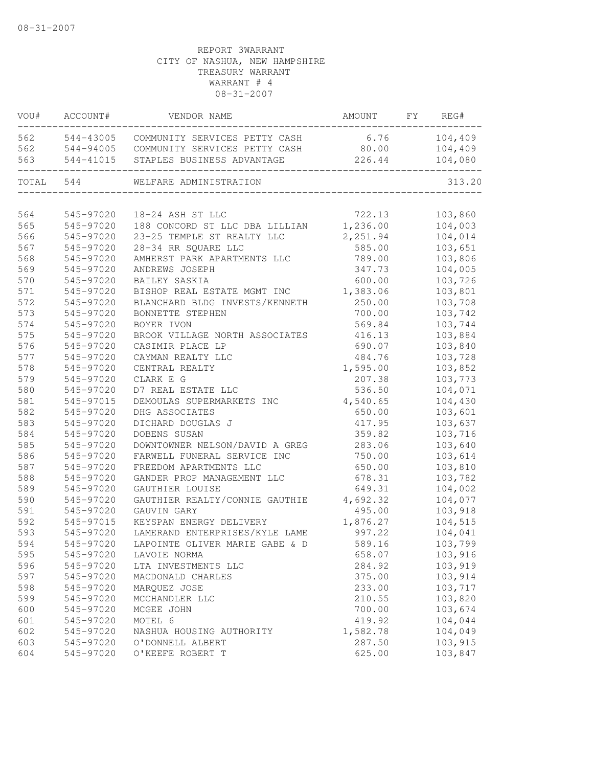| VOU#  | ACCOUNT#  | VENDOR NAME                    | AMOUNT   | FY | REG#    |
|-------|-----------|--------------------------------|----------|----|---------|
| 562   | 544-43005 | COMMUNITY SERVICES PETTY CASH  | 6.76     |    | 104,409 |
| 562   | 544-94005 | COMMUNITY SERVICES PETTY CASH  | 80.00    |    | 104,409 |
| 563   | 544-41015 | STAPLES BUSINESS ADVANTAGE     | 226.44   |    | 104,080 |
| TOTAL | 544       | WELFARE ADMINISTRATION         |          |    | 313.20  |
|       |           |                                |          |    |         |
| 564   | 545-97020 | 18-24 ASH ST LLC               | 722.13   |    | 103,860 |
| 565   | 545-97020 | 188 CONCORD ST LLC DBA LILLIAN | 1,236.00 |    | 104,003 |
| 566   | 545-97020 | 23-25 TEMPLE ST REALTY LLC     | 2,251.94 |    | 104,014 |
| 567   | 545-97020 | 28-34 RR SQUARE LLC            | 585.00   |    | 103,651 |
| 568   | 545-97020 | AMHERST PARK APARTMENTS LLC    | 789.00   |    | 103,806 |
| 569   | 545-97020 | ANDREWS JOSEPH                 | 347.73   |    | 104,005 |
| 570   | 545-97020 | BAILEY SASKIA                  | 600.00   |    | 103,726 |
| 571   | 545-97020 | BISHOP REAL ESTATE MGMT INC    | 1,383.06 |    | 103,801 |
| 572   | 545-97020 | BLANCHARD BLDG INVESTS/KENNETH | 250.00   |    | 103,708 |
| 573   | 545-97020 | BONNETTE STEPHEN               | 700.00   |    | 103,742 |
| 574   | 545-97020 | BOYER IVON                     | 569.84   |    | 103,744 |
| 575   | 545-97020 | BROOK VILLAGE NORTH ASSOCIATES | 416.13   |    | 103,884 |
| 576   | 545-97020 | CASIMIR PLACE LP               | 690.07   |    | 103,840 |
| 577   | 545-97020 | CAYMAN REALTY LLC              | 484.76   |    | 103,728 |
| 578   | 545-97020 | CENTRAL REALTY                 | 1,595.00 |    | 103,852 |
| 579   | 545-97020 | CLARK E G                      | 207.38   |    | 103,773 |
| 580   | 545-97020 | D7 REAL ESTATE LLC             | 536.50   |    | 104,071 |
| 581   | 545-97015 | DEMOULAS SUPERMARKETS INC      | 4,540.65 |    | 104,430 |
| 582   | 545-97020 | DHG ASSOCIATES                 | 650.00   |    | 103,601 |
| 583   | 545-97020 | DICHARD DOUGLAS J              | 417.95   |    | 103,637 |
| 584   | 545-97020 | DOBENS SUSAN                   | 359.82   |    | 103,716 |
| 585   | 545-97020 | DOWNTOWNER NELSON/DAVID A GREG | 283.06   |    | 103,640 |
| 586   | 545-97020 | FARWELL FUNERAL SERVICE INC    | 750.00   |    | 103,614 |
| 587   | 545-97020 | FREEDOM APARTMENTS LLC         | 650.00   |    | 103,810 |
| 588   | 545-97020 | GANDER PROP MANAGEMENT LLC     | 678.31   |    | 103,782 |
| 589   | 545-97020 | GAUTHIER LOUISE                | 649.31   |    | 104,002 |
| 590   | 545-97020 | GAUTHIER REALTY/CONNIE GAUTHIE | 4,692.32 |    | 104,077 |
| 591   | 545-97020 | GAUVIN GARY                    | 495.00   |    | 103,918 |
| 592   | 545-97015 | KEYSPAN ENERGY DELIVERY        | 1,876.27 |    | 104,515 |
| 593   | 545-97020 | LAMERAND ENTERPRISES/KYLE LAME | 997.22   |    | 104,041 |
| 594   | 545-97020 | LAPOINTE OLIVER MARIE GABE & D | 589.16   |    | 103,799 |
| 595   | 545-97020 | LAVOIE NORMA                   | 658.07   |    | 103,916 |
| 596   | 545-97020 | LTA INVESTMENTS LLC            | 284.92   |    | 103,919 |
| 597   | 545-97020 | MACDONALD CHARLES              | 375.00   |    | 103,914 |
| 598   | 545-97020 | MARQUEZ JOSE                   | 233.00   |    | 103,717 |
| 599   | 545-97020 | MCCHANDLER LLC                 | 210.55   |    | 103,820 |
| 600   | 545-97020 | MCGEE JOHN                     | 700.00   |    | 103,674 |
| 601   | 545-97020 | MOTEL 6                        | 419.92   |    | 104,044 |
| 602   | 545-97020 | NASHUA HOUSING AUTHORITY       | 1,582.78 |    | 104,049 |
| 603   | 545-97020 | O'DONNELL ALBERT               | 287.50   |    | 103,915 |
| 604   | 545-97020 | O'KEEFE ROBERT T               | 625.00   |    | 103,847 |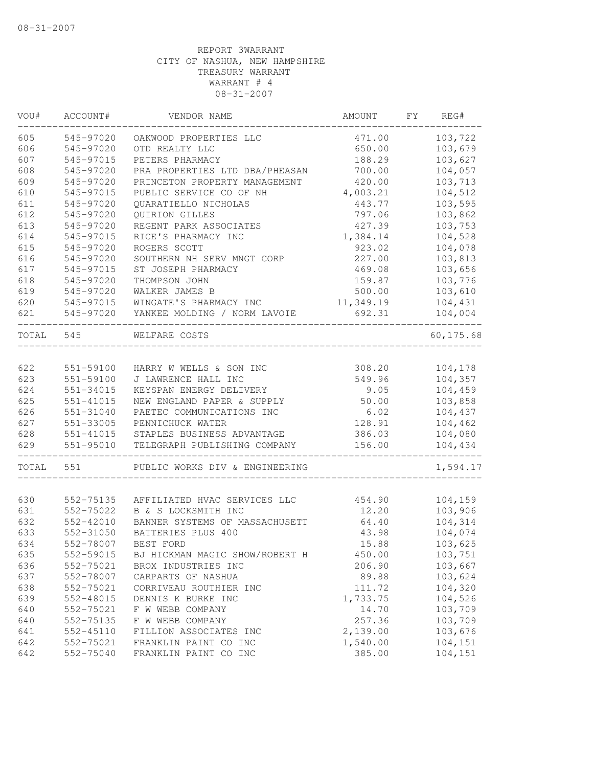| 605<br>545-97020<br>OAKWOOD PROPERTIES LLC<br>471.00<br>103,722<br>606<br>545-97020<br>650.00<br>103,679<br>OTD REALTY LLC<br>607<br>103,627<br>545-97015<br>PETERS PHARMACY<br>188.29<br>608<br>104,057<br>545-97020<br>PRA PROPERTIES LTD DBA/PHEASAN<br>700.00<br>609<br>545-97020<br>PRINCETON PROPERTY MANAGEMENT<br>420.00<br>103,713<br>610<br>PUBLIC SERVICE CO OF NH<br>104,512<br>545-97015<br>4,003.21<br>611<br>QUARATIELLO NICHOLAS<br>443.77<br>103,595<br>545-97020<br>612<br>103,862<br>545-97020<br>QUIRION GILLES<br>797.06<br>613<br>103,753<br>545-97020<br>REGENT PARK ASSOCIATES<br>427.39<br>614<br>104,528<br>545-97015<br>RICE'S PHARMACY INC<br>1,384.14<br>615<br>545-97020<br>ROGERS SCOTT<br>923.02<br>104,078<br>616<br>SOUTHERN NH SERV MNGT CORP<br>227.00<br>103,813<br>545-97020<br>617<br>103,656<br>545-97015<br>ST JOSEPH PHARMACY<br>469.08<br>618<br>545-97020<br>THOMPSON JOHN<br>159.87<br>103,776<br>619<br>545-97020<br>500.00<br>103,610<br>WALKER JAMES B<br>620<br>WINGATE'S PHARMACY INC<br>11,349.19<br>104,431<br>545-97015<br>692.31<br>621<br>545-97020<br>YANKEE MOLDING / NORM LAVOIE<br>104,004<br>TOTAL<br>545<br>60,175.68<br>WELFARE COSTS<br>622<br>551-59100<br>HARRY W WELLS & SON INC<br>308.20<br>104,178<br>623<br>551-59100<br>J LAWRENCE HALL INC<br>549.96<br>104,357<br>104,459<br>624<br>551-34015<br>KEYSPAN ENERGY DELIVERY<br>9.05<br>625<br>$551 - 41015$<br>50.00<br>103,858<br>NEW ENGLAND PAPER & SUPPLY<br>626<br>6.02<br>104,437<br>551-31040<br>PAETEC COMMUNICATIONS INC<br>627<br>128.91<br>104,462<br>551-33005<br>PENNICHUCK WATER<br>628<br>104,080<br>551-41015<br>STAPLES BUSINESS ADVANTAGE<br>386.03<br>629<br>551-95010<br>TELEGRAPH PUBLISHING COMPANY<br>104,434<br>156.00<br>TOTAL<br>551<br>1,594.17<br>PUBLIC WORKS DIV & ENGINEERING<br>104,159<br>630<br>552-75135<br>AFFILIATED HVAC SERVICES LLC<br>454.90<br>103,906<br>631<br>552-75022<br>B & S LOCKSMITH INC<br>12.20<br>632<br>64.40<br>104,314<br>552-42010<br>BANNER SYSTEMS OF MASSACHUSETT<br>633<br>104,074<br>552-31050<br>BATTERIES PLUS 400<br>43.98<br>634<br>552-78007<br>BEST FORD<br>15.88<br>103,625<br>635<br>103,751<br>552-59015<br>BJ HICKMAN MAGIC SHOW/ROBERT H<br>450.00<br>103,667<br>636<br>552-75021<br>206.90<br>BROX INDUSTRIES INC<br>637<br>89.88<br>103,624<br>552-78007<br>CARPARTS OF NASHUA<br>104,320<br>638<br>552-75021<br>111.72<br>CORRIVEAU ROUTHIER INC<br>639<br>552-48015<br>DENNIS K BURKE INC<br>1,733.75<br>104,526<br>14.70<br>103,709<br>640<br>552-75021<br>F W WEBB COMPANY<br>103,709<br>640<br>552-75135<br>F W WEBB COMPANY<br>257.36<br>103,676<br>641<br>FILLION ASSOCIATES INC<br>2,139.00<br>552-45110<br>642<br>552-75021<br>FRANKLIN PAINT CO INC<br>1,540.00<br>104,151<br>385.00<br>642<br>552-75040<br>FRANKLIN PAINT CO INC<br>104,151 | VOU# | ACCOUNT# | VENDOR NAME | AMOUNT | FY. | REG# |
|----------------------------------------------------------------------------------------------------------------------------------------------------------------------------------------------------------------------------------------------------------------------------------------------------------------------------------------------------------------------------------------------------------------------------------------------------------------------------------------------------------------------------------------------------------------------------------------------------------------------------------------------------------------------------------------------------------------------------------------------------------------------------------------------------------------------------------------------------------------------------------------------------------------------------------------------------------------------------------------------------------------------------------------------------------------------------------------------------------------------------------------------------------------------------------------------------------------------------------------------------------------------------------------------------------------------------------------------------------------------------------------------------------------------------------------------------------------------------------------------------------------------------------------------------------------------------------------------------------------------------------------------------------------------------------------------------------------------------------------------------------------------------------------------------------------------------------------------------------------------------------------------------------------------------------------------------------------------------------------------------------------------------------------------------------------------------------------------------------------------------------------------------------------------------------------------------------------------------------------------------------------------------------------------------------------------------------------------------------------------------------------------------------------------------------------------------------------------------------------------------------------------------------------------------------------------------------------------------------------------------------------------------------------------------------------------------------------------------------------------------------------------------------------------------------------------------------------------------------|------|----------|-------------|--------|-----|------|
|                                                                                                                                                                                                                                                                                                                                                                                                                                                                                                                                                                                                                                                                                                                                                                                                                                                                                                                                                                                                                                                                                                                                                                                                                                                                                                                                                                                                                                                                                                                                                                                                                                                                                                                                                                                                                                                                                                                                                                                                                                                                                                                                                                                                                                                                                                                                                                                                                                                                                                                                                                                                                                                                                                                                                                                                                                                          |      |          |             |        |     |      |
|                                                                                                                                                                                                                                                                                                                                                                                                                                                                                                                                                                                                                                                                                                                                                                                                                                                                                                                                                                                                                                                                                                                                                                                                                                                                                                                                                                                                                                                                                                                                                                                                                                                                                                                                                                                                                                                                                                                                                                                                                                                                                                                                                                                                                                                                                                                                                                                                                                                                                                                                                                                                                                                                                                                                                                                                                                                          |      |          |             |        |     |      |
|                                                                                                                                                                                                                                                                                                                                                                                                                                                                                                                                                                                                                                                                                                                                                                                                                                                                                                                                                                                                                                                                                                                                                                                                                                                                                                                                                                                                                                                                                                                                                                                                                                                                                                                                                                                                                                                                                                                                                                                                                                                                                                                                                                                                                                                                                                                                                                                                                                                                                                                                                                                                                                                                                                                                                                                                                                                          |      |          |             |        |     |      |
|                                                                                                                                                                                                                                                                                                                                                                                                                                                                                                                                                                                                                                                                                                                                                                                                                                                                                                                                                                                                                                                                                                                                                                                                                                                                                                                                                                                                                                                                                                                                                                                                                                                                                                                                                                                                                                                                                                                                                                                                                                                                                                                                                                                                                                                                                                                                                                                                                                                                                                                                                                                                                                                                                                                                                                                                                                                          |      |          |             |        |     |      |
|                                                                                                                                                                                                                                                                                                                                                                                                                                                                                                                                                                                                                                                                                                                                                                                                                                                                                                                                                                                                                                                                                                                                                                                                                                                                                                                                                                                                                                                                                                                                                                                                                                                                                                                                                                                                                                                                                                                                                                                                                                                                                                                                                                                                                                                                                                                                                                                                                                                                                                                                                                                                                                                                                                                                                                                                                                                          |      |          |             |        |     |      |
|                                                                                                                                                                                                                                                                                                                                                                                                                                                                                                                                                                                                                                                                                                                                                                                                                                                                                                                                                                                                                                                                                                                                                                                                                                                                                                                                                                                                                                                                                                                                                                                                                                                                                                                                                                                                                                                                                                                                                                                                                                                                                                                                                                                                                                                                                                                                                                                                                                                                                                                                                                                                                                                                                                                                                                                                                                                          |      |          |             |        |     |      |
|                                                                                                                                                                                                                                                                                                                                                                                                                                                                                                                                                                                                                                                                                                                                                                                                                                                                                                                                                                                                                                                                                                                                                                                                                                                                                                                                                                                                                                                                                                                                                                                                                                                                                                                                                                                                                                                                                                                                                                                                                                                                                                                                                                                                                                                                                                                                                                                                                                                                                                                                                                                                                                                                                                                                                                                                                                                          |      |          |             |        |     |      |
|                                                                                                                                                                                                                                                                                                                                                                                                                                                                                                                                                                                                                                                                                                                                                                                                                                                                                                                                                                                                                                                                                                                                                                                                                                                                                                                                                                                                                                                                                                                                                                                                                                                                                                                                                                                                                                                                                                                                                                                                                                                                                                                                                                                                                                                                                                                                                                                                                                                                                                                                                                                                                                                                                                                                                                                                                                                          |      |          |             |        |     |      |
|                                                                                                                                                                                                                                                                                                                                                                                                                                                                                                                                                                                                                                                                                                                                                                                                                                                                                                                                                                                                                                                                                                                                                                                                                                                                                                                                                                                                                                                                                                                                                                                                                                                                                                                                                                                                                                                                                                                                                                                                                                                                                                                                                                                                                                                                                                                                                                                                                                                                                                                                                                                                                                                                                                                                                                                                                                                          |      |          |             |        |     |      |
|                                                                                                                                                                                                                                                                                                                                                                                                                                                                                                                                                                                                                                                                                                                                                                                                                                                                                                                                                                                                                                                                                                                                                                                                                                                                                                                                                                                                                                                                                                                                                                                                                                                                                                                                                                                                                                                                                                                                                                                                                                                                                                                                                                                                                                                                                                                                                                                                                                                                                                                                                                                                                                                                                                                                                                                                                                                          |      |          |             |        |     |      |
|                                                                                                                                                                                                                                                                                                                                                                                                                                                                                                                                                                                                                                                                                                                                                                                                                                                                                                                                                                                                                                                                                                                                                                                                                                                                                                                                                                                                                                                                                                                                                                                                                                                                                                                                                                                                                                                                                                                                                                                                                                                                                                                                                                                                                                                                                                                                                                                                                                                                                                                                                                                                                                                                                                                                                                                                                                                          |      |          |             |        |     |      |
|                                                                                                                                                                                                                                                                                                                                                                                                                                                                                                                                                                                                                                                                                                                                                                                                                                                                                                                                                                                                                                                                                                                                                                                                                                                                                                                                                                                                                                                                                                                                                                                                                                                                                                                                                                                                                                                                                                                                                                                                                                                                                                                                                                                                                                                                                                                                                                                                                                                                                                                                                                                                                                                                                                                                                                                                                                                          |      |          |             |        |     |      |
|                                                                                                                                                                                                                                                                                                                                                                                                                                                                                                                                                                                                                                                                                                                                                                                                                                                                                                                                                                                                                                                                                                                                                                                                                                                                                                                                                                                                                                                                                                                                                                                                                                                                                                                                                                                                                                                                                                                                                                                                                                                                                                                                                                                                                                                                                                                                                                                                                                                                                                                                                                                                                                                                                                                                                                                                                                                          |      |          |             |        |     |      |
|                                                                                                                                                                                                                                                                                                                                                                                                                                                                                                                                                                                                                                                                                                                                                                                                                                                                                                                                                                                                                                                                                                                                                                                                                                                                                                                                                                                                                                                                                                                                                                                                                                                                                                                                                                                                                                                                                                                                                                                                                                                                                                                                                                                                                                                                                                                                                                                                                                                                                                                                                                                                                                                                                                                                                                                                                                                          |      |          |             |        |     |      |
|                                                                                                                                                                                                                                                                                                                                                                                                                                                                                                                                                                                                                                                                                                                                                                                                                                                                                                                                                                                                                                                                                                                                                                                                                                                                                                                                                                                                                                                                                                                                                                                                                                                                                                                                                                                                                                                                                                                                                                                                                                                                                                                                                                                                                                                                                                                                                                                                                                                                                                                                                                                                                                                                                                                                                                                                                                                          |      |          |             |        |     |      |
|                                                                                                                                                                                                                                                                                                                                                                                                                                                                                                                                                                                                                                                                                                                                                                                                                                                                                                                                                                                                                                                                                                                                                                                                                                                                                                                                                                                                                                                                                                                                                                                                                                                                                                                                                                                                                                                                                                                                                                                                                                                                                                                                                                                                                                                                                                                                                                                                                                                                                                                                                                                                                                                                                                                                                                                                                                                          |      |          |             |        |     |      |
|                                                                                                                                                                                                                                                                                                                                                                                                                                                                                                                                                                                                                                                                                                                                                                                                                                                                                                                                                                                                                                                                                                                                                                                                                                                                                                                                                                                                                                                                                                                                                                                                                                                                                                                                                                                                                                                                                                                                                                                                                                                                                                                                                                                                                                                                                                                                                                                                                                                                                                                                                                                                                                                                                                                                                                                                                                                          |      |          |             |        |     |      |
|                                                                                                                                                                                                                                                                                                                                                                                                                                                                                                                                                                                                                                                                                                                                                                                                                                                                                                                                                                                                                                                                                                                                                                                                                                                                                                                                                                                                                                                                                                                                                                                                                                                                                                                                                                                                                                                                                                                                                                                                                                                                                                                                                                                                                                                                                                                                                                                                                                                                                                                                                                                                                                                                                                                                                                                                                                                          |      |          |             |        |     |      |
|                                                                                                                                                                                                                                                                                                                                                                                                                                                                                                                                                                                                                                                                                                                                                                                                                                                                                                                                                                                                                                                                                                                                                                                                                                                                                                                                                                                                                                                                                                                                                                                                                                                                                                                                                                                                                                                                                                                                                                                                                                                                                                                                                                                                                                                                                                                                                                                                                                                                                                                                                                                                                                                                                                                                                                                                                                                          |      |          |             |        |     |      |
|                                                                                                                                                                                                                                                                                                                                                                                                                                                                                                                                                                                                                                                                                                                                                                                                                                                                                                                                                                                                                                                                                                                                                                                                                                                                                                                                                                                                                                                                                                                                                                                                                                                                                                                                                                                                                                                                                                                                                                                                                                                                                                                                                                                                                                                                                                                                                                                                                                                                                                                                                                                                                                                                                                                                                                                                                                                          |      |          |             |        |     |      |
|                                                                                                                                                                                                                                                                                                                                                                                                                                                                                                                                                                                                                                                                                                                                                                                                                                                                                                                                                                                                                                                                                                                                                                                                                                                                                                                                                                                                                                                                                                                                                                                                                                                                                                                                                                                                                                                                                                                                                                                                                                                                                                                                                                                                                                                                                                                                                                                                                                                                                                                                                                                                                                                                                                                                                                                                                                                          |      |          |             |        |     |      |
|                                                                                                                                                                                                                                                                                                                                                                                                                                                                                                                                                                                                                                                                                                                                                                                                                                                                                                                                                                                                                                                                                                                                                                                                                                                                                                                                                                                                                                                                                                                                                                                                                                                                                                                                                                                                                                                                                                                                                                                                                                                                                                                                                                                                                                                                                                                                                                                                                                                                                                                                                                                                                                                                                                                                                                                                                                                          |      |          |             |        |     |      |
|                                                                                                                                                                                                                                                                                                                                                                                                                                                                                                                                                                                                                                                                                                                                                                                                                                                                                                                                                                                                                                                                                                                                                                                                                                                                                                                                                                                                                                                                                                                                                                                                                                                                                                                                                                                                                                                                                                                                                                                                                                                                                                                                                                                                                                                                                                                                                                                                                                                                                                                                                                                                                                                                                                                                                                                                                                                          |      |          |             |        |     |      |
|                                                                                                                                                                                                                                                                                                                                                                                                                                                                                                                                                                                                                                                                                                                                                                                                                                                                                                                                                                                                                                                                                                                                                                                                                                                                                                                                                                                                                                                                                                                                                                                                                                                                                                                                                                                                                                                                                                                                                                                                                                                                                                                                                                                                                                                                                                                                                                                                                                                                                                                                                                                                                                                                                                                                                                                                                                                          |      |          |             |        |     |      |
|                                                                                                                                                                                                                                                                                                                                                                                                                                                                                                                                                                                                                                                                                                                                                                                                                                                                                                                                                                                                                                                                                                                                                                                                                                                                                                                                                                                                                                                                                                                                                                                                                                                                                                                                                                                                                                                                                                                                                                                                                                                                                                                                                                                                                                                                                                                                                                                                                                                                                                                                                                                                                                                                                                                                                                                                                                                          |      |          |             |        |     |      |
|                                                                                                                                                                                                                                                                                                                                                                                                                                                                                                                                                                                                                                                                                                                                                                                                                                                                                                                                                                                                                                                                                                                                                                                                                                                                                                                                                                                                                                                                                                                                                                                                                                                                                                                                                                                                                                                                                                                                                                                                                                                                                                                                                                                                                                                                                                                                                                                                                                                                                                                                                                                                                                                                                                                                                                                                                                                          |      |          |             |        |     |      |
|                                                                                                                                                                                                                                                                                                                                                                                                                                                                                                                                                                                                                                                                                                                                                                                                                                                                                                                                                                                                                                                                                                                                                                                                                                                                                                                                                                                                                                                                                                                                                                                                                                                                                                                                                                                                                                                                                                                                                                                                                                                                                                                                                                                                                                                                                                                                                                                                                                                                                                                                                                                                                                                                                                                                                                                                                                                          |      |          |             |        |     |      |
|                                                                                                                                                                                                                                                                                                                                                                                                                                                                                                                                                                                                                                                                                                                                                                                                                                                                                                                                                                                                                                                                                                                                                                                                                                                                                                                                                                                                                                                                                                                                                                                                                                                                                                                                                                                                                                                                                                                                                                                                                                                                                                                                                                                                                                                                                                                                                                                                                                                                                                                                                                                                                                                                                                                                                                                                                                                          |      |          |             |        |     |      |
|                                                                                                                                                                                                                                                                                                                                                                                                                                                                                                                                                                                                                                                                                                                                                                                                                                                                                                                                                                                                                                                                                                                                                                                                                                                                                                                                                                                                                                                                                                                                                                                                                                                                                                                                                                                                                                                                                                                                                                                                                                                                                                                                                                                                                                                                                                                                                                                                                                                                                                                                                                                                                                                                                                                                                                                                                                                          |      |          |             |        |     |      |
|                                                                                                                                                                                                                                                                                                                                                                                                                                                                                                                                                                                                                                                                                                                                                                                                                                                                                                                                                                                                                                                                                                                                                                                                                                                                                                                                                                                                                                                                                                                                                                                                                                                                                                                                                                                                                                                                                                                                                                                                                                                                                                                                                                                                                                                                                                                                                                                                                                                                                                                                                                                                                                                                                                                                                                                                                                                          |      |          |             |        |     |      |
|                                                                                                                                                                                                                                                                                                                                                                                                                                                                                                                                                                                                                                                                                                                                                                                                                                                                                                                                                                                                                                                                                                                                                                                                                                                                                                                                                                                                                                                                                                                                                                                                                                                                                                                                                                                                                                                                                                                                                                                                                                                                                                                                                                                                                                                                                                                                                                                                                                                                                                                                                                                                                                                                                                                                                                                                                                                          |      |          |             |        |     |      |
|                                                                                                                                                                                                                                                                                                                                                                                                                                                                                                                                                                                                                                                                                                                                                                                                                                                                                                                                                                                                                                                                                                                                                                                                                                                                                                                                                                                                                                                                                                                                                                                                                                                                                                                                                                                                                                                                                                                                                                                                                                                                                                                                                                                                                                                                                                                                                                                                                                                                                                                                                                                                                                                                                                                                                                                                                                                          |      |          |             |        |     |      |
|                                                                                                                                                                                                                                                                                                                                                                                                                                                                                                                                                                                                                                                                                                                                                                                                                                                                                                                                                                                                                                                                                                                                                                                                                                                                                                                                                                                                                                                                                                                                                                                                                                                                                                                                                                                                                                                                                                                                                                                                                                                                                                                                                                                                                                                                                                                                                                                                                                                                                                                                                                                                                                                                                                                                                                                                                                                          |      |          |             |        |     |      |
|                                                                                                                                                                                                                                                                                                                                                                                                                                                                                                                                                                                                                                                                                                                                                                                                                                                                                                                                                                                                                                                                                                                                                                                                                                                                                                                                                                                                                                                                                                                                                                                                                                                                                                                                                                                                                                                                                                                                                                                                                                                                                                                                                                                                                                                                                                                                                                                                                                                                                                                                                                                                                                                                                                                                                                                                                                                          |      |          |             |        |     |      |
|                                                                                                                                                                                                                                                                                                                                                                                                                                                                                                                                                                                                                                                                                                                                                                                                                                                                                                                                                                                                                                                                                                                                                                                                                                                                                                                                                                                                                                                                                                                                                                                                                                                                                                                                                                                                                                                                                                                                                                                                                                                                                                                                                                                                                                                                                                                                                                                                                                                                                                                                                                                                                                                                                                                                                                                                                                                          |      |          |             |        |     |      |
|                                                                                                                                                                                                                                                                                                                                                                                                                                                                                                                                                                                                                                                                                                                                                                                                                                                                                                                                                                                                                                                                                                                                                                                                                                                                                                                                                                                                                                                                                                                                                                                                                                                                                                                                                                                                                                                                                                                                                                                                                                                                                                                                                                                                                                                                                                                                                                                                                                                                                                                                                                                                                                                                                                                                                                                                                                                          |      |          |             |        |     |      |
|                                                                                                                                                                                                                                                                                                                                                                                                                                                                                                                                                                                                                                                                                                                                                                                                                                                                                                                                                                                                                                                                                                                                                                                                                                                                                                                                                                                                                                                                                                                                                                                                                                                                                                                                                                                                                                                                                                                                                                                                                                                                                                                                                                                                                                                                                                                                                                                                                                                                                                                                                                                                                                                                                                                                                                                                                                                          |      |          |             |        |     |      |
|                                                                                                                                                                                                                                                                                                                                                                                                                                                                                                                                                                                                                                                                                                                                                                                                                                                                                                                                                                                                                                                                                                                                                                                                                                                                                                                                                                                                                                                                                                                                                                                                                                                                                                                                                                                                                                                                                                                                                                                                                                                                                                                                                                                                                                                                                                                                                                                                                                                                                                                                                                                                                                                                                                                                                                                                                                                          |      |          |             |        |     |      |
|                                                                                                                                                                                                                                                                                                                                                                                                                                                                                                                                                                                                                                                                                                                                                                                                                                                                                                                                                                                                                                                                                                                                                                                                                                                                                                                                                                                                                                                                                                                                                                                                                                                                                                                                                                                                                                                                                                                                                                                                                                                                                                                                                                                                                                                                                                                                                                                                                                                                                                                                                                                                                                                                                                                                                                                                                                                          |      |          |             |        |     |      |
|                                                                                                                                                                                                                                                                                                                                                                                                                                                                                                                                                                                                                                                                                                                                                                                                                                                                                                                                                                                                                                                                                                                                                                                                                                                                                                                                                                                                                                                                                                                                                                                                                                                                                                                                                                                                                                                                                                                                                                                                                                                                                                                                                                                                                                                                                                                                                                                                                                                                                                                                                                                                                                                                                                                                                                                                                                                          |      |          |             |        |     |      |
|                                                                                                                                                                                                                                                                                                                                                                                                                                                                                                                                                                                                                                                                                                                                                                                                                                                                                                                                                                                                                                                                                                                                                                                                                                                                                                                                                                                                                                                                                                                                                                                                                                                                                                                                                                                                                                                                                                                                                                                                                                                                                                                                                                                                                                                                                                                                                                                                                                                                                                                                                                                                                                                                                                                                                                                                                                                          |      |          |             |        |     |      |
|                                                                                                                                                                                                                                                                                                                                                                                                                                                                                                                                                                                                                                                                                                                                                                                                                                                                                                                                                                                                                                                                                                                                                                                                                                                                                                                                                                                                                                                                                                                                                                                                                                                                                                                                                                                                                                                                                                                                                                                                                                                                                                                                                                                                                                                                                                                                                                                                                                                                                                                                                                                                                                                                                                                                                                                                                                                          |      |          |             |        |     |      |
|                                                                                                                                                                                                                                                                                                                                                                                                                                                                                                                                                                                                                                                                                                                                                                                                                                                                                                                                                                                                                                                                                                                                                                                                                                                                                                                                                                                                                                                                                                                                                                                                                                                                                                                                                                                                                                                                                                                                                                                                                                                                                                                                                                                                                                                                                                                                                                                                                                                                                                                                                                                                                                                                                                                                                                                                                                                          |      |          |             |        |     |      |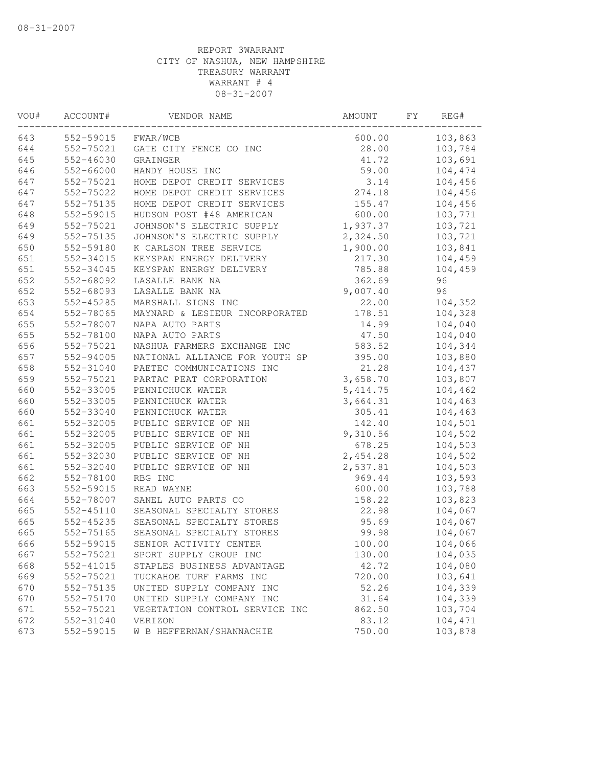| VOU# | ACCOUNT#  | VENDOR NAME                    | AMOUNT    | FΥ | REG#    |
|------|-----------|--------------------------------|-----------|----|---------|
| 643  | 552-59015 | FWAR/WCB                       | 600.00    |    | 103,863 |
| 644  | 552-75021 | GATE CITY FENCE CO INC         | 28.00     |    | 103,784 |
| 645  | 552-46030 | GRAINGER                       | 41.72     |    | 103,691 |
| 646  | 552-66000 | HANDY HOUSE INC                | 59.00     |    | 104,474 |
| 647  | 552-75021 | HOME DEPOT CREDIT SERVICES     | 3.14      |    | 104,456 |
| 647  | 552-75022 | HOME DEPOT CREDIT SERVICES     | 274.18    |    | 104,456 |
| 647  | 552-75135 | HOME DEPOT CREDIT SERVICES     | 155.47    |    | 104,456 |
| 648  | 552-59015 | HUDSON POST #48 AMERICAN       | 600.00    |    | 103,771 |
| 649  | 552-75021 | JOHNSON'S ELECTRIC SUPPLY      | 1,937.37  |    | 103,721 |
| 649  | 552-75135 | JOHNSON'S ELECTRIC SUPPLY      | 2,324.50  |    | 103,721 |
| 650  | 552-59180 | K CARLSON TREE SERVICE         | 1,900.00  |    | 103,841 |
| 651  | 552-34015 | KEYSPAN ENERGY DELIVERY        | 217.30    |    | 104,459 |
| 651  | 552-34045 | KEYSPAN ENERGY DELIVERY        | 785.88    |    | 104,459 |
| 652  | 552-68092 | LASALLE BANK NA                | 362.69    |    | 96      |
| 652  | 552-68093 | LASALLE BANK NA                | 9,007.40  |    | 96      |
| 653  | 552-45285 | MARSHALL SIGNS INC             | 22.00     |    | 104,352 |
| 654  | 552-78065 | MAYNARD & LESIEUR INCORPORATED | 178.51    |    | 104,328 |
| 655  | 552-78007 | NAPA AUTO PARTS                | 14.99     |    | 104,040 |
| 655  | 552-78100 | NAPA AUTO PARTS                | 47.50     |    | 104,040 |
| 656  | 552-75021 | NASHUA FARMERS EXCHANGE INC    | 583.52    |    | 104,344 |
| 657  | 552-94005 | NATIONAL ALLIANCE FOR YOUTH SP | 395.00    |    | 103,880 |
| 658  | 552-31040 | PAETEC COMMUNICATIONS INC      | 21.28     |    | 104,437 |
| 659  | 552-75021 | PARTAC PEAT CORPORATION        | 3,658.70  |    | 103,807 |
| 660  | 552-33005 | PENNICHUCK WATER               | 5, 414.75 |    | 104,462 |
| 660  | 552-33005 | PENNICHUCK WATER               | 3,664.31  |    | 104,463 |
| 660  | 552-33040 | PENNICHUCK WATER               | 305.41    |    | 104,463 |
| 661  | 552-32005 | PUBLIC SERVICE OF NH           | 142.40    |    | 104,501 |
| 661  | 552-32005 | PUBLIC SERVICE OF NH           | 9,310.56  |    | 104,502 |
| 661  | 552-32005 | PUBLIC SERVICE OF NH           | 678.25    |    | 104,503 |
| 661  | 552-32030 | PUBLIC SERVICE OF NH           | 2,454.28  |    | 104,502 |
| 661  | 552-32040 | PUBLIC SERVICE OF NH           | 2,537.81  |    | 104,503 |
| 662  | 552-78100 | RBG INC                        | 969.44    |    | 103,593 |
| 663  | 552-59015 | READ WAYNE                     | 600.00    |    | 103,788 |
| 664  | 552-78007 | SANEL AUTO PARTS CO            | 158.22    |    | 103,823 |
| 665  | 552-45110 | SEASONAL SPECIALTY STORES      | 22.98     |    | 104,067 |
| 665  | 552-45235 | SEASONAL SPECIALTY STORES      | 95.69     |    | 104,067 |
| 665  | 552-75165 | SEASONAL SPECIALTY STORES      | 99.98     |    | 104,067 |
| 666  | 552-59015 | SENIOR ACTIVITY CENTER         | 100.00    |    | 104,066 |
| 667  | 552-75021 | SPORT SUPPLY GROUP INC         | 130.00    |    | 104,035 |
| 668  | 552-41015 | STAPLES BUSINESS ADVANTAGE     | 42.72     |    | 104,080 |
| 669  | 552-75021 | TUCKAHOE TURF FARMS INC        | 720.00    |    | 103,641 |
| 670  | 552-75135 | UNITED SUPPLY COMPANY INC      | 52.26     |    | 104,339 |
| 670  | 552-75170 | UNITED SUPPLY COMPANY INC      | 31.64     |    | 104,339 |
| 671  | 552-75021 | VEGETATION CONTROL SERVICE INC | 862.50    |    | 103,704 |
| 672  | 552-31040 | VERIZON                        | 83.12     |    | 104,471 |
| 673  | 552-59015 | W B HEFFERNAN/SHANNACHIE       | 750.00    |    | 103,878 |
|      |           |                                |           |    |         |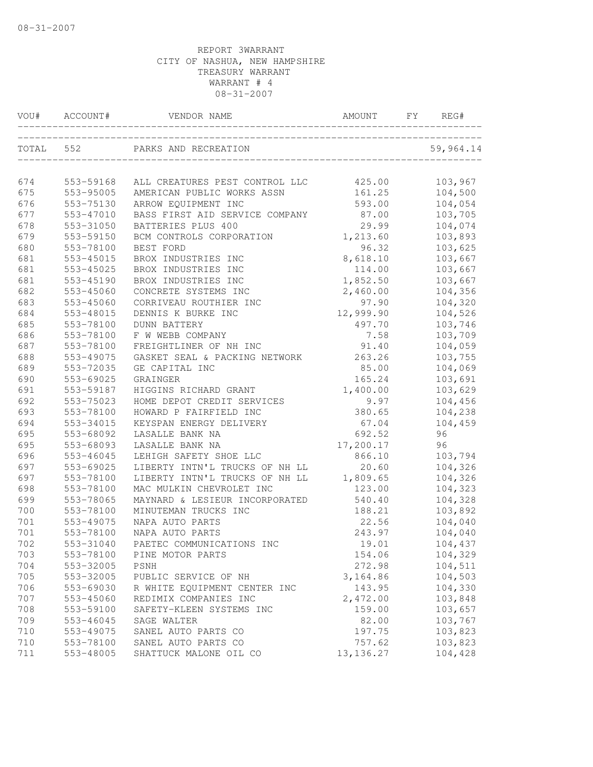| VOU# | ACCOUNT#  | VENDOR NAME                                          | AMOUNT     | FY | REG#      |
|------|-----------|------------------------------------------------------|------------|----|-----------|
|      | TOTAL 552 | PARKS AND RECREATION<br>____________________________ |            |    | 59,964.14 |
| 674  | 553-59168 | ALL CREATURES PEST CONTROL LLC                       | 425.00     |    | 103,967   |
| 675  | 553-95005 | AMERICAN PUBLIC WORKS ASSN                           | 161.25     |    | 104,500   |
| 676  | 553-75130 | ARROW EQUIPMENT INC                                  | 593.00     |    | 104,054   |
| 677  | 553-47010 | BASS FIRST AID SERVICE COMPANY                       | 87.00      |    | 103,705   |
| 678  | 553-31050 | BATTERIES PLUS 400                                   | 29.99      |    | 104,074   |
| 679  | 553-59150 | BCM CONTROLS CORPORATION                             | 1,213.60   |    | 103,893   |
| 680  | 553-78100 | BEST FORD                                            | 96.32      |    | 103,625   |
| 681  | 553-45015 | BROX INDUSTRIES INC                                  | 8,618.10   |    | 103,667   |
| 681  | 553-45025 | BROX INDUSTRIES INC                                  | 114.00     |    | 103,667   |
| 681  | 553-45190 | BROX INDUSTRIES INC                                  | 1,852.50   |    | 103,667   |
| 682  | 553-45060 | CONCRETE SYSTEMS INC                                 | 2,460.00   |    | 104,356   |
| 683  | 553-45060 | CORRIVEAU ROUTHIER INC                               | 97.90      |    | 104,320   |
| 684  | 553-48015 | DENNIS K BURKE INC                                   | 12,999.90  |    | 104,526   |
| 685  | 553-78100 | <b>DUNN BATTERY</b>                                  | 497.70     |    | 103,746   |
| 686  | 553-78100 | F W WEBB COMPANY                                     | 7.58       |    | 103,709   |
| 687  | 553-78100 | FREIGHTLINER OF NH INC                               | 91.40      |    | 104,059   |
| 688  | 553-49075 | GASKET SEAL & PACKING NETWORK                        | 263.26     |    | 103,755   |
| 689  | 553-72035 | GE CAPITAL INC                                       | 85.00      |    | 104,069   |
| 690  | 553-69025 | GRAINGER                                             | 165.24     |    | 103,691   |
| 691  | 553-59187 | HIGGINS RICHARD GRANT                                | 1,400.00   |    | 103,629   |
| 692  | 553-75023 | HOME DEPOT CREDIT SERVICES                           | 9.97       |    | 104,456   |
| 693  | 553-78100 | HOWARD P FAIRFIELD INC                               | 380.65     |    | 104,238   |
| 694  | 553-34015 | KEYSPAN ENERGY DELIVERY                              | 67.04      |    | 104,459   |
| 695  | 553-68092 | LASALLE BANK NA                                      | 692.52     |    | 96        |
| 695  | 553-68093 | LASALLE BANK NA                                      | 17,200.17  |    | 96        |
| 696  | 553-46045 | LEHIGH SAFETY SHOE LLC                               | 866.10     |    | 103,794   |
| 697  | 553-69025 | LIBERTY INTN'L TRUCKS OF NH LL                       | 20.60      |    | 104,326   |
| 697  | 553-78100 | LIBERTY INTN'L TRUCKS OF NH LL                       | 1,809.65   |    | 104,326   |
| 698  | 553-78100 | MAC MULKIN CHEVROLET INC                             | 123.00     |    | 104,323   |
| 699  | 553-78065 | MAYNARD & LESIEUR INCORPORATED                       | 540.40     |    | 104,328   |
| 700  | 553-78100 | MINUTEMAN TRUCKS INC                                 | 188.21     |    | 103,892   |
| 701  | 553-49075 | NAPA AUTO PARTS                                      | 22.56      |    | 104,040   |
| 701  | 553-78100 | NAPA AUTO PARTS                                      | 243.97     |    | 104,040   |
| 702  | 553-31040 | PAETEC COMMUNICATIONS INC                            | 19.01      |    | 104,437   |
| 703  | 553-78100 | PINE MOTOR PARTS                                     | 154.06     |    | 104,329   |
| 704  | 553-32005 | PSNH                                                 | 272.98     |    | 104,511   |
| 705  | 553-32005 | PUBLIC SERVICE OF NH                                 | 3,164.86   |    | 104,503   |
| 706  | 553-69030 | R WHITE EQUIPMENT CENTER INC                         | 143.95     |    | 104,330   |
| 707  | 553-45060 | REDIMIX COMPANIES INC                                | 2,472.00   |    | 103,848   |
| 708  | 553-59100 | SAFETY-KLEEN SYSTEMS INC                             | 159.00     |    | 103,657   |
| 709  | 553-46045 | SAGE WALTER                                          | 82.00      |    | 103,767   |
| 710  | 553-49075 | SANEL AUTO PARTS CO                                  | 197.75     |    | 103,823   |
| 710  | 553-78100 | SANEL AUTO PARTS CO                                  | 757.62     |    | 103,823   |
| 711  | 553-48005 | SHATTUCK MALONE OIL CO                               | 13, 136.27 |    | 104,428   |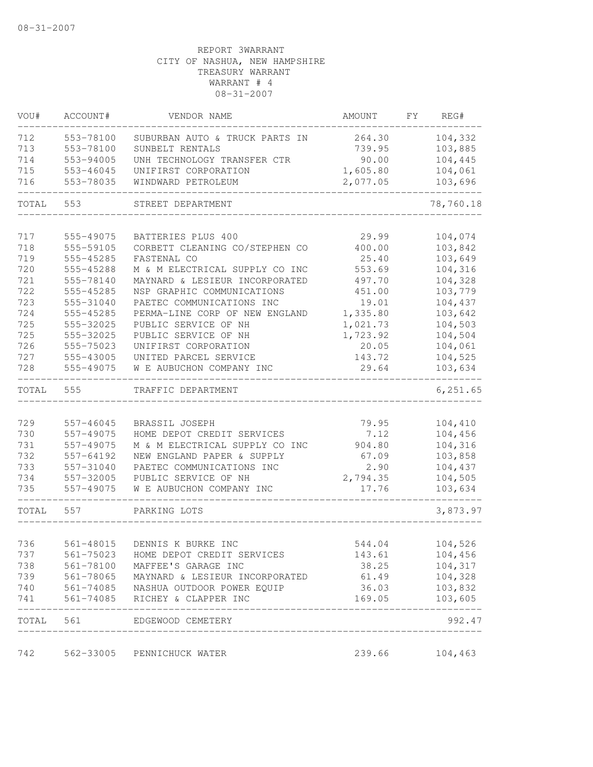| VOU#  | ACCOUNT#  | VENDOR NAME                              | AMOUNT   | FY. | REG#      |
|-------|-----------|------------------------------------------|----------|-----|-----------|
| 712   | 553-78100 | SUBURBAN AUTO & TRUCK PARTS IN           | 264.30   |     | 104,332   |
| 713   | 553-78100 | SUNBELT RENTALS                          | 739.95   |     | 103,885   |
| 714   | 553-94005 | UNH TECHNOLOGY TRANSFER CTR              | 90.00    |     | 104,445   |
| 715   | 553-46045 | UNIFIRST CORPORATION                     | 1,605.80 |     | 104,061   |
| 716   | 553-78035 | WINDWARD PETROLEUM                       | 2,077.05 |     | 103,696   |
| TOTAL | 553       | STREET DEPARTMENT                        |          |     | 78,760.18 |
| 717   | 555-49075 | BATTERIES PLUS 400                       | 29.99    |     | 104,074   |
| 718   | 555-59105 | CORBETT CLEANING CO/STEPHEN CO           | 400.00   |     | 103,842   |
| 719   | 555-45285 | FASTENAL CO                              | 25.40    |     | 103,649   |
| 720   | 555-45288 | M & M ELECTRICAL SUPPLY CO INC           | 553.69   |     | 104,316   |
| 721   | 555-78140 | MAYNARD & LESIEUR INCORPORATED           | 497.70   |     | 104,328   |
| 722   | 555-45285 | NSP GRAPHIC COMMUNICATIONS               | 451.00   |     | 103,779   |
| 723   | 555-31040 | PAETEC COMMUNICATIONS INC                | 19.01    |     | 104,437   |
| 724   | 555-45285 | PERMA-LINE CORP OF NEW ENGLAND           | 1,335.80 |     | 103,642   |
| 725   | 555-32025 | PUBLIC SERVICE OF NH                     | 1,021.73 |     | 104,503   |
| 725   | 555-32025 | PUBLIC SERVICE OF NH                     | 1,723.92 |     | 104,504   |
| 726   | 555-75023 | UNIFIRST CORPORATION                     | 20.05    |     | 104,061   |
| 727   | 555-43005 | UNITED PARCEL SERVICE                    | 143.72   |     | 104,525   |
| 728   | 555-49075 | W E AUBUCHON COMPANY INC                 | 29.64    |     | 103,634   |
| TOTAL | 555       | TRAFFIC DEPARTMENT                       |          |     | 6, 251.65 |
|       |           |                                          |          |     |           |
| 729   | 557-46045 | BRASSIL JOSEPH                           | 79.95    |     | 104,410   |
| 730   | 557-49075 | HOME DEPOT CREDIT SERVICES               | 7.12     |     | 104,456   |
| 731   | 557-49075 | M & M ELECTRICAL SUPPLY CO INC           | 904.80   |     | 104,316   |
| 732   | 557-64192 | NEW ENGLAND PAPER & SUPPLY               | 67.09    |     | 103,858   |
| 733   | 557-31040 | PAETEC COMMUNICATIONS INC                | 2.90     |     | 104,437   |
| 734   | 557-32005 | PUBLIC SERVICE OF NH                     | 2,794.35 |     | 104,505   |
| 735   | 557-49075 | W E AUBUCHON COMPANY INC                 | 17.76    |     | 103,634   |
| TOTAL | 557       | PARKING LOTS                             |          |     | 3,873.97  |
| 736   | 561-48015 | DENNIS K BURKE INC                       | 544.04   |     | 104,526   |
| 737   | 561-75023 | HOME DEPOT CREDIT SERVICES               | 143.61   |     | 104,456   |
| 738   | 561-78100 | MAFFEE'S GARAGE INC                      | 38.25    |     | 104,317   |
| 739   |           | 561-78065 MAYNARD & LESIEUR INCORPORATED | 61.49    |     | 104,328   |
| 740   |           | 561-74085   NASHUA OUTDOOR POWER EQUIP   | 36.03    |     | 103,832   |
| 741   |           | 561-74085 RICHEY & CLAPPER INC           | 169.05   |     | 103,605   |
| TOTAL |           | 561 EDGEWOOD CEMETERY                    |          |     | 992.47    |
| 742   | 562-33005 | PENNICHUCK WATER                         | 239.66   |     | 104,463   |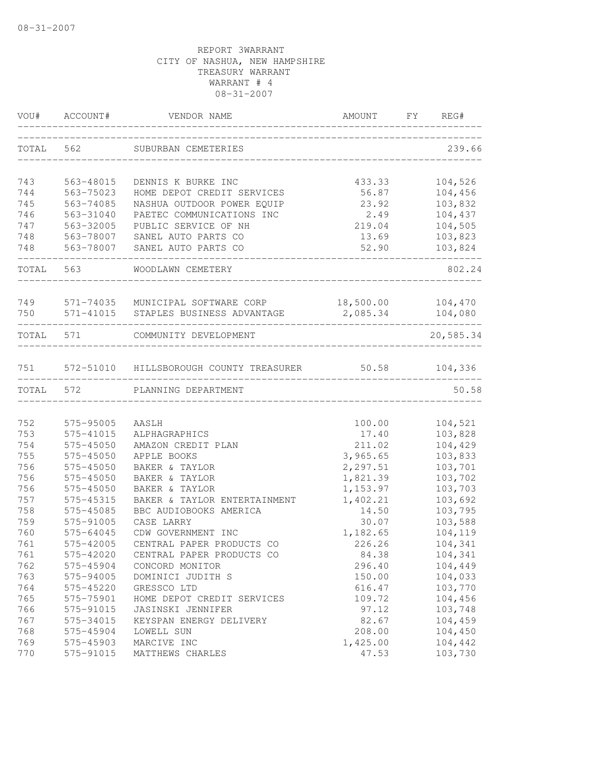| VOU#      | ACCOUNT#      | VENDOR NAME                             | AMOUNT    | FY | REG#      |
|-----------|---------------|-----------------------------------------|-----------|----|-----------|
| TOTAL     | 562           | SUBURBAN CEMETERIES                     |           |    | 239.66    |
| 743       | 563-48015     | DENNIS K BURKE INC                      | 433.33    |    | 104,526   |
| 744       | 563-75023     | HOME DEPOT CREDIT SERVICES              | 56.87     |    | 104,456   |
| 745       | 563-74085     | NASHUA OUTDOOR POWER EQUIP              | 23.92     |    | 103,832   |
| 746       | 563-31040     | PAETEC COMMUNICATIONS INC               | 2.49      |    | 104,437   |
| 747       | 563-32005     | PUBLIC SERVICE OF NH                    | 219.04    |    | 104,505   |
| 748       | 563-78007     | SANEL AUTO PARTS CO                     | 13.69     |    | 103,823   |
| 748       | 563-78007     | SANEL AUTO PARTS CO                     | 52.90     |    | 103,824   |
| TOTAL     | 563           | WOODLAWN CEMETERY                       |           |    | 802.24    |
| 749       | 571-74035     | MUNICIPAL SOFTWARE CORP                 | 18,500.00 |    | 104,470   |
| 750       |               | 571-41015 STAPLES BUSINESS ADVANTAGE    | 2,085.34  |    | 104,080   |
| TOTAL 571 |               | COMMUNITY DEVELOPMENT                   |           |    | 20,585.34 |
| 751       |               | 572-51010 HILLSBOROUGH COUNTY TREASURER | 50.58     |    | 104,336   |
| TOTAL     | 572           | PLANNING DEPARTMENT                     |           |    | 50.58     |
|           |               |                                         |           |    |           |
| 752       | 575-95005     | AASLH                                   | 100.00    |    | 104,521   |
| 753       | 575-41015     | ALPHAGRAPHICS                           | 17.40     |    | 103,828   |
| 754       | 575-45050     | AMAZON CREDIT PLAN                      | 211.02    |    | 104,429   |
| 755       | $575 - 45050$ | APPLE BOOKS                             | 3,965.65  |    | 103,833   |
| 756       | 575-45050     | BAKER & TAYLOR                          | 2,297.51  |    | 103,701   |
| 756       | 575-45050     | BAKER & TAYLOR                          | 1,821.39  |    | 103,702   |
| 756       | 575-45050     | BAKER & TAYLOR                          | 1,153.97  |    | 103,703   |
| 757       | 575-45315     | BAKER & TAYLOR ENTERTAINMENT            | 1,402.21  |    | 103,692   |
| 758       | 575-45085     | BBC AUDIOBOOKS AMERICA                  | 14.50     |    | 103,795   |
| 759       | 575-91005     | CASE LARRY                              | 30.07     |    | 103,588   |
| 760       | 575-64045     | CDW GOVERNMENT INC                      | 1,182.65  |    | 104,119   |
| 761       | 575-42005     | CENTRAL PAPER PRODUCTS CO               | 226.26    |    | 104,341   |
| 761       | 575-42020     | CENTRAL PAPER PRODUCTS CO               | 84.38     |    | 104,341   |
| 762       | 575-45904     | CONCORD MONITOR                         | 296.40    |    | 104,449   |
| 763       | 575-94005     | DOMINICI JUDITH S                       | 150.00    |    | 104,033   |
| 764       | 575-45220     | GRESSCO LTD                             | 616.47    |    | 103,770   |
| 765       | 575-75901     | HOME DEPOT CREDIT SERVICES              | 109.72    |    | 104,456   |
| 766       | 575-91015     | JASINSKI JENNIFER                       | 97.12     |    | 103,748   |
| 767       | 575-34015     | KEYSPAN ENERGY DELIVERY                 | 82.67     |    | 104,459   |
| 768       | 575-45904     | LOWELL SUN                              | 208.00    |    | 104,450   |
| 769       | 575-45903     | MARCIVE INC                             | 1,425.00  |    | 104,442   |
| 770       | 575-91015     | MATTHEWS CHARLES                        | 47.53     |    | 103,730   |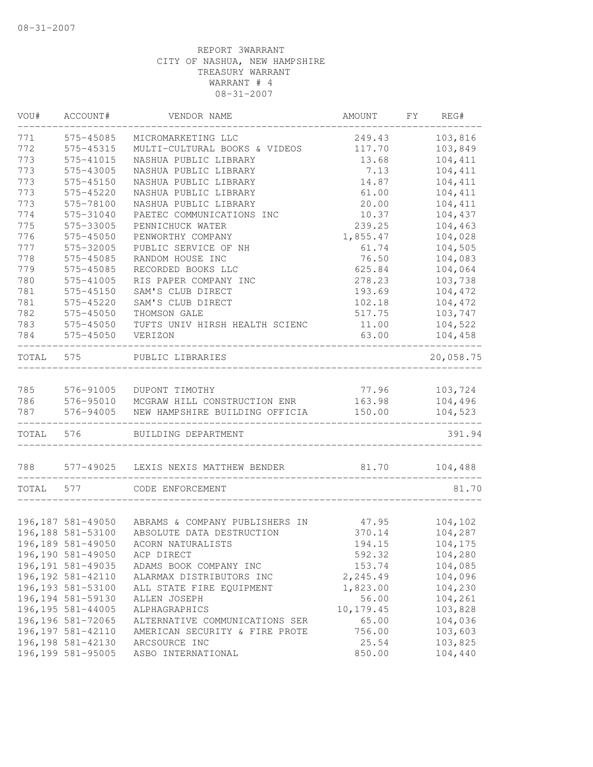| VOU#  | ACCOUNT#           | VENDOR NAME                    | AMOUNT    | FΥ | REG#      |
|-------|--------------------|--------------------------------|-----------|----|-----------|
| 771   | 575-45085          | MICROMARKETING LLC             | 249.43    |    | 103,816   |
| 772   | 575-45315          | MULTI-CULTURAL BOOKS & VIDEOS  | 117.70    |    | 103,849   |
| 773   | 575-41015          | NASHUA PUBLIC LIBRARY          | 13.68     |    | 104,411   |
| 773   | 575-43005          | NASHUA PUBLIC LIBRARY          | 7.13      |    | 104,411   |
| 773   | 575-45150          | NASHUA PUBLIC LIBRARY          | 14.87     |    | 104,411   |
| 773   | 575-45220          | NASHUA PUBLIC LIBRARY          | 61.00     |    | 104,411   |
| 773   | 575-78100          | NASHUA PUBLIC LIBRARY          | 20.00     |    | 104,411   |
| 774   | 575-31040          | PAETEC COMMUNICATIONS INC      | 10.37     |    | 104,437   |
| 775   | 575-33005          | PENNICHUCK WATER               | 239.25    |    | 104,463   |
| 776   | 575-45050          | PENWORTHY COMPANY              | 1,855.47  |    | 104,028   |
| 777   | 575-32005          | PUBLIC SERVICE OF NH           | 61.74     |    | 104,505   |
| 778   | 575-45085          | RANDOM HOUSE INC               | 76.50     |    | 104,083   |
| 779   | 575-45085          | RECORDED BOOKS LLC             | 625.84    |    | 104,064   |
| 780   | 575-41005          | RIS PAPER COMPANY INC          | 278.23    |    | 103,738   |
| 781   | 575-45150          | SAM'S CLUB DIRECT              | 193.69    |    | 104,472   |
| 781   | 575-45220          | SAM'S CLUB DIRECT              | 102.18    |    | 104,472   |
| 782   | 575-45050          | THOMSON GALE                   | 517.75    |    | 103,747   |
| 783   | 575-45050          | TUFTS UNIV HIRSH HEALTH SCIENC | 11.00     |    | 104,522   |
| 784   | 575-45050          | VERIZON                        | 63.00     |    | 104,458   |
| TOTAL | 575                | PUBLIC LIBRARIES               |           |    | 20,058.75 |
|       |                    |                                |           |    |           |
| 785   | 576-91005          | DUPONT TIMOTHY                 | 77.96     |    | 103,724   |
| 786   | 576-95010          | MCGRAW HILL CONSTRUCTION ENR   | 163.98    |    | 104,496   |
| 787   | 576-94005          | NEW HAMPSHIRE BUILDING OFFICIA | 150.00    |    | 104,523   |
| TOTAL | 576                | BUILDING DEPARTMENT            |           |    | 391.94    |
| 788   | 577-49025          | LEXIS NEXIS MATTHEW BENDER     | 81.70     |    | 104,488   |
| TOTAL | 577                | CODE ENFORCEMENT               |           |    | 81.70     |
|       |                    |                                |           |    |           |
|       | 196,187 581-49050  | ABRAMS & COMPANY PUBLISHERS IN | 47.95     |    | 104,102   |
|       | 196,188 581-53100  | ABSOLUTE DATA DESTRUCTION      | 370.14    |    | 104,287   |
|       | 196,189 581-49050  | ACORN NATURALISTS              | 194.15    |    | 104,175   |
|       | 196,190 581-49050  | ACP DIRECT                     | 592.32    |    | 104,280   |
|       | 196, 191 581-49035 | ADAMS BOOK COMPANY INC         | 153.74    |    | 104,085   |
|       | 196, 192 581-42110 | ALARMAX DISTRIBUTORS INC       | 2,245.49  |    | 104,096   |
|       | 196, 193 581-53100 | ALL STATE FIRE EQUIPMENT       | 1,823.00  |    | 104,230   |
|       | 196, 194 581-59130 | ALLEN JOSEPH                   | 56.00     |    | 104,261   |
|       | 196, 195 581-44005 | ALPHAGRAPHICS                  | 10,179.45 |    | 103,828   |
|       | 196,196 581-72065  | ALTERNATIVE COMMUNICATIONS SER | 65.00     |    | 104,036   |
|       | 196, 197 581-42110 | AMERICAN SECURITY & FIRE PROTE | 756.00    |    | 103,603   |
|       | 196, 198 581-42130 | ARCSOURCE INC                  | 25.54     |    | 103,825   |
|       | 196,199 581-95005  | ASBO INTERNATIONAL             | 850.00    |    | 104,440   |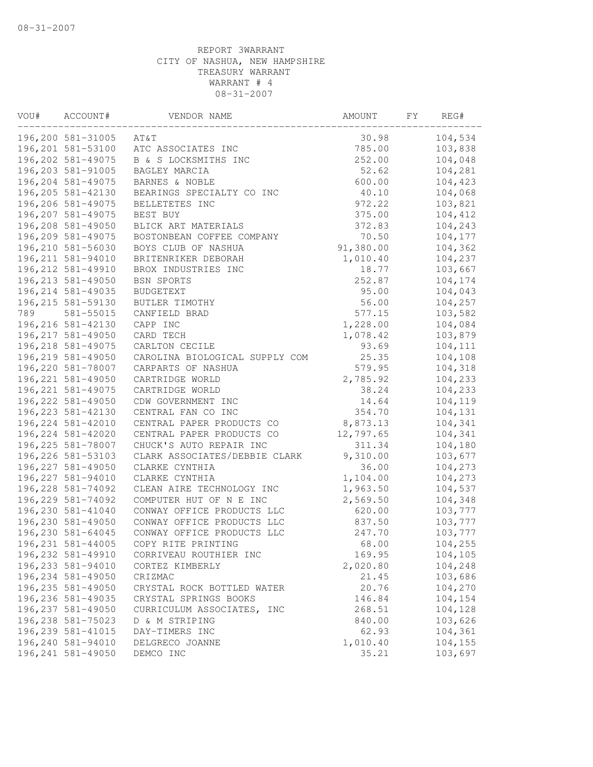| ACCOUNT#           | VENDOR NAME                                                                                                                                                                                                                                                                                                                                                                                | AMOUNT                                                                                                                                                            | FΥ                                                                                                                   | REG#    |
|--------------------|--------------------------------------------------------------------------------------------------------------------------------------------------------------------------------------------------------------------------------------------------------------------------------------------------------------------------------------------------------------------------------------------|-------------------------------------------------------------------------------------------------------------------------------------------------------------------|----------------------------------------------------------------------------------------------------------------------|---------|
| 196,200 581-31005  | AT&T                                                                                                                                                                                                                                                                                                                                                                                       | 30.98                                                                                                                                                             |                                                                                                                      | 104,534 |
| 196,201 581-53100  | ATC ASSOCIATES INC                                                                                                                                                                                                                                                                                                                                                                         | 785.00                                                                                                                                                            |                                                                                                                      | 103,838 |
| 196,202 581-49075  | B & S LOCKSMITHS INC                                                                                                                                                                                                                                                                                                                                                                       | 252.00                                                                                                                                                            |                                                                                                                      | 104,048 |
| 196,203 581-91005  | BAGLEY MARCIA                                                                                                                                                                                                                                                                                                                                                                              | 52.62                                                                                                                                                             |                                                                                                                      | 104,281 |
| 196,204 581-49075  | BARNES & NOBLE                                                                                                                                                                                                                                                                                                                                                                             | 600.00                                                                                                                                                            |                                                                                                                      | 104,423 |
| 196,205 581-42130  | BEARINGS SPECIALTY CO INC                                                                                                                                                                                                                                                                                                                                                                  | 40.10                                                                                                                                                             |                                                                                                                      | 104,068 |
|                    | BELLETETES INC                                                                                                                                                                                                                                                                                                                                                                             | 972.22                                                                                                                                                            |                                                                                                                      | 103,821 |
| 196,207 581-49075  | BEST BUY                                                                                                                                                                                                                                                                                                                                                                                   | 375.00                                                                                                                                                            |                                                                                                                      | 104,412 |
| 196,208 581-49050  | BLICK ART MATERIALS                                                                                                                                                                                                                                                                                                                                                                        | 372.83                                                                                                                                                            |                                                                                                                      | 104,243 |
|                    | BOSTONBEAN COFFEE COMPANY                                                                                                                                                                                                                                                                                                                                                                  | 70.50                                                                                                                                                             |                                                                                                                      | 104,177 |
| 196,210 581-56030  | BOYS CLUB OF NASHUA                                                                                                                                                                                                                                                                                                                                                                        | 91,380.00                                                                                                                                                         |                                                                                                                      | 104,362 |
| 196, 211 581-94010 | BRITENRIKER DEBORAH                                                                                                                                                                                                                                                                                                                                                                        | 1,010.40                                                                                                                                                          |                                                                                                                      | 104,237 |
| 196, 212 581-49910 | BROX INDUSTRIES INC                                                                                                                                                                                                                                                                                                                                                                        | 18.77                                                                                                                                                             |                                                                                                                      | 103,667 |
| 196, 213 581-49050 | BSN SPORTS                                                                                                                                                                                                                                                                                                                                                                                 | 252.87                                                                                                                                                            |                                                                                                                      | 104,174 |
| 196, 214 581-49035 | <b>BUDGETEXT</b>                                                                                                                                                                                                                                                                                                                                                                           | 95.00                                                                                                                                                             |                                                                                                                      | 104,043 |
| 196, 215 581-59130 | BUTLER TIMOTHY                                                                                                                                                                                                                                                                                                                                                                             | 56.00                                                                                                                                                             |                                                                                                                      | 104,257 |
| 581-55015          | CANFIELD BRAD                                                                                                                                                                                                                                                                                                                                                                              | 577.15                                                                                                                                                            |                                                                                                                      | 103,582 |
| 196,216 581-42130  | CAPP INC                                                                                                                                                                                                                                                                                                                                                                                   | 1,228.00                                                                                                                                                          |                                                                                                                      | 104,084 |
| 196, 217 581-49050 | CARD TECH                                                                                                                                                                                                                                                                                                                                                                                  | 1,078.42                                                                                                                                                          |                                                                                                                      | 103,879 |
| 196, 218 581-49075 | CARLTON CECILE                                                                                                                                                                                                                                                                                                                                                                             | 93.69                                                                                                                                                             |                                                                                                                      | 104,111 |
| 196,219 581-49050  | CAROLINA BIOLOGICAL SUPPLY COM                                                                                                                                                                                                                                                                                                                                                             | 25.35                                                                                                                                                             |                                                                                                                      | 104,108 |
| 196,220 581-78007  | CARPARTS OF NASHUA                                                                                                                                                                                                                                                                                                                                                                         | 579.95                                                                                                                                                            |                                                                                                                      | 104,318 |
| 196, 221 581-49050 | CARTRIDGE WORLD                                                                                                                                                                                                                                                                                                                                                                            | 2,785.92                                                                                                                                                          |                                                                                                                      | 104,233 |
| 196, 221 581-49075 | CARTRIDGE WORLD                                                                                                                                                                                                                                                                                                                                                                            | 38.24                                                                                                                                                             |                                                                                                                      | 104,233 |
| 196, 222 581-49050 | CDW GOVERNMENT INC                                                                                                                                                                                                                                                                                                                                                                         | 14.64                                                                                                                                                             |                                                                                                                      | 104,119 |
| 196, 223 581-42130 | CENTRAL FAN CO INC                                                                                                                                                                                                                                                                                                                                                                         | 354.70                                                                                                                                                            |                                                                                                                      | 104,131 |
| 196, 224 581-42010 | CENTRAL PAPER PRODUCTS CO                                                                                                                                                                                                                                                                                                                                                                  | 8,873.13                                                                                                                                                          |                                                                                                                      | 104,341 |
|                    | CENTRAL PAPER PRODUCTS CO                                                                                                                                                                                                                                                                                                                                                                  |                                                                                                                                                                   |                                                                                                                      | 104,341 |
| 196, 225 581-78007 | CHUCK'S AUTO REPAIR INC                                                                                                                                                                                                                                                                                                                                                                    | 311.34                                                                                                                                                            |                                                                                                                      | 104,180 |
|                    | CLARK ASSOCIATES/DEBBIE CLARK                                                                                                                                                                                                                                                                                                                                                              |                                                                                                                                                                   |                                                                                                                      | 103,677 |
|                    | CLARKE CYNTHIA                                                                                                                                                                                                                                                                                                                                                                             | 36.00                                                                                                                                                             |                                                                                                                      | 104,273 |
|                    | CLARKE CYNTHIA                                                                                                                                                                                                                                                                                                                                                                             |                                                                                                                                                                   |                                                                                                                      | 104,273 |
|                    |                                                                                                                                                                                                                                                                                                                                                                                            |                                                                                                                                                                   |                                                                                                                      | 104,537 |
|                    |                                                                                                                                                                                                                                                                                                                                                                                            |                                                                                                                                                                   |                                                                                                                      | 104,348 |
|                    |                                                                                                                                                                                                                                                                                                                                                                                            |                                                                                                                                                                   |                                                                                                                      | 103,777 |
|                    |                                                                                                                                                                                                                                                                                                                                                                                            | 837.50                                                                                                                                                            |                                                                                                                      | 103,777 |
|                    |                                                                                                                                                                                                                                                                                                                                                                                            |                                                                                                                                                                   |                                                                                                                      | 103,777 |
|                    | COPY RITE PRINTING                                                                                                                                                                                                                                                                                                                                                                         | 68.00                                                                                                                                                             |                                                                                                                      | 104,255 |
| 196,232 581-49910  | CORRIVEAU ROUTHIER INC                                                                                                                                                                                                                                                                                                                                                                     | 169.95                                                                                                                                                            |                                                                                                                      | 104,105 |
|                    | CORTEZ KIMBERLY                                                                                                                                                                                                                                                                                                                                                                            |                                                                                                                                                                   |                                                                                                                      | 104,248 |
|                    | CRIZMAC                                                                                                                                                                                                                                                                                                                                                                                    |                                                                                                                                                                   |                                                                                                                      | 103,686 |
|                    | CRYSTAL ROCK BOTTLED WATER                                                                                                                                                                                                                                                                                                                                                                 |                                                                                                                                                                   |                                                                                                                      | 104,270 |
|                    | CRYSTAL SPRINGS BOOKS                                                                                                                                                                                                                                                                                                                                                                      | 146.84                                                                                                                                                            |                                                                                                                      | 104,154 |
| 196,237 581-49050  | CURRICULUM ASSOCIATES, INC                                                                                                                                                                                                                                                                                                                                                                 | 268.51                                                                                                                                                            |                                                                                                                      | 104,128 |
|                    | D & M STRIPING                                                                                                                                                                                                                                                                                                                                                                             | 840.00                                                                                                                                                            |                                                                                                                      | 103,626 |
| 196,239 581-41015  | DAY-TIMERS INC                                                                                                                                                                                                                                                                                                                                                                             | 62.93                                                                                                                                                             |                                                                                                                      | 104,361 |
| 196,240 581-94010  |                                                                                                                                                                                                                                                                                                                                                                                            | 1,010.40                                                                                                                                                          |                                                                                                                      | 104,155 |
|                    | DEMCO INC                                                                                                                                                                                                                                                                                                                                                                                  |                                                                                                                                                                   |                                                                                                                      | 103,697 |
|                    | 196,206 581-49075<br>196,209 581-49075<br>196, 224 581-42020<br>196,226 581-53103<br>196, 227 581-49050<br>196, 227 581-94010<br>196, 228 581-74092<br>196,229 581-74092<br>196,230 581-41040<br>196,230 581-49050<br>196,230 581-64045<br>196,231 581-44005<br>196,233 581-94010<br>196,234 581-49050<br>196,235 581-49050<br>196,236 581-49035<br>196,238 581-75023<br>196,241 581-49050 | CLEAN AIRE TECHNOLOGY INC<br>COMPUTER HUT OF N E INC<br>CONWAY OFFICE PRODUCTS LLC<br>CONWAY OFFICE PRODUCTS LLC<br>CONWAY OFFICE PRODUCTS LLC<br>DELGRECO JOANNE | 12,797.65<br>9,310.00<br>1,104.00<br>1,963.50<br>2,569.50<br>620.00<br>247.70<br>2,020.80<br>21.45<br>20.76<br>35.21 |         |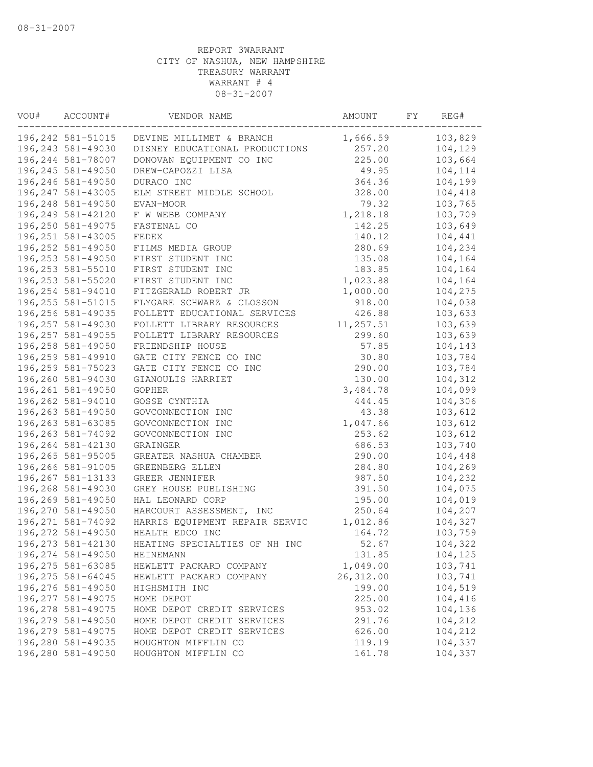| VOU# | ACCOUNT#           | VENDOR NAME                    | AMOUNT     | FΥ | REG#    |
|------|--------------------|--------------------------------|------------|----|---------|
|      | 196, 242 581-51015 | DEVINE MILLIMET & BRANCH       | 1,666.59   |    | 103,829 |
|      | 196, 243 581-49030 | DISNEY EDUCATIONAL PRODUCTIONS | 257.20     |    | 104,129 |
|      | 196, 244 581-78007 | DONOVAN EQUIPMENT CO INC       | 225.00     |    | 103,664 |
|      | 196,245 581-49050  | DREW-CAPOZZI LISA              | 49.95      |    | 104,114 |
|      | 196,246 581-49050  | DURACO INC                     | 364.36     |    | 104,199 |
|      | 196, 247 581-43005 | ELM STREET MIDDLE SCHOOL       | 328.00     |    | 104,418 |
|      | 196,248 581-49050  | EVAN-MOOR                      | 79.32      |    | 103,765 |
|      | 196, 249 581-42120 | F W WEBB COMPANY               | 1,218.18   |    | 103,709 |
|      | 196,250 581-49075  | FASTENAL CO                    | 142.25     |    | 103,649 |
|      | 196, 251 581-43005 | FEDEX                          | 140.12     |    | 104,441 |
|      | 196,252 581-49050  | FILMS MEDIA GROUP              | 280.69     |    | 104,234 |
|      | 196,253 581-49050  | FIRST STUDENT INC              | 135.08     |    | 104,164 |
|      | 196,253 581-55010  | FIRST STUDENT INC              | 183.85     |    | 104,164 |
|      | 196, 253 581-55020 | FIRST STUDENT INC              | 1,023.88   |    | 104,164 |
|      | 196,254 581-94010  | FITZGERALD ROBERT JR           | 1,000.00   |    | 104,275 |
|      | 196, 255 581-51015 | FLYGARE SCHWARZ & CLOSSON      | 918.00     |    | 104,038 |
|      | 196,256 581-49035  | FOLLETT EDUCATIONAL SERVICES   | 426.88     |    | 103,633 |
|      | 196, 257 581-49030 | FOLLETT LIBRARY RESOURCES      | 11,257.51  |    | 103,639 |
|      | 196, 257 581-49055 | FOLLETT LIBRARY RESOURCES      | 299.60     |    | 103,639 |
|      | 196,258 581-49050  | FRIENDSHIP HOUSE               | 57.85      |    | 104,143 |
|      | 196,259 581-49910  | GATE CITY FENCE CO INC         | 30.80      |    | 103,784 |
|      | 196,259 581-75023  | GATE CITY FENCE CO INC         | 290.00     |    | 103,784 |
|      | 196,260 581-94030  | GIANOULIS HARRIET              | 130.00     |    | 104,312 |
|      | 196,261 581-49050  | GOPHER                         | 3,484.78   |    | 104,099 |
|      | 196,262 581-94010  | GOSSE CYNTHIA                  | 444.45     |    | 104,306 |
|      | 196,263 581-49050  | GOVCONNECTION INC              | 43.38      |    | 103,612 |
|      | 196,263 581-63085  | GOVCONNECTION INC              | 1,047.66   |    | 103,612 |
|      | 196, 263 581-74092 | GOVCONNECTION INC              | 253.62     |    | 103,612 |
|      | 196,264 581-42130  | GRAINGER                       | 686.53     |    | 103,740 |
|      | 196,265 581-95005  | GREATER NASHUA CHAMBER         | 290.00     |    | 104,448 |
|      | 196,266 581-91005  | GREENBERG ELLEN                | 284.80     |    | 104,269 |
|      | 196, 267 581-13133 | GREER JENNIFER                 | 987.50     |    | 104,232 |
|      | 196,268 581-49030  | GREY HOUSE PUBLISHING          | 391.50     |    | 104,075 |
|      | 196,269 581-49050  | HAL LEONARD CORP               | 195.00     |    | 104,019 |
|      | 196,270 581-49050  | HARCOURT ASSESSMENT, INC       | 250.64     |    | 104,207 |
|      | 196, 271 581-74092 | HARRIS EQUIPMENT REPAIR SERVIC | 1,012.86   |    | 104,327 |
|      | 196,272 581-49050  | HEALTH EDCO INC                | 164.72     |    | 103,759 |
|      | 196, 273 581-42130 | HEATING SPECIALTIES OF NH INC  | 52.67      |    | 104,322 |
|      | 196,274 581-49050  | HEINEMANN                      | 131.85     |    | 104,125 |
|      | 196,275 581-63085  | HEWLETT PACKARD COMPANY        | 1,049.00   |    | 103,741 |
|      | 196, 275 581-64045 | HEWLETT PACKARD COMPANY        | 26, 312.00 |    | 103,741 |
|      | 196,276 581-49050  | HIGHSMITH INC                  | 199.00     |    | 104,519 |
|      | 196, 277 581-49075 | HOME DEPOT                     | 225.00     |    | 104,416 |
|      | 196,278 581-49075  | HOME DEPOT CREDIT SERVICES     | 953.02     |    | 104,136 |
|      | 196,279 581-49050  | HOME DEPOT CREDIT SERVICES     | 291.76     |    | 104,212 |
|      | 196,279 581-49075  | HOME DEPOT CREDIT SERVICES     | 626.00     |    | 104,212 |
|      | 196,280 581-49035  | HOUGHTON MIFFLIN CO            | 119.19     |    | 104,337 |
|      | 196,280 581-49050  | HOUGHTON MIFFLIN CO            | 161.78     |    | 104,337 |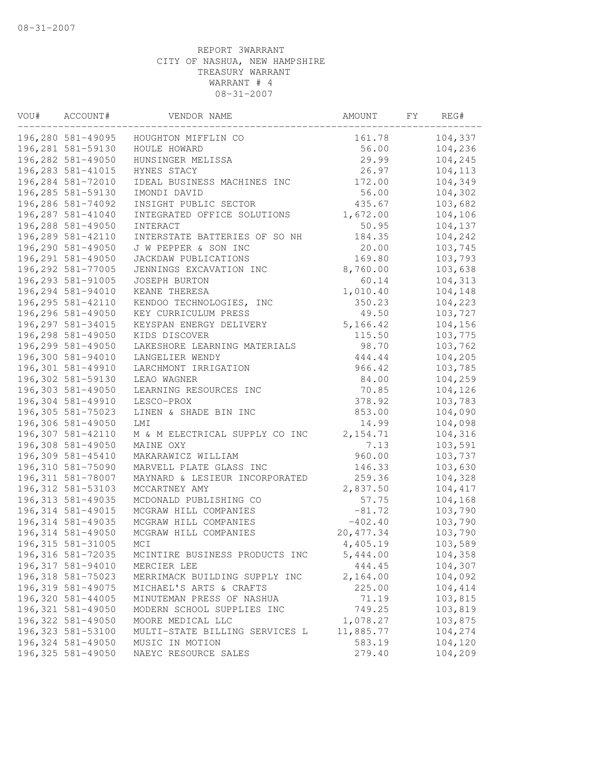| VOU# | ACCOUNT#           | VENDOR NAME                    | AMOUNT     | FY. | REG#    |
|------|--------------------|--------------------------------|------------|-----|---------|
|      | 196,280 581-49095  | HOUGHTON MIFFLIN CO            | 161.78     |     | 104,337 |
|      | 196,281 581-59130  | HOULE HOWARD                   | 56.00      |     | 104,236 |
|      | 196,282 581-49050  | HUNSINGER MELISSA              | 29.99      |     | 104,245 |
|      | 196, 283 581-41015 | HYNES STACY                    | 26.97      |     | 104,113 |
|      | 196,284 581-72010  | IDEAL BUSINESS MACHINES INC    | 172.00     |     | 104,349 |
|      | 196,285 581-59130  | IMONDI DAVID                   | 56.00      |     | 104,302 |
|      | 196,286 581-74092  | INSIGHT PUBLIC SECTOR          | 435.67     |     | 103,682 |
|      | 196,287 581-41040  | INTEGRATED OFFICE SOLUTIONS    | 1,672.00   |     | 104,106 |
|      | 196,288 581-49050  | INTERACT                       | 50.95      |     | 104,137 |
|      | 196,289 581-42110  | INTERSTATE BATTERIES OF SO NH  | 184.35     |     | 104,242 |
|      | 196,290 581-49050  | J W PEPPER & SON INC           | 20.00      |     | 103,745 |
|      | 196,291 581-49050  | JACKDAW PUBLICATIONS           | 169.80     |     | 103,793 |
|      | 196,292 581-77005  | JENNINGS EXCAVATION INC        | 8,760.00   |     | 103,638 |
|      | 196,293 581-91005  | <b>JOSEPH BURTON</b>           | 60.14      |     | 104,313 |
|      | 196,294 581-94010  | KEANE THERESA                  | 1,010.40   |     | 104,148 |
|      | 196,295 581-42110  | KENDOO TECHNOLOGIES, INC       | 350.23     |     | 104,223 |
|      | 196,296 581-49050  | KEY CURRICULUM PRESS           | 49.50      |     | 103,727 |
|      | 196,297 581-34015  | KEYSPAN ENERGY DELIVERY        | 5,166.42   |     | 104,156 |
|      | 196,298 581-49050  | KIDS DISCOVER                  | 115.50     |     | 103,775 |
|      | 196,299 581-49050  | LAKESHORE LEARNING MATERIALS   | 98.70      |     | 103,762 |
|      | 196,300 581-94010  | LANGELIER WENDY                | 444.44     |     | 104,205 |
|      | 196,301 581-49910  | LARCHMONT IRRIGATION           | 966.42     |     | 103,785 |
|      | 196,302 581-59130  | LEAO WAGNER                    | 84.00      |     | 104,259 |
|      | 196,303 581-49050  | LEARNING RESOURCES INC         | 70.85      |     | 104,126 |
|      | 196,304 581-49910  | LESCO-PROX                     | 378.92     |     | 103,783 |
|      | 196,305 581-75023  | LINEN & SHADE BIN INC          | 853.00     |     | 104,090 |
|      | 196,306 581-49050  | LMI                            | 14.99      |     | 104,098 |
|      | 196,307 581-42110  | M & M ELECTRICAL SUPPLY CO INC | 2, 154.71  |     | 104,316 |
|      | 196,308 581-49050  | MAINE OXY                      | 7.13       |     | 103,591 |
|      | 196,309 581-45410  | MAKARAWICZ WILLIAM             | 960.00     |     | 103,737 |
|      | 196,310 581-75090  | MARVELL PLATE GLASS INC        | 146.33     |     | 103,630 |
|      | 196, 311 581-78007 | MAYNARD & LESIEUR INCORPORATED | 259.36     |     | 104,328 |
|      | 196, 312 581-53103 | MCCARTNEY AMY                  | 2,837.50   |     | 104,417 |
|      | 196, 313 581-49035 | MCDONALD PUBLISHING CO         | 57.75      |     | 104,168 |
|      | 196, 314 581-49015 | MCGRAW HILL COMPANIES          | $-81.72$   |     | 103,790 |
|      | 196, 314 581-49035 | MCGRAW HILL COMPANIES          | $-402.40$  |     | 103,790 |
|      | 196, 314 581-49050 | MCGRAW HILL COMPANIES          | 20, 477.34 |     | 103,790 |
|      | 196, 315 581-31005 | MCI                            | 4,405.19   |     | 103,589 |
|      | 196,316 581-72035  | MCINTIRE BUSINESS PRODUCTS INC | 5,444.00   |     | 104,358 |
|      | 196,317 581-94010  | MERCIER LEE                    | 444.45     |     | 104,307 |
|      | 196,318 581-75023  | MERRIMACK BUILDING SUPPLY INC  | 2,164.00   |     | 104,092 |
|      | 196,319 581-49075  | MICHAEL'S ARTS & CRAFTS        | 225.00     |     | 104,414 |
|      | 196,320 581-44005  | MINUTEMAN PRESS OF NASHUA      | 71.19      |     | 103,815 |
|      | 196,321 581-49050  | MODERN SCHOOL SUPPLIES INC     | 749.25     |     | 103,819 |
|      | 196,322 581-49050  | MOORE MEDICAL LLC              | 1,078.27   |     | 103,875 |
|      | 196,323 581-53100  | MULTI-STATE BILLING SERVICES L | 11,885.77  |     | 104,274 |
|      | 196,324 581-49050  | MUSIC IN MOTION                | 583.19     |     | 104,120 |
|      | 196, 325 581-49050 | NAEYC RESOURCE SALES           | 279.40     |     | 104,209 |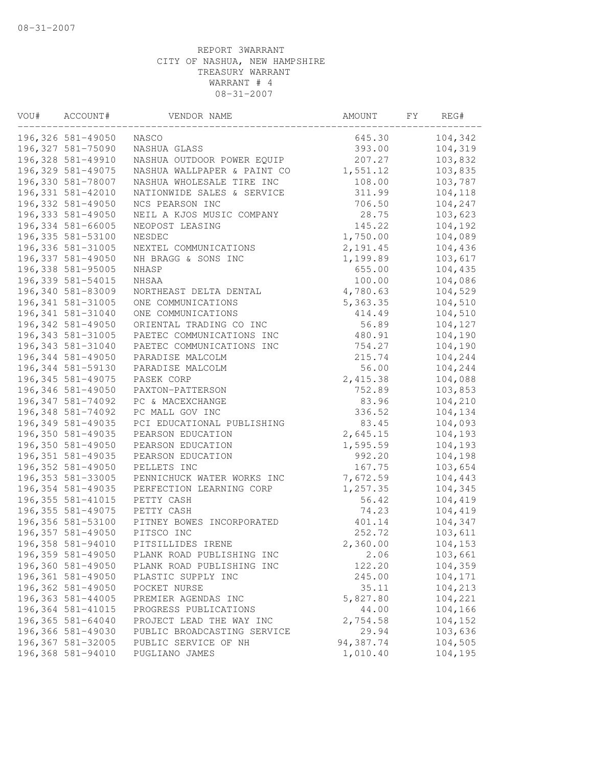| VOU# | ACCOUNT#           | VENDOR NAME                 | AMOUNT    | FΥ | REG#    |
|------|--------------------|-----------------------------|-----------|----|---------|
|      | 196,326 581-49050  | NASCO                       | 645.30    |    | 104,342 |
|      | 196,327 581-75090  | NASHUA GLASS                | 393.00    |    | 104,319 |
|      | 196,328 581-49910  | NASHUA OUTDOOR POWER EQUIP  | 207.27    |    | 103,832 |
|      | 196,329 581-49075  | NASHUA WALLPAPER & PAINT CO | 1,551.12  |    | 103,835 |
|      | 196,330 581-78007  | NASHUA WHOLESALE TIRE INC   | 108.00    |    | 103,787 |
|      | 196,331 581-42010  | NATIONWIDE SALES & SERVICE  | 311.99    |    | 104,118 |
|      | 196,332 581-49050  | NCS PEARSON INC             | 706.50    |    | 104,247 |
|      | 196,333 581-49050  | NEIL A KJOS MUSIC COMPANY   | 28.75     |    | 103,623 |
|      | 196,334 581-66005  | NEOPOST LEASING             | 145.22    |    | 104,192 |
|      | 196,335 581-53100  | NESDEC                      | 1,750.00  |    | 104,089 |
|      | 196,336 581-31005  | NEXTEL COMMUNICATIONS       | 2,191.45  |    | 104,436 |
|      | 196,337 581-49050  | NH BRAGG & SONS INC         | 1,199.89  |    | 103,617 |
|      | 196,338 581-95005  | NHASP                       | 655.00    |    | 104,435 |
|      | 196,339 581-54015  | NHSAA                       | 100.00    |    | 104,086 |
|      | 196,340 581-83009  | NORTHEAST DELTA DENTAL      | 4,780.63  |    | 104,529 |
|      | 196, 341 581-31005 | ONE COMMUNICATIONS          | 5, 363.35 |    | 104,510 |
|      | 196,341 581-31040  | ONE COMMUNICATIONS          | 414.49    |    | 104,510 |
|      | 196,342 581-49050  | ORIENTAL TRADING CO INC     | 56.89     |    | 104,127 |
|      | 196, 343 581-31005 | PAETEC COMMUNICATIONS INC   | 480.91    |    | 104,190 |
|      | 196,343 581-31040  | PAETEC COMMUNICATIONS INC   | 754.27    |    | 104,190 |
|      | 196,344 581-49050  | PARADISE MALCOLM            | 215.74    |    | 104,244 |
|      | 196,344 581-59130  | PARADISE MALCOLM            | 56.00     |    | 104,244 |
|      | 196, 345 581-49075 | PASEK CORP                  | 2,415.38  |    | 104,088 |
|      | 196,346 581-49050  | PAXTON-PATTERSON            | 752.89    |    | 103,853 |
|      | 196,347 581-74092  | PC & MACEXCHANGE            | 83.96     |    | 104,210 |
|      | 196,348 581-74092  | PC MALL GOV INC             | 336.52    |    | 104,134 |
|      | 196,349 581-49035  | PCI EDUCATIONAL PUBLISHING  | 83.45     |    | 104,093 |
|      | 196,350 581-49035  | PEARSON EDUCATION           | 2,645.15  |    | 104,193 |
|      | 196,350 581-49050  | PEARSON EDUCATION           | 1,595.59  |    | 104,193 |
|      | 196, 351 581-49035 | PEARSON EDUCATION           | 992.20    |    | 104,198 |
|      | 196,352 581-49050  | PELLETS INC                 | 167.75    |    | 103,654 |
|      | 196, 353 581-33005 | PENNICHUCK WATER WORKS INC  | 7,672.59  |    | 104,443 |
|      | 196,354 581-49035  | PERFECTION LEARNING CORP    | 1,257.35  |    | 104,345 |
|      | 196, 355 581-41015 | PETTY CASH                  | 56.42     |    | 104,419 |
|      | 196, 355 581-49075 | PETTY CASH                  | 74.23     |    | 104,419 |
|      | 196,356 581-53100  | PITNEY BOWES INCORPORATED   | 401.14    |    | 104,347 |
|      | 196,357 581-49050  | PITSCO INC                  | 252.72    |    | 103,611 |
|      | 196,358 581-94010  | PITSILLIDES IRENE           | 2,360.00  |    | 104,153 |
|      | 196,359 581-49050  | PLANK ROAD PUBLISHING INC   | 2.06      |    | 103,661 |
|      | 196,360 581-49050  | PLANK ROAD PUBLISHING INC   | 122.20    |    | 104,359 |
|      | 196,361 581-49050  | PLASTIC SUPPLY INC          | 245.00    |    | 104,171 |
|      | 196,362 581-49050  | POCKET NURSE                | 35.11     |    | 104,213 |
|      | 196,363 581-44005  | PREMIER AGENDAS INC         | 5,827.80  |    | 104,221 |
|      | 196,364 581-41015  | PROGRESS PUBLICATIONS       | 44.00     |    | 104,166 |
|      | 196,365 581-64040  | PROJECT LEAD THE WAY INC    | 2,754.58  |    | 104,152 |
|      | 196,366 581-49030  | PUBLIC BROADCASTING SERVICE | 29.94     |    | 103,636 |
|      | 196,367 581-32005  | PUBLIC SERVICE OF NH        | 94,387.74 |    | 104,505 |
|      | 196,368 581-94010  | PUGLIANO JAMES              | 1,010.40  |    | 104,195 |
|      |                    |                             |           |    |         |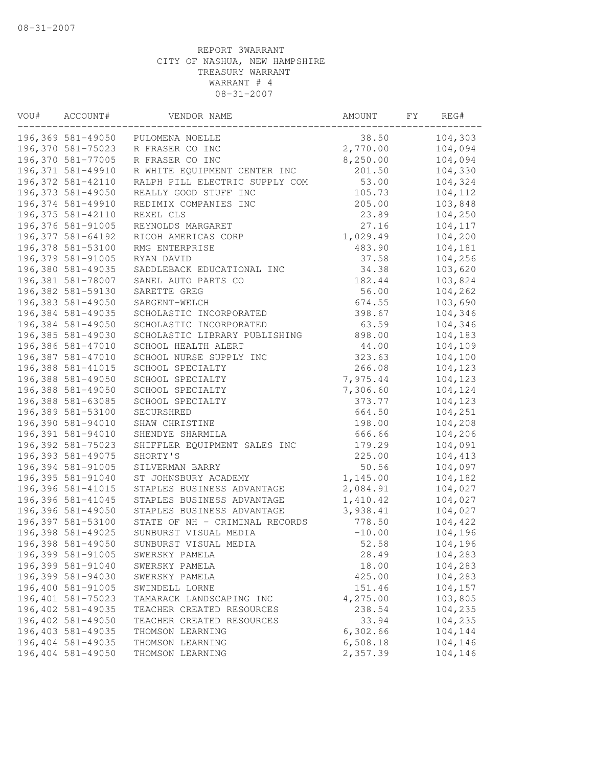| VOU# | ACCOUNT#           | VENDOR NAME                    | AMOUNT   | FY. | REG#    |
|------|--------------------|--------------------------------|----------|-----|---------|
|      | 196,369 581-49050  | PULOMENA NOELLE                | 38.50    |     | 104,303 |
|      | 196,370 581-75023  | R FRASER CO INC                | 2,770.00 |     | 104,094 |
|      | 196,370 581-77005  | R FRASER CO INC                | 8,250.00 |     | 104,094 |
|      | 196,371 581-49910  | R WHITE EQUIPMENT CENTER INC   | 201.50   |     | 104,330 |
|      | 196,372 581-42110  | RALPH PILL ELECTRIC SUPPLY COM | 53.00    |     | 104,324 |
|      | 196,373 581-49050  | REALLY GOOD STUFF INC          | 105.73   |     | 104,112 |
|      | 196,374 581-49910  | REDIMIX COMPANIES INC          | 205.00   |     | 103,848 |
|      | 196, 375 581-42110 | REXEL CLS                      | 23.89    |     | 104,250 |
|      | 196,376 581-91005  | REYNOLDS MARGARET              | 27.16    |     | 104,117 |
|      | 196,377 581-64192  | RICOH AMERICAS CORP            | 1,029.49 |     | 104,200 |
|      | 196,378 581-53100  | RMG ENTERPRISE                 | 483.90   |     | 104,181 |
|      | 196,379 581-91005  | RYAN DAVID                     | 37.58    |     | 104,256 |
|      | 196,380 581-49035  | SADDLEBACK EDUCATIONAL INC     | 34.38    |     | 103,620 |
|      | 196,381 581-78007  | SANEL AUTO PARTS CO            | 182.44   |     | 103,824 |
|      | 196,382 581-59130  | SARETTE GREG                   | 56.00    |     | 104,262 |
|      | 196,383 581-49050  | SARGENT-WELCH                  | 674.55   |     | 103,690 |
|      | 196,384 581-49035  | SCHOLASTIC INCORPORATED        | 398.67   |     | 104,346 |
|      | 196,384 581-49050  | SCHOLASTIC INCORPORATED        | 63.59    |     | 104,346 |
|      | 196,385 581-49030  | SCHOLASTIC LIBRARY PUBLISHING  | 898.00   |     | 104,183 |
|      | 196,386 581-47010  | SCHOOL HEALTH ALERT            | 44.00    |     | 104,109 |
|      | 196,387 581-47010  | SCHOOL NURSE SUPPLY INC        | 323.63   |     | 104,100 |
|      | 196,388 581-41015  | SCHOOL SPECIALTY               | 266.08   |     | 104,123 |
|      | 196,388 581-49050  | SCHOOL SPECIALTY               | 7,975.44 |     | 104,123 |
|      | 196,388 581-49050  | SCHOOL SPECIALTY               | 7,306.60 |     | 104,124 |
|      | 196,388 581-63085  | SCHOOL SPECIALTY               | 373.77   |     | 104,123 |
|      | 196,389 581-53100  | SECURSHRED                     | 664.50   |     | 104,251 |
|      | 196,390 581-94010  | SHAW CHRISTINE                 | 198.00   |     | 104,208 |
|      | 196,391 581-94010  | SHENDYE SHARMILA               | 666.66   |     | 104,206 |
|      | 196,392 581-75023  | SHIFFLER EQUIPMENT SALES INC   | 179.29   |     | 104,091 |
|      | 196,393 581-49075  | SHORTY'S                       | 225.00   |     | 104,413 |
|      | 196,394 581-91005  | SILVERMAN BARRY                | 50.56    |     | 104,097 |
|      | 196,395 581-91040  | ST JOHNSBURY ACADEMY           | 1,145.00 |     | 104,182 |
|      | 196,396 581-41015  | STAPLES BUSINESS ADVANTAGE     | 2,084.91 |     | 104,027 |
|      | 196,396 581-41045  | STAPLES BUSINESS ADVANTAGE     | 1,410.42 |     | 104,027 |
|      | 196,396 581-49050  | STAPLES BUSINESS ADVANTAGE     | 3,938.41 |     | 104,027 |
|      | 196,397 581-53100  | STATE OF NH - CRIMINAL RECORDS | 778.50   |     | 104,422 |
|      | 196,398 581-49025  | SUNBURST VISUAL MEDIA          | $-10.00$ |     | 104,196 |
|      | 196,398 581-49050  | SUNBURST VISUAL MEDIA          | 52.58    |     | 104,196 |
|      | 196,399 581-91005  | SWERSKY PAMELA                 | 28.49    |     | 104,283 |
|      | 196,399 581-91040  | SWERSKY PAMELA                 | 18.00    |     | 104,283 |
|      | 196,399 581-94030  | SWERSKY PAMELA                 | 425.00   |     | 104,283 |
|      | 196,400 581-91005  | SWINDELL LORNE                 | 151.46   |     | 104,157 |
|      | 196,401 581-75023  | TAMARACK LANDSCAPING INC       | 4,275.00 |     | 103,805 |
|      | 196,402 581-49035  | TEACHER CREATED RESOURCES      | 238.54   |     | 104,235 |
|      | 196,402 581-49050  | TEACHER CREATED RESOURCES      | 33.94    |     | 104,235 |
|      | 196,403 581-49035  | THOMSON LEARNING               | 6,302.66 |     | 104,144 |
|      | 196,404 581-49035  | THOMSON LEARNING               | 6,508.18 |     | 104,146 |
|      | 196,404 581-49050  | THOMSON LEARNING               | 2,357.39 |     | 104,146 |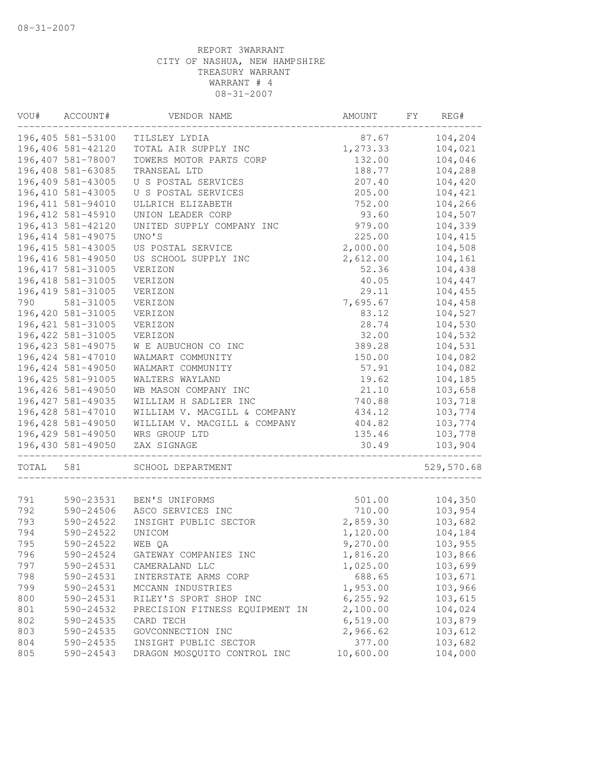| VOU#       | ACCOUNT#               | VENDOR NAME                                              | AMOUNT                | FY | REG#               |
|------------|------------------------|----------------------------------------------------------|-----------------------|----|--------------------|
|            | 196,405 581-53100      | TILSLEY LYDIA                                            | 87.67                 |    | 104,204            |
|            | 196,406 581-42120      | TOTAL AIR SUPPLY INC                                     | 1,273.33              |    | 104,021            |
|            | 196,407 581-78007      | TOWERS MOTOR PARTS CORP                                  | 132.00                |    | 104,046            |
|            | 196,408 581-63085      | TRANSEAL LTD                                             | 188.77                |    | 104,288            |
|            | 196,409 581-43005      | U S POSTAL SERVICES                                      | 207.40                |    | 104,420            |
|            | 196,410 581-43005      | U S POSTAL SERVICES                                      | 205.00                |    | 104,421            |
|            | 196, 411 581-94010     | ULLRICH ELIZABETH                                        | 752.00                |    | 104,266            |
|            | 196, 412 581-45910     | UNION LEADER CORP                                        | 93.60                 |    | 104,507            |
|            | 196, 413 581-42120     | UNITED SUPPLY COMPANY INC                                | 979.00                |    | 104,339            |
|            | 196, 414 581-49075     | UNO'S                                                    | 225.00                |    | 104,415            |
|            | 196, 415 581-43005     | US POSTAL SERVICE                                        | 2,000.00              |    | 104,508            |
|            | 196, 416 581-49050     | US SCHOOL SUPPLY INC                                     | 2,612.00              |    | 104,161            |
|            | 196, 417 581-31005     | VERIZON                                                  | 52.36                 |    | 104,438            |
|            | 196, 418 581-31005     | VERIZON                                                  | 40.05                 |    | 104,447            |
|            | 196, 419 581-31005     | VERIZON                                                  | 29.11                 |    | 104,455            |
| 790        | 581-31005              | VERIZON                                                  | 7,695.67              |    | 104,458            |
|            | 196,420 581-31005      | VERIZON                                                  | 83.12                 |    | 104,527            |
|            | 196, 421 581-31005     | VERIZON                                                  | 28.74                 |    | 104,530            |
|            | 196, 422 581-31005     | VERIZON                                                  | 32.00                 |    | 104,532            |
|            | 196, 423 581-49075     | W E AUBUCHON CO INC                                      | 389.28                |    | 104,531            |
|            | 196, 424 581-47010     | WALMART COMMUNITY                                        | 150.00                |    | 104,082            |
|            | 196, 424 581-49050     | WALMART COMMUNITY                                        | 57.91                 |    | 104,082            |
|            | 196, 425 581-91005     | WALTERS WAYLAND                                          | 19.62                 |    | 104,185            |
|            | 196,426 581-49050      | WB MASON COMPANY INC                                     | 21.10                 |    | 103,658            |
|            | 196, 427 581-49035     | WILLIAM H SADLIER INC                                    | 740.88                |    | 103,718            |
|            | 196, 428 581-47010     | WILLIAM V. MACGILL & COMPANY                             | 434.12                |    | 103,774            |
|            | 196,428 581-49050      | WILLIAM V. MACGILL & COMPANY                             | 404.82                |    | 103,774            |
|            | 196,429 581-49050      | WRS GROUP LTD                                            | 135.46                |    | 103,778            |
|            | 196,430 581-49050      | ZAX SIGNAGE                                              | 30.49                 |    | 103,904            |
| TOTAL      | 581                    | SCHOOL DEPARTMENT                                        |                       |    | 529,570.68         |
|            |                        |                                                          |                       |    |                    |
| 791        | 590-23531              | BEN'S UNIFORMS                                           | 501.00                |    | 104,350            |
| 792        | 590-24506              | ASCO SERVICES INC                                        | 710.00                |    | 103,954            |
| 793        | 590-24522              | INSIGHT PUBLIC SECTOR                                    | 2,859.30              |    | 103,682            |
| 794        | 590-24522              | UNICOM                                                   | 1,120.00              |    | 104,184            |
| 795        | 590-24522              | WEB QA                                                   | 9,270.00              |    | 103,955            |
| 796        | 590-24524              | GATEWAY COMPANIES INC                                    | 1,816.20              |    | 103,866            |
| 797        | 590-24531              | CAMERALAND LLC                                           | 1,025.00<br>688.65    |    | 103,699            |
| 798        | 590-24531              | INTERSTATE ARMS CORP                                     |                       |    | 103,671            |
| 799        | 590-24531              | MCCANN INDUSTRIES                                        | 1,953.00              |    | 103,966            |
| 800<br>801 | 590-24531<br>590-24532 | RILEY'S SPORT SHOP INC<br>PRECISION FITNESS EQUIPMENT IN | 6, 255.92<br>2,100.00 |    | 103,615<br>104,024 |
| 802        |                        |                                                          |                       |    | 103,879            |
| 803        | 590-24535<br>590-24535 | CARD TECH<br>GOVCONNECTION INC                           | 6, 519.00<br>2,966.62 |    | 103,612            |
| 804        | 590-24535              | INSIGHT PUBLIC SECTOR                                    | 377.00                |    | 103,682            |
| 805        | 590-24543              | DRAGON MOSQUITO CONTROL INC                              | 10,600.00             |    | 104,000            |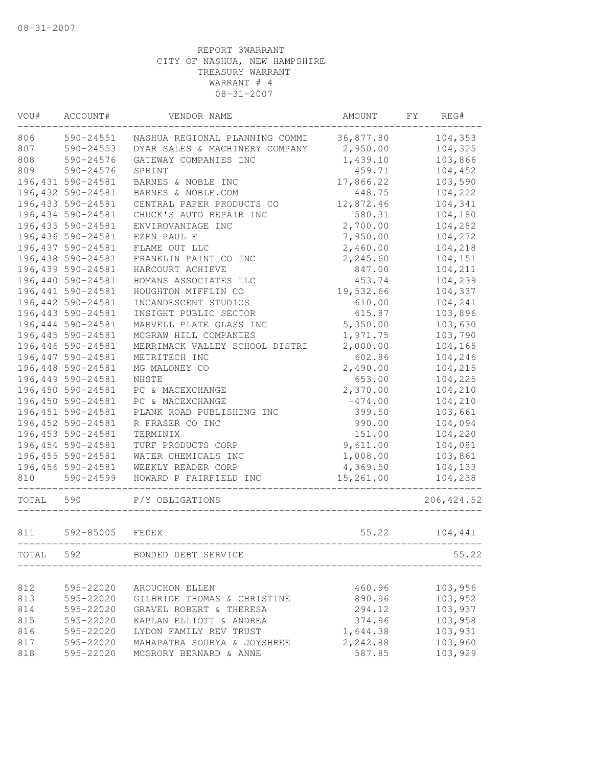| VOU#  | ACCOUNT#           | VENDOR NAME                    | AMOUNT    | FY<br>REG#  |
|-------|--------------------|--------------------------------|-----------|-------------|
| 806   | 590-24551          | NASHUA REGIONAL PLANNING COMMI | 36,877.80 | 104,353     |
| 807   | 590-24553          | DYAR SALES & MACHINERY COMPANY | 2,950.00  | 104,325     |
| 808   | 590-24576          | GATEWAY COMPANIES INC          | 1,439.10  | 103,866     |
| 809   | 590-24576          | SPRINT                         | 459.71    | 104,452     |
|       | 196, 431 590-24581 | BARNES & NOBLE INC             | 17,866.22 | 103,590     |
|       | 196,432 590-24581  | BARNES & NOBLE.COM             | 448.75    | 104,222     |
|       | 196,433 590-24581  | CENTRAL PAPER PRODUCTS CO      | 12,872.46 | 104,341     |
|       | 196,434 590-24581  | CHUCK'S AUTO REPAIR INC        | 580.31    | 104,180     |
|       | 196,435 590-24581  | ENVIROVANTAGE INC              | 2,700.00  | 104,282     |
|       | 196,436 590-24581  | EZEN PAUL F                    | 7,950.00  | 104,272     |
|       | 196,437 590-24581  | FLAME OUT LLC                  | 2,460.00  | 104,218     |
|       | 196,438 590-24581  | FRANKLIN PAINT CO INC          | 2,245.60  | 104,151     |
|       | 196,439 590-24581  | HARCOURT ACHIEVE               | 847.00    | 104,211     |
|       | 196,440 590-24581  | HOMANS ASSOCIATES LLC          | 453.74    | 104,239     |
|       | 196,441 590-24581  | HOUGHTON MIFFLIN CO            | 19,532.66 | 104,337     |
|       | 196,442 590-24581  | INCANDESCENT STUDIOS           | 610.00    | 104,241     |
|       | 196,443 590-24581  | INSIGHT PUBLIC SECTOR          | 615.87    | 103,896     |
|       | 196,444 590-24581  | MARVELL PLATE GLASS INC        | 5,350.00  | 103,630     |
|       | 196,445 590-24581  | MCGRAW HILL COMPANIES          | 1,971.75  | 103,790     |
|       | 196,446 590-24581  | MERRIMACK VALLEY SCHOOL DISTRI | 2,000.00  | 104,165     |
|       | 196,447 590-24581  | METRITECH INC                  | 602.86    | 104,246     |
|       | 196,448 590-24581  | MG MALONEY CO                  | 2,490.00  | 104,215     |
|       | 196,449 590-24581  | NHSTE                          | 653.00    | 104,225     |
|       | 196,450 590-24581  | PC & MACEXCHANGE               | 2,370.00  | 104,210     |
|       | 196,450 590-24581  | PC & MACEXCHANGE               | $-474.00$ | 104,210     |
|       | 196,451 590-24581  | PLANK ROAD PUBLISHING INC      | 399.50    | 103,661     |
|       | 196,452 590-24581  | R FRASER CO INC                | 990.00    | 104,094     |
|       | 196,453 590-24581  | TERMINIX                       | 151.00    | 104,220     |
|       | 196,454 590-24581  | TURF PRODUCTS CORP             | 9,611.00  | 104,081     |
|       | 196,455 590-24581  | WATER CHEMICALS INC            | 1,008.00  | 103,861     |
|       | 196,456 590-24581  | WEEKLY READER CORP             | 4,369.50  | 104,133     |
| 810   | 590-24599          | HOWARD P FAIRFIELD INC         | 15,261.00 | 104,238     |
| TOTAL | 590                | P/Y OBLIGATIONS                |           | 206, 424.52 |
| 811   | 592-85005          | FEDEX                          | 55.22     | 104,441     |
| TOTAL | 592                | BONDED DEBT SERVICE            |           | 55.22       |
|       |                    |                                |           |             |
| 812   | 595-22020          | AROUCHON ELLEN                 | 460.96    | 103,956     |
| 813   | 595-22020          | GILBRIDE THOMAS & CHRISTINE    | 890.96    | 103,952     |
| 814   | 595-22020          | GRAVEL ROBERT & THERESA        | 294.12    | 103,937     |
| 815   | 595-22020          | KAPLAN ELLIOTT & ANDREA        | 374.96    | 103,958     |
| 816   | 595-22020          | LYDON FAMILY REV TRUST         | 1,644.38  | 103,931     |
| 817   | 595-22020          | MAHAPATRA SOURYA & JOYSHREE    | 2,242.88  | 103,960     |
| 818   | 595-22020          | MCGRORY BERNARD & ANNE         | 587.85    | 103,929     |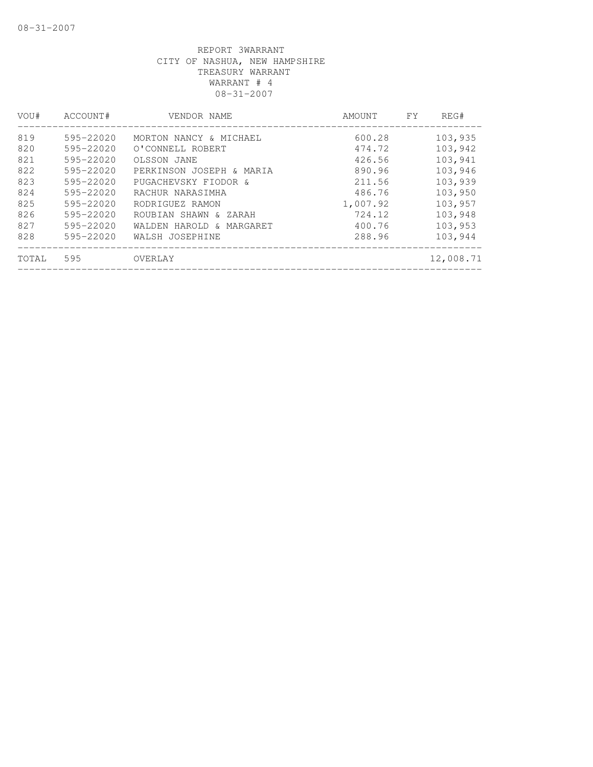| VOU#  | ACCOUNT#      | VENDOR NAME              | AMOUNT   | FY | REG#      |
|-------|---------------|--------------------------|----------|----|-----------|
| 819   | 595-22020     | MORTON NANCY & MICHAEL   | 600.28   |    | 103,935   |
| 820   | 595-22020     | O'CONNELL ROBERT         | 474.72   |    | 103,942   |
| 821   | 595-22020     | OLSSON JANE              | 426.56   |    | 103,941   |
| 822   | 595-22020     | PERKINSON JOSEPH & MARIA | 890.96   |    | 103,946   |
| 823   | 595-22020     | PUGACHEVSKY FIODOR &     | 211.56   |    | 103,939   |
| 824   | $595 - 22020$ | RACHUR NARASIMHA         | 486.76   |    | 103,950   |
| 825   | 595-22020     | RODRIGUEZ RAMON          | 1,007.92 |    | 103,957   |
| 826   | 595-22020     | ROUBIAN SHAWN & ZARAH    | 724.12   |    | 103,948   |
| 827   | 595-22020     | WALDEN HAROLD & MARGARET | 400.76   |    | 103,953   |
| 828   | 595-22020     | WALSH JOSEPHINE          | 288.96   |    | 103,944   |
| TOTAL | 595           | OVERLAY                  |          |    | 12,008.71 |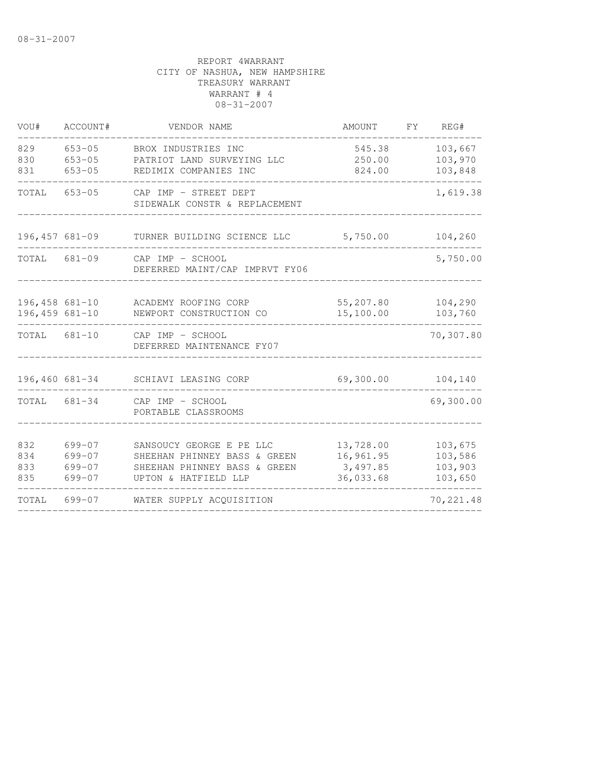| VOU#                              | ACCOUNT#                                         | VENDOR NAME                                                                                                      | AMOUNT                                          | FY | REG#                                     |
|-----------------------------------|--------------------------------------------------|------------------------------------------------------------------------------------------------------------------|-------------------------------------------------|----|------------------------------------------|
| 829<br>830<br>831                 | $653 - 05$<br>$653 - 05$<br>$653 - 05$           | BROX INDUSTRIES INC<br>PATRIOT LAND SURVEYING LLC<br>REDIMIX COMPANIES INC                                       | 545.38<br>250.00<br>824.00                      |    | 103,667<br>103,970<br>103,848            |
| TOTAL                             | $653 - 05$                                       | CAP IMP - STREET DEPT<br>SIDEWALK CONSTR & REPLACEMENT                                                           |                                                 |    | 1,619.38                                 |
|                                   | $196,457$ 681-09                                 | TURNER BUILDING SCIENCE LLC                                                                                      | 5,750.00                                        |    | 104,260                                  |
| TOTAL                             | $681 - 09$                                       | CAP IMP - SCHOOL<br>DEFERRED MAINT/CAP IMPRVT FY06                                                               |                                                 |    | 5,750.00                                 |
| 196,458 681-10<br>$196,459681-10$ |                                                  | ACADEMY ROOFING CORP<br>NEWPORT CONSTRUCTION CO                                                                  | 55,207.80<br>15,100.00                          |    | 104,290<br>103,760                       |
| TOTAL 681-10                      |                                                  | CAP IMP - SCHOOL<br>DEFERRED MAINTENANCE FY07                                                                    |                                                 |    | 70,307.80                                |
| 196,460 681-34                    |                                                  | SCHIAVI LEASING CORP                                                                                             | 69,300.00                                       |    | 104,140                                  |
| TOTAL 681-34                      |                                                  | CAP IMP - SCHOOL<br>PORTABLE CLASSROOMS                                                                          |                                                 |    | 69,300.00                                |
| 832<br>834<br>833<br>835          | $699 - 07$<br>$699 - 07$<br>699-07<br>$699 - 07$ | SANSOUCY GEORGE E PE LLC<br>SHEEHAN PHINNEY BASS & GREEN<br>SHEEHAN PHINNEY BASS & GREEN<br>UPTON & HATFIELD LLP | 13,728.00<br>16,961.95<br>3,497.85<br>36,033.68 |    | 103,675<br>103,586<br>103,903<br>103,650 |
| TOTAL                             | 699-07                                           | WATER SUPPLY ACQUISITION                                                                                         |                                                 |    | 70, 221.48                               |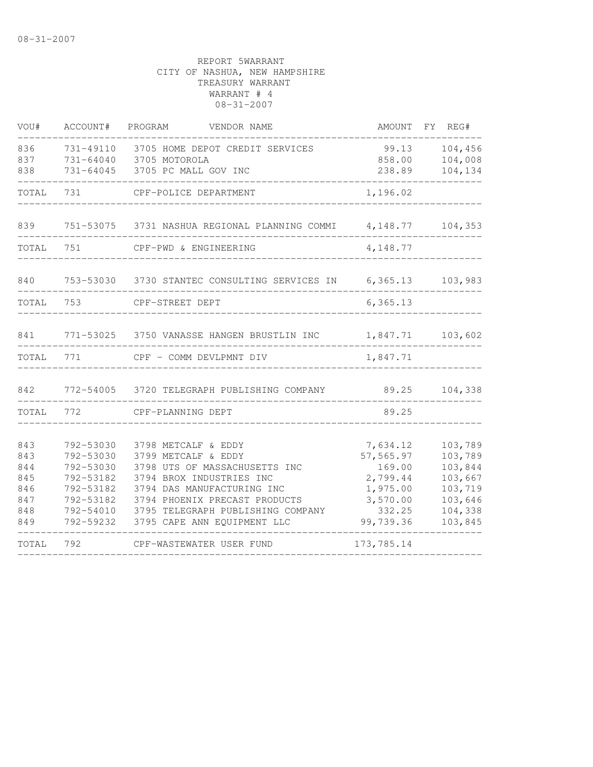| VOU#                                                 | ACCOUNT#                                                                                             | PROGRAM<br>VENDOR NAME                                                                                                                                                                                                                     | AMOUNT FY REG#                                                                             |                                                                                      |
|------------------------------------------------------|------------------------------------------------------------------------------------------------------|--------------------------------------------------------------------------------------------------------------------------------------------------------------------------------------------------------------------------------------------|--------------------------------------------------------------------------------------------|--------------------------------------------------------------------------------------|
| 836<br>837<br>838                                    | 731-49110<br>731-64040<br>731-64045                                                                  | 3705 HOME DEPOT CREDIT SERVICES<br>3705 MOTOROLA<br>3705 PC MALL GOV INC                                                                                                                                                                   | 99.13<br>858.00<br>238.89                                                                  | 104,456<br>104,008<br>104,134                                                        |
| TOTAL                                                | 731                                                                                                  | CPF-POLICE DEPARTMENT                                                                                                                                                                                                                      | 1,196.02                                                                                   |                                                                                      |
| 839                                                  |                                                                                                      | 751-53075 3731 NASHUA REGIONAL PLANNING COMMI                                                                                                                                                                                              | 4,148.77                                                                                   | 104,353                                                                              |
| TOTAL                                                | 751                                                                                                  | CPF-PWD & ENGINEERING                                                                                                                                                                                                                      | 4,148.77                                                                                   |                                                                                      |
| 840                                                  | 753-53030                                                                                            | 3730 STANTEC CONSULTING SERVICES IN 6,365.13                                                                                                                                                                                               |                                                                                            | 103,983                                                                              |
| TOTAL                                                | 753                                                                                                  | CPF-STREET DEPT                                                                                                                                                                                                                            | 6, 365.13                                                                                  |                                                                                      |
| 841                                                  |                                                                                                      | 771-53025 3750 VANASSE HANGEN BRUSTLIN INC                                                                                                                                                                                                 | 1,847.71                                                                                   | 103,602                                                                              |
| TOTAL                                                | 771                                                                                                  | CPF - COMM DEVLPMNT DIV                                                                                                                                                                                                                    | 1,847.71                                                                                   |                                                                                      |
| 842                                                  |                                                                                                      | 772-54005 3720 TELEGRAPH PUBLISHING COMPANY                                                                                                                                                                                                | 89.25                                                                                      | 104,338                                                                              |
| TOTAL                                                | 772                                                                                                  | CPF-PLANNING DEPT                                                                                                                                                                                                                          | 89.25                                                                                      |                                                                                      |
| 843<br>843<br>844<br>845<br>846<br>847<br>848<br>849 | 792-53030<br>792-53030<br>792-53030<br>792-53182<br>792-53182<br>792-53182<br>792-54010<br>792-59232 | 3798 METCALF & EDDY<br>3799 METCALF & EDDY<br>3798 UTS OF MASSACHUSETTS INC<br>3794 BROX INDUSTRIES INC<br>3794 DAS MANUFACTURING INC<br>3794 PHOENIX PRECAST PRODUCTS<br>3795 TELEGRAPH PUBLISHING COMPANY<br>3795 CAPE ANN EQUIPMENT LLC | 7,634.12<br>57,565.97<br>169.00<br>2,799.44<br>1,975.00<br>3,570.00<br>332.25<br>99,739.36 | 103,789<br>103,789<br>103,844<br>103,667<br>103,719<br>103,646<br>104,338<br>103,845 |
| TOTAL                                                | 792                                                                                                  | CPF-WASTEWATER USER FUND                                                                                                                                                                                                                   | 173,785.14                                                                                 |                                                                                      |
|                                                      |                                                                                                      |                                                                                                                                                                                                                                            |                                                                                            |                                                                                      |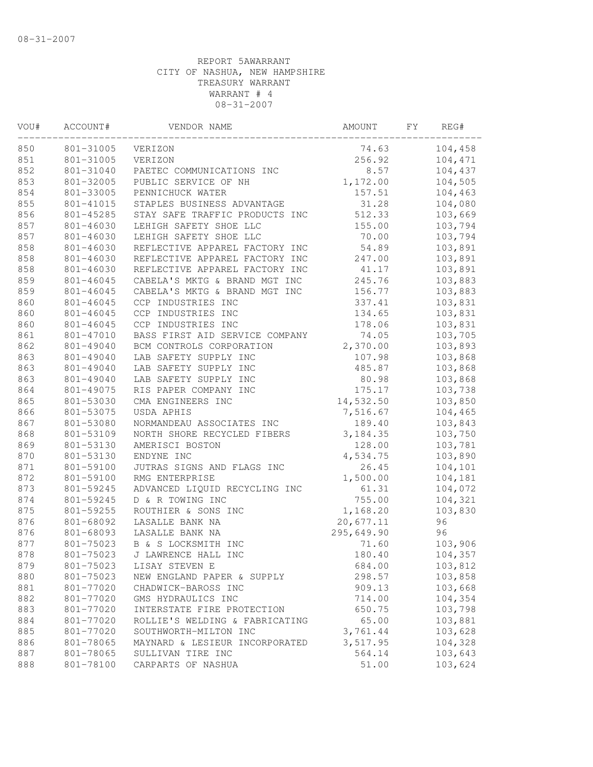| VOU# | ACCOUNT#  | VENDOR NAME                    | AMOUNT     | FΥ | REG#    |
|------|-----------|--------------------------------|------------|----|---------|
| 850  | 801-31005 | VERIZON                        | 74.63      |    | 104,458 |
| 851  | 801-31005 | VERIZON                        | 256.92     |    | 104,471 |
| 852  | 801-31040 | PAETEC COMMUNICATIONS INC      | 8.57       |    | 104,437 |
| 853  | 801-32005 | PUBLIC SERVICE OF NH           | 1,172.00   |    | 104,505 |
| 854  | 801-33005 | PENNICHUCK WATER               | 157.51     |    | 104,463 |
| 855  | 801-41015 | STAPLES BUSINESS ADVANTAGE     | 31.28      |    | 104,080 |
| 856  | 801-45285 | STAY SAFE TRAFFIC PRODUCTS INC | 512.33     |    | 103,669 |
| 857  | 801-46030 | LEHIGH SAFETY SHOE LLC         | 155.00     |    | 103,794 |
| 857  | 801-46030 | LEHIGH SAFETY SHOE LLC         | 70.00      |    | 103,794 |
| 858  | 801-46030 | REFLECTIVE APPAREL FACTORY INC | 54.89      |    | 103,891 |
| 858  | 801-46030 | REFLECTIVE APPAREL FACTORY INC | 247.00     |    | 103,891 |
| 858  | 801-46030 | REFLECTIVE APPAREL FACTORY INC | 41.17      |    | 103,891 |
| 859  | 801-46045 | CABELA'S MKTG & BRAND MGT INC  | 245.76     |    | 103,883 |
| 859  | 801-46045 | CABELA'S MKTG & BRAND MGT INC  | 156.77     |    | 103,883 |
| 860  | 801-46045 | CCP INDUSTRIES INC             | 337.41     |    | 103,831 |
| 860  | 801-46045 | CCP INDUSTRIES INC             | 134.65     |    | 103,831 |
| 860  | 801-46045 | CCP INDUSTRIES INC             | 178.06     |    | 103,831 |
| 861  | 801-47010 | BASS FIRST AID SERVICE COMPANY | 74.05      |    | 103,705 |
| 862  | 801-49040 | BCM CONTROLS CORPORATION       | 2,370.00   |    | 103,893 |
| 863  | 801-49040 | LAB SAFETY SUPPLY INC          | 107.98     |    | 103,868 |
| 863  | 801-49040 | LAB SAFETY SUPPLY INC          | 485.87     |    | 103,868 |
| 863  | 801-49040 | LAB SAFETY SUPPLY INC          | 80.98      |    | 103,868 |
| 864  | 801-49075 | RIS PAPER COMPANY INC          | 175.17     |    | 103,738 |
| 865  | 801-53030 | CMA ENGINEERS INC              | 14,532.50  |    | 103,850 |
| 866  | 801-53075 | USDA APHIS                     | 7,516.67   |    | 104,465 |
| 867  | 801-53080 | NORMANDEAU ASSOCIATES INC      | 189.40     |    | 103,843 |
| 868  | 801-53109 | NORTH SHORE RECYCLED FIBERS    | 3, 184.35  |    | 103,750 |
| 869  | 801-53130 | AMERISCI BOSTON                | 128.00     |    | 103,781 |
| 870  | 801-53130 | ENDYNE INC                     | 4,534.75   |    | 103,890 |
| 871  | 801-59100 | JUTRAS SIGNS AND FLAGS INC     | 26.45      |    | 104,101 |
| 872  | 801-59100 | RMG ENTERPRISE                 | 1,500.00   |    | 104,181 |
| 873  | 801-59245 | ADVANCED LIQUID RECYCLING INC  | 61.31      |    | 104,072 |
| 874  | 801-59245 | D & R TOWING INC               | 755.00     |    | 104,321 |
| 875  | 801-59255 | ROUTHIER & SONS INC            | 1,168.20   |    | 103,830 |
| 876  | 801-68092 | LASALLE BANK NA                | 20,677.11  |    | 96      |
| 876  | 801-68093 | LASALLE BANK NA                | 295,649.90 |    | 96      |
| 877  | 801-75023 | B & S LOCKSMITH INC            | 71.60      |    | 103,906 |
| 878  | 801-75023 | J LAWRENCE HALL INC            | 180.40     |    | 104,357 |
| 879  | 801-75023 | LISAY STEVEN E                 | 684.00     |    | 103,812 |
| 880  | 801-75023 | NEW ENGLAND PAPER & SUPPLY     | 298.57     |    | 103,858 |
| 881  | 801-77020 | CHADWICK-BAROSS INC            | 909.13     |    | 103,668 |
| 882  | 801-77020 | GMS HYDRAULICS INC             | 714.00     |    | 104,354 |
| 883  | 801-77020 | INTERSTATE FIRE PROTECTION     | 650.75     |    | 103,798 |
| 884  | 801-77020 | ROLLIE'S WELDING & FABRICATING | 65.00      |    | 103,881 |
| 885  | 801-77020 | SOUTHWORTH-MILTON INC          | 3,761.44   |    | 103,628 |
| 886  | 801-78065 | MAYNARD & LESIEUR INCORPORATED | 3,517.95   |    | 104,328 |
| 887  | 801-78065 | SULLIVAN TIRE INC              | 564.14     |    | 103,643 |
| 888  | 801-78100 | CARPARTS OF NASHUA             | 51.00      |    | 103,624 |
|      |           |                                |            |    |         |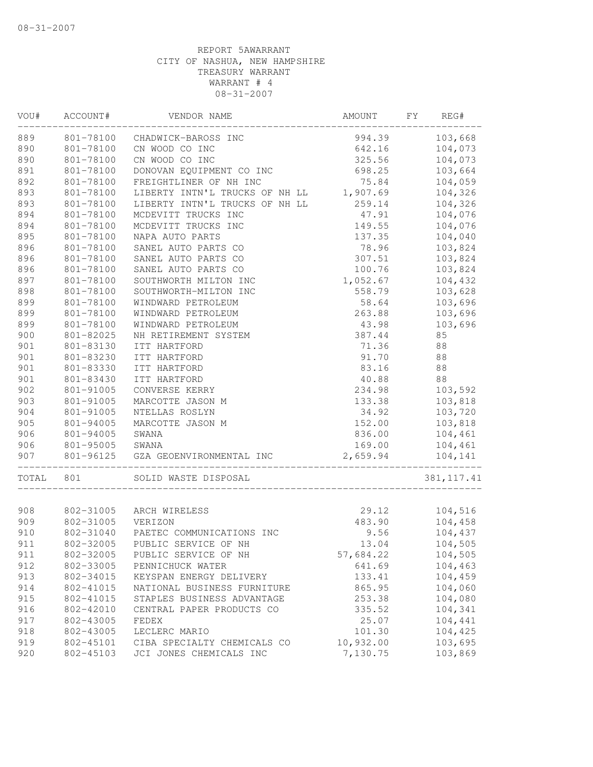| VOU#       | ACCOUNT#               | VENDOR NAME                                            | AMOUNT                | FΥ<br>REG#         |
|------------|------------------------|--------------------------------------------------------|-----------------------|--------------------|
| 889        | 801-78100              | CHADWICK-BAROSS INC                                    | 994.39                | 103,668            |
| 890        | 801-78100              | CN WOOD CO INC                                         | 642.16                | 104,073            |
| 890        | 801-78100              | CN WOOD CO INC                                         | 325.56                | 104,073            |
| 891        | 801-78100              | DONOVAN EQUIPMENT CO INC                               | 698.25                | 103,664            |
| 892        | 801-78100              | FREIGHTLINER OF NH INC                                 | 75.84                 | 104,059            |
| 893        | 801-78100              | LIBERTY INTN'L TRUCKS OF NH LL                         | 1,907.69              | 104,326            |
| 893        | 801-78100              | LIBERTY INTN'L TRUCKS OF NH LL                         | 259.14                | 104,326            |
| 894        | 801-78100              | MCDEVITT TRUCKS INC                                    | 47.91                 | 104,076            |
| 894        | 801-78100              | MCDEVITT TRUCKS INC                                    | 149.55                | 104,076            |
| 895        | 801-78100              | NAPA AUTO PARTS                                        | 137.35                | 104,040            |
| 896        | 801-78100              | SANEL AUTO PARTS CO                                    | 78.96                 | 103,824            |
| 896        | 801-78100              | SANEL AUTO PARTS CO                                    | 307.51                | 103,824            |
| 896        | 801-78100              | SANEL AUTO PARTS CO                                    | 100.76                | 103,824            |
| 897        | 801-78100              | SOUTHWORTH MILTON INC                                  | 1,052.67              | 104,432            |
| 898        | 801-78100              | SOUTHWORTH-MILTON INC                                  | 558.79                | 103,628            |
| 899        | 801-78100              | WINDWARD PETROLEUM                                     | 58.64                 | 103,696            |
| 899        | 801-78100              | WINDWARD PETROLEUM                                     | 263.88                | 103,696            |
| 899        | 801-78100              | WINDWARD PETROLEUM                                     | 43.98                 | 103,696            |
| 900        | 801-82025              | NH RETIREMENT SYSTEM                                   | 387.44                | 85                 |
| 901        | 801-83130              | ITT HARTFORD                                           | 71.36                 | 88                 |
| 901        | 801-83230              | ITT HARTFORD                                           | 91.70                 | 88                 |
| 901        | 801-83330              | ITT HARTFORD                                           | 83.16                 | 88                 |
| 901        | 801-83430              | ITT HARTFORD                                           | 40.88                 | 88                 |
| 902        | 801-91005              | CONVERSE KERRY                                         | 234.98                | 103,592            |
| 903        | 801-91005              | MARCOTTE JASON M                                       | 133.38                | 103,818            |
| 904        | 801-91005              | NTELLAS ROSLYN                                         | 34.92                 | 103,720            |
| 905        | 801-94005              | MARCOTTE JASON M                                       | 152.00                | 103,818            |
| 906        | 801-94005              | SWANA                                                  | 836.00                | 104,461            |
| 906        | 801-95005              | SWANA                                                  | 169.00                | 104,461            |
| 907        | 801-96125              | GZA GEOENVIRONMENTAL INC                               | 2,659.94              | 104,141            |
| TOTAL      | 801                    | SOLID WASTE DISPOSAL                                   |                       | 381, 117.41        |
|            |                        |                                                        |                       |                    |
| 908        | 802-31005              | ARCH WIRELESS                                          | 29.12                 | 104,516            |
| 909        | 802-31005<br>802-31040 | VERIZON<br>PAETEC COMMUNICATIONS INC                   | 483.90                | 104,458            |
| 910        |                        |                                                        | 9.56                  | 104,437            |
| 911        | 802-32005              | PUBLIC SERVICE OF NH                                   | 13.04                 | 104,505            |
| 911        | 802-32005              | PUBLIC SERVICE OF NH                                   | 57,684.22             | 104,505            |
| 912        | 802-33005              | PENNICHUCK WATER<br>KEYSPAN ENERGY DELIVERY            | 641.69<br>133.41      | 104,463            |
| 913        | 802-34015              |                                                        |                       | 104,459            |
| 914        | 802-41015              | NATIONAL BUSINESS FURNITURE                            | 865.95                | 104,060            |
| 915        | 802-41015              | STAPLES BUSINESS ADVANTAGE                             | 253.38                | 104,080            |
| 916        | 802-42010              | CENTRAL PAPER PRODUCTS CO                              | 335.52                | 104,341            |
| 917        | 802-43005              | FEDEX                                                  | 25.07                 | 104,441            |
| 918        | 802-43005              | LECLERC MARIO                                          | 101.30                | 104,425            |
| 919<br>920 | 802-45101<br>802-45103 | CIBA SPECIALTY CHEMICALS CO<br>JCI JONES CHEMICALS INC | 10,932.00<br>7,130.75 | 103,695<br>103,869 |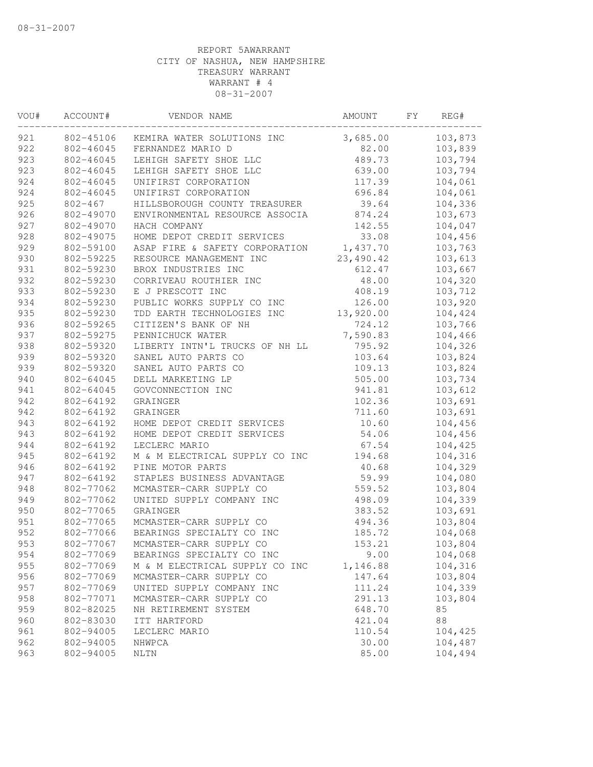| VOU# | ACCOUNT#    | VENDOR NAME                    | AMOUNT    | FΥ | REG#    |  |
|------|-------------|--------------------------------|-----------|----|---------|--|
| 921  | 802-45106   | KEMIRA WATER SOLUTIONS INC     | 3,685.00  |    | 103,873 |  |
| 922  | 802-46045   | FERNANDEZ MARIO D              | 82.00     |    | 103,839 |  |
| 923  | 802-46045   | LEHIGH SAFETY SHOE LLC         | 489.73    |    | 103,794 |  |
| 923  | 802-46045   | LEHIGH SAFETY SHOE LLC         | 639.00    |    | 103,794 |  |
| 924  | 802-46045   | UNIFIRST CORPORATION           | 117.39    |    | 104,061 |  |
| 924  | 802-46045   | UNIFIRST CORPORATION           | 696.84    |    | 104,061 |  |
| 925  | $802 - 467$ | HILLSBOROUGH COUNTY TREASURER  | 39.64     |    | 104,336 |  |
| 926  | 802-49070   | ENVIRONMENTAL RESOURCE ASSOCIA | 874.24    |    | 103,673 |  |
| 927  | 802-49070   | HACH COMPANY                   | 142.55    |    | 104,047 |  |
| 928  | 802-49075   | HOME DEPOT CREDIT SERVICES     | 33.08     |    | 104,456 |  |
| 929  | 802-59100   | ASAP FIRE & SAFETY CORPORATION | 1,437.70  |    | 103,763 |  |
| 930  | 802-59225   | RESOURCE MANAGEMENT INC        | 23,490.42 |    | 103,613 |  |
| 931  | 802-59230   | BROX INDUSTRIES INC            | 612.47    |    | 103,667 |  |
| 932  | 802-59230   | CORRIVEAU ROUTHIER INC         | 48.00     |    | 104,320 |  |
| 933  | 802-59230   | E J PRESCOTT INC               | 408.19    |    | 103,712 |  |
| 934  | 802-59230   | PUBLIC WORKS SUPPLY CO INC     | 126.00    |    | 103,920 |  |
| 935  | 802-59230   | TDD EARTH TECHNOLOGIES INC     | 13,920.00 |    | 104,424 |  |
| 936  | 802-59265   | CITIZEN'S BANK OF NH           | 724.12    |    | 103,766 |  |
| 937  | 802-59275   | PENNICHUCK WATER               | 7,590.83  |    | 104,466 |  |
| 938  | 802-59320   | LIBERTY INTN'L TRUCKS OF NH LL | 795.92    |    | 104,326 |  |
| 939  | 802-59320   | SANEL AUTO PARTS CO            | 103.64    |    | 103,824 |  |
| 939  | 802-59320   | SANEL AUTO PARTS CO            | 109.13    |    | 103,824 |  |
| 940  | 802-64045   | DELL MARKETING LP              | 505.00    |    | 103,734 |  |
| 941  | 802-64045   | GOVCONNECTION INC              | 941.81    |    | 103,612 |  |
| 942  | 802-64192   | GRAINGER                       | 102.36    |    | 103,691 |  |
| 942  | 802-64192   | GRAINGER                       | 711.60    |    | 103,691 |  |
| 943  | 802-64192   | HOME DEPOT CREDIT SERVICES     | 10.60     |    | 104,456 |  |
| 943  | 802-64192   | HOME DEPOT CREDIT SERVICES     | 54.06     |    | 104,456 |  |
| 944  | 802-64192   | LECLERC MARIO                  | 67.54     |    | 104,425 |  |
| 945  | 802-64192   | M & M ELECTRICAL SUPPLY CO INC | 194.68    |    | 104,316 |  |
| 946  | 802-64192   | PINE MOTOR PARTS               | 40.68     |    | 104,329 |  |
| 947  | 802-64192   | STAPLES BUSINESS ADVANTAGE     | 59.99     |    | 104,080 |  |
| 948  | 802-77062   | MCMASTER-CARR SUPPLY CO        | 559.52    |    | 103,804 |  |
| 949  | 802-77062   | UNITED SUPPLY COMPANY INC      | 498.09    |    | 104,339 |  |
| 950  | 802-77065   | GRAINGER                       | 383.52    |    | 103,691 |  |
| 951  | 802-77065   | MCMASTER-CARR SUPPLY CO        | 494.36    |    | 103,804 |  |
| 952  | 802-77066   | BEARINGS SPECIALTY CO INC      | 185.72    |    | 104,068 |  |
| 953  | 802-77067   | MCMASTER-CARR SUPPLY CO        | 153.21    |    | 103,804 |  |
| 954  | 802-77069   | BEARINGS SPECIALTY CO INC      | 9.00      |    | 104,068 |  |
| 955  | 802-77069   | M & M ELECTRICAL SUPPLY CO INC | 1,146.88  |    | 104,316 |  |
| 956  | 802-77069   | MCMASTER-CARR SUPPLY CO        | 147.64    |    | 103,804 |  |
| 957  | 802-77069   | UNITED SUPPLY COMPANY INC      | 111.24    |    | 104,339 |  |
| 958  | 802-77071   | MCMASTER-CARR SUPPLY CO        | 291.13    |    | 103,804 |  |
| 959  | 802-82025   | NH RETIREMENT SYSTEM           | 648.70    |    | 85      |  |
| 960  | 802-83030   | ITT HARTFORD                   | 421.04    |    | 88      |  |
| 961  | 802-94005   | LECLERC MARIO                  | 110.54    |    | 104,425 |  |
| 962  | 802-94005   | NHWPCA                         | 30.00     |    | 104,487 |  |
| 963  | 802-94005   | <b>NLTN</b>                    | 85.00     |    | 104,494 |  |
|      |             |                                |           |    |         |  |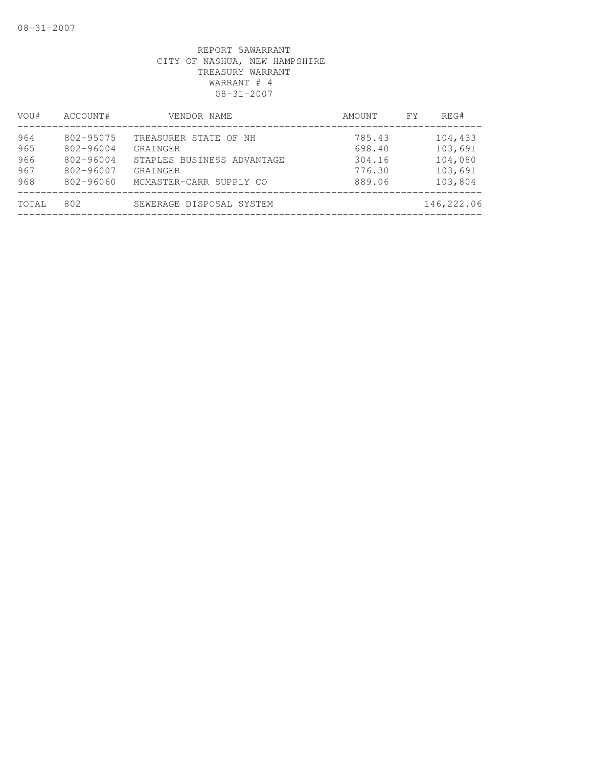| VOU#  | ACCOUNT#      | VENDOR NAME                | AMOUNT | FY. | REG#       |
|-------|---------------|----------------------------|--------|-----|------------|
| 964   | 802-95075     | TREASURER STATE OF NH      | 785.43 |     | 104,433    |
| 965   | 802-96004     | GRAINGER                   | 698.40 |     | 103,691    |
| 966   | $802 - 96004$ | STAPLES BUSINESS ADVANTAGE | 304.16 |     | 104,080    |
| 967   | 802-96007     | GRAINGER                   | 776.30 |     | 103,691    |
| 968   | 802-96060     | MCMASTER-CARR SUPPLY CO    | 889.06 |     | 103,804    |
| TOTAL | 802           | SEWERAGE DISPOSAL SYSTEM   |        |     | 146,222.06 |
|       |               |                            |        |     |            |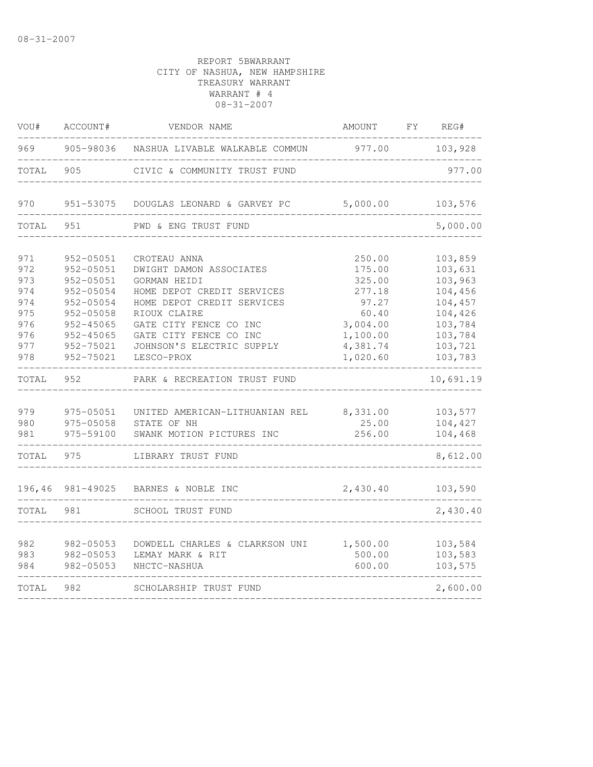| VOU#                                   | ACCOUNT#                                                                       | VENDOR NAME                                                                                                                                               | AMOUNT                                                       | FY. | REG#                                                           |
|----------------------------------------|--------------------------------------------------------------------------------|-----------------------------------------------------------------------------------------------------------------------------------------------------------|--------------------------------------------------------------|-----|----------------------------------------------------------------|
| 969                                    | 905-98036                                                                      | NASHUA LIVABLE WALKABLE COMMUN                                                                                                                            | 977.00                                                       |     | 103,928                                                        |
| TOTAL                                  | 905                                                                            | CIVIC & COMMUNITY TRUST FUND                                                                                                                              |                                                              |     | 977.00                                                         |
| 970                                    | 951-53075                                                                      | DOUGLAS LEONARD & GARVEY PC                                                                                                                               | 5,000.00                                                     |     | 103,576                                                        |
| TOTAL                                  | 951                                                                            | PWD & ENG TRUST FUND                                                                                                                                      |                                                              |     | 5,000.00                                                       |
| 971<br>972<br>973                      | 952-05051<br>952-05051<br>952-05051                                            | CROTEAU ANNA<br>DWIGHT DAMON ASSOCIATES<br>GORMAN HEIDI                                                                                                   | 250.00<br>175.00<br>325.00                                   |     | 103,859<br>103,631<br>103,963                                  |
| 974<br>974<br>975<br>976<br>976<br>977 | 952-05054<br>952-05054<br>$952 - 05058$<br>952-45065<br>952-45065<br>952-75021 | HOME DEPOT CREDIT SERVICES<br>HOME DEPOT CREDIT SERVICES<br>RIOUX CLAIRE<br>GATE CITY FENCE CO INC<br>GATE CITY FENCE CO INC<br>JOHNSON'S ELECTRIC SUPPLY | 277.18<br>97.27<br>60.40<br>3,004.00<br>1,100.00<br>4,381.74 |     | 104,456<br>104,457<br>104,426<br>103,784<br>103,784<br>103,721 |
| 978<br>TOTAL                           | 952-75021<br>952                                                               | LESCO-PROX<br>PARK & RECREATION TRUST FUND                                                                                                                | 1,020.60                                                     |     | 103,783<br>10,691.19                                           |
| 979<br>980<br>981                      | 975-05051<br>975-05058<br>975-59100                                            | UNITED AMERICAN-LITHUANIAN REL<br>STATE OF NH<br>SWANK MOTION PICTURES INC                                                                                | 8,331.00<br>25.00<br>256.00                                  |     | 103,577<br>104,427<br>104,468                                  |
| TOTAL                                  | 975                                                                            | LIBRARY TRUST FUND                                                                                                                                        |                                                              |     | 8,612.00                                                       |
| 196,46                                 | 981-49025                                                                      | BARNES & NOBLE INC                                                                                                                                        | 2,430.40                                                     |     | 103,590                                                        |
| TOTAL                                  | 981                                                                            | SCHOOL TRUST FUND                                                                                                                                         |                                                              |     | 2,430.40                                                       |
| 982<br>983<br>984                      | 982-05053<br>982-05053<br>982-05053                                            | DOWDELL CHARLES & CLARKSON UNI<br>LEMAY MARK & RIT<br>NHCTC-NASHUA                                                                                        | 1,500.00<br>500.00<br>600.00                                 |     | 103,584<br>103,583<br>103,575                                  |
| TOTAL                                  | 982                                                                            | SCHOLARSHIP TRUST FUND                                                                                                                                    |                                                              |     | 2,600.00                                                       |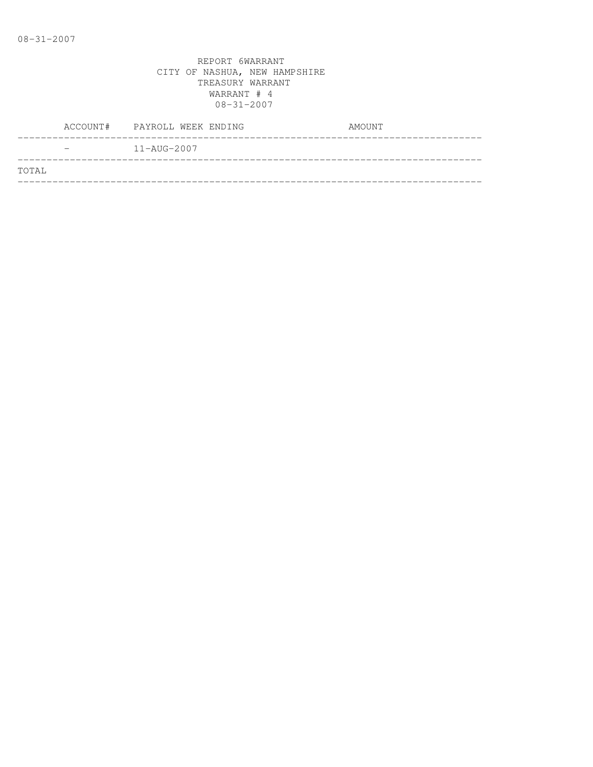|                          | ACCOUNT# PAYROLL WEEK ENDING | AMOUNT |
|--------------------------|------------------------------|--------|
| $\overline{\phantom{0}}$ | 11-AUG-2007                  |        |
| TOTAL                    |                              |        |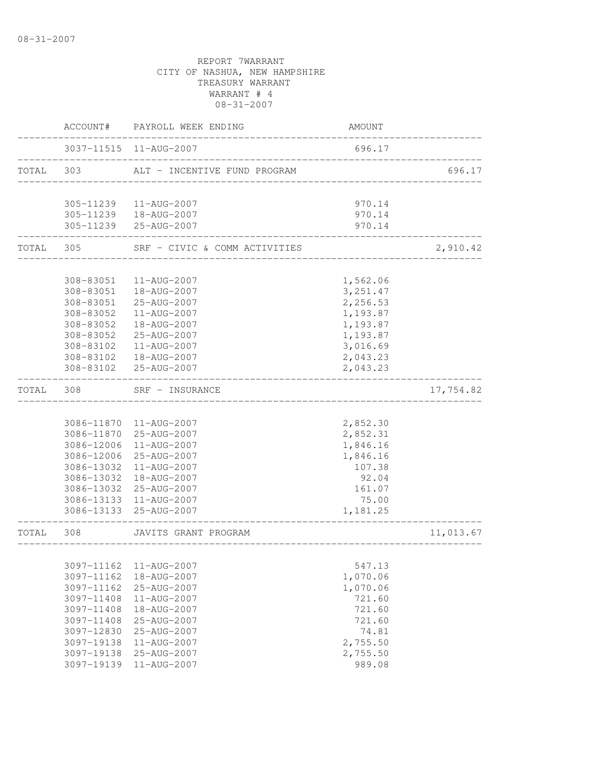|       |                          | ACCOUNT# PAYROLL WEEK ENDING                    | AMOUNT                |           |
|-------|--------------------------|-------------------------------------------------|-----------------------|-----------|
|       |                          | 3037-11515 11-AUG-2007                          | 696.17                |           |
| TOTAL | 303                      | ALT - INCENTIVE FUND PROGRAM                    |                       | 696.17    |
|       |                          |                                                 |                       |           |
|       |                          | 305-11239  11-AUG-2007                          | 970.14                |           |
|       |                          | 305-11239  18-AUG-2007<br>305-11239 25-AUG-2007 | 970.14<br>970.14      |           |
| TOTAL | 305                      | SRF - CIVIC & COMM ACTIVITIES                   |                       | 2,910.42  |
|       | 308-83051                | 11-AUG-2007                                     |                       |           |
|       |                          | 308-83051  18-AUG-2007                          | 1,562.06<br>3, 251.47 |           |
|       | 308-83051                | 25-AUG-2007                                     | 2,256.53              |           |
|       | 308-83052                | 11-AUG-2007                                     | 1,193.87              |           |
|       | 308-83052                | 18-AUG-2007                                     | 1,193.87              |           |
|       | 308-83052                | 25-AUG-2007                                     | 1,193.87              |           |
|       | 308-83102                | 11-AUG-2007                                     | 3,016.69              |           |
|       | 308-83102                | 18-AUG-2007                                     | 2,043.23              |           |
|       | 308-83102                | 25-AUG-2007                                     | 2,043.23              |           |
| TOTAL | 308                      | SRF - INSURANCE<br>--------------------------   |                       | 17,754.82 |
|       |                          |                                                 |                       |           |
|       |                          | 3086-11870 11-AUG-2007                          | 2,852.30              |           |
|       |                          | 3086-11870 25-AUG-2007                          | 2,852.31              |           |
|       | 3086-12006               | 11-AUG-2007                                     | 1,846.16              |           |
|       | 3086-12006               | 25-AUG-2007                                     | 1,846.16              |           |
|       | 3086-13032               | 11-AUG-2007                                     | 107.38                |           |
|       | 3086-13032               | 18-AUG-2007                                     | 92.04                 |           |
|       |                          | 3086-13032 25-AUG-2007                          | 161.07                |           |
|       |                          | 3086-13133 11-AUG-2007                          | 75.00                 |           |
|       |                          | 3086-13133 25-AUG-2007                          | 1,181.25              |           |
| TOTAL | 308                      | JAVITS GRANT PROGRAM<br>_____________________   |                       | 11,013.67 |
|       |                          |                                                 |                       |           |
|       | 3097-11162<br>3097-11162 | 11-AUG-2007<br>18-AUG-2007                      | 547.13<br>1,070.06    |           |
|       | 3097-11162               | 25-AUG-2007                                     | 1,070.06              |           |
|       | 3097-11408               | 11-AUG-2007                                     | 721.60                |           |
|       | 3097-11408               | 18-AUG-2007                                     | 721.60                |           |
|       | 3097-11408               | 25-AUG-2007                                     | 721.60                |           |
|       | 3097-12830               | 25-AUG-2007                                     | 74.81                 |           |
|       | 3097-19138               | 11-AUG-2007                                     | 2,755.50              |           |
|       | 3097-19138               | 25-AUG-2007                                     | 2,755.50              |           |
|       | 3097-19139               | 11-AUG-2007                                     | 989.08                |           |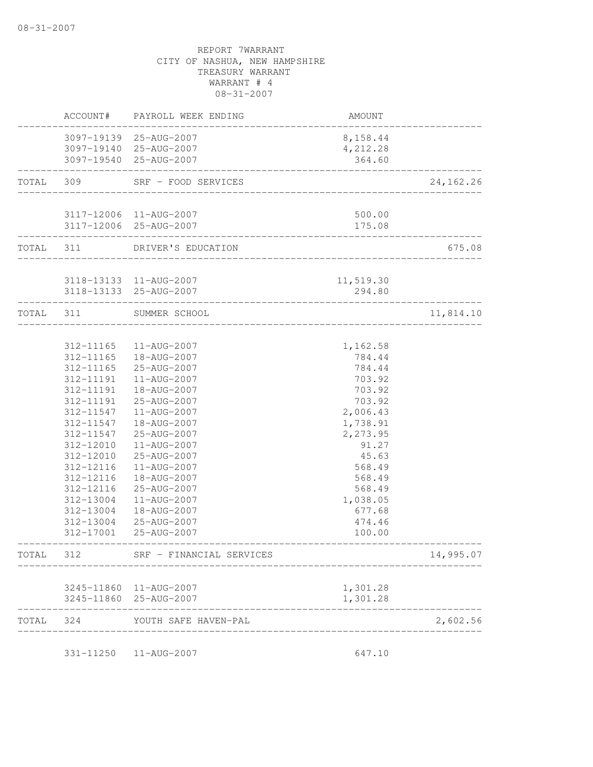|           |                  | ACCOUNT# PAYROLL WEEK ENDING                        | AMOUNT                 |             |
|-----------|------------------|-----------------------------------------------------|------------------------|-------------|
|           |                  | 3097-19139 25-AUG-2007<br>3097-19140 25-AUG-2007    | 8,158.44<br>4,212.28   |             |
|           |                  | 3097-19540 25-AUG-2007                              | 364.60                 |             |
|           |                  | TOTAL 309 SRF - FOOD SERVICES                       | ____________________   | 24, 162. 26 |
|           |                  | 3117-12006 11-AUG-2007                              | 500.00                 |             |
|           | ________________ | 3117-12006 25-AUG-2007                              | 175.08<br>____________ |             |
|           |                  | TOTAL 311 DRIVER'S EDUCATION                        | ______________________ | 675.08      |
|           |                  | 3118-13133 11-AUG-2007                              | 11,519.30              |             |
|           |                  | 3118-13133 25-AUG-2007<br>------------------------- | 294.80                 |             |
| TOTAL 311 |                  | SUMMER SCHOOL                                       |                        | 11,814.10   |
|           |                  |                                                     |                        |             |
|           | 312-11165        | 11-AUG-2007                                         | 1,162.58               |             |
|           | 312-11165        | 18-AUG-2007                                         | 784.44                 |             |
|           | 312-11165        | 25-AUG-2007                                         | 784.44                 |             |
|           | 312-11191        | 11-AUG-2007                                         | 703.92                 |             |
|           | 312-11191        | 18-AUG-2007                                         | 703.92                 |             |
|           | 312-11191        | 25-AUG-2007                                         | 703.92                 |             |
|           | 312-11547        | 11-AUG-2007                                         | 2,006.43               |             |
|           | 312-11547        | 18-AUG-2007                                         | 1,738.91               |             |
|           | 312-11547        | 25-AUG-2007                                         | 2,273.95               |             |
|           | 312-12010        | 11-AUG-2007                                         | 91.27                  |             |
|           | 312-12010        | 25-AUG-2007                                         | 45.63                  |             |
|           | 312-12116        | 11-AUG-2007                                         | 568.49                 |             |
|           | 312-12116        | 18-AUG-2007                                         | 568.49                 |             |
|           | 312-12116        | 25-AUG-2007                                         | 568.49                 |             |
|           | 312-13004        | 11-AUG-2007                                         | 1,038.05               |             |
|           | 312-13004        | 18-AUG-2007                                         | 677.68                 |             |
|           | 312-13004        | 25-AUG-2007                                         | 474.46                 |             |
|           | 312-17001        | 25-AUG-2007                                         | 100.00                 |             |
| TOTAL     | 312              | SRF - FINANCIAL SERVICES                            |                        | 14,995.07   |
|           |                  | 3245-11860 11-AUG-2007                              | 1,301.28               |             |
|           |                  | 3245-11860 25-AUG-2007                              | 1,301.28               |             |
|           | TOTAL 324        | YOUTH SAFE HAVEN-PAL                                |                        | 2,602.56    |
|           |                  | 331-11250  11-AUG-2007                              | 647.10                 |             |
|           |                  |                                                     |                        |             |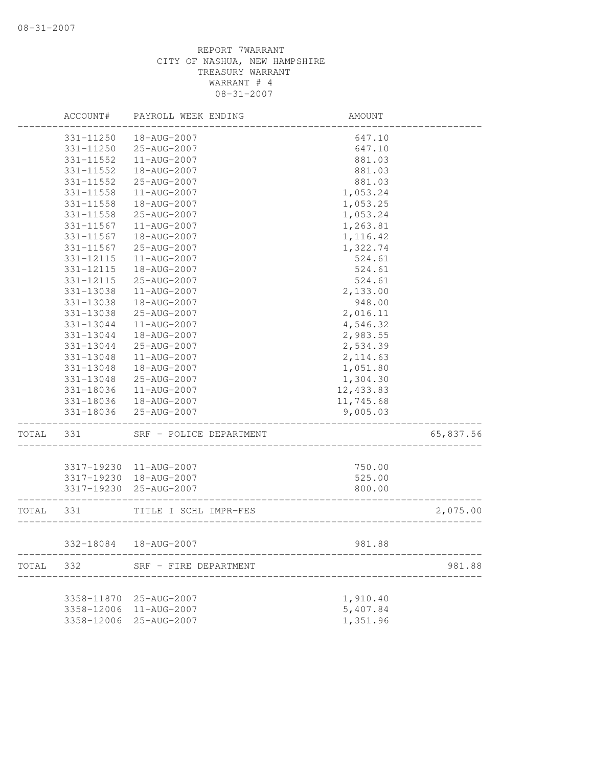|       | ACCOUNT#   | PAYROLL WEEK ENDING     | AMOUNT                |           |
|-------|------------|-------------------------|-----------------------|-----------|
|       | 331-11250  | 18-AUG-2007             | 647.10                |           |
|       | 331-11250  | 25-AUG-2007             | 647.10                |           |
|       | 331-11552  | 11-AUG-2007             | 881.03                |           |
|       | 331-11552  | 18-AUG-2007             | 881.03                |           |
|       | 331-11552  | 25-AUG-2007             | 881.03                |           |
|       | 331-11558  | 11-AUG-2007             | 1,053.24              |           |
|       | 331-11558  | 18-AUG-2007             | 1,053.25              |           |
|       | 331-11558  | 25-AUG-2007             | 1,053.24              |           |
|       | 331-11567  | 11-AUG-2007             | 1,263.81              |           |
|       | 331-11567  | 18-AUG-2007             | 1,116.42              |           |
|       | 331-11567  | 25-AUG-2007             | 1,322.74              |           |
|       | 331-12115  | 11-AUG-2007             | 524.61                |           |
|       | 331-12115  | 18-AUG-2007             | 524.61                |           |
|       | 331-12115  | 25-AUG-2007             | 524.61                |           |
|       | 331-13038  | 11-AUG-2007             | 2,133.00              |           |
|       | 331-13038  | 18-AUG-2007             | 948.00                |           |
|       | 331-13038  | 25-AUG-2007             | 2,016.11              |           |
|       | 331-13044  | 11-AUG-2007             | 4,546.32              |           |
|       | 331-13044  | 18-AUG-2007             | 2,983.55              |           |
|       | 331-13044  | 25-AUG-2007             | 2,534.39              |           |
|       | 331-13048  | 11-AUG-2007             | 2, 114.63             |           |
|       | 331-13048  | 18-AUG-2007             | 1,051.80              |           |
|       | 331-13048  | 25-AUG-2007             | 1,304.30              |           |
|       | 331-18036  | 11-AUG-2007             | 12,433.83             |           |
|       | 331-18036  | 18-AUG-2007             | 11,745.68             |           |
|       | 331-18036  | 25-AUG-2007             | 9,005.03              |           |
| TOTAL | 331        | SRF - POLICE DEPARTMENT |                       | 65,837.56 |
|       | 3317-19230 | 11-AUG-2007             | 750.00                |           |
|       | 3317-19230 | 18-AUG-2007             | 525.00                |           |
|       | 3317-19230 | 25-AUG-2007             | 800.00                |           |
|       |            |                         | --------------------- |           |
| TOTAL | 331        | TITLE I SCHL IMPR-FES   |                       | 2,075.00  |
|       |            | 332-18084  18-AUG-2007  | 981.88                |           |
|       | 332        |                         |                       |           |
| TOTAL |            | SRF - FIRE DEPARTMENT   |                       | 981.88    |
|       |            | 3358-11870 25-AUG-2007  | 1,910.40              |           |
|       | 3358-12006 | 11-AUG-2007             | 5,407.84              |           |
|       | 3358-12006 | 25-AUG-2007             | 1,351.96              |           |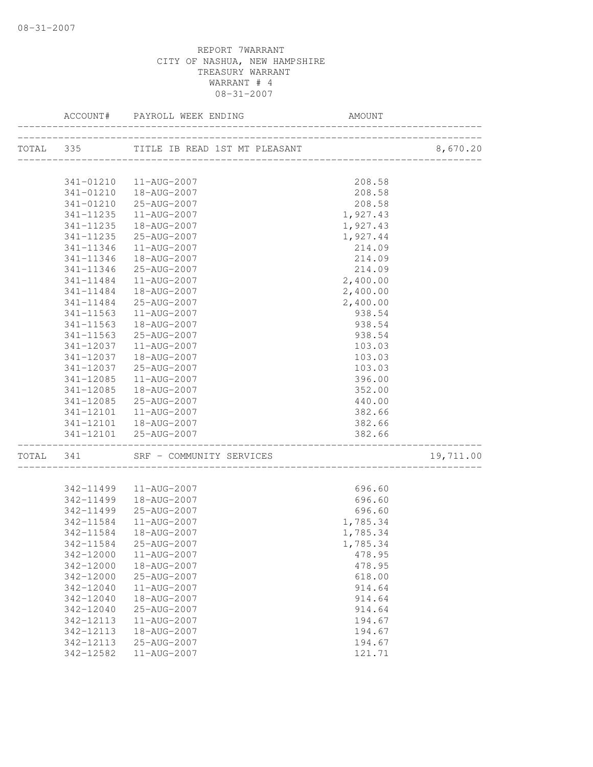|           |           | ACCOUNT# PAYROLL WEEK ENDING            | AMOUNT                                  |           |
|-----------|-----------|-----------------------------------------|-----------------------------------------|-----------|
|           |           | TOTAL 335 TITLE IB READ 1ST MT PLEASANT |                                         | 8,670.20  |
|           |           |                                         |                                         |           |
|           |           | 341-01210  11-AUG-2007                  | 208.58                                  |           |
|           |           | 341-01210  18-AUG-2007                  | 208.58                                  |           |
|           |           | 341-01210 25-AUG-2007                   | 208.58                                  |           |
|           | 341-11235 | 11-AUG-2007                             | 1,927.43                                |           |
|           | 341-11235 | 18-AUG-2007                             | 1,927.43                                |           |
|           | 341-11235 | 25-AUG-2007                             | 1,927.44                                |           |
|           | 341-11346 | 11-AUG-2007                             | 214.09                                  |           |
|           | 341-11346 | 18-AUG-2007                             | 214.09                                  |           |
|           | 341-11346 | 25-AUG-2007                             | 214.09                                  |           |
|           | 341-11484 | 11-AUG-2007                             | 2,400.00                                |           |
|           | 341-11484 | 18-AUG-2007                             | 2,400.00                                |           |
|           |           | 341-11484 25-AUG-2007                   | 2,400.00                                |           |
|           | 341-11563 | 11-AUG-2007                             | 938.54                                  |           |
|           | 341-11563 | 18-AUG-2007                             | 938.54                                  |           |
|           | 341-11563 | 25-AUG-2007                             | 938.54                                  |           |
|           | 341-12037 | 11-AUG-2007                             | 103.03                                  |           |
|           | 341-12037 | 18-AUG-2007                             | 103.03                                  |           |
|           | 341-12037 | 25-AUG-2007                             | 103.03                                  |           |
|           | 341-12085 | 11-AUG-2007                             | 396.00                                  |           |
|           | 341-12085 | 18-AUG-2007                             | 352.00                                  |           |
|           | 341-12085 | 25-AUG-2007                             | 440.00                                  |           |
|           |           | 341-12101  11-AUG-2007                  | 382.66                                  |           |
|           |           | 341-12101  18-AUG-2007                  | 382.66                                  |           |
|           |           | 341-12101 25-AUG-2007                   | 382.66<br>_____________________________ |           |
| TOTAL 341 |           | SRF - COMMUNITY SERVICES                |                                         | 19,711.00 |
|           |           |                                         |                                         |           |
|           |           | 342-11499  11-AUG-2007                  | 696.60                                  |           |
|           |           | 342-11499  18-AUG-2007                  | 696.60                                  |           |
|           |           | 342-11499 25-AUG-2007                   | 696.60                                  |           |
|           |           | 342-11584   11-AUG-2007                 | 1,785.34                                |           |
|           | 342-11584 | 18-AUG-2007                             | 1,785.34                                |           |
|           |           | 342-11584 25-AUG-2007                   | 1,785.34                                |           |
|           | 342-12000 | 11-AUG-2007                             | 478.95                                  |           |
|           | 342-12000 | 18-AUG-2007                             | 478.95                                  |           |
|           | 342-12000 | 25-AUG-2007                             | 618.00                                  |           |
|           | 342-12040 | $11 - AUG - 2007$                       | 914.64                                  |           |
|           | 342-12040 | 18-AUG-2007                             | 914.64                                  |           |
|           | 342-12040 | 25-AUG-2007                             | 914.64                                  |           |
|           | 342-12113 | 11-AUG-2007                             | 194.67                                  |           |
|           | 342-12113 | 18-AUG-2007                             | 194.67                                  |           |
|           | 342-12113 | 25-AUG-2007                             | 194.67                                  |           |
|           | 342-12582 | 11-AUG-2007                             | 121.71                                  |           |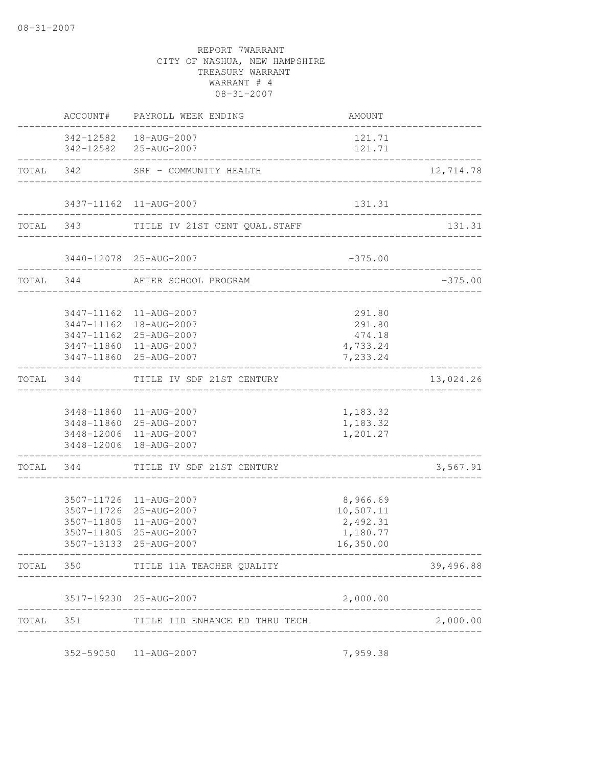|       |                       | ACCOUNT# PAYROLL WEEK ENDING                                                                                                     | AMOUNT                                                     |           |
|-------|-----------------------|----------------------------------------------------------------------------------------------------------------------------------|------------------------------------------------------------|-----------|
|       |                       | 342-12582  18-AUG-2007<br>342-12582 25-AUG-2007                                                                                  | 121.71<br>121.71                                           |           |
|       | _____________________ | TOTAL 342 SRF - COMMUNITY HEALTH                                                                                                 |                                                            | 12,714.78 |
|       |                       | 3437-11162  11-AUG-2007                                                                                                          | 131.31                                                     |           |
|       |                       | TOTAL 343 TITLE IV 21ST CENT QUAL.STAFF                                                                                          | _______________________________                            | 131.31    |
|       |                       | 3440-12078 25-AUG-2007                                                                                                           | $-375.00$                                                  |           |
|       |                       | TOTAL 344 AFTER SCHOOL PROGRAM                                                                                                   | _______________________________                            | $-375.00$ |
|       |                       | 3447-11162  11-AUG-2007<br>3447-11162  18-AUG-2007<br>3447-11162 25-AUG-2007<br>3447-11860 11-AUG-2007<br>3447-11860 25-AUG-2007 | 291.80<br>291.80<br>474.18<br>4,733.24<br>7,233.24         |           |
|       |                       | TOTAL 344 TITLE IV SDF 21ST CENTURY                                                                                              |                                                            | 13,024.26 |
|       |                       | 3448-11860  11-AUG-2007<br>3448-11860 25-AUG-2007<br>3448-12006 11-AUG-2007<br>3448-12006 18-AUG-2007                            | 1,183.32<br>1,183.32<br>1,201.27                           |           |
|       | ------------------    | TOTAL 344 TITLE IV SDF 21ST CENTURY                                                                                              | _________________________________                          | 3,567.91  |
|       | 3507-11805            | 3507-11726 11-AUG-2007<br>3507-11726 25-AUG-2007<br>3507-11805 11-AUG-2007<br>25-AUG-2007<br>3507-13133 25-AUG-2007              | 8,966.69<br>10,507.11<br>2,492.31<br>1,180.77<br>16,350.00 |           |
|       |                       | TOTAL 350 TITLE 11A TEACHER QUALITY                                                                                              |                                                            | 39,496.88 |
|       |                       | 3517-19230 25-AUG-2007                                                                                                           | 2,000.00                                                   |           |
| TOTAL | 351                   | TITLE IID ENHANCE ED THRU TECH                                                                                                   |                                                            | 2,000.00  |
|       |                       | 352-59050  11-AUG-2007                                                                                                           | 7,959.38                                                   |           |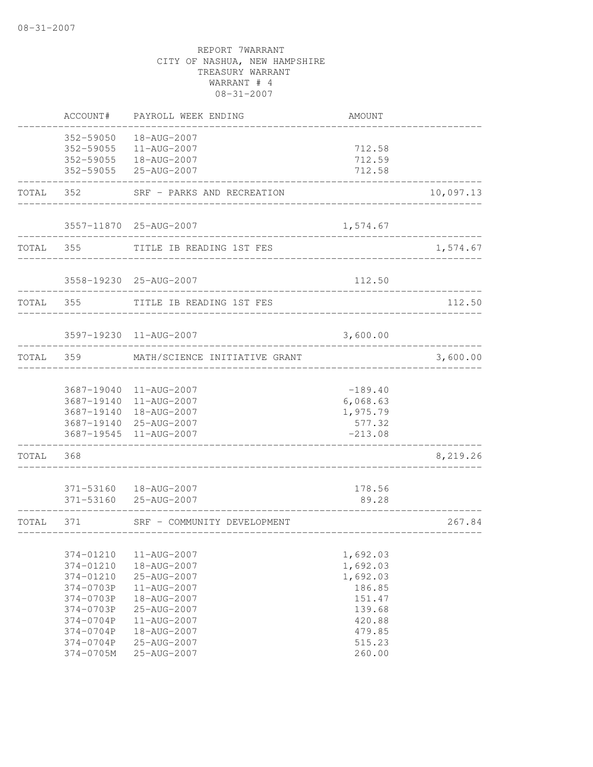|       | ACCOUNT#                                                                                                                           | PAYROLL WEEK ENDING                                                                                                                                | AMOUNT                                                                                                 |           |
|-------|------------------------------------------------------------------------------------------------------------------------------------|----------------------------------------------------------------------------------------------------------------------------------------------------|--------------------------------------------------------------------------------------------------------|-----------|
|       | 352-59050<br>352-59055                                                                                                             | 18-AUG-2007<br>11-AUG-2007<br>352-59055  18-AUG-2007<br>352-59055 25-AUG-2007                                                                      | 712.58<br>712.59<br>712.58                                                                             |           |
| TOTAL | 352                                                                                                                                | SRF - PARKS AND RECREATION                                                                                                                         |                                                                                                        | 10,097.13 |
|       |                                                                                                                                    | 3557-11870 25-AUG-2007                                                                                                                             | 1,574.67                                                                                               |           |
| TOTAL | 355                                                                                                                                | TITLE IB READING 1ST FES                                                                                                                           |                                                                                                        | 1,574.67  |
|       |                                                                                                                                    | 3558-19230 25-AUG-2007                                                                                                                             | 112.50                                                                                                 |           |
| TOTAL | 355                                                                                                                                | TITLE IB READING 1ST FES                                                                                                                           |                                                                                                        | 112.50    |
|       |                                                                                                                                    | 3597-19230 11-AUG-2007                                                                                                                             | 3,600.00                                                                                               |           |
| TOTAL | 359                                                                                                                                | MATH/SCIENCE INITIATIVE GRANT                                                                                                                      |                                                                                                        | 3,600.00  |
|       |                                                                                                                                    | 3687-19040 11-AUG-2007<br>3687-19140 11-AUG-2007<br>3687-19140  18-AUG-2007<br>3687-19140 25-AUG-2007<br>3687-19545 11-AUG-2007                    | $-189.40$<br>6,068.63<br>1,975.79<br>577.32<br>$-213.08$                                               |           |
| TOTAL | 368                                                                                                                                |                                                                                                                                                    |                                                                                                        | 8,219.26  |
|       |                                                                                                                                    | 371-53160  18-AUG-2007<br>371-53160 25-AUG-2007                                                                                                    | 178.56<br>89.28                                                                                        |           |
| TOTAL | 371                                                                                                                                | SRF - COMMUNITY DEVELOPMENT                                                                                                                        |                                                                                                        | 267.84    |
|       | 374-01210<br>374-01210<br>374-01210<br>374-0703P<br>374-0703P<br>374-0703P<br>374-0704P<br>$374 - 0704P$<br>374-0704P<br>374-0705M | 11-AUG-2007<br>18-AUG-2007<br>25-AUG-2007<br>11-AUG-2007<br>18-AUG-2007<br>25-AUG-2007<br>11-AUG-2007<br>18-AUG-2007<br>25-AUG-2007<br>25-AUG-2007 | 1,692.03<br>1,692.03<br>1,692.03<br>186.85<br>151.47<br>139.68<br>420.88<br>479.85<br>515.23<br>260.00 |           |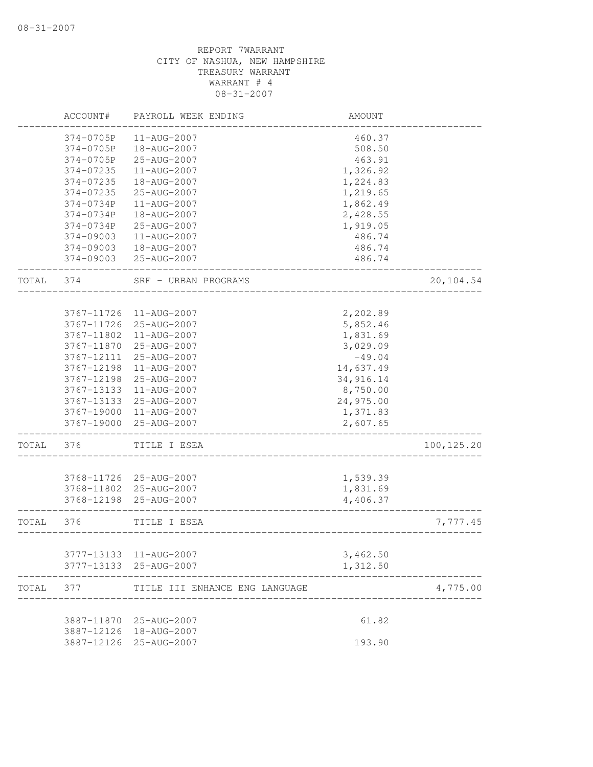|       | ACCOUNT#   | PAYROLL WEEK ENDING            | AMOUNT    |             |
|-------|------------|--------------------------------|-----------|-------------|
|       | 374-0705P  | 11-AUG-2007                    | 460.37    |             |
|       | 374-0705P  | 18-AUG-2007                    | 508.50    |             |
|       | 374-0705P  | 25-AUG-2007                    | 463.91    |             |
|       | 374-07235  | 11-AUG-2007                    | 1,326.92  |             |
|       | 374-07235  | 18-AUG-2007                    | 1,224.83  |             |
|       | 374-07235  | 25-AUG-2007                    | 1,219.65  |             |
|       | 374-0734P  | 11-AUG-2007                    | 1,862.49  |             |
|       | 374-0734P  | 18-AUG-2007                    | 2,428.55  |             |
|       | 374-0734P  | 25-AUG-2007                    | 1,919.05  |             |
|       | 374-09003  | 11-AUG-2007                    | 486.74    |             |
|       | 374-09003  | 18-AUG-2007                    | 486.74    |             |
|       | 374-09003  | 25-AUG-2007                    | 486.74    |             |
| TOTAL | 374        | SRF - URBAN PROGRAMS           |           | 20,104.54   |
|       |            |                                |           |             |
|       | 3767-11726 | 11-AUG-2007                    | 2,202.89  |             |
|       | 3767-11726 | 25-AUG-2007                    | 5,852.46  |             |
|       | 3767-11802 | 11-AUG-2007                    | 1,831.69  |             |
|       | 3767-11870 | 25-AUG-2007                    | 3,029.09  |             |
|       | 3767-12111 | 25-AUG-2007                    | $-49.04$  |             |
|       | 3767-12198 | 11-AUG-2007                    | 14,637.49 |             |
|       | 3767-12198 | 25-AUG-2007                    | 34,916.14 |             |
|       | 3767-13133 | 11-AUG-2007                    | 8,750.00  |             |
|       | 3767-13133 | 25-AUG-2007                    | 24,975.00 |             |
|       | 3767-19000 | 11-AUG-2007                    | 1,371.83  |             |
|       | 3767-19000 | 25-AUG-2007                    | 2,607.65  |             |
| TOTAL | 376        | TITLE I ESEA                   |           | 100, 125.20 |
|       | 3768-11726 | 25-AUG-2007                    | 1,539.39  |             |
|       | 3768-11802 | 25-AUG-2007                    | 1,831.69  |             |
|       | 3768-12198 | 25-AUG-2007                    | 4,406.37  |             |
| TOTAL | 376        | TITLE I ESEA                   |           | 7,777.45    |
|       | 3777-13133 | 11-AUG-2007                    | 3,462.50  |             |
|       |            | 3777-13133 25-AUG-2007         | 1,312.50  |             |
| TOTAL | 377        | TITLE III ENHANCE ENG LANGUAGE |           | 4,775.00    |
|       |            |                                |           |             |
|       | 3887-11870 | 25-AUG-2007                    | 61.82     |             |
|       | 3887-12126 | 18-AUG-2007                    |           |             |
|       | 3887-12126 | 25-AUG-2007                    | 193.90    |             |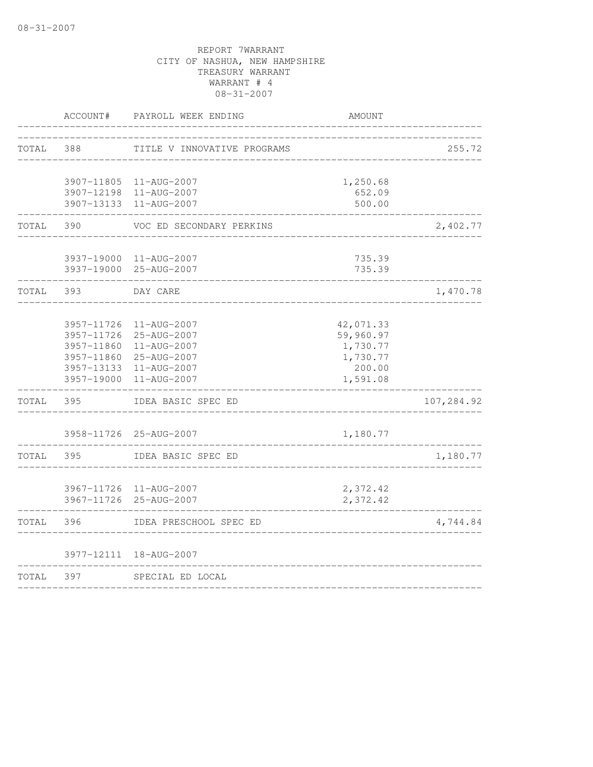|       | ACCOUNT#   | PAYROLL WEEK ENDING                              | AMOUNT               |            |
|-------|------------|--------------------------------------------------|----------------------|------------|
| TOTAL | 388        | TITLE V INNOVATIVE PROGRAMS                      |                      | 255.72     |
|       |            | 3907-11805 11-AUG-2007                           | 1,250.68             |            |
|       | 3907-12198 | 11-AUG-2007                                      | 652.09               |            |
|       |            | 3907-13133 11-AUG-2007                           | 500.00               |            |
| TOTAL | 390        | VOC ED SECONDARY PERKINS                         |                      | 2,402.77   |
|       |            | 3937-19000 11-AUG-2007                           | 735.39               |            |
|       |            | 3937-19000 25-AUG-2007                           | 735.39               |            |
| TOTAL | 393        | DAY CARE                                         |                      | 1,470.78   |
|       | 3957-11726 | 11-AUG-2007                                      | 42,071.33            |            |
|       | 3957-11726 | 25-AUG-2007                                      | 59,960.97            |            |
|       | 3957-11860 | 11-AUG-2007                                      | 1,730.77             |            |
|       |            | 3957-11860 25-AUG-2007                           | 1,730.77             |            |
|       |            | 3957-13133 11-AUG-2007                           | 200.00               |            |
|       |            | 3957-19000 11-AUG-2007                           | 1,591.08             |            |
| TOTAL | 395        | IDEA BASIC SPEC ED                               |                      | 107,284.92 |
|       |            | 3958-11726 25-AUG-2007                           | 1,180.77             |            |
| TOTAL | 395        | IDEA BASIC SPEC ED                               |                      | 1,180.77   |
|       |            |                                                  |                      |            |
|       |            | 3967-11726 11-AUG-2007<br>3967-11726 25-AUG-2007 | 2,372.42<br>2,372.42 |            |
| TOTAL | 396        | IDEA PRESCHOOL SPEC ED                           |                      | 4,744.84   |
|       |            | 3977-12111 18-AUG-2007                           |                      |            |
| TOTAL | 397        | SPECIAL ED LOCAL                                 |                      |            |
|       |            |                                                  |                      |            |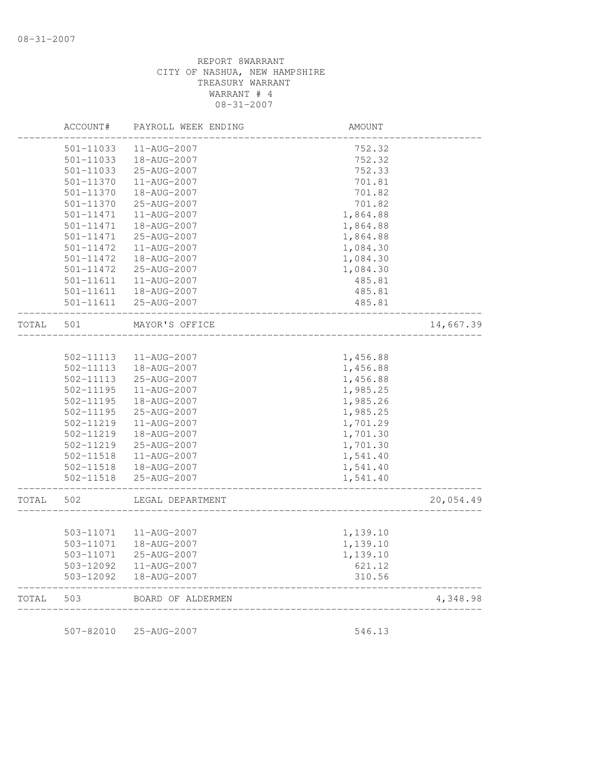| TOTAL | 503       | BOARD OF ALDERMEN   |          | 4,348.98  |
|-------|-----------|---------------------|----------|-----------|
|       | 503-12092 | 18-AUG-2007         | 310.56   |           |
|       | 503-12092 | 11-AUG-2007         | 621.12   |           |
|       | 503-11071 | 25-AUG-2007         | 1,139.10 |           |
|       | 503-11071 | 18-AUG-2007         | 1,139.10 |           |
|       | 503-11071 | 11-AUG-2007         | 1,139.10 |           |
|       |           |                     |          |           |
| TOTAL | 502       | LEGAL DEPARTMENT    |          | 20,054.49 |
|       | 502-11518 | 25-AUG-2007         | 1,541.40 |           |
|       | 502-11518 | 18-AUG-2007         | 1,541.40 |           |
|       | 502-11518 | 11-AUG-2007         | 1,541.40 |           |
|       | 502-11219 | 25-AUG-2007         | 1,701.30 |           |
|       | 502-11219 | 18-AUG-2007         | 1,701.30 |           |
|       | 502-11219 | 11-AUG-2007         | 1,701.29 |           |
|       | 502-11195 | 25-AUG-2007         | 1,985.25 |           |
|       | 502-11195 | 18-AUG-2007         | 1,985.26 |           |
|       | 502-11195 | $11 - AUG - 2007$   | 1,985.25 |           |
|       | 502-11113 | 25-AUG-2007         | 1,456.88 |           |
|       | 502-11113 | 18-AUG-2007         | 1,456.88 |           |
|       | 502-11113 | 11-AUG-2007         | 1,456.88 |           |
| TOTAL | 501       | MAYOR'S OFFICE      |          | 14,667.39 |
|       | 501-11611 | 25-AUG-2007         | 485.81   |           |
|       | 501-11611 | 18-AUG-2007         | 485.81   |           |
|       | 501-11611 | 11-AUG-2007         | 485.81   |           |
|       | 501-11472 | 25-AUG-2007         | 1,084.30 |           |
|       | 501-11472 | 18-AUG-2007         | 1,084.30 |           |
|       | 501-11472 | 11-AUG-2007         | 1,084.30 |           |
|       | 501-11471 | 25-AUG-2007         | 1,864.88 |           |
|       | 501-11471 | 18-AUG-2007         | 1,864.88 |           |
|       | 501-11471 | 11-AUG-2007         | 1,864.88 |           |
|       | 501-11370 | 25-AUG-2007         | 701.82   |           |
|       | 501-11370 | 18-AUG-2007         | 701.82   |           |
|       | 501-11370 | 11-AUG-2007         | 701.81   |           |
|       | 501-11033 | 25-AUG-2007         | 752.33   |           |
|       | 501-11033 | 18-AUG-2007         | 752.32   |           |
|       | 501-11033 | 11-AUG-2007         | 752.32   |           |
|       | ACCOUNT#  | PAYROLL WEEK ENDING | AMOUNT   |           |

507-82010 25-AUG-2007 546.13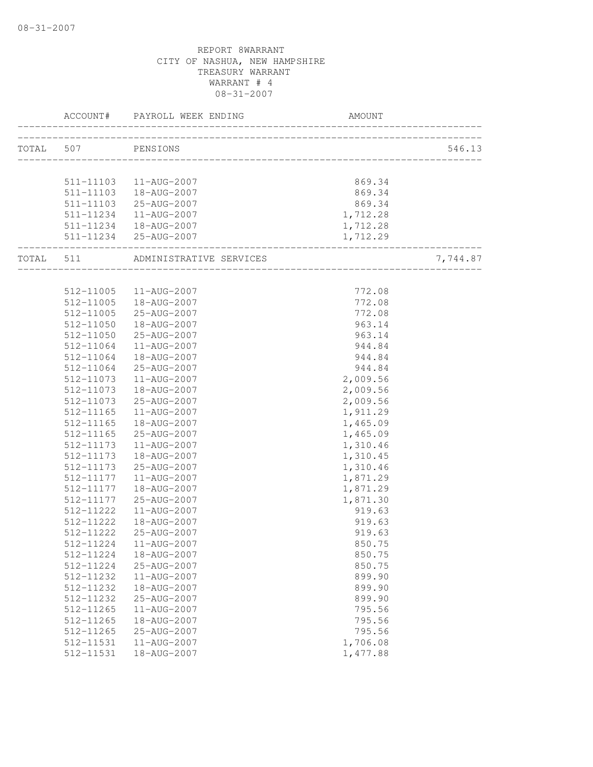| TOTAL 507 PENSIONS |                                   |                                    | 546.13   |
|--------------------|-----------------------------------|------------------------------------|----------|
|                    |                                   |                                    |          |
|                    |                                   |                                    |          |
|                    | 511-11103  11-AUG-2007            | 869.34                             |          |
|                    | 511-11103  18-AUG-2007            | 869.34                             |          |
|                    | 511-11103 25-AUG-2007             | 869.34                             |          |
|                    | 511-11234   11-AUG-2007           | 1,712.28                           |          |
|                    | 511-11234  18-AUG-2007            | 1,712.28                           |          |
| -----------------  | 511-11234 25-AUG-2007             | 1,712.29                           |          |
|                    | TOTAL 511 ADMINISTRATIVE SERVICES | __________________________________ | 7,744.87 |
|                    |                                   |                                    |          |
|                    | 512-11005  11-AUG-2007            | 772.08                             |          |
|                    | 512-11005  18-AUG-2007            | 772.08                             |          |
| 512-11005          | 25-AUG-2007                       | 772.08                             |          |
| 512-11050          | 18-AUG-2007                       | 963.14                             |          |
| 512-11050          | 25-AUG-2007                       | 963.14                             |          |
| 512-11064          | 11-AUG-2007                       | 944.84                             |          |
| 512-11064          | 18-AUG-2007                       | 944.84                             |          |
| 512-11064          | 25-AUG-2007                       | 944.84                             |          |
| 512-11073          | 11-AUG-2007                       | 2,009.56                           |          |
| 512-11073          | 18-AUG-2007                       | 2,009.56                           |          |
| 512-11073          | 25-AUG-2007                       | 2,009.56                           |          |
| 512-11165          | 11-AUG-2007                       | 1,911.29                           |          |
| 512-11165          | 18-AUG-2007                       | 1,465.09                           |          |
| 512-11165          | 25-AUG-2007                       | 1,465.09                           |          |
| 512-11173          | 11-AUG-2007                       | 1,310.46                           |          |
| 512-11173          | 18-AUG-2007                       | 1,310.45                           |          |
| 512-11173          | 25-AUG-2007                       | 1,310.46                           |          |
| 512-11177          | 11-AUG-2007                       | 1,871.29                           |          |
| 512-11177          | 18-AUG-2007                       | 1,871.29                           |          |
| 512-11177          | 25-AUG-2007                       | 1,871.30                           |          |
| 512-11222          | 11-AUG-2007                       | 919.63                             |          |
| 512-11222          | 18-AUG-2007                       | 919.63                             |          |
| 512-11222          | 25-AUG-2007                       | 919.63                             |          |
|                    | 512-11224   11-AUG-2007           | 850.75                             |          |
| 512-11224          | 18-AUG-2007                       | 850.75                             |          |
| 512-11224          | 25-AUG-2007                       | 850.75                             |          |
| 512-11232          | 11-AUG-2007                       | 899.90                             |          |
| 512-11232          | 18-AUG-2007                       | 899.90                             |          |
| 512-11232          | 25-AUG-2007                       | 899.90                             |          |
| 512-11265          | 11-AUG-2007                       | 795.56                             |          |
| 512-11265          | 18-AUG-2007                       | 795.56                             |          |
| 512-11265          | 25-AUG-2007                       | 795.56                             |          |
| 512-11531          | 11-AUG-2007                       | 1,706.08                           |          |
| 512-11531          | 18-AUG-2007                       | 1,477.88                           |          |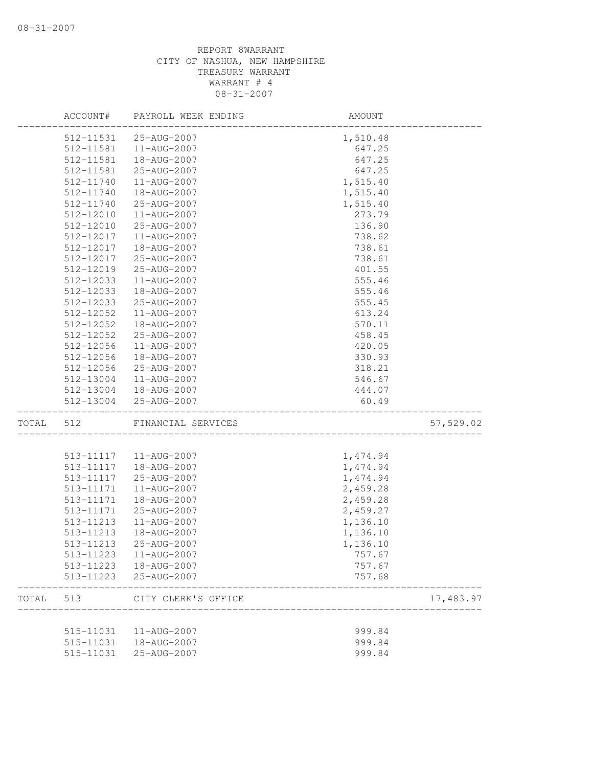|       | ACCOUNT#  | PAYROLL WEEK ENDING | <b>AMOUNT</b>       |           |
|-------|-----------|---------------------|---------------------|-----------|
|       | 512-11531 | 25-AUG-2007         | 1,510.48            |           |
|       | 512-11581 | 11-AUG-2007         | 647.25              |           |
|       | 512-11581 | 18-AUG-2007         | 647.25              |           |
|       | 512-11581 | 25-AUG-2007         | 647.25              |           |
|       | 512-11740 | 11-AUG-2007         | 1,515.40            |           |
|       | 512-11740 | 18-AUG-2007         | 1,515.40            |           |
|       | 512-11740 | 25-AUG-2007         | 1,515.40            |           |
|       | 512-12010 | 11-AUG-2007         | 273.79              |           |
|       | 512-12010 | 25-AUG-2007         | 136.90              |           |
|       | 512-12017 | 11-AUG-2007         | 738.62              |           |
|       | 512-12017 | 18-AUG-2007         | 738.61              |           |
|       | 512-12017 | 25-AUG-2007         | 738.61              |           |
|       | 512-12019 | 25-AUG-2007         | 401.55              |           |
|       | 512-12033 | 11-AUG-2007         | 555.46              |           |
|       | 512-12033 | 18-AUG-2007         | 555.46              |           |
|       | 512-12033 | 25-AUG-2007         | 555.45              |           |
|       | 512-12052 | 11-AUG-2007         | 613.24              |           |
|       | 512-12052 | 18-AUG-2007         | 570.11              |           |
|       | 512-12052 | 25-AUG-2007         | 458.45              |           |
|       | 512-12056 | 11-AUG-2007         | 420.05              |           |
|       | 512-12056 | 18-AUG-2007         | 330.93              |           |
|       | 512-12056 | 25-AUG-2007         | 318.21              |           |
|       | 512-13004 | 11-AUG-2007         | 546.67              |           |
|       | 512-13004 | 18-AUG-2007         | 444.07              |           |
|       | 512-13004 | 25-AUG-2007         | 60.49               |           |
| TOTAL | 512       | FINANCIAL SERVICES  | ___________________ | 57,529.02 |
|       |           |                     |                     |           |
|       | 513-11117 | 11-AUG-2007         | 1,474.94            |           |
|       | 513-11117 | 18-AUG-2007         | 1,474.94            |           |
|       | 513-11117 | 25-AUG-2007         | 1,474.94            |           |
|       | 513-11171 | 11-AUG-2007         | 2,459.28            |           |
|       | 513-11171 | 18-AUG-2007         | 2,459.28            |           |
|       | 513-11171 | 25-AUG-2007         | 2,459.27            |           |
|       | 513-11213 | 11-AUG-2007         | 1,136.10            |           |
|       | 513-11213 | 18-AUG-2007         | 1,136.10            |           |
|       | 513-11213 | 25-AUG-2007         | 1,136.10            |           |
|       | 513-11223 | 11-AUG-2007         | 757.67              |           |
|       | 513-11223 | 18-AUG-2007         | 757.67              |           |
|       | 513-11223 | 25-AUG-2007         | 757.68              |           |
| TOTAL | 513       | CITY CLERK'S OFFICE |                     | 17,483.97 |
|       | 515-11031 | 11-AUG-2007         | 999.84              |           |
|       | 515-11031 | 18-AUG-2007         | 999.84              |           |
|       | 515-11031 | 25-AUG-2007         | 999.84              |           |
|       |           |                     |                     |           |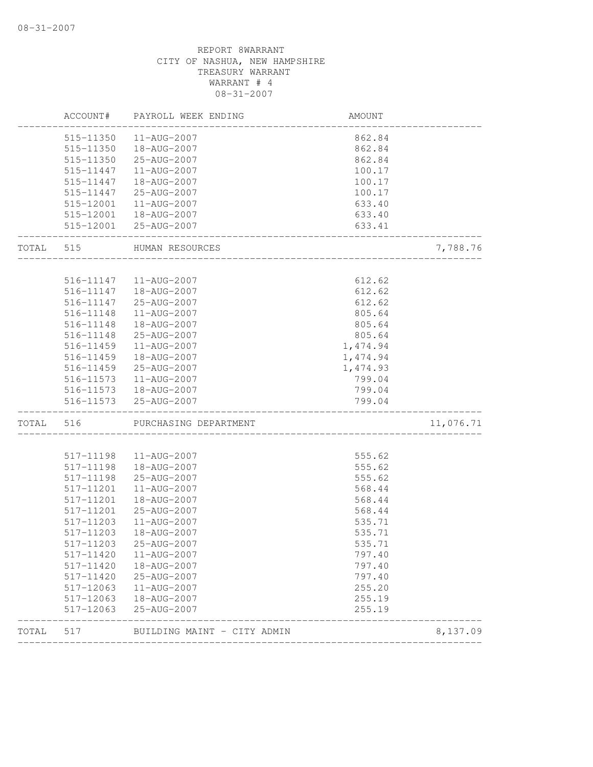|       | 515-11350              | 11-AUG-2007                 | 862.84   |           |
|-------|------------------------|-----------------------------|----------|-----------|
|       | 515-11350              | 18-AUG-2007                 | 862.84   |           |
|       | 515-11350              | 25-AUG-2007                 | 862.84   |           |
|       | 515-11447              | 11-AUG-2007                 | 100.17   |           |
|       | 515-11447              | 18-AUG-2007                 | 100.17   |           |
|       | 515-11447              | 25-AUG-2007                 | 100.17   |           |
|       | 515-12001              | 11-AUG-2007                 | 633.40   |           |
|       |                        | 515-12001  18-AUG-2007      | 633.40   |           |
|       |                        | 515-12001 25-AUG-2007       | 633.41   |           |
| TOTAL | 515                    | HUMAN RESOURCES             |          | 7,788.76  |
|       |                        |                             |          |           |
|       |                        | 516-11147   11-AUG-2007     | 612.62   |           |
|       | 516-11147              | 18-AUG-2007                 | 612.62   |           |
|       | 516-11147              | 25-AUG-2007                 | 612.62   |           |
|       | 516-11148              | 11-AUG-2007                 | 805.64   |           |
|       | 516-11148              | 18-AUG-2007                 | 805.64   |           |
|       | 516-11148              | 25-AUG-2007                 | 805.64   |           |
|       | 516-11459              | 11-AUG-2007                 | 1,474.94 |           |
|       | 516-11459              | 18-AUG-2007                 | 1,474.94 |           |
|       | 516-11459              | 25-AUG-2007                 | 1,474.93 |           |
|       | 516-11573              | 11-AUG-2007                 | 799.04   |           |
|       |                        | 516-11573  18-AUG-2007      | 799.04   |           |
|       |                        | 516-11573 25-AUG-2007       | 799.04   |           |
| TOTAL | 516                    | PURCHASING DEPARTMENT       |          | 11,076.71 |
|       |                        |                             | 555.62   |           |
|       | 517-11198<br>517-11198 | 11-AUG-2007<br>18-AUG-2007  | 555.62   |           |
|       | 517-11198              | 25-AUG-2007                 | 555.62   |           |
|       | 517-11201              | 11-AUG-2007                 | 568.44   |           |
|       | 517-11201              | 18-AUG-2007                 | 568.44   |           |
|       | 517-11201              | 25-AUG-2007                 | 568.44   |           |
|       | 517-11203              | 11-AUG-2007                 |          |           |
|       |                        |                             | 535.71   |           |
|       | 517-11203              | 18-AUG-2007                 | 535.71   |           |
|       | 517-11203              | 25-AUG-2007                 | 535.71   |           |
|       | 517-11420              | 11-AUG-2007                 | 797.40   |           |
|       | 517-11420              | 18-AUG-2007                 | 797.40   |           |
|       | 517-11420              | 25-AUG-2007                 | 797.40   |           |
|       | 517-12063              | 11-AUG-2007                 | 255.20   |           |
|       | 517-12063              | 18-AUG-2007                 | 255.19   |           |
|       | 517-12063              | 25-AUG-2007                 | 255.19   |           |
| TOTAL | 517                    | BUILDING MAINT - CITY ADMIN |          | 8,137.09  |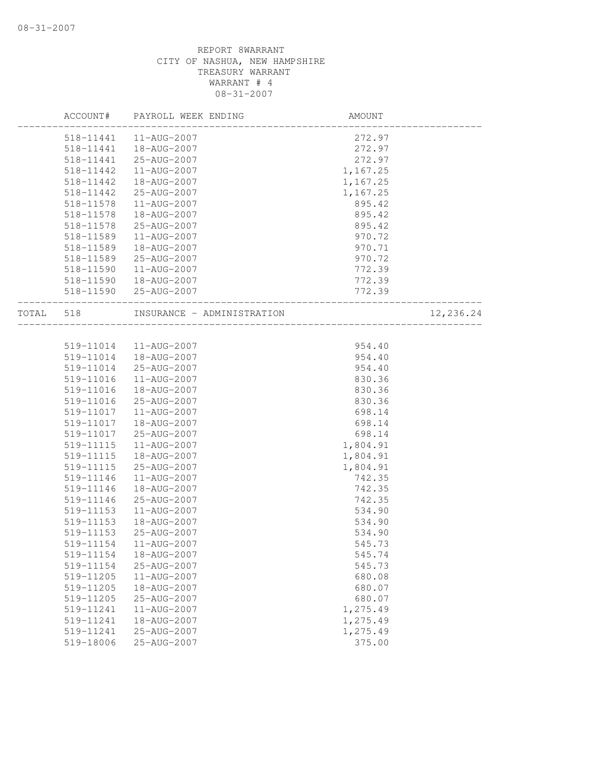|       | ACCOUNT#  | PAYROLL WEEK ENDING        | AMOUNT   |           |
|-------|-----------|----------------------------|----------|-----------|
|       |           | 518-11441  11-AUG-2007     | 272.97   |           |
|       | 518-11441 | 18-AUG-2007                | 272.97   |           |
|       | 518-11441 | 25-AUG-2007                | 272.97   |           |
|       | 518-11442 | 11-AUG-2007                | 1,167.25 |           |
|       | 518-11442 | 18-AUG-2007                | 1,167.25 |           |
|       | 518-11442 | 25-AUG-2007                | 1,167.25 |           |
|       | 518-11578 | 11-AUG-2007                | 895.42   |           |
|       | 518-11578 | 18-AUG-2007                | 895.42   |           |
|       | 518-11578 | 25-AUG-2007                | 895.42   |           |
|       | 518-11589 | 11-AUG-2007                | 970.72   |           |
|       | 518-11589 | 18-AUG-2007                | 970.71   |           |
|       | 518-11589 | 25-AUG-2007                | 970.72   |           |
|       | 518-11590 | 11-AUG-2007                | 772.39   |           |
|       | 518-11590 | 18-AUG-2007                | 772.39   |           |
|       | 518-11590 | 25-AUG-2007                | 772.39   |           |
| TOTAL | 518       | INSURANCE - ADMINISTRATION |          | 12,236.24 |
|       |           |                            |          |           |
|       | 519-11014 | 11-AUG-2007                | 954.40   |           |
|       | 519-11014 | 18-AUG-2007                | 954.40   |           |
|       | 519-11014 | 25-AUG-2007                | 954.40   |           |
|       | 519-11016 | 11-AUG-2007                | 830.36   |           |
|       | 519-11016 | 18-AUG-2007                | 830.36   |           |
|       | 519-11016 | 25-AUG-2007                | 830.36   |           |
|       | 519-11017 | 11-AUG-2007                | 698.14   |           |
|       | 519-11017 | 18-AUG-2007                | 698.14   |           |
|       | 519-11017 | 25-AUG-2007                | 698.14   |           |
|       | 519-11115 | 11-AUG-2007                | 1,804.91 |           |
|       | 519-11115 | 18-AUG-2007                | 1,804.91 |           |
|       | 519-11115 | 25-AUG-2007                | 1,804.91 |           |
|       | 519-11146 | 11-AUG-2007                | 742.35   |           |
|       | 519-11146 | 18-AUG-2007                | 742.35   |           |
|       | 519-11146 | 25-AUG-2007                | 742.35   |           |
|       | 519-11153 | 11-AUG-2007                | 534.90   |           |
|       | 519-11153 | 18-AUG-2007                | 534.90   |           |
|       | 519-11153 | 25-AUG-2007                | 534.90   |           |
|       | 519-11154 | 11-AUG-2007                | 545.73   |           |
|       | 519-11154 | 18-AUG-2007                | 545.74   |           |
|       | 519-11154 | 25-AUG-2007                | 545.73   |           |
|       | 519-11205 | 11-AUG-2007                | 680.08   |           |
|       | 519-11205 | 18-AUG-2007                | 680.07   |           |
|       | 519-11205 | 25-AUG-2007                | 680.07   |           |
|       | 519-11241 | $11 - AUG - 2007$          | 1,275.49 |           |
|       | 519-11241 | 18-AUG-2007                | 1,275.49 |           |
|       | 519-11241 | 25-AUG-2007                | 1,275.49 |           |
|       | 519-18006 | 25-AUG-2007                | 375.00   |           |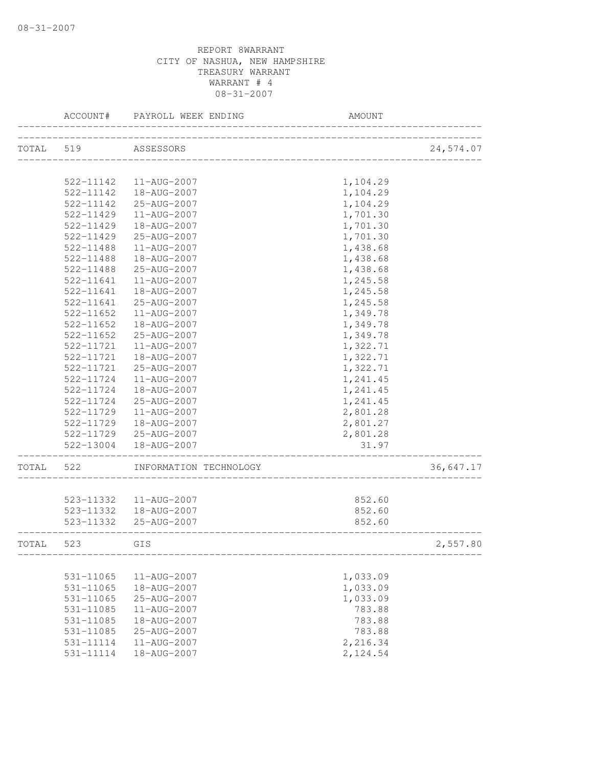|           | ACCOUNT#            | PAYROLL WEEK ENDING                                        | AMOUNT   |           |
|-----------|---------------------|------------------------------------------------------------|----------|-----------|
|           | TOTAL 519 ASSESSORS |                                                            |          | 24,574.07 |
|           |                     |                                                            |          |           |
|           | 522-11142           | 11-AUG-2007                                                | 1,104.29 |           |
|           | 522-11142           | 18-AUG-2007                                                | 1,104.29 |           |
|           | 522-11142           | 25-AUG-2007                                                | 1,104.29 |           |
|           | 522-11429           | 11-AUG-2007                                                | 1,701.30 |           |
|           | 522-11429           | 18-AUG-2007                                                | 1,701.30 |           |
|           | 522-11429           | 25-AUG-2007                                                | 1,701.30 |           |
|           | 522-11488           | $11 - AUG - 2007$                                          | 1,438.68 |           |
|           | 522-11488           | 18-AUG-2007                                                | 1,438.68 |           |
|           | 522-11488           | 25-AUG-2007                                                | 1,438.68 |           |
|           | 522-11641           | 11-AUG-2007                                                | 1,245.58 |           |
|           | 522-11641           | 18-AUG-2007                                                | 1,245.58 |           |
|           | 522-11641           | 25-AUG-2007                                                | 1,245.58 |           |
|           | 522-11652           | 11-AUG-2007                                                | 1,349.78 |           |
|           | 522-11652           | 18-AUG-2007                                                | 1,349.78 |           |
|           | 522-11652           | 25-AUG-2007                                                | 1,349.78 |           |
|           | 522-11721           | 11-AUG-2007                                                | 1,322.71 |           |
|           | 522-11721           | 18-AUG-2007                                                | 1,322.71 |           |
|           | 522-11721           | 25-AUG-2007                                                | 1,322.71 |           |
|           | 522-11724           | 11-AUG-2007                                                | 1,241.45 |           |
|           | 522-11724           | 18-AUG-2007                                                | 1,241.45 |           |
|           | 522-11724           | 25-AUG-2007                                                | 1,241.45 |           |
|           | 522-11729           | 11-AUG-2007                                                | 2,801.28 |           |
|           | 522-11729           | 18-AUG-2007                                                | 2,801.27 |           |
|           | 522-11729           | 25-AUG-2007                                                | 2,801.28 |           |
|           | 522-13004           | 18-AUG-2007                                                | 31.97    |           |
| TOTAL     | 522                 | INFORMATION TECHNOLOGY                                     |          | 36,647.17 |
|           |                     |                                                            |          |           |
|           |                     | 523-11332  11-AUG-2007                                     | 852.60   |           |
|           |                     | 523-11332  18-AUG-2007                                     | 852.60   |           |
|           |                     | 523-11332 25-AUG-2007<br>_________________________________ | 852.60   |           |
| TOTAL 523 |                     | GIS                                                        |          | 2,557.80  |
|           |                     |                                                            |          |           |
|           | 531-11065           | 11-AUG-2007                                                | 1,033.09 |           |
|           | $531 - 11065$       | 18-AUG-2007                                                | 1,033.09 |           |
|           | 531-11065           | 25-AUG-2007                                                | 1,033.09 |           |
|           | 531-11085           | 11-AUG-2007                                                | 783.88   |           |
|           | 531-11085           | 18-AUG-2007                                                | 783.88   |           |
|           | 531-11085           | 25-AUG-2007                                                | 783.88   |           |
|           | 531-11114           | 11-AUG-2007                                                | 2,216.34 |           |
|           | 531-11114           | 18-AUG-2007                                                | 2,124.54 |           |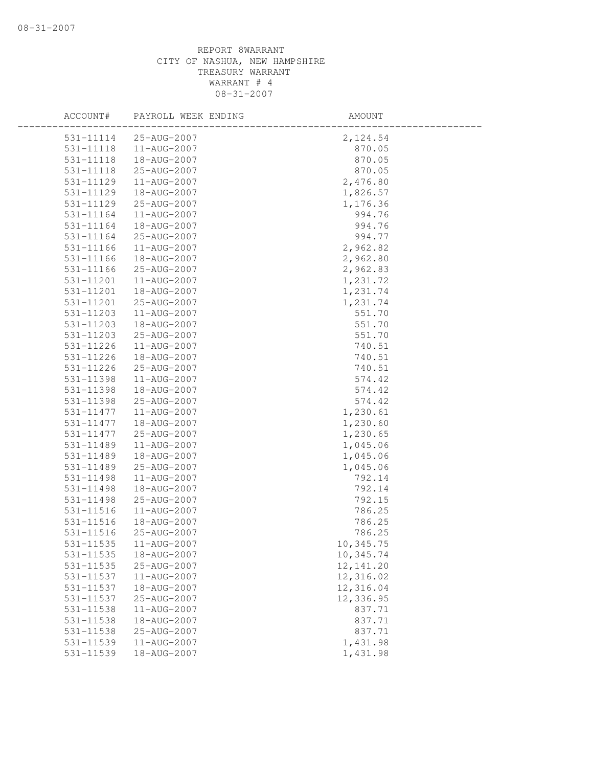| ACCOUNT#  | PAYROLL WEEK ENDING | AMOUNT     |
|-----------|---------------------|------------|
| 531-11114 | 25-AUG-2007         | 2,124.54   |
| 531-11118 | 11-AUG-2007         | 870.05     |
| 531-11118 | 18-AUG-2007         | 870.05     |
| 531-11118 | 25-AUG-2007         | 870.05     |
| 531-11129 | 11-AUG-2007         | 2,476.80   |
| 531-11129 | 18-AUG-2007         | 1,826.57   |
| 531-11129 | 25-AUG-2007         | 1,176.36   |
| 531-11164 | 11-AUG-2007         | 994.76     |
| 531-11164 | 18-AUG-2007         | 994.76     |
| 531-11164 | 25-AUG-2007         | 994.77     |
| 531-11166 | 11-AUG-2007         | 2,962.82   |
| 531-11166 | 18-AUG-2007         | 2,962.80   |
| 531-11166 | 25-AUG-2007         | 2,962.83   |
| 531-11201 | 11-AUG-2007         | 1,231.72   |
| 531-11201 | 18-AUG-2007         | 1,231.74   |
| 531-11201 | 25-AUG-2007         | 1,231.74   |
| 531-11203 | 11-AUG-2007         | 551.70     |
| 531-11203 | 18-AUG-2007         | 551.70     |
| 531-11203 | 25-AUG-2007         | 551.70     |
| 531-11226 | 11-AUG-2007         | 740.51     |
| 531-11226 | 18-AUG-2007         | 740.51     |
| 531-11226 | 25-AUG-2007         | 740.51     |
| 531-11398 | 11-AUG-2007         | 574.42     |
| 531-11398 | 18-AUG-2007         | 574.42     |
| 531-11398 | 25-AUG-2007         | 574.42     |
| 531-11477 | 11-AUG-2007         | 1,230.61   |
| 531-11477 | 18-AUG-2007         | 1,230.60   |
| 531-11477 | 25-AUG-2007         | 1,230.65   |
| 531-11489 | 11-AUG-2007         | 1,045.06   |
| 531-11489 | 18-AUG-2007         | 1,045.06   |
| 531-11489 | 25-AUG-2007         | 1,045.06   |
| 531-11498 | 11-AUG-2007         | 792.14     |
| 531-11498 | 18-AUG-2007         | 792.14     |
| 531-11498 | 25-AUG-2007         | 792.15     |
| 531-11516 | 11-AUG-2007         | 786.25     |
| 531-11516 | 18-AUG-2007         | 786.25     |
| 531-11516 | 25-AUG-2007         | 786.25     |
| 531-11535 | 11-AUG-2007         | 10,345.75  |
| 531-11535 | 18-AUG-2007         | 10,345.74  |
| 531-11535 | 25-AUG-2007         | 12, 141.20 |
| 531-11537 | 11-AUG-2007         | 12,316.02  |
| 531-11537 | 18-AUG-2007         | 12,316.04  |
| 531-11537 | 25-AUG-2007         | 12,336.95  |
| 531-11538 | 11-AUG-2007         | 837.71     |
| 531-11538 | 18-AUG-2007         | 837.71     |
| 531-11538 | 25-AUG-2007         | 837.71     |
| 531-11539 | 11-AUG-2007         | 1,431.98   |
| 531-11539 | 18-AUG-2007         | 1,431.98   |
|           |                     |            |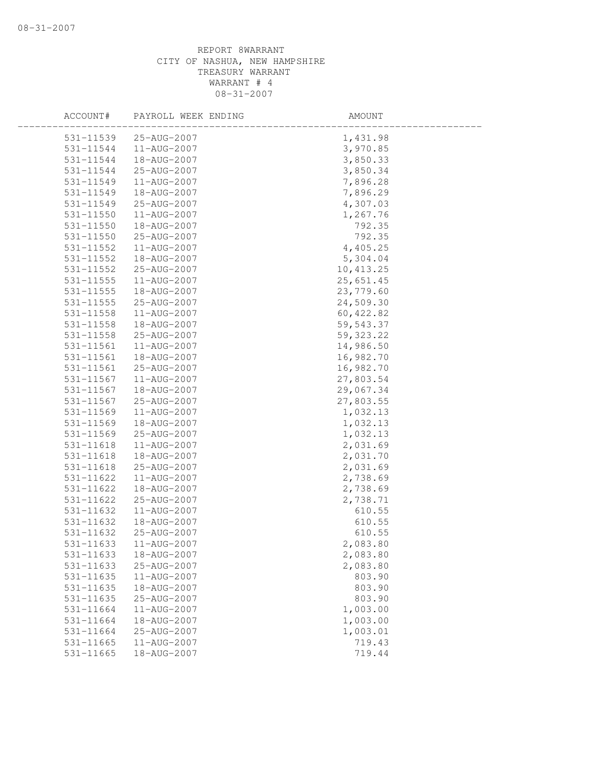| ACCOUNT#      | PAYROLL WEEK ENDING | AMOUNT     |  |
|---------------|---------------------|------------|--|
| 531-11539     | 25-AUG-2007         | 1,431.98   |  |
| 531-11544     | 11-AUG-2007         | 3,970.85   |  |
| 531-11544     | 18-AUG-2007         | 3,850.33   |  |
| 531-11544     | 25-AUG-2007         | 3,850.34   |  |
| 531-11549     | 11-AUG-2007         | 7,896.28   |  |
| 531-11549     | 18-AUG-2007         | 7,896.29   |  |
| 531-11549     | 25-AUG-2007         | 4,307.03   |  |
| 531-11550     | 11-AUG-2007         | 1,267.76   |  |
| 531-11550     | 18-AUG-2007         | 792.35     |  |
| $531 - 11550$ | 25-AUG-2007         | 792.35     |  |
| 531-11552     | 11-AUG-2007         | 4,405.25   |  |
| 531-11552     | 18-AUG-2007         | 5,304.04   |  |
| 531-11552     | 25-AUG-2007         | 10, 413.25 |  |
| 531-11555     | 11-AUG-2007         | 25,651.45  |  |
| 531-11555     | 18-AUG-2007         | 23,779.60  |  |
| 531-11555     | 25-AUG-2007         | 24,509.30  |  |
| 531-11558     | 11-AUG-2007         | 60, 422.82 |  |
| 531-11558     | 18-AUG-2007         | 59, 543.37 |  |
| 531-11558     | 25-AUG-2007         | 59, 323.22 |  |
| 531-11561     | 11-AUG-2007         | 14,986.50  |  |
| 531-11561     | 18-AUG-2007         | 16,982.70  |  |
| 531-11561     | 25-AUG-2007         | 16,982.70  |  |
| 531-11567     | 11-AUG-2007         | 27,803.54  |  |
| 531-11567     | 18-AUG-2007         | 29,067.34  |  |
| 531-11567     | 25-AUG-2007         | 27,803.55  |  |
| 531-11569     | 11-AUG-2007         | 1,032.13   |  |
| 531-11569     | 18-AUG-2007         | 1,032.13   |  |
| 531-11569     | 25-AUG-2007         | 1,032.13   |  |
| 531-11618     | 11-AUG-2007         | 2,031.69   |  |
| 531-11618     | 18-AUG-2007         | 2,031.70   |  |
| 531-11618     | 25-AUG-2007         | 2,031.69   |  |
| 531-11622     | 11-AUG-2007         | 2,738.69   |  |
| 531-11622     | 18-AUG-2007         | 2,738.69   |  |
| 531-11622     | 25-AUG-2007         | 2,738.71   |  |
| 531-11632     | 11-AUG-2007         | 610.55     |  |
| 531-11632     | 18-AUG-2007         | 610.55     |  |
| 531-11632     | 25-AUG-2007         | 610.55     |  |
| 531-11633     | 11-AUG-2007         | 2,083.80   |  |
| 531-11633     | 18-AUG-2007         | 2,083.80   |  |
| 531-11633     | 25-AUG-2007         | 2,083.80   |  |
| 531-11635     | 11-AUG-2007         | 803.90     |  |
| 531-11635     | 18-AUG-2007         | 803.90     |  |
| 531-11635     | 25-AUG-2007         | 803.90     |  |
| 531-11664     | $11 - AUG - 2007$   | 1,003.00   |  |
| 531-11664     | 18-AUG-2007         | 1,003.00   |  |
| 531-11664     | 25-AUG-2007         | 1,003.01   |  |
| 531-11665     | 11-AUG-2007         | 719.43     |  |
| 531-11665     | 18-AUG-2007         | 719.44     |  |
|               |                     |            |  |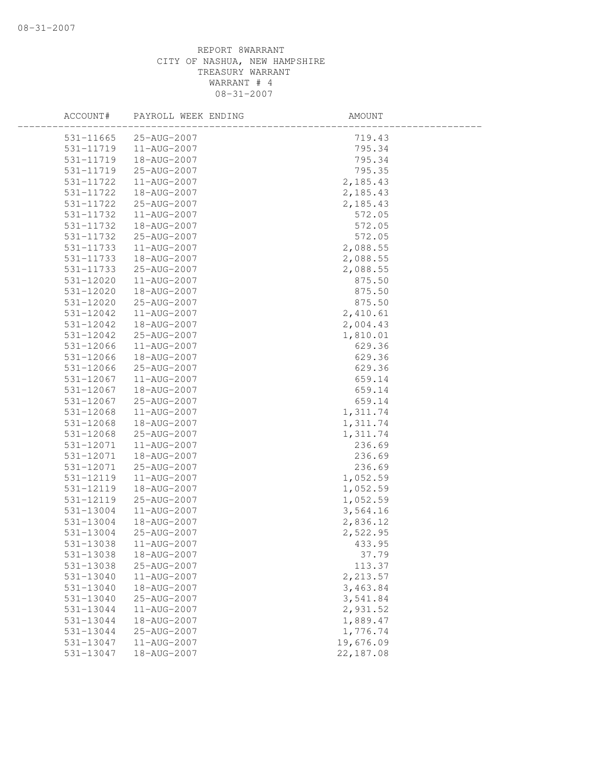| ACCOUNT#  | PAYROLL WEEK ENDING | AMOUNT    |
|-----------|---------------------|-----------|
| 531-11665 | 25-AUG-2007         | 719.43    |
| 531-11719 | 11-AUG-2007         | 795.34    |
| 531-11719 | 18-AUG-2007         | 795.34    |
| 531-11719 | 25-AUG-2007         | 795.35    |
| 531-11722 | 11-AUG-2007         | 2,185.43  |
| 531-11722 | 18-AUG-2007         | 2,185.43  |
| 531-11722 | 25-AUG-2007         | 2,185.43  |
| 531-11732 | 11-AUG-2007         | 572.05    |
| 531-11732 | 18-AUG-2007         | 572.05    |
| 531-11732 | 25-AUG-2007         | 572.05    |
| 531-11733 | 11-AUG-2007         | 2,088.55  |
| 531-11733 | 18-AUG-2007         | 2,088.55  |
| 531-11733 | 25-AUG-2007         | 2,088.55  |
| 531-12020 | 11-AUG-2007         | 875.50    |
| 531-12020 | 18-AUG-2007         | 875.50    |
| 531-12020 | 25-AUG-2007         | 875.50    |
| 531-12042 | 11-AUG-2007         | 2,410.61  |
| 531-12042 | 18-AUG-2007         | 2,004.43  |
| 531-12042 | 25-AUG-2007         | 1,810.01  |
| 531-12066 | 11-AUG-2007         | 629.36    |
| 531-12066 | 18-AUG-2007         | 629.36    |
| 531-12066 | 25-AUG-2007         | 629.36    |
| 531-12067 | 11-AUG-2007         | 659.14    |
| 531-12067 | 18-AUG-2007         | 659.14    |
| 531-12067 | 25-AUG-2007         | 659.14    |
| 531-12068 | 11-AUG-2007         | 1,311.74  |
| 531-12068 | 18-AUG-2007         | 1,311.74  |
| 531-12068 | 25-AUG-2007         | 1,311.74  |
| 531-12071 | 11-AUG-2007         | 236.69    |
| 531-12071 | 18-AUG-2007         | 236.69    |
| 531-12071 | 25-AUG-2007         | 236.69    |
| 531-12119 | 11-AUG-2007         | 1,052.59  |
| 531-12119 | 18-AUG-2007         | 1,052.59  |
| 531-12119 | 25-AUG-2007         | 1,052.59  |
| 531-13004 | 11-AUG-2007         | 3,564.16  |
| 531-13004 | 18-AUG-2007         | 2,836.12  |
| 531-13004 | 25-AUG-2007         | 2,522.95  |
| 531-13038 | 11-AUG-2007         | 433.95    |
| 531-13038 | 18-AUG-2007         | 37.79     |
| 531-13038 | 25-AUG-2007         | 113.37    |
| 531-13040 | 11-AUG-2007         | 2,213.57  |
| 531-13040 | 18-AUG-2007         | 3,463.84  |
| 531-13040 | 25-AUG-2007         | 3,541.84  |
| 531-13044 | 11-AUG-2007         | 2,931.52  |
| 531-13044 | 18-AUG-2007         | 1,889.47  |
| 531-13044 | 25-AUG-2007         | 1,776.74  |
| 531-13047 | 11-AUG-2007         | 19,676.09 |
| 531-13047 | 18-AUG-2007         | 22,187.08 |
|           |                     |           |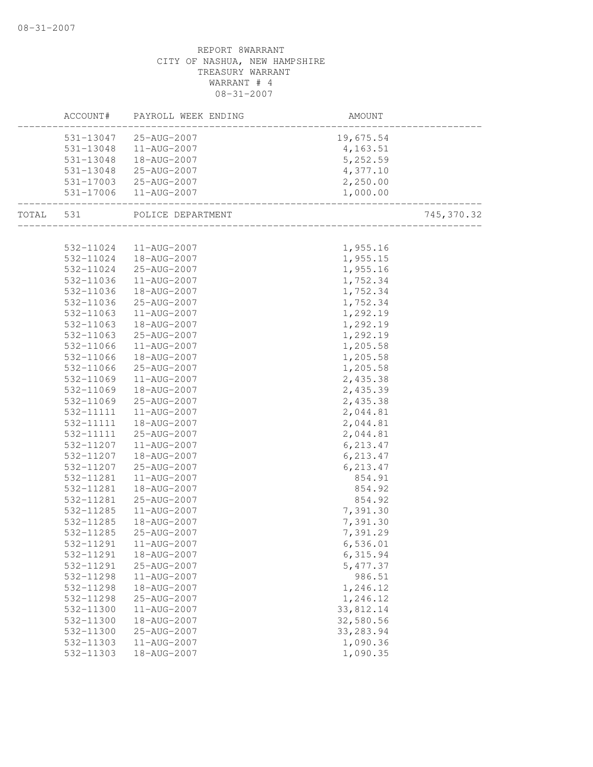| ACCOUNT#                                       | PAYROLL WEEK ENDING         | AMOUNT                              |            |
|------------------------------------------------|-----------------------------|-------------------------------------|------------|
|                                                | 531-13047 25-AUG-2007       | 19,675.54                           |            |
|                                                | 531-13048  11-AUG-2007      | 4,163.51                            |            |
| 531-13048                                      | 18-AUG-2007                 | 5,252.59                            |            |
| 531-13048                                      | 25-AUG-2007                 | 4,377.10                            |            |
|                                                | 531-17003 25-AUG-2007       | 2,250.00                            |            |
| 531-17006<br>. _ _ _ _ _ _ _ _ _ _ _ _ _ _ _ _ | 11-AUG-2007                 | 1,000.00                            |            |
|                                                | TOTAL 531 POLICE DEPARTMENT | .<br>------------------------------ | 745,370.32 |
|                                                |                             |                                     |            |
|                                                | 532-11024  11-AUG-2007      | 1,955.16                            |            |
| 532-11024                                      | 18-AUG-2007                 | 1,955.15                            |            |
| 532-11024                                      | 25-AUG-2007                 | 1,955.16                            |            |
| 532-11036                                      | 11-AUG-2007                 | 1,752.34                            |            |
| 532-11036                                      | 18-AUG-2007                 | 1,752.34                            |            |
| 532-11036                                      | 25-AUG-2007                 | 1,752.34                            |            |
| 532-11063                                      | 11-AUG-2007                 | 1,292.19                            |            |
| 532-11063                                      | 18-AUG-2007                 | 1,292.19                            |            |
| 532-11063                                      | 25-AUG-2007                 | 1,292.19                            |            |
| 532-11066                                      | 11-AUG-2007                 | 1,205.58                            |            |
| 532-11066                                      | 18-AUG-2007                 | 1,205.58                            |            |
| 532-11066<br>532-11069                         | 25-AUG-2007<br>11-AUG-2007  | 1,205.58<br>2,435.38                |            |
| 532-11069                                      | 18-AUG-2007                 | 2,435.39                            |            |
| 532-11069                                      | 25-AUG-2007                 | 2,435.38                            |            |
| 532-11111                                      | 11-AUG-2007                 | 2,044.81                            |            |
| 532-11111                                      | 18-AUG-2007                 | 2,044.81                            |            |
| 532-11111                                      | 25-AUG-2007                 | 2,044.81                            |            |
| 532-11207                                      | 11-AUG-2007                 | 6,213.47                            |            |
| 532-11207                                      | 18-AUG-2007                 | 6,213.47                            |            |
| 532-11207                                      | 25-AUG-2007                 | 6, 213.47                           |            |
| 532-11281                                      | 11-AUG-2007                 | 854.91                              |            |
| 532-11281                                      | 18-AUG-2007                 | 854.92                              |            |
| 532-11281                                      | 25-AUG-2007                 | 854.92                              |            |
| 532-11285                                      | 11-AUG-2007                 | 7,391.30                            |            |
| 532-11285                                      | 18-AUG-2007                 | 7,391.30                            |            |
| 532-11285                                      | 25-AUG-2007                 | 7,391.29                            |            |
| 532-11291                                      | 11-AUG-2007                 | 6,536.01                            |            |
| 532-11291                                      | 18-AUG-2007                 | 6,315.94                            |            |
| 532-11291                                      | 25-AUG-2007                 | 5, 477.37                           |            |
| 532-11298                                      | 11-AUG-2007                 | 986.51                              |            |
| 532-11298                                      | 18-AUG-2007                 | 1,246.12                            |            |
| 532-11298                                      | 25-AUG-2007                 | 1,246.12                            |            |
| 532-11300                                      | 11-AUG-2007                 | 33,812.14                           |            |
| 532-11300                                      | 18-AUG-2007                 | 32,580.56                           |            |
| 532-11300                                      | 25-AUG-2007                 | 33, 283.94                          |            |
| 532-11303                                      | 11-AUG-2007                 | 1,090.36                            |            |
| 532-11303                                      | 18-AUG-2007                 | 1,090.35                            |            |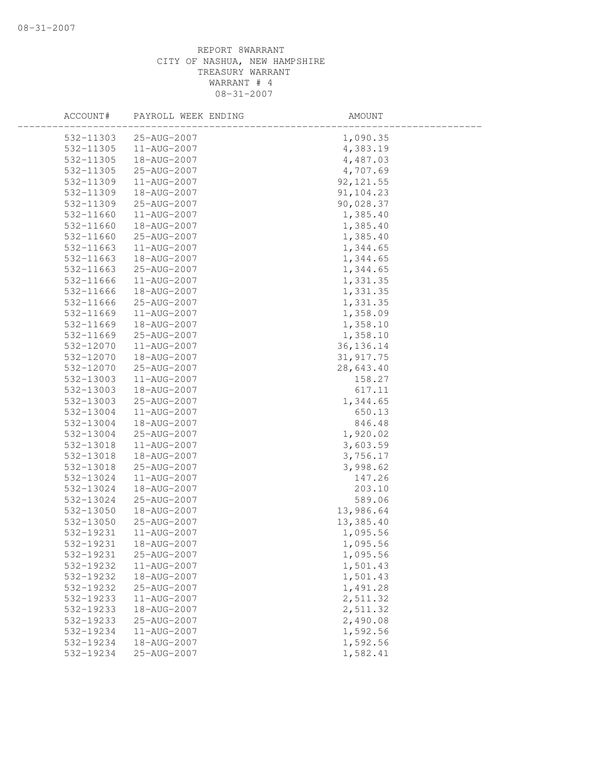| ACCOUNT#  | PAYROLL WEEK ENDING | AMOUNT      |  |
|-----------|---------------------|-------------|--|
| 532-11303 | 25-AUG-2007         | 1,090.35    |  |
| 532-11305 | 11-AUG-2007         | 4,383.19    |  |
| 532-11305 | 18-AUG-2007         | 4,487.03    |  |
| 532-11305 | 25-AUG-2007         | 4,707.69    |  |
| 532-11309 | 11-AUG-2007         | 92, 121.55  |  |
| 532-11309 | 18-AUG-2007         | 91, 104.23  |  |
| 532-11309 | 25-AUG-2007         | 90,028.37   |  |
| 532-11660 | 11-AUG-2007         | 1,385.40    |  |
| 532-11660 | 18-AUG-2007         | 1,385.40    |  |
| 532-11660 | 25-AUG-2007         | 1,385.40    |  |
| 532-11663 | 11-AUG-2007         | 1,344.65    |  |
| 532-11663 | 18-AUG-2007         | 1,344.65    |  |
| 532-11663 | 25-AUG-2007         | 1,344.65    |  |
| 532-11666 | 11-AUG-2007         | 1,331.35    |  |
| 532-11666 | 18-AUG-2007         | 1,331.35    |  |
| 532-11666 | 25-AUG-2007         | 1,331.35    |  |
| 532-11669 | 11-AUG-2007         | 1,358.09    |  |
| 532-11669 | 18-AUG-2007         | 1,358.10    |  |
| 532-11669 | 25-AUG-2007         | 1,358.10    |  |
| 532-12070 | 11-AUG-2007         | 36, 136. 14 |  |
| 532-12070 | 18-AUG-2007         | 31, 917.75  |  |
| 532-12070 | 25-AUG-2007         | 28,643.40   |  |
| 532-13003 | 11-AUG-2007         | 158.27      |  |
| 532-13003 | 18-AUG-2007         | 617.11      |  |
| 532-13003 | 25-AUG-2007         | 1,344.65    |  |
| 532-13004 | 11-AUG-2007         | 650.13      |  |
| 532-13004 | 18-AUG-2007         | 846.48      |  |
| 532-13004 | 25-AUG-2007         | 1,920.02    |  |
| 532-13018 | 11-AUG-2007         | 3,603.59    |  |
| 532-13018 | 18-AUG-2007         | 3,756.17    |  |
| 532-13018 | 25-AUG-2007         | 3,998.62    |  |
| 532-13024 | 11-AUG-2007         | 147.26      |  |
| 532-13024 | 18-AUG-2007         | 203.10      |  |
| 532-13024 | 25-AUG-2007         | 589.06      |  |
| 532-13050 | 18-AUG-2007         | 13,986.64   |  |
| 532-13050 | 25-AUG-2007         | 13,385.40   |  |
| 532-19231 | 11-AUG-2007         | 1,095.56    |  |
| 532-19231 | 18-AUG-2007         | 1,095.56    |  |
| 532-19231 | 25-AUG-2007         | 1,095.56    |  |
| 532-19232 | 11-AUG-2007         | 1,501.43    |  |
| 532-19232 | 18-AUG-2007         | 1,501.43    |  |
| 532-19232 | 25-AUG-2007         | 1,491.28    |  |
| 532-19233 | 11-AUG-2007         | 2,511.32    |  |
| 532-19233 | 18-AUG-2007         | 2,511.32    |  |
| 532-19233 | 25-AUG-2007         | 2,490.08    |  |
| 532-19234 | 11-AUG-2007         | 1,592.56    |  |
| 532-19234 | 18-AUG-2007         | 1,592.56    |  |
| 532-19234 | 25-AUG-2007         | 1,582.41    |  |
|           |                     |             |  |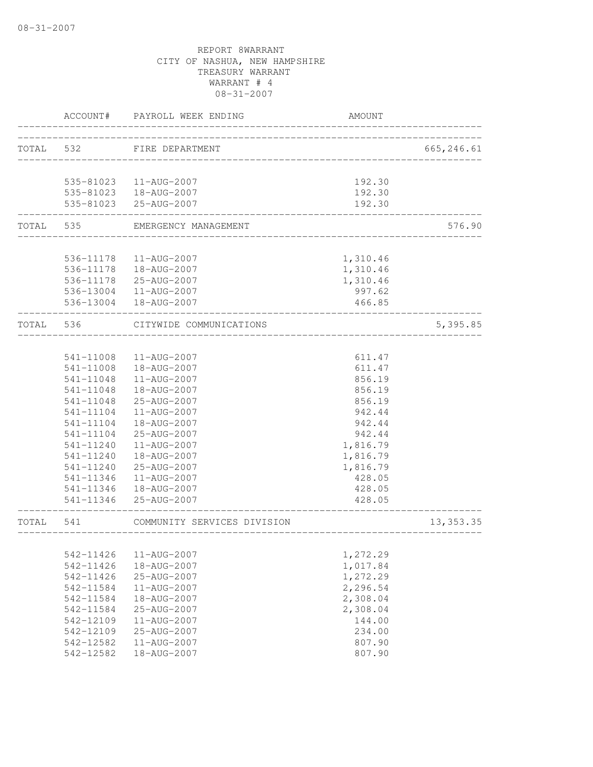|       | ACCOUNT#               | PAYROLL WEEK ENDING                             | <b>AMOUNT</b>       |             |
|-------|------------------------|-------------------------------------------------|---------------------|-------------|
| TOTAL | 532                    | FIRE DEPARTMENT<br>____________________________ |                     | 665, 246.61 |
|       |                        | 535-81023  11-AUG-2007                          | 192.30              |             |
|       |                        | 535-81023  18-AUG-2007                          | 192.30              |             |
|       |                        | 535-81023 25-AUG-2007                           | 192.30<br>--------- |             |
| TOTAL | 535                    | EMERGENCY MANAGEMENT                            |                     | 576.90      |
|       | 536-11178              | 11-AUG-2007                                     | 1,310.46            |             |
|       | 536-11178              | 18-AUG-2007                                     | 1,310.46            |             |
|       | 536-11178              | 25-AUG-2007                                     | 1,310.46            |             |
|       | 536-13004              | 11-AUG-2007                                     | 997.62              |             |
|       | 536-13004              | 18-AUG-2007                                     | 466.85              |             |
| TOTAL | 536                    | CITYWIDE COMMUNICATIONS                         |                     | 5,395.85    |
|       |                        |                                                 |                     |             |
|       | 541-11008              | 11-AUG-2007                                     | 611.47              |             |
|       | 541-11008              | 18-AUG-2007                                     | 611.47              |             |
|       | 541-11048              | 11-AUG-2007                                     | 856.19              |             |
|       | 541-11048              | 18-AUG-2007                                     | 856.19              |             |
|       | 541-11048              | 25-AUG-2007                                     | 856.19              |             |
|       | 541-11104              | 11-AUG-2007                                     | 942.44              |             |
|       | 541-11104              | 18-AUG-2007                                     | 942.44              |             |
|       | 541-11104              | 25-AUG-2007                                     | 942.44              |             |
|       | 541-11240              | 11-AUG-2007                                     | 1,816.79            |             |
|       | 541-11240              | 18-AUG-2007                                     | 1,816.79            |             |
|       | 541-11240              | 25-AUG-2007                                     | 1,816.79            |             |
|       | 541-11346              | 11-AUG-2007                                     | 428.05              |             |
|       | 541-11346              | 18-AUG-2007                                     | 428.05              |             |
|       | 541-11346              | $25 - \text{AUG} - 2007$                        | 428.05              |             |
| TOTAL | 541                    | COMMUNITY SERVICES DIVISION                     |                     | 13, 353.35  |
|       |                        |                                                 |                     |             |
|       | 542-11426              | 11-AUG-2007                                     | 1,272.29            |             |
|       | 542-11426              | 18-AUG-2007                                     | 1,017.84            |             |
|       | 542-11426              | 25-AUG-2007                                     | 1,272.29            |             |
|       | 542-11584              | 11-AUG-2007                                     | 2,296.54            |             |
|       | 542-11584              | 18-AUG-2007                                     | 2,308.04            |             |
|       | 542-11584              | 25-AUG-2007                                     | 2,308.04            |             |
|       | 542-12109              | 11-AUG-2007                                     | 144.00              |             |
|       | 542-12109              | 25-AUG-2007                                     | 234.00              |             |
|       | 542-12582<br>542-12582 | $11 - AUG - 2007$<br>18-AUG-2007                | 807.90              |             |
|       |                        |                                                 | 807.90              |             |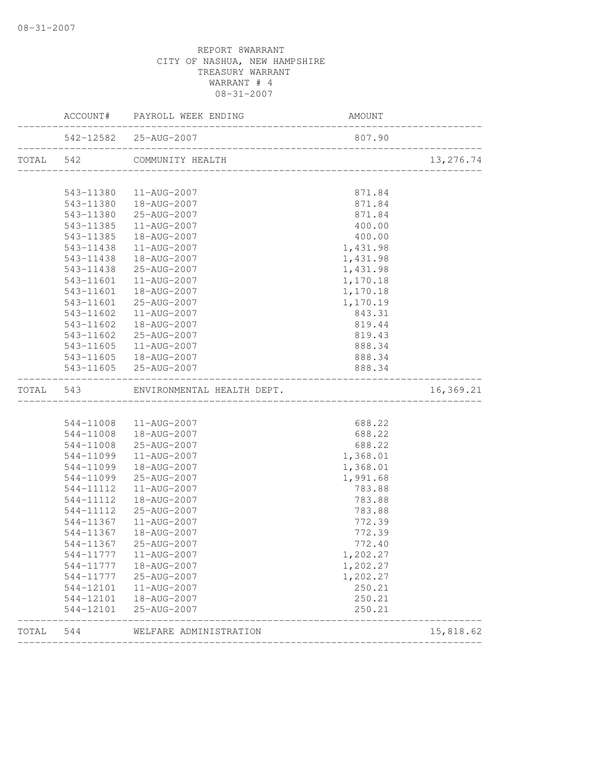|           | ACCOUNT# PAYROLL WEEK ENDING                | <b>AMOUNT</b> |           |
|-----------|---------------------------------------------|---------------|-----------|
|           | 542-12582 25-AUG-2007                       | 807.90        |           |
|           | TOTAL 542 COMMUNITY HEALTH                  |               | 13,276.74 |
|           | 543-11380  11-AUG-2007                      | 871.84        |           |
|           | 543-11380  18-AUG-2007                      | 871.84        |           |
| 543-11380 | 25-AUG-2007                                 | 871.84        |           |
| 543-11385 | 11-AUG-2007                                 | 400.00        |           |
| 543-11385 | 18-AUG-2007                                 | 400.00        |           |
| 543-11438 | 11-AUG-2007                                 | 1,431.98      |           |
| 543-11438 | 18-AUG-2007                                 | 1,431.98      |           |
| 543-11438 | 25-AUG-2007                                 | 1,431.98      |           |
| 543-11601 | 11-AUG-2007                                 | 1,170.18      |           |
| 543-11601 | 18-AUG-2007                                 | 1,170.18      |           |
| 543-11601 | 25-AUG-2007                                 | 1,170.19      |           |
| 543-11602 | 11-AUG-2007                                 | 843.31        |           |
| 543-11602 | 18-AUG-2007                                 | 819.44        |           |
| 543-11602 | 25-AUG-2007                                 | 819.43        |           |
|           | 543-11605  11-AUG-2007                      | 888.34        |           |
|           | 543-11605  18-AUG-2007                      | 888.34        |           |
|           | 543-11605 25-AUG-2007                       | 888.34        |           |
|           | TOTAL 543 ENVIRONMENTAL HEALTH DEPT. 16,369 |               | 16,369.21 |
|           |                                             |               |           |
|           | 544-11008  11-AUG-2007                      | 688.22        |           |
|           | 544-11008  18-AUG-2007                      | 688.22        |           |
|           | 544-11008 25-AUG-2007                       | 688.22        |           |
| 544-11099 | 11-AUG-2007                                 | 1,368.01      |           |
| 544-11099 | 18-AUG-2007                                 | 1,368.01      |           |
|           |                                             |               |           |
| 544-11099 | 25-AUG-2007                                 | 1,991.68      |           |
| 544-11112 | 11-AUG-2007                                 | 783.88        |           |
| 544-11112 | 18-AUG-2007                                 | 783.88        |           |
| 544-11112 | 25-AUG-2007                                 | 783.88        |           |
| 544-11367 | 11-AUG-2007                                 | 772.39        |           |
| 544-11367 | 18-AUG-2007                                 | 772.39        |           |
|           | 544-11367 25-AUG-2007                       | 772.40        |           |
| 544-11777 | 11-AUG-2007                                 | 1,202.27      |           |
| 544-11777 | 18-AUG-2007                                 | 1,202.27      |           |
| 544-11777 | 25-AUG-2007                                 | 1,202.27      |           |
| 544-12101 | 11-AUG-2007                                 | 250.21        |           |
| 544-12101 | 18-AUG-2007                                 | 250.21        |           |
| 544-12101 | 25-AUG-2007                                 | 250.21        |           |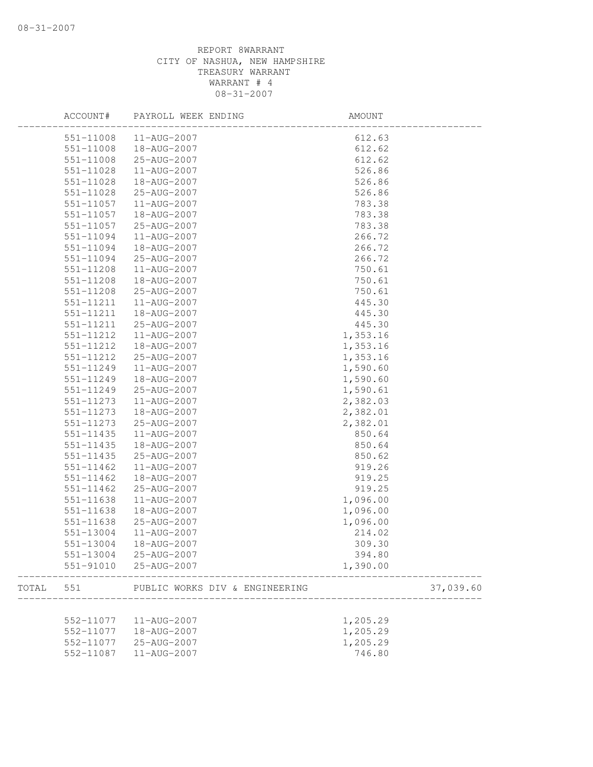|       | ACCOUNT#  | PAYROLL WEEK ENDING            | AMOUNT   |           |
|-------|-----------|--------------------------------|----------|-----------|
|       | 551-11008 | 11-AUG-2007                    | 612.63   |           |
|       | 551-11008 | 18-AUG-2007                    | 612.62   |           |
|       | 551-11008 | 25-AUG-2007                    | 612.62   |           |
|       | 551-11028 | 11-AUG-2007                    | 526.86   |           |
|       | 551-11028 | 18-AUG-2007                    | 526.86   |           |
|       | 551-11028 | 25-AUG-2007                    | 526.86   |           |
|       | 551-11057 | 11-AUG-2007                    | 783.38   |           |
|       | 551-11057 | 18-AUG-2007                    | 783.38   |           |
|       | 551-11057 | 25-AUG-2007                    | 783.38   |           |
|       | 551-11094 | 11-AUG-2007                    | 266.72   |           |
|       | 551-11094 | 18-AUG-2007                    | 266.72   |           |
|       | 551-11094 | 25-AUG-2007                    | 266.72   |           |
|       | 551-11208 | 11-AUG-2007                    | 750.61   |           |
|       | 551-11208 | 18-AUG-2007                    | 750.61   |           |
|       | 551-11208 | 25-AUG-2007                    | 750.61   |           |
|       | 551-11211 | 11-AUG-2007                    | 445.30   |           |
|       | 551-11211 | 18-AUG-2007                    | 445.30   |           |
|       | 551-11211 | 25-AUG-2007                    | 445.30   |           |
|       | 551-11212 | 11-AUG-2007                    | 1,353.16 |           |
|       | 551-11212 | 18-AUG-2007                    | 1,353.16 |           |
|       | 551-11212 | 25-AUG-2007                    | 1,353.16 |           |
|       | 551-11249 | 11-AUG-2007                    | 1,590.60 |           |
|       | 551-11249 | 18-AUG-2007                    | 1,590.60 |           |
|       | 551-11249 | 25-AUG-2007                    | 1,590.61 |           |
|       | 551-11273 | 11-AUG-2007                    | 2,382.03 |           |
|       | 551-11273 | 18-AUG-2007                    | 2,382.01 |           |
|       | 551-11273 | 25-AUG-2007                    | 2,382.01 |           |
|       |           | 11-AUG-2007                    |          |           |
|       | 551-11435 |                                | 850.64   |           |
|       | 551-11435 | 18-AUG-2007                    | 850.64   |           |
|       | 551-11435 | 25-AUG-2007                    | 850.62   |           |
|       | 551-11462 | 11-AUG-2007                    | 919.26   |           |
|       | 551-11462 | 18-AUG-2007                    | 919.25   |           |
|       | 551-11462 | 25-AUG-2007                    | 919.25   |           |
|       | 551-11638 | 11-AUG-2007                    | 1,096.00 |           |
|       | 551-11638 | 18-AUG-2007                    | 1,096.00 |           |
|       | 551-11638 | 25-AUG-2007                    | 1,096.00 |           |
|       | 551-13004 | 11-AUG-2007                    | 214.02   |           |
|       | 551-13004 | 18-AUG-2007                    | 309.30   |           |
|       | 551-13004 | 25-AUG-2007                    | 394.80   |           |
|       | 551-91010 | 25-AUG-2007                    | 1,390.00 |           |
| TOTAL | 551       | PUBLIC WORKS DIV & ENGINEERING |          | 37,039.60 |
|       |           |                                |          |           |
|       | 552-11077 | 11-AUG-2007                    | 1,205.29 |           |
|       | 552-11077 | 18-AUG-2007                    | 1,205.29 |           |
|       | 552-11077 | 25-AUG-2007                    | 1,205.29 |           |
|       | 552-11087 | 11-AUG-2007                    | 746.80   |           |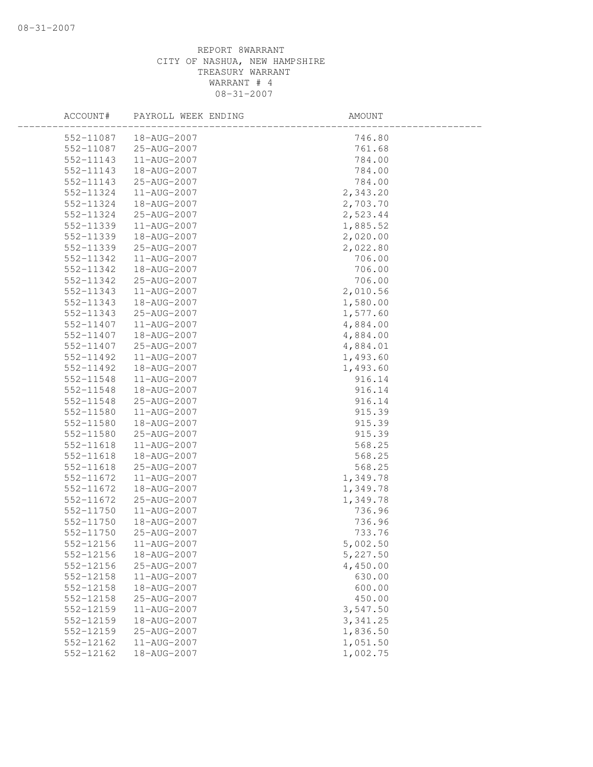| ACCOUNT#      | PAYROLL WEEK ENDING | AMOUNT    |  |
|---------------|---------------------|-----------|--|
| 552-11087     | 18-AUG-2007         | 746.80    |  |
| 552-11087     | 25-AUG-2007         | 761.68    |  |
| 552-11143     | 11-AUG-2007         | 784.00    |  |
| 552-11143     | 18-AUG-2007         | 784.00    |  |
| 552-11143     | 25-AUG-2007         | 784.00    |  |
| 552-11324     | 11-AUG-2007         | 2,343.20  |  |
| 552-11324     | 18-AUG-2007         | 2,703.70  |  |
| 552-11324     | 25-AUG-2007         | 2,523.44  |  |
| 552-11339     | 11-AUG-2007         | 1,885.52  |  |
| 552-11339     | 18-AUG-2007         | 2,020.00  |  |
| 552-11339     | 25-AUG-2007         | 2,022.80  |  |
| 552-11342     | 11-AUG-2007         | 706.00    |  |
| 552-11342     | 18-AUG-2007         | 706.00    |  |
| 552-11342     | 25-AUG-2007         | 706.00    |  |
| 552-11343     | 11-AUG-2007         | 2,010.56  |  |
| 552-11343     | 18-AUG-2007         | 1,580.00  |  |
| 552-11343     | 25-AUG-2007         | 1,577.60  |  |
| 552-11407     | 11-AUG-2007         | 4,884.00  |  |
| 552-11407     | 18-AUG-2007         | 4,884.00  |  |
| 552-11407     | 25-AUG-2007         | 4,884.01  |  |
| 552-11492     | 11-AUG-2007         | 1,493.60  |  |
| 552-11492     | 18-AUG-2007         | 1,493.60  |  |
| 552-11548     | 11-AUG-2007         | 916.14    |  |
| 552-11548     | 18-AUG-2007         | 916.14    |  |
| 552-11548     | 25-AUG-2007         | 916.14    |  |
| 552-11580     | 11-AUG-2007         | 915.39    |  |
| 552-11580     | 18-AUG-2007         | 915.39    |  |
| 552-11580     | 25-AUG-2007         | 915.39    |  |
| 552-11618     | 11-AUG-2007         | 568.25    |  |
| 552-11618     | 18-AUG-2007         | 568.25    |  |
| 552-11618     | 25-AUG-2007         | 568.25    |  |
| 552-11672     | 11-AUG-2007         | 1,349.78  |  |
| 552-11672     | 18-AUG-2007         | 1,349.78  |  |
| 552-11672     | 25-AUG-2007         | 1,349.78  |  |
| 552-11750     | 11-AUG-2007         | 736.96    |  |
| 552-11750     | 18-AUG-2007         | 736.96    |  |
| 552-11750     | 25-AUG-2007         | 733.76    |  |
| 552-12156     | 11-AUG-2007         | 5,002.50  |  |
| 552-12156     | 18-AUG-2007         | 5,227.50  |  |
| 552-12156     | 25-AUG-2007         | 4,450.00  |  |
| 552-12158     | 11-AUG-2007         | 630.00    |  |
| $552 - 12158$ | 18-AUG-2007         | 600.00    |  |
| 552-12158     | 25-AUG-2007         | 450.00    |  |
| 552-12159     | $11 - AUG - 2007$   | 3,547.50  |  |
| 552-12159     | 18-AUG-2007         | 3, 341.25 |  |
| 552-12159     | 25-AUG-2007         | 1,836.50  |  |
| 552-12162     | 11-AUG-2007         | 1,051.50  |  |
| 552-12162     | 18-AUG-2007         | 1,002.75  |  |
|               |                     |           |  |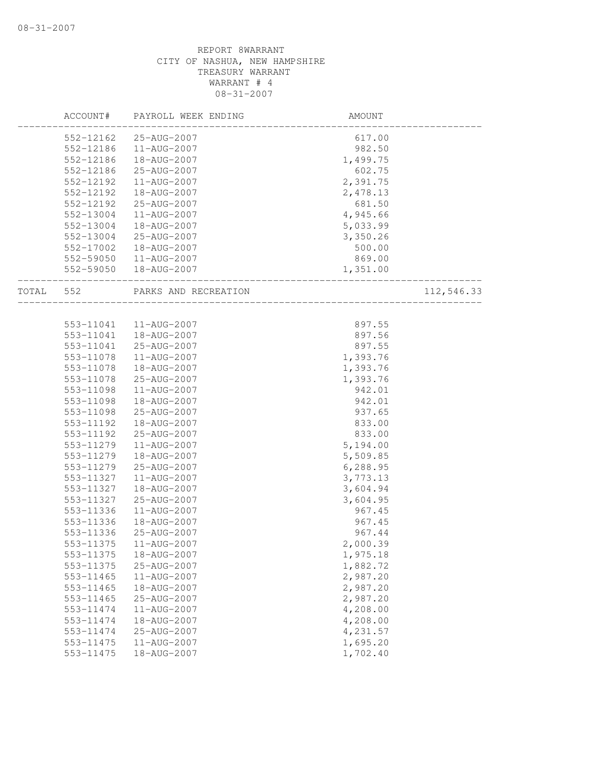|  | ACCOUNT#  | PAYROLL WEEK ENDING            | AMOUNT               |            |
|--|-----------|--------------------------------|----------------------|------------|
|  | 552-12162 | 25-AUG-2007                    | 617.00               |            |
|  | 552-12186 | 11-AUG-2007                    | 982.50               |            |
|  | 552-12186 | 18-AUG-2007                    | 1,499.75             |            |
|  | 552-12186 | 25-AUG-2007                    | 602.75               |            |
|  | 552-12192 | 11-AUG-2007                    | 2,391.75             |            |
|  | 552-12192 | 18-AUG-2007                    | 2,478.13             |            |
|  | 552-12192 | 25-AUG-2007                    | 681.50               |            |
|  | 552-13004 | $11 - AUG - 2007$              | 4,945.66             |            |
|  | 552-13004 | 18-AUG-2007                    | 5,033.99             |            |
|  | 552-13004 | 25-AUG-2007                    | 3,350.26             |            |
|  | 552-17002 | 18-AUG-2007                    | 500.00               |            |
|  | 552-59050 | 11-AUG-2007                    | 869.00               |            |
|  |           | 552-59050  18-AUG-2007         | 1,351.00             |            |
|  |           | TOTAL 552 PARKS AND RECREATION | ____________________ | 112,546.33 |
|  |           |                                |                      |            |
|  |           | 553-11041  11-AUG-2007         | 897.55               |            |
|  | 553-11041 | 18-AUG-2007                    | 897.56               |            |
|  | 553-11041 | 25-AUG-2007                    | 897.55               |            |
|  | 553-11078 | 11-AUG-2007                    | 1,393.76             |            |
|  | 553-11078 | 18-AUG-2007                    | 1,393.76             |            |
|  | 553-11078 | 25-AUG-2007                    | 1,393.76             |            |
|  | 553-11098 | 11-AUG-2007                    | 942.01               |            |
|  | 553-11098 | 18-AUG-2007                    | 942.01               |            |
|  | 553-11098 | 25-AUG-2007                    | 937.65               |            |
|  | 553-11192 | 18-AUG-2007                    | 833.00               |            |
|  | 553-11192 | 25-AUG-2007                    | 833.00               |            |
|  | 553-11279 | 11-AUG-2007                    | 5,194.00             |            |
|  | 553-11279 | 18-AUG-2007                    | 5,509.85             |            |
|  | 553-11279 | 25-AUG-2007                    | 6,288.95             |            |
|  | 553-11327 | 11-AUG-2007                    | 3,773.13             |            |
|  | 553-11327 | 18-AUG-2007                    | 3,604.94             |            |
|  | 553-11327 | 25-AUG-2007                    | 3,604.95             |            |
|  | 553-11336 | 11-AUG-2007                    | 967.45               |            |
|  | 553-11336 | 18-AUG-2007                    | 967.45               |            |
|  | 553-11336 | 25-AUG-2007                    | 967.44               |            |
|  | 553-11375 | 11-AUG-2007                    | 2,000.39             |            |
|  | 553-11375 | 18-AUG-2007                    | 1,975.18             |            |
|  | 553-11375 | 25-AUG-2007                    | 1,882.72             |            |
|  | 553-11465 | 11-AUG-2007                    | 2,987.20             |            |
|  | 553-11465 | 18-AUG-2007                    | 2,987.20             |            |
|  | 553-11465 | 25-AUG-2007                    | 2,987.20             |            |
|  | 553-11474 | 11-AUG-2007                    | 4,208.00             |            |
|  | 553-11474 | 18-AUG-2007                    | 4,208.00             |            |
|  | 553-11474 | 25-AUG-2007                    | 4,231.57             |            |
|  | 553-11475 | 11-AUG-2007                    | 1,695.20             |            |
|  | 553-11475 | 18-AUG-2007                    | 1,702.40             |            |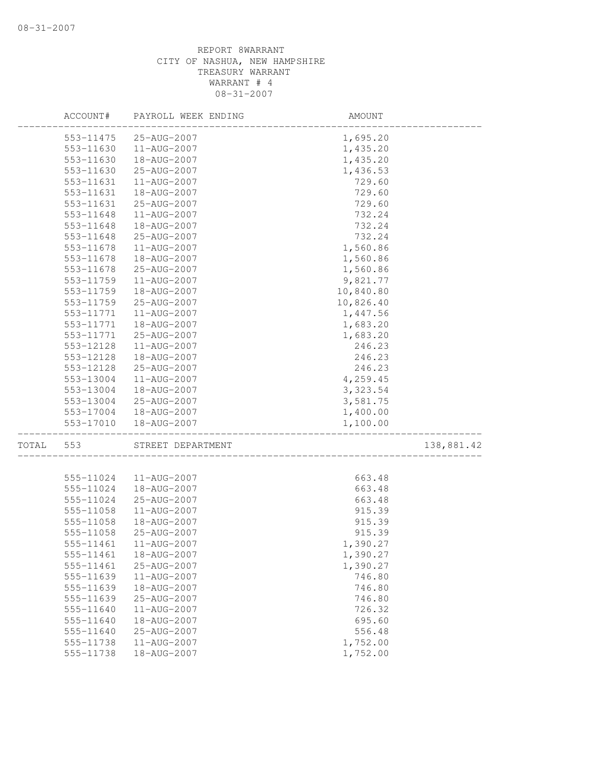|       | ACCOUNT#               | PAYROLL WEEK ENDING        | AMOUNT             |            |
|-------|------------------------|----------------------------|--------------------|------------|
|       | 553-11475              | 25-AUG-2007                | 1,695.20           |            |
|       | 553-11630              | 11-AUG-2007                | 1,435.20           |            |
|       | 553-11630              | 18-AUG-2007                | 1,435.20           |            |
|       | 553-11630              | 25-AUG-2007                | 1,436.53           |            |
|       | 553-11631              | 11-AUG-2007                | 729.60             |            |
|       | 553-11631              | 18-AUG-2007                | 729.60             |            |
|       | 553-11631              | 25-AUG-2007                | 729.60             |            |
|       | 553-11648              | 11-AUG-2007                | 732.24             |            |
|       | 553-11648              | 18-AUG-2007                | 732.24             |            |
|       | 553-11648              | 25-AUG-2007                | 732.24             |            |
|       | 553-11678              | 11-AUG-2007                | 1,560.86           |            |
|       | 553-11678              | 18-AUG-2007                | 1,560.86           |            |
|       | 553-11678              | 25-AUG-2007                | 1,560.86           |            |
|       | 553-11759              | 11-AUG-2007                | 9,821.77           |            |
|       | 553-11759              | 18-AUG-2007                | 10,840.80          |            |
|       | 553-11759              | 25-AUG-2007                | 10,826.40          |            |
|       | 553-11771              | 11-AUG-2007                | 1,447.56           |            |
|       | 553-11771              | 18-AUG-2007                | 1,683.20           |            |
|       | 553-11771              | 25-AUG-2007                | 1,683.20           |            |
|       | 553-12128              | 11-AUG-2007                | 246.23             |            |
|       | 553-12128              | 18-AUG-2007                | 246.23             |            |
|       | 553-12128              | 25-AUG-2007                | 246.23             |            |
|       | 553-13004              | 11-AUG-2007                | 4,259.45           |            |
|       | 553-13004              | 18-AUG-2007                | 3,323.54           |            |
|       | 553-13004              | 25-AUG-2007                | 3,581.75           |            |
|       | 553-17004              | 18-AUG-2007                | 1,400.00           |            |
|       | 553-17010              | 18-AUG-2007                | 1,100.00           |            |
| TOTAL | 553                    | STREET DEPARTMENT          |                    | 138,881.42 |
|       |                        |                            |                    |            |
|       | 555-11024              | 11-AUG-2007                | 663.48             |            |
|       | 555-11024              | 18-AUG-2007                | 663.48             |            |
|       | 555-11024              | 25-AUG-2007                | 663.48             |            |
|       | 555-11058              | 11-AUG-2007                | 915.39             |            |
|       | 555-11058              | 18-AUG-2007                | 915.39             |            |
|       | 555-11058              | 25-AUG-2007                | 915.39             |            |
|       | 555-11461              | 11-AUG-2007                | 1,390.27           |            |
|       | 555-11461              | 18-AUG-2007                | 1,390.27           |            |
|       | 555-11461<br>555-11639 | 25-AUG-2007                | 1,390.27           |            |
|       |                        | 11-AUG-2007<br>18-AUG-2007 | 746.80             |            |
|       | 555-11639<br>555-11639 | 25-AUG-2007                | 746.80<br>746.80   |            |
|       |                        |                            |                    |            |
|       | 555-11640<br>555-11640 | 11-AUG-2007<br>18-AUG-2007 | 726.32<br>695.60   |            |
|       | 555-11640              |                            |                    |            |
|       | 555-11738              | 25-AUG-2007<br>11-AUG-2007 | 556.48<br>1,752.00 |            |
|       | 555-11738              | 18-AUG-2007                | 1,752.00           |            |
|       |                        |                            |                    |            |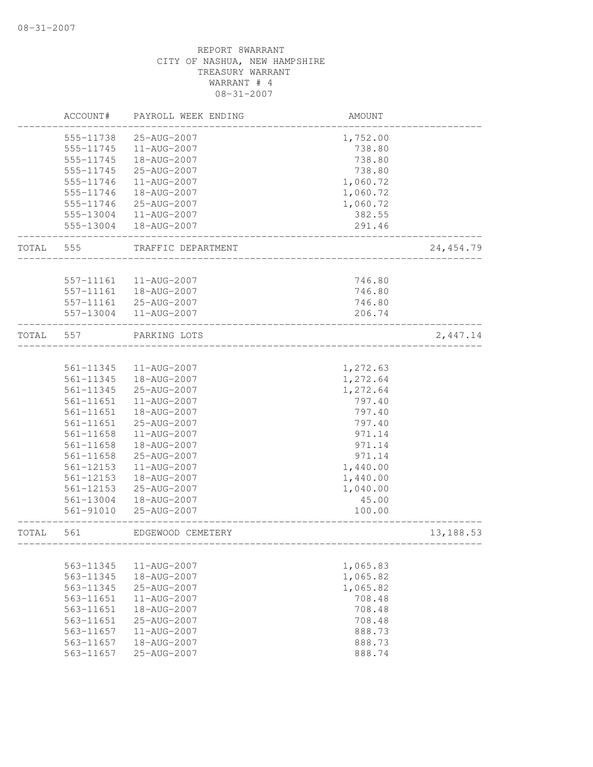|       | ACCOUNT#      | PAYROLL WEEK ENDING | AMOUNT                             |            |
|-------|---------------|---------------------|------------------------------------|------------|
|       | 555-11738     | 25-AUG-2007         | 1,752.00                           |            |
|       | 555-11745     | $11 - AUG - 2007$   | 738.80                             |            |
|       | 555-11745     | 18-AUG-2007         | 738.80                             |            |
|       | 555-11745     | 25-AUG-2007         | 738.80                             |            |
|       | 555-11746     | 11-AUG-2007         | 1,060.72                           |            |
|       | 555-11746     | 18-AUG-2007         | 1,060.72                           |            |
|       | 555-11746     | 25-AUG-2007         | 1,060.72                           |            |
|       | 555-13004     | 11-AUG-2007         | 382.55                             |            |
|       | 555-13004     | 18-AUG-2007         | 291.46                             |            |
| TOTAL | 555           | TRAFFIC DEPARTMENT  |                                    | 24, 454.79 |
|       | 557-11161     | 11-AUG-2007         | 746.80                             |            |
|       | 557-11161     | 18-AUG-2007         | 746.80                             |            |
|       | 557-11161     | 25-AUG-2007         | 746.80                             |            |
|       | 557-13004     | 11-AUG-2007         | 206.74                             |            |
| TOTAL | 557           | PARKING LOTS        |                                    | 2,447.14   |
|       |               |                     |                                    |            |
|       | 561-11345     | 11-AUG-2007         | 1,272.63                           |            |
|       | 561-11345     | 18-AUG-2007         | 1,272.64                           |            |
|       | 561-11345     | 25-AUG-2007         | 1,272.64                           |            |
|       | 561-11651     | 11-AUG-2007         | 797.40                             |            |
|       | 561-11651     | 18-AUG-2007         | 797.40                             |            |
|       | 561-11651     | 25-AUG-2007         | 797.40                             |            |
|       | 561-11658     | 11-AUG-2007         | 971.14                             |            |
|       | 561-11658     | 18-AUG-2007         | 971.14                             |            |
|       | 561-11658     | 25-AUG-2007         | 971.14                             |            |
|       | 561-12153     | 11-AUG-2007         | 1,440.00                           |            |
|       | 561-12153     | 18-AUG-2007         | 1,440.00                           |            |
|       | 561-12153     | 25-AUG-2007         | 1,040.00                           |            |
|       | 561-13004     | 18-AUG-2007         | 45.00                              |            |
|       | 561-91010     | 25-AUG-2007         | 100.00                             |            |
| TOTAL | 561           | EDGEWOOD CEMETERY   | __________________________________ | 13, 188.53 |
|       |               |                     |                                    |            |
|       | 563-11345     | 11-AUG-2007         | 1,065.83                           |            |
|       | 563-11345     | 18-AUG-2007         | 1,065.82                           |            |
|       | 563-11345     | 25-AUG-2007         | 1,065.82                           |            |
|       | 563-11651     | 11-AUG-2007         | 708.48                             |            |
|       | 563-11651     | 18-AUG-2007         | 708.48                             |            |
|       | 563-11651     | 25-AUG-2007         | 708.48                             |            |
|       | 563-11657     | 11-AUG-2007         | 888.73                             |            |
|       | $563 - 11657$ | 18-AUG-2007         | 888.73                             |            |
|       | 563-11657     | 25-AUG-2007         | 888.74                             |            |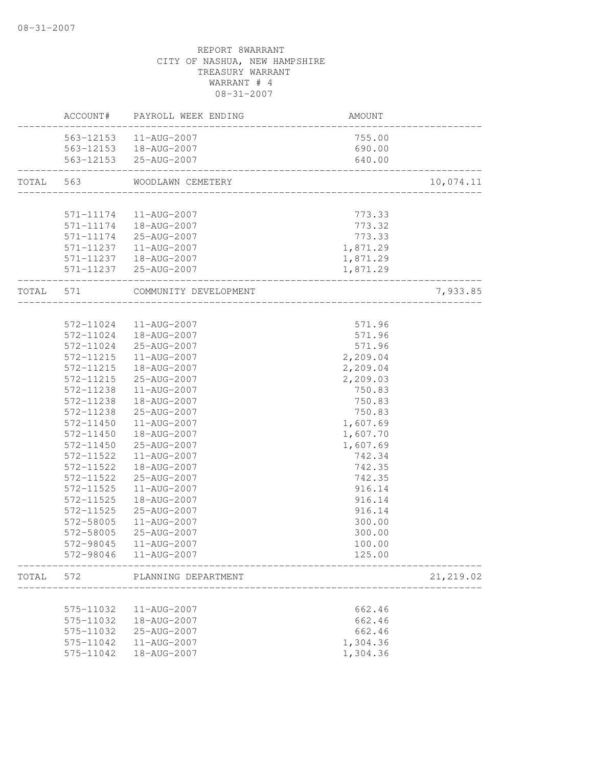|           |           | ACCOUNT# PAYROLL WEEK ENDING | AMOUNT              |            |
|-----------|-----------|------------------------------|---------------------|------------|
|           |           | 563-12153  11-AUG-2007       | 755.00              |            |
|           |           | 563-12153  18-AUG-2007       | 690.00              |            |
|           |           | 563-12153 25-AUG-2007        | 640.00              |            |
| TOTAL 563 |           | WOODLAWN CEMETERY            |                     | 10,074.11  |
|           |           |                              |                     |            |
|           | 571-11174 | 11-AUG-2007                  | 773.33              |            |
|           |           | 571-11174  18-AUG-2007       | 773.32              |            |
|           |           | 571-11174 25-AUG-2007        | 773.33              |            |
|           |           | 571-11237  11-AUG-2007       | 1,871.29            |            |
|           |           | 571-11237  18-AUG-2007       | 1,871.29            |            |
|           |           | 571-11237 25-AUG-2007        | 1,871.29            |            |
| TOTAL 571 |           | COMMUNITY DEVELOPMENT        | ___________________ | 7,933.85   |
|           |           |                              |                     |            |
|           | 572-11024 | 11-AUG-2007                  | 571.96              |            |
|           | 572-11024 | 18-AUG-2007                  | 571.96              |            |
|           | 572-11024 | 25-AUG-2007                  | 571.96              |            |
|           | 572-11215 | 11-AUG-2007                  | 2,209.04            |            |
|           | 572-11215 | 18-AUG-2007                  | 2,209.04            |            |
|           | 572-11215 | 25-AUG-2007                  | 2,209.03            |            |
|           | 572-11238 | $11 - AUG - 2007$            | 750.83              |            |
|           | 572-11238 | 18-AUG-2007                  | 750.83              |            |
|           | 572-11238 | 25-AUG-2007                  | 750.83              |            |
|           | 572-11450 | 11-AUG-2007                  | 1,607.69            |            |
|           | 572-11450 | 18-AUG-2007                  | 1,607.70            |            |
|           | 572-11450 | 25-AUG-2007                  | 1,607.69            |            |
|           | 572-11522 | 11-AUG-2007                  | 742.34              |            |
|           | 572-11522 | 18-AUG-2007                  | 742.35              |            |
|           | 572-11522 | 25-AUG-2007                  | 742.35              |            |
|           | 572-11525 | 11-AUG-2007                  | 916.14              |            |
|           | 572-11525 | 18-AUG-2007                  | 916.14              |            |
|           | 572-11525 | 25-AUG-2007                  | 916.14              |            |
|           | 572-58005 | 11-AUG-2007                  | 300.00              |            |
|           | 572-58005 | 25-AUG-2007                  | 300.00              |            |
|           | 572-98045 | 11-AUG-2007                  | 100.00              |            |
|           | 572-98046 | 11-AUG-2007                  | 125.00              |            |
| TOTAL     | 572       | PLANNING DEPARTMENT          |                     | 21, 219.02 |
|           |           |                              |                     |            |
|           | 575-11032 | 11-AUG-2007                  | 662.46              |            |
|           | 575-11032 | 18-AUG-2007                  | 662.46              |            |
|           | 575-11032 | 25-AUG-2007                  | 662.46              |            |
|           | 575-11042 | 11-AUG-2007                  | 1,304.36            |            |
|           | 575-11042 | 18-AUG-2007                  | 1,304.36            |            |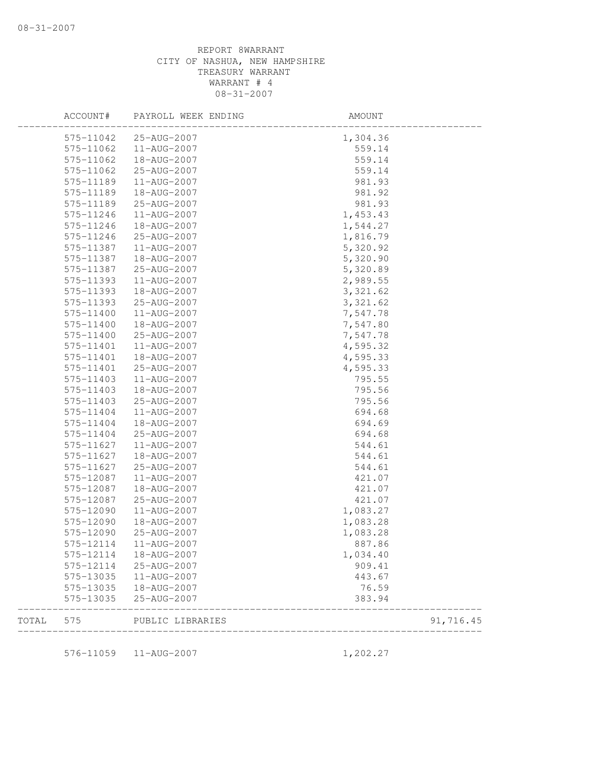|       | ACCOUNT#<br>PAYROLL WEEK ENDING |                  | AMOUNT   |           |  |
|-------|---------------------------------|------------------|----------|-----------|--|
|       | 575-11042                       | 25-AUG-2007      | 1,304.36 |           |  |
|       | 575-11062                       | 11-AUG-2007      | 559.14   |           |  |
|       | 575-11062                       | 18-AUG-2007      | 559.14   |           |  |
|       | 575-11062                       | 25-AUG-2007      | 559.14   |           |  |
|       | 575-11189                       | 11-AUG-2007      | 981.93   |           |  |
|       | 575-11189                       | 18-AUG-2007      | 981.92   |           |  |
|       | 575-11189                       | 25-AUG-2007      | 981.93   |           |  |
|       | 575-11246                       | 11-AUG-2007      | 1,453.43 |           |  |
|       | 575-11246                       | 18-AUG-2007      | 1,544.27 |           |  |
|       | 575-11246                       | 25-AUG-2007      | 1,816.79 |           |  |
|       | 575-11387                       | 11-AUG-2007      | 5,320.92 |           |  |
|       | 575-11387                       | 18-AUG-2007      | 5,320.90 |           |  |
|       | 575-11387                       | 25-AUG-2007      | 5,320.89 |           |  |
|       | 575-11393                       | 11-AUG-2007      | 2,989.55 |           |  |
|       | 575-11393                       | 18-AUG-2007      | 3,321.62 |           |  |
|       | 575-11393                       | 25-AUG-2007      | 3,321.62 |           |  |
|       | 575-11400                       | 11-AUG-2007      | 7,547.78 |           |  |
|       | 575-11400                       | 18-AUG-2007      | 7,547.80 |           |  |
|       | 575-11400                       | 25-AUG-2007      | 7,547.78 |           |  |
|       | 575-11401                       | 11-AUG-2007      | 4,595.32 |           |  |
|       | 575-11401                       | 18-AUG-2007      | 4,595.33 |           |  |
|       | 575-11401                       | 25-AUG-2007      | 4,595.33 |           |  |
|       | 575-11403                       | 11-AUG-2007      | 795.55   |           |  |
|       | 575-11403                       | 18-AUG-2007      | 795.56   |           |  |
|       | 575-11403                       | 25-AUG-2007      | 795.56   |           |  |
|       | 575-11404                       | 11-AUG-2007      | 694.68   |           |  |
|       | 575-11404                       | 18-AUG-2007      | 694.69   |           |  |
|       | 575-11404                       | 25-AUG-2007      | 694.68   |           |  |
|       | 575-11627                       | 11-AUG-2007      | 544.61   |           |  |
|       | 575-11627                       | 18-AUG-2007      | 544.61   |           |  |
|       | 575-11627                       | 25-AUG-2007      | 544.61   |           |  |
|       | 575-12087                       | 11-AUG-2007      | 421.07   |           |  |
|       | 575-12087                       | 18-AUG-2007      | 421.07   |           |  |
|       | 575-12087                       | 25-AUG-2007      | 421.07   |           |  |
|       | 575-12090                       | 11-AUG-2007      | 1,083.27 |           |  |
|       | 575-12090                       | 18-AUG-2007      | 1,083.28 |           |  |
|       | 575-12090                       | 25-AUG-2007      | 1,083.28 |           |  |
|       | 575-12114                       | 11-AUG-2007      | 887.86   |           |  |
|       | 575-12114                       | 18-AUG-2007      | 1,034.40 |           |  |
|       | 575-12114                       | 25-AUG-2007      | 909.41   |           |  |
|       | 575-13035                       | 11-AUG-2007      | 443.67   |           |  |
|       | 575-13035                       | 18-AUG-2007      | 76.59    |           |  |
|       | 575-13035                       | 25-AUG-2007      | 383.94   |           |  |
| TOTAL | 575                             | PUBLIC LIBRARIES |          | 91,716.45 |  |

576-11059 11-AUG-2007 1,202.27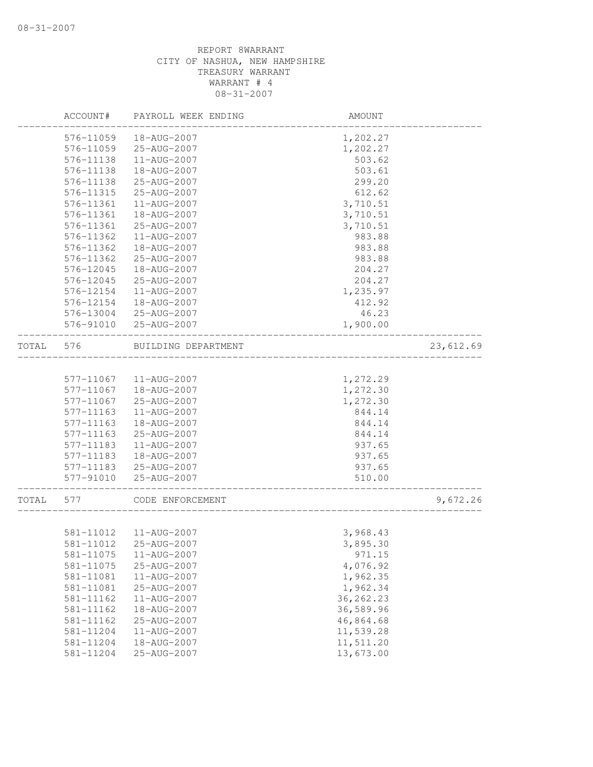|       | ACCOUNT#      | PAYROLL WEEK ENDING | AMOUNT     |           |
|-------|---------------|---------------------|------------|-----------|
|       | 576-11059     | 18-AUG-2007         | 1,202.27   |           |
|       | 576-11059     | 25-AUG-2007         | 1,202.27   |           |
|       | 576-11138     | 11-AUG-2007         | 503.62     |           |
|       | 576-11138     | 18-AUG-2007         | 503.61     |           |
|       | 576-11138     | 25-AUG-2007         | 299.20     |           |
|       | 576-11315     | 25-AUG-2007         | 612.62     |           |
|       | 576-11361     | 11-AUG-2007         | 3,710.51   |           |
|       | 576-11361     | 18-AUG-2007         | 3,710.51   |           |
|       | 576-11361     | 25-AUG-2007         | 3,710.51   |           |
|       | 576-11362     | 11-AUG-2007         | 983.88     |           |
|       | 576-11362     | 18-AUG-2007         | 983.88     |           |
|       | 576-11362     | 25-AUG-2007         | 983.88     |           |
|       | 576-12045     | 18-AUG-2007         | 204.27     |           |
|       | 576-12045     | 25-AUG-2007         | 204.27     |           |
|       | 576-12154     | 11-AUG-2007         | 1,235.97   |           |
|       | 576-12154     | 18-AUG-2007         | 412.92     |           |
|       | 576-13004     | 25-AUG-2007         | 46.23      |           |
|       | 576-91010     | 25-AUG-2007         | 1,900.00   |           |
| TOTAL | 576           | BUILDING DEPARTMENT |            | 23,612.69 |
|       | 577-11067     | 11-AUG-2007         | 1,272.29   |           |
|       | 577-11067     | 18-AUG-2007         | 1,272.30   |           |
|       | 577-11067     | 25-AUG-2007         | 1,272.30   |           |
|       | 577-11163     | 11-AUG-2007         | 844.14     |           |
|       | $577 - 11163$ | 18-AUG-2007         | 844.14     |           |
|       | 577-11163     | 25-AUG-2007         | 844.14     |           |
|       | 577-11183     | 11-AUG-2007         | 937.65     |           |
|       | 577-11183     | 18-AUG-2007         | 937.65     |           |
|       | 577-11183     | 25-AUG-2007         | 937.65     |           |
|       | 577-91010     | 25-AUG-2007         | 510.00     |           |
| TOTAL | 577           | CODE ENFORCEMENT    |            | 9,672.26  |
|       |               |                     |            |           |
|       | 581-11012     | 11-AUG-2007         | 3,968.43   |           |
|       | 581-11012     | 25-AUG-2007         | 3,895.30   |           |
|       | 581-11075     | 11-AUG-2007         | 971.15     |           |
|       | 581-11075     | 25-AUG-2007         | 4,076.92   |           |
|       | 581-11081     | 11-AUG-2007         | 1,962.35   |           |
|       | 581-11081     | 25-AUG-2007         | 1,962.34   |           |
|       | 581-11162     | 11-AUG-2007         | 36, 262.23 |           |
|       | 581-11162     | 18-AUG-2007         | 36,589.96  |           |
|       | 581-11162     | 25-AUG-2007         | 46,864.68  |           |
|       | 581-11204     | 11-AUG-2007         | 11,539.28  |           |
|       | 581-11204     | 18-AUG-2007         | 11,511.20  |           |
|       | 581-11204     | 25-AUG-2007         | 13,673.00  |           |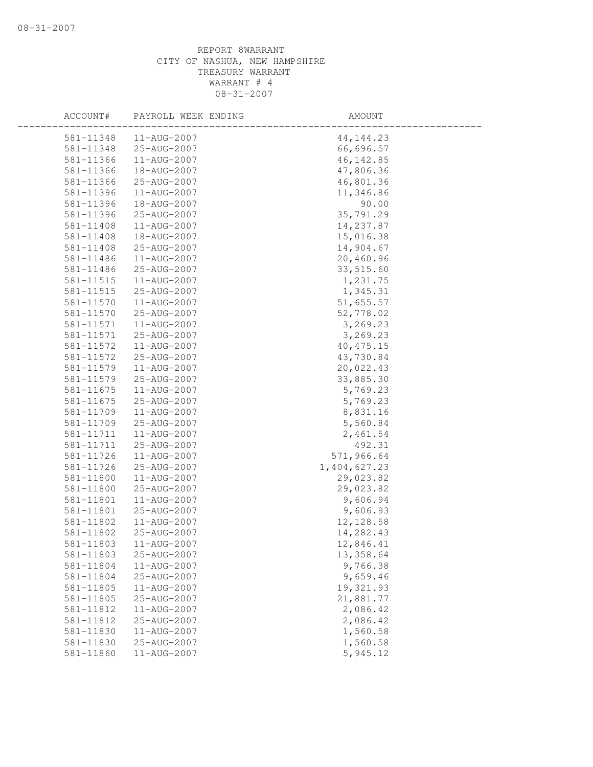| ACCOUNT#      | PAYROLL WEEK ENDING | AMOUNT       |  |
|---------------|---------------------|--------------|--|
| 581-11348     | $11 - AUG - 2007$   | 44, 144. 23  |  |
| 581-11348     | 25-AUG-2007         | 66,696.57    |  |
| 581-11366     | 11-AUG-2007         | 46, 142.85   |  |
| 581-11366     | 18-AUG-2007         | 47,806.36    |  |
| 581-11366     | 25-AUG-2007         | 46,801.36    |  |
| 581-11396     | 11-AUG-2007         | 11,346.86    |  |
| 581-11396     | 18-AUG-2007         | 90.00        |  |
| 581-11396     | 25-AUG-2007         | 35,791.29    |  |
| 581-11408     | 11-AUG-2007         | 14, 237.87   |  |
| 581-11408     | 18-AUG-2007         | 15,016.38    |  |
| 581-11408     | 25-AUG-2007         | 14,904.67    |  |
| 581-11486     | 11-AUG-2007         | 20,460.96    |  |
| 581-11486     | 25-AUG-2007         | 33,515.60    |  |
| 581-11515     | 11-AUG-2007         | 1,231.75     |  |
| 581-11515     | 25-AUG-2007         | 1,345.31     |  |
| 581-11570     | 11-AUG-2007         | 51,655.57    |  |
| 581-11570     | 25-AUG-2007         | 52,778.02    |  |
| 581-11571     | 11-AUG-2007         | 3,269.23     |  |
| 581-11571     | 25-AUG-2007         | 3,269.23     |  |
| 581-11572     | 11-AUG-2007         | 40, 475.15   |  |
| 581-11572     | 25-AUG-2007         | 43,730.84    |  |
| 581-11579     | 11-AUG-2007         | 20,022.43    |  |
| 581-11579     | 25-AUG-2007         | 33,885.30    |  |
| 581-11675     | $11 - AUG - 2007$   | 5,769.23     |  |
| $581 - 11675$ | 25-AUG-2007         | 5,769.23     |  |
| 581-11709     | 11-AUG-2007         | 8,831.16     |  |
| 581-11709     | 25-AUG-2007         | 5,560.84     |  |
| 581-11711     | 11-AUG-2007         | 2,461.54     |  |
| 581-11711     | 25-AUG-2007         | 492.31       |  |
| $581 - 11726$ | 11-AUG-2007         | 571,966.64   |  |
| 581-11726     | 25-AUG-2007         | 1,404,627.23 |  |
| 581-11800     | 11-AUG-2007         | 29,023.82    |  |
| 581-11800     | 25-AUG-2007         | 29,023.82    |  |
| 581-11801     | 11-AUG-2007         | 9,606.94     |  |
| 581-11801     | 25-AUG-2007         | 9,606.93     |  |
| 581-11802     | 11-AUG-2007         | 12, 128.58   |  |
| 581-11802     | 25-AUG-2007         | 14,282.43    |  |
| 581-11803     | 11-AUG-2007         | 12,846.41    |  |
| 581-11803     | 25-AUG-2007         | 13, 358.64   |  |
| 581-11804     | 11-AUG-2007         | 9,766.38     |  |
| 581-11804     | 25-AUG-2007         | 9,659.46     |  |
| 581-11805     | 11-AUG-2007         | 19,321.93    |  |
| 581-11805     | 25-AUG-2007         | 21,881.77    |  |
| 581-11812     | 11-AUG-2007         | 2,086.42     |  |
| 581-11812     | 25-AUG-2007         | 2,086.42     |  |
| 581-11830     | 11-AUG-2007         | 1,560.58     |  |
| 581-11830     | 25-AUG-2007         | 1,560.58     |  |
| 581-11860     | 11-AUG-2007         | 5,945.12     |  |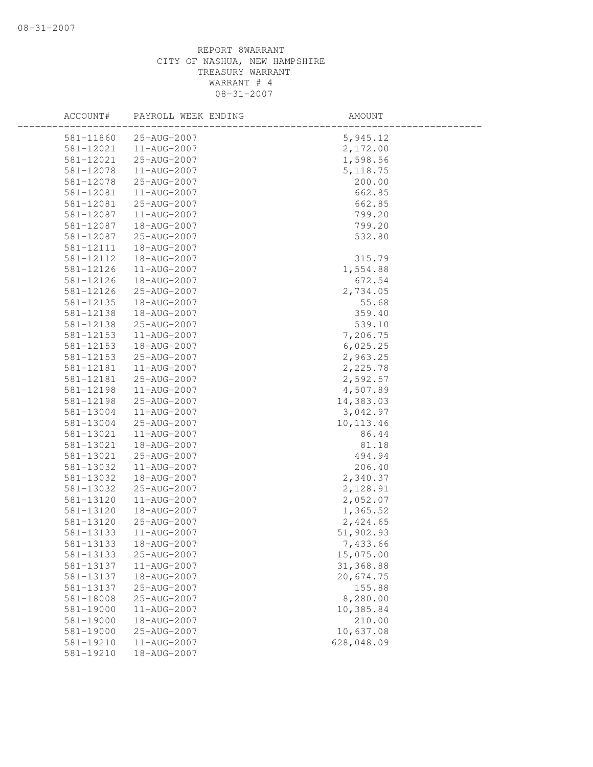| ACCOUNT#  | PAYROLL WEEK ENDING | AMOUNT     |  |
|-----------|---------------------|------------|--|
| 581-11860 | 25-AUG-2007         | 5,945.12   |  |
| 581-12021 | 11-AUG-2007         | 2,172.00   |  |
| 581-12021 | 25-AUG-2007         | 1,598.56   |  |
| 581-12078 | 11-AUG-2007         | 5, 118.75  |  |
| 581-12078 | 25-AUG-2007         | 200.00     |  |
| 581-12081 | 11-AUG-2007         | 662.85     |  |
| 581-12081 | 25-AUG-2007         | 662.85     |  |
| 581-12087 | 11-AUG-2007         | 799.20     |  |
| 581-12087 | 18-AUG-2007         | 799.20     |  |
| 581-12087 | 25-AUG-2007         | 532.80     |  |
| 581-12111 | 18-AUG-2007         |            |  |
| 581-12112 | 18-AUG-2007         | 315.79     |  |
| 581-12126 | 11-AUG-2007         | 1,554.88   |  |
| 581-12126 | 18-AUG-2007         | 672.54     |  |
| 581-12126 | 25-AUG-2007         | 2,734.05   |  |
| 581-12135 | 18-AUG-2007         | 55.68      |  |
| 581-12138 | 18-AUG-2007         | 359.40     |  |
| 581-12138 | 25-AUG-2007         | 539.10     |  |
| 581-12153 | 11-AUG-2007         | 7,206.75   |  |
| 581-12153 | 18-AUG-2007         | 6,025.25   |  |
| 581-12153 | 25-AUG-2007         | 2,963.25   |  |
| 581-12181 | 11-AUG-2007         | 2,225.78   |  |
| 581-12181 | 25-AUG-2007         | 2,592.57   |  |
| 581-12198 | 11-AUG-2007         | 4,507.89   |  |
| 581-12198 | 25-AUG-2007         | 14,383.03  |  |
| 581-13004 | 11-AUG-2007         | 3,042.97   |  |
| 581-13004 | 25-AUG-2007         | 10, 113.46 |  |
| 581-13021 | 11-AUG-2007         | 86.44      |  |
| 581-13021 | 18-AUG-2007         | 81.18      |  |
| 581-13021 | 25-AUG-2007         | 494.94     |  |
| 581-13032 | 11-AUG-2007         | 206.40     |  |
| 581-13032 | 18-AUG-2007         | 2,340.37   |  |
| 581-13032 | 25-AUG-2007         | 2,128.91   |  |
| 581-13120 | 11-AUG-2007         | 2,052.07   |  |
| 581-13120 | 18-AUG-2007         | 1,365.52   |  |
| 581-13120 | 25-AUG-2007         | 2,424.65   |  |
| 581-13133 | 11-AUG-2007         | 51,902.93  |  |
| 581-13133 | 18-AUG-2007         | 7,433.66   |  |
| 581-13133 | 25-AUG-2007         | 15,075.00  |  |
| 581-13137 | 11-AUG-2007         | 31,368.88  |  |
| 581-13137 | 18-AUG-2007         | 20,674.75  |  |
| 581-13137 | 25-AUG-2007         | 155.88     |  |
| 581-18008 | 25-AUG-2007         | 8,280.00   |  |
| 581-19000 | 11-AUG-2007         | 10,385.84  |  |
| 581-19000 | 18-AUG-2007         | 210.00     |  |
| 581-19000 | 25-AUG-2007         | 10,637.08  |  |
| 581-19210 | 11-AUG-2007         | 628,048.09 |  |
| 581-19210 | 18-AUG-2007         |            |  |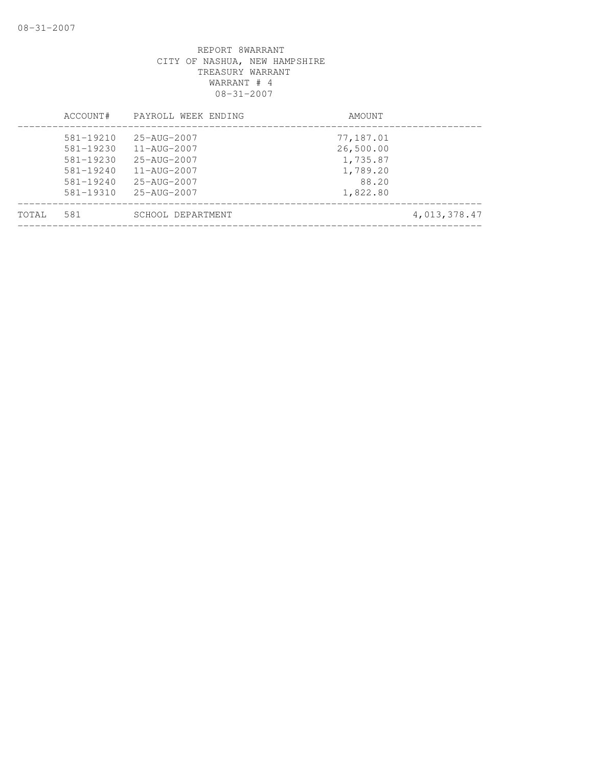|       | ACCOUNT#                                                                                       | PAYROLL WEEK ENDING                                                                                                                        | AMOUNT                                                              |
|-------|------------------------------------------------------------------------------------------------|--------------------------------------------------------------------------------------------------------------------------------------------|---------------------------------------------------------------------|
|       | $581 - 19210$<br>$581 - 19230$<br>581-19230<br>$581 - 19240$<br>$581 - 19240$<br>$581 - 19310$ | 25-AUG-2007<br>11-AUG-2007<br>$25 - \text{AUG} - 2007$<br>$11 - \text{AUG} - 2007$<br>$25 - \text{AUG} - 2007$<br>$25 - \text{AUG} - 2007$ | 77,187.01<br>26,500.00<br>1,735.87<br>1,789.20<br>88.20<br>1,822.80 |
| TOTAL | 581                                                                                            | SCHOOL DEPARTMENT                                                                                                                          | 4,013,378.47                                                        |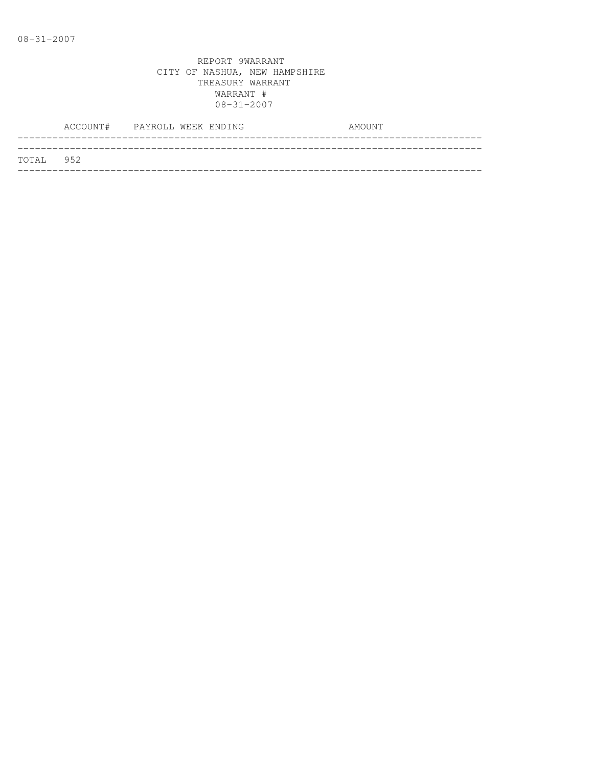|           | ACCOUNT# PAYROLL WEEK ENDING |  |  | AMOUNT |
|-----------|------------------------------|--|--|--------|
| TOTAL 952 |                              |  |  |        |
|           |                              |  |  |        |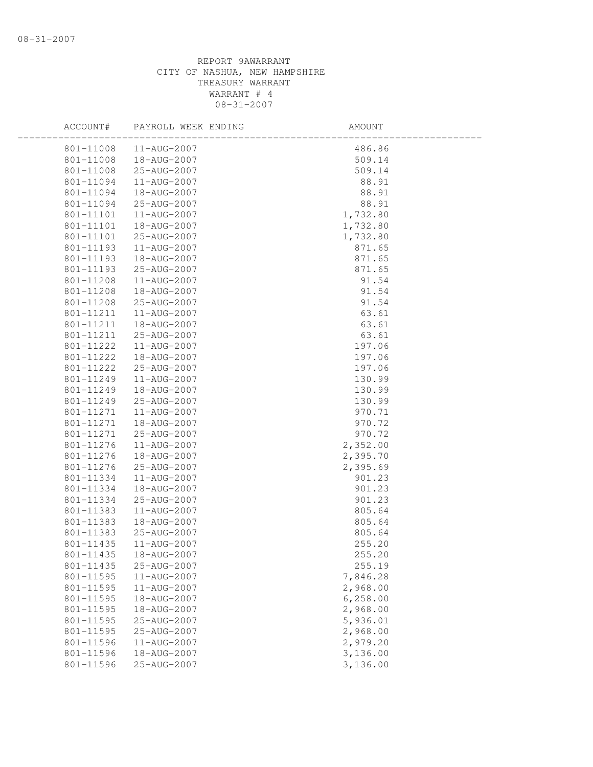| ACCOUNT#  | PAYROLL WEEK ENDING | AMOUNT    |  |
|-----------|---------------------|-----------|--|
| 801-11008 | 11-AUG-2007         | 486.86    |  |
| 801-11008 | 18-AUG-2007         | 509.14    |  |
| 801-11008 | 25-AUG-2007         | 509.14    |  |
| 801-11094 | 11-AUG-2007         | 88.91     |  |
| 801-11094 | 18-AUG-2007         | 88.91     |  |
| 801-11094 | 25-AUG-2007         | 88.91     |  |
| 801-11101 | 11-AUG-2007         | 1,732.80  |  |
| 801-11101 | 18-AUG-2007         | 1,732.80  |  |
| 801-11101 | 25-AUG-2007         | 1,732.80  |  |
| 801-11193 | 11-AUG-2007         | 871.65    |  |
| 801-11193 | 18-AUG-2007         | 871.65    |  |
| 801-11193 | 25-AUG-2007         | 871.65    |  |
| 801-11208 | 11-AUG-2007         | 91.54     |  |
| 801-11208 | 18-AUG-2007         | 91.54     |  |
| 801-11208 | 25-AUG-2007         | 91.54     |  |
| 801-11211 | 11-AUG-2007         | 63.61     |  |
| 801-11211 | 18-AUG-2007         | 63.61     |  |
| 801-11211 | 25-AUG-2007         | 63.61     |  |
| 801-11222 | 11-AUG-2007         | 197.06    |  |
| 801-11222 | 18-AUG-2007         | 197.06    |  |
| 801-11222 | 25-AUG-2007         | 197.06    |  |
| 801-11249 | 11-AUG-2007         | 130.99    |  |
| 801-11249 | 18-AUG-2007         | 130.99    |  |
| 801-11249 | 25-AUG-2007         | 130.99    |  |
| 801-11271 | 11-AUG-2007         | 970.71    |  |
| 801-11271 | 18-AUG-2007         | 970.72    |  |
| 801-11271 | 25-AUG-2007         | 970.72    |  |
| 801-11276 | 11-AUG-2007         | 2,352.00  |  |
| 801-11276 | 18-AUG-2007         | 2,395.70  |  |
| 801-11276 | 25-AUG-2007         | 2,395.69  |  |
| 801-11334 | 11-AUG-2007         | 901.23    |  |
| 801-11334 | 18-AUG-2007         | 901.23    |  |
| 801-11334 | 25-AUG-2007         | 901.23    |  |
| 801-11383 | 11-AUG-2007         | 805.64    |  |
| 801-11383 | 18-AUG-2007         | 805.64    |  |
| 801-11383 | 25-AUG-2007         | 805.64    |  |
| 801-11435 | 11-AUG-2007         | 255.20    |  |
| 801-11435 | 18-AUG-2007         | 255.20    |  |
| 801-11435 | 25-AUG-2007         | 255.19    |  |
| 801-11595 | 11-AUG-2007         | 7,846.28  |  |
| 801-11595 | 11-AUG-2007         | 2,968.00  |  |
| 801-11595 | 18-AUG-2007         | 6, 258.00 |  |
| 801-11595 | 18-AUG-2007         | 2,968.00  |  |
| 801-11595 | 25-AUG-2007         | 5,936.01  |  |
| 801-11595 | 25-AUG-2007         | 2,968.00  |  |
| 801-11596 | 11-AUG-2007         | 2,979.20  |  |
| 801-11596 | 18-AUG-2007         | 3,136.00  |  |
| 801-11596 | 25-AUG-2007         | 3,136.00  |  |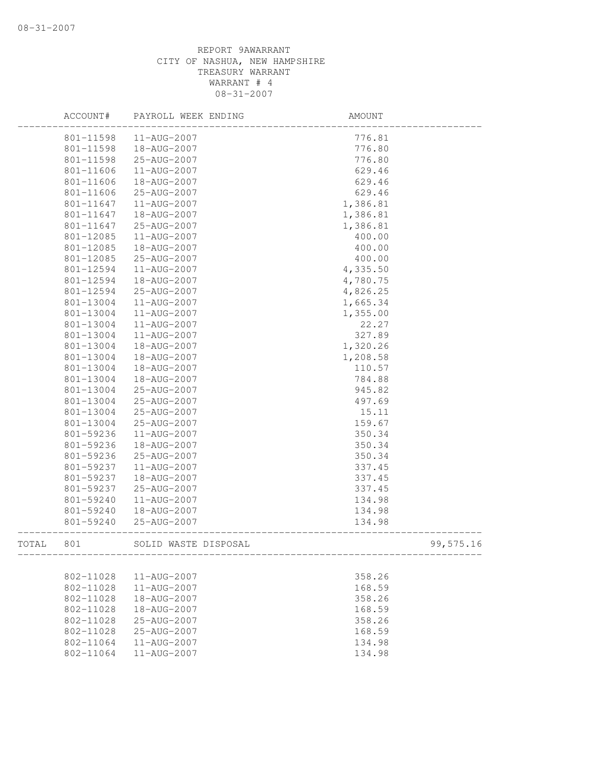|       | ACCOUNT#  | PAYROLL WEEK ENDING  | AMOUNT    |
|-------|-----------|----------------------|-----------|
|       | 801-11598 | 11-AUG-2007          | 776.81    |
|       | 801-11598 | 18-AUG-2007          | 776.80    |
|       | 801-11598 | 25-AUG-2007          | 776.80    |
|       | 801-11606 | 11-AUG-2007          | 629.46    |
|       | 801-11606 | 18-AUG-2007          | 629.46    |
|       | 801-11606 | 25-AUG-2007          | 629.46    |
|       | 801-11647 | 11-AUG-2007          | 1,386.81  |
|       | 801-11647 | 18-AUG-2007          | 1,386.81  |
|       | 801-11647 | 25-AUG-2007          | 1,386.81  |
|       | 801-12085 | 11-AUG-2007          | 400.00    |
|       | 801-12085 | 18-AUG-2007          | 400.00    |
|       | 801-12085 | 25-AUG-2007          | 400.00    |
|       | 801-12594 | 11-AUG-2007          | 4,335.50  |
|       | 801-12594 | 18-AUG-2007          | 4,780.75  |
|       | 801-12594 | 25-AUG-2007          | 4,826.25  |
|       | 801-13004 | 11-AUG-2007          | 1,665.34  |
|       | 801-13004 | 11-AUG-2007          | 1,355.00  |
|       | 801-13004 | 11-AUG-2007          | 22.27     |
|       | 801-13004 | 11-AUG-2007          | 327.89    |
|       | 801-13004 | 18-AUG-2007          | 1,320.26  |
|       | 801-13004 | 18-AUG-2007          | 1,208.58  |
|       | 801-13004 | 18-AUG-2007          | 110.57    |
|       | 801-13004 | 18-AUG-2007          | 784.88    |
|       | 801-13004 | 25-AUG-2007          | 945.82    |
|       | 801-13004 | 25-AUG-2007          | 497.69    |
|       | 801-13004 | 25-AUG-2007          | 15.11     |
|       | 801-13004 | 25-AUG-2007          | 159.67    |
|       | 801-59236 | 11-AUG-2007          | 350.34    |
|       | 801-59236 | 18-AUG-2007          | 350.34    |
|       | 801-59236 | 25-AUG-2007          | 350.34    |
|       | 801-59237 | 11-AUG-2007          | 337.45    |
|       | 801-59237 | 18-AUG-2007          | 337.45    |
|       | 801-59237 | 25-AUG-2007          | 337.45    |
|       | 801-59240 | 11-AUG-2007          | 134.98    |
|       | 801-59240 | 18-AUG-2007          | 134.98    |
|       | 801-59240 | 25-AUG-2007          | 134.98    |
| TOTAL | 801       | SOLID WASTE DISPOSAL | 99,575.16 |
|       |           |                      |           |
|       | 802-11028 | 11-AUG-2007          | 358.26    |
|       | 802-11028 | $11 - AUG - 2007$    | 168.59    |
|       | 802-11028 | 18-AUG-2007          | 358.26    |
|       | 802-11028 | 18-AUG-2007          | 168.59    |
|       | 802-11028 | 25-AUG-2007          | 358.26    |
|       | 802-11028 | 25-AUG-2007          | 168.59    |
|       | 802-11064 | 11-AUG-2007          | 134.98    |
|       | 802-11064 | 11-AUG-2007          | 134.98    |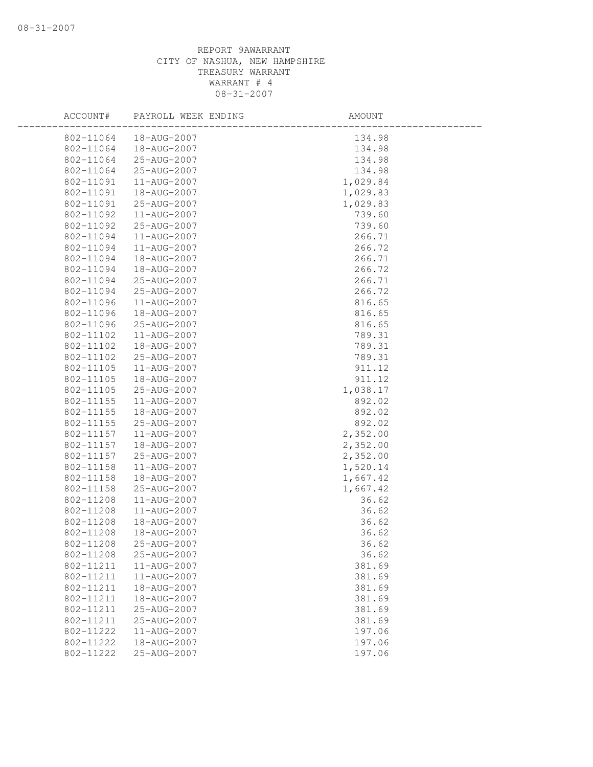| ACCOUNT#      | PAYROLL WEEK ENDING | AMOUNT   |
|---------------|---------------------|----------|
| 802-11064     | 18-AUG-2007         | 134.98   |
| 802-11064     | 18-AUG-2007         | 134.98   |
| 802-11064     | 25-AUG-2007         | 134.98   |
| 802-11064     | 25-AUG-2007         | 134.98   |
| 802-11091     | 11-AUG-2007         | 1,029.84 |
| 802-11091     | 18-AUG-2007         | 1,029.83 |
| 802-11091     | 25-AUG-2007         | 1,029.83 |
| 802-11092     | 11-AUG-2007         | 739.60   |
| 802-11092     | 25-AUG-2007         | 739.60   |
| 802-11094     | 11-AUG-2007         | 266.71   |
| 802-11094     | 11-AUG-2007         | 266.72   |
| 802-11094     | 18-AUG-2007         | 266.71   |
| 802-11094     | 18-AUG-2007         | 266.72   |
| 802-11094     | 25-AUG-2007         | 266.71   |
| 802-11094     | 25-AUG-2007         | 266.72   |
| 802-11096     | $11 - AUG - 2007$   | 816.65   |
| 802-11096     | 18-AUG-2007         | 816.65   |
| 802-11096     | 25-AUG-2007         | 816.65   |
| $802 - 11102$ | 11-AUG-2007         | 789.31   |
| 802-11102     | 18-AUG-2007         | 789.31   |
| 802-11102     | 25-AUG-2007         | 789.31   |
| 802-11105     | 11-AUG-2007         | 911.12   |
| 802-11105     | 18-AUG-2007         | 911.12   |
| 802-11105     | 25-AUG-2007         | 1,038.17 |
| 802-11155     | 11-AUG-2007         | 892.02   |
| 802-11155     | 18-AUG-2007         | 892.02   |
| 802-11155     | 25-AUG-2007         | 892.02   |
| 802-11157     | 11-AUG-2007         | 2,352.00 |
| 802-11157     | 18-AUG-2007         | 2,352.00 |
| 802-11157     | 25-AUG-2007         | 2,352.00 |
| 802-11158     | 11-AUG-2007         | 1,520.14 |
| 802-11158     | 18-AUG-2007         | 1,667.42 |
| 802-11158     | 25-AUG-2007         | 1,667.42 |
| 802-11208     | 11-AUG-2007         | 36.62    |
| 802-11208     | 11-AUG-2007         | 36.62    |
| 802-11208     | 18-AUG-2007         | 36.62    |
| 802-11208     | 18-AUG-2007         | 36.62    |
| 802-11208     | 25-AUG-2007         | 36.62    |
| 802-11208     | 25-AUG-2007         | 36.62    |
| 802-11211     | 11-AUG-2007         | 381.69   |
| 802-11211     | $11 - AUG - 2007$   | 381.69   |
| 802-11211     | 18-AUG-2007         | 381.69   |
| 802-11211     | 18-AUG-2007         | 381.69   |
| 802-11211     | 25-AUG-2007         | 381.69   |
| 802-11211     | 25-AUG-2007         | 381.69   |
| 802-11222     | 11-AUG-2007         | 197.06   |
| 802-11222     | 18-AUG-2007         | 197.06   |
| 802-11222     | 25-AUG-2007         | 197.06   |
|               |                     |          |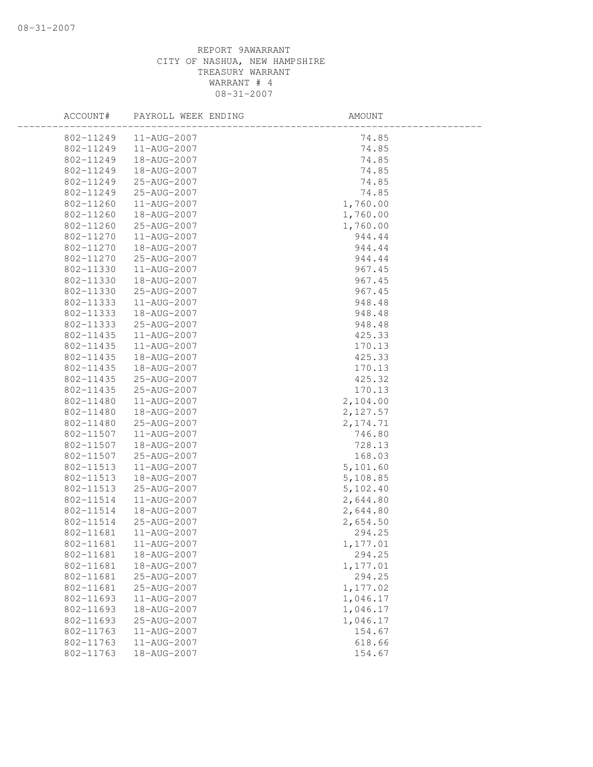| ACCOUNT#               | PAYROLL WEEK ENDING        | AMOUNT    |
|------------------------|----------------------------|-----------|
| 802-11249              | $11 - \text{AUG} - 2007$   | 74.85     |
| 802-11249              | 11-AUG-2007                | 74.85     |
| 802-11249              | 18-AUG-2007                | 74.85     |
| 802-11249              | 18-AUG-2007                | 74.85     |
| 802-11249              | 25-AUG-2007                | 74.85     |
| 802-11249              | 25-AUG-2007                | 74.85     |
| 802-11260              | 11-AUG-2007                | 1,760.00  |
| 802-11260              | 18-AUG-2007                | 1,760.00  |
| 802-11260              | 25-AUG-2007                | 1,760.00  |
| 802-11270              | 11-AUG-2007                | 944.44    |
| 802-11270              | 18-AUG-2007                | 944.44    |
| 802-11270              | 25-AUG-2007                | 944.44    |
| 802-11330              | 11-AUG-2007                | 967.45    |
| 802-11330              | 18-AUG-2007                | 967.45    |
| 802-11330              | 25-AUG-2007                | 967.45    |
| 802-11333              | 11-AUG-2007                | 948.48    |
| 802-11333              | 18-AUG-2007                | 948.48    |
| 802-11333              | 25-AUG-2007                | 948.48    |
| 802-11435              | 11-AUG-2007                | 425.33    |
| 802-11435              | 11-AUG-2007                | 170.13    |
| 802-11435              | 18-AUG-2007                | 425.33    |
| 802-11435              | 18-AUG-2007                | 170.13    |
| 802-11435              | 25-AUG-2007                | 425.32    |
| 802-11435              | 25-AUG-2007                | 170.13    |
| 802-11480              | 11-AUG-2007                | 2,104.00  |
| 802-11480              | 18-AUG-2007                | 2,127.57  |
| 802-11480              | 25-AUG-2007                | 2, 174.71 |
| 802-11507              | 11-AUG-2007                | 746.80    |
| 802-11507              | 18-AUG-2007                | 728.13    |
| 802-11507              | 25-AUG-2007                | 168.03    |
| 802-11513              | 11-AUG-2007                | 5,101.60  |
| 802-11513              | 18-AUG-2007                | 5,108.85  |
| 802-11513              | 25-AUG-2007                | 5,102.40  |
| 802-11514              | 11-AUG-2007                | 2,644.80  |
| 802-11514              | 18-AUG-2007                | 2,644.80  |
| 802-11514              | 25-AUG-2007                | 2,654.50  |
| 802-11681              | 11-AUG-2007                | 294.25    |
| 802-11681              | 11-AUG-2007                | 1,177.01  |
| 802-11681              | 18-AUG-2007                | 294.25    |
| 802-11681<br>802-11681 | 18-AUG-2007                | 1,177.01  |
|                        | 25-AUG-2007                | 294.25    |
| 802-11681              | 25-AUG-2007                | 1,177.02  |
| 802-11693              | 11-AUG-2007<br>18-AUG-2007 | 1,046.17  |
| 802-11693              |                            | 1,046.17  |
| 802-11693              | 25-AUG-2007                | 1,046.17  |
| 802-11763              | 11-AUG-2007                | 154.67    |
| 802-11763              | 11-AUG-2007                | 618.66    |
| 802-11763              | 18-AUG-2007                | 154.67    |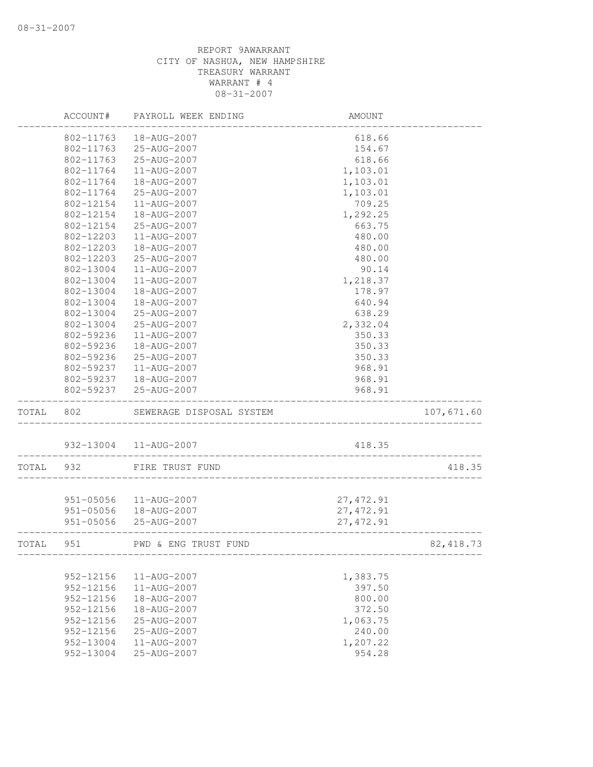|       | ACCOUNT#      | PAYROLL WEEK ENDING                             | AMOUNT     |            |
|-------|---------------|-------------------------------------------------|------------|------------|
|       | 802-11763     | 18-AUG-2007                                     | 618.66     |            |
|       | 802-11763     | 25-AUG-2007                                     | 154.67     |            |
|       | 802-11763     | 25-AUG-2007                                     | 618.66     |            |
|       | 802-11764     | 11-AUG-2007                                     | 1,103.01   |            |
|       | 802-11764     | 18-AUG-2007                                     | 1,103.01   |            |
|       | 802-11764     | 25-AUG-2007                                     | 1,103.01   |            |
|       | 802-12154     | 11-AUG-2007                                     | 709.25     |            |
|       | 802-12154     | 18-AUG-2007                                     | 1,292.25   |            |
|       | 802-12154     | 25-AUG-2007                                     | 663.75     |            |
|       | 802-12203     | 11-AUG-2007                                     | 480.00     |            |
|       | 802-12203     | 18-AUG-2007                                     | 480.00     |            |
|       | 802-12203     | 25-AUG-2007                                     | 480.00     |            |
|       | 802-13004     | 11-AUG-2007                                     | 90.14      |            |
|       | 802-13004     | 11-AUG-2007                                     | 1,218.37   |            |
|       | 802-13004     | 18-AUG-2007                                     | 178.97     |            |
|       | 802-13004     | 18-AUG-2007                                     | 640.94     |            |
|       | 802-13004     | 25-AUG-2007                                     | 638.29     |            |
|       | 802-13004     | 25-AUG-2007                                     | 2,332.04   |            |
|       | 802-59236     | 11-AUG-2007                                     | 350.33     |            |
|       | 802-59236     | 18-AUG-2007                                     | 350.33     |            |
|       | 802-59236     | 25-AUG-2007                                     | 350.33     |            |
|       | 802-59237     | 11-AUG-2007                                     | 968.91     |            |
|       | 802-59237     | 18-AUG-2007                                     | 968.91     |            |
|       | 802-59237     | 25-AUG-2007                                     | 968.91     |            |
| TOTAL | 802           | SEWERAGE DISPOSAL SYSTEM                        |            | 107,671.60 |
|       |               | 932-13004  11-AUG-2007                          | 418.35     |            |
| TOTAL | 932           | ____________________________<br>FIRE TRUST FUND |            | 418.35     |
|       |               |                                                 |            |            |
|       | 951-05056     | 11-AUG-2007                                     | 27, 472.91 |            |
|       | 951-05056     | 18-AUG-2007                                     | 27, 472.91 |            |
|       | 951-05056     | 25-AUG-2007                                     | 27, 472.91 |            |
| TOTAL | 951           | PWD & ENG TRUST FUND                            |            | 82, 418.73 |
|       |               |                                                 |            |            |
|       | 952-12156     | 11-AUG-2007                                     | 1,383.75   |            |
|       | $952 - 12156$ | 11-AUG-2007                                     | 397.50     |            |
|       | 952-12156     | 18-AUG-2007                                     | 800.00     |            |
|       | $952 - 12156$ | 18-AUG-2007                                     | 372.50     |            |
|       | 952-12156     | 25-AUG-2007                                     | 1,063.75   |            |
|       | 952-12156     | 25-AUG-2007                                     | 240.00     |            |
|       | 952-13004     | $11 - AUG - 2007$                               | 1,207.22   |            |
|       | 952-13004     | 25-AUG-2007                                     | 954.28     |            |